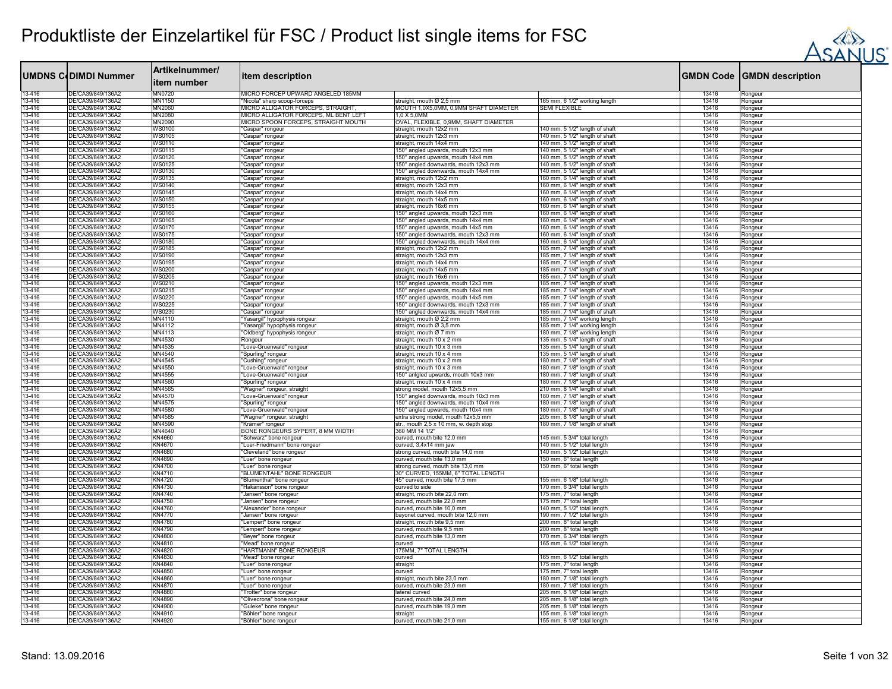

|                  |                                        | Artikelnummer/                 |                                                            |                                                                  |                                                                  |                |                                   |
|------------------|----------------------------------------|--------------------------------|------------------------------------------------------------|------------------------------------------------------------------|------------------------------------------------------------------|----------------|-----------------------------------|
|                  | <b>UMDNS CODIMDI Nummer</b>            | litem number                   | item description                                           |                                                                  |                                                                  |                | <b>GMDN Code GMDN description</b> |
| 13-416           | DE/CA39/849/136Ä2                      | MN0720                         | MICRO FORCEP UPWARD ANGELED 185MM                          |                                                                  |                                                                  | 13416          | Rongeur                           |
| 13-416           | DE/CA39/849/136A2                      | MN1150                         | "Nicola" sharp scoop-forceps                               | straight, mouth Ø 2,5 mm                                         | 165 mm, 6 1/2" working length                                    | 13416          | Rongeur                           |
| 13-416           | DE/CA39/849/136A2                      | MN2060                         | MICRO ALLIGATOR FORCEPS, STRAIGHT,                         | MOUTH 1,0X5,0MM, 0,9MM SHAFT DIAMETER                            | SEMI FLEXIBLE                                                    | 13416          | Rongeur                           |
| 13-416           | DE/CA39/849/136A2                      | MN2080                         | MICRO ALLIGATOR FORCEPS, ML BENT LEFT                      | 10 X 50 MM                                                       |                                                                  | 13416          | Rongeur                           |
| 13-416           | DE/CA39/849/136A2<br>DE/CA39/849/136A2 | MN2090                         | MICRO SPOON FORCEPS, STRAIGHT MOUTH                        | OVAL, FLEXIBLE, 0,9MM, SHAFT DIAMETER                            |                                                                  | 13416          | Rongeur                           |
| 13-416<br>13-416 | DE/CA39/849/136Ä2                      | <b>WS0100</b><br><b>WS0105</b> | 'Caspar" rongeur<br>'Caspar" rongeur                       | straight, mouth 12x2 mm<br>straight, mouth 12x3 mm               | 140 mm, 5 1/2" length of shaft<br>140 mm, 5 1/2" length of shaft | 13416<br>13416 | Rongeur                           |
| 13-416           | DE/CA39/849/136A2                      | WS0110                         | 'Caspar" rongeur                                           | straight, mouth 14x4 mm                                          | 140 mm, 5 1/2" length of shaft                                   | 13416          | Rongeur<br>Rongeur                |
| 13-416           | DE/CA39/849/136A2                      | <b>WS0115</b>                  | 'Caspar" rongeur                                           | 150° angled upwards, mouth 12x3 mm                               | 140 mm, 5 1/2" length of shaft                                   | 13416          | Rongeur                           |
| 13-416           | DE/CA39/849/136Ä2                      | <b>WS0120</b>                  | 'Caspar" rongeur                                           | 150° angled upwards, mouth 14x4 mm                               | 140 mm, 5 1/2" length of shaft                                   | 13416          | Rongeur                           |
| 13-416           | DE/CA39/849/136A2                      | <b>WS0125</b>                  | 'Caspar" rongeur                                           | 150° angled downwards, mouth 12x3 mm                             | 140 mm, 5 1/2" length of shaft                                   | 13416          | Rongeur                           |
| 13-416           | DE/CA39/849/136A2                      | <b>WS0130</b>                  | 'Caspar" rongeur                                           | 150° angled downwards, mouth 14x4 mm                             | 140 mm, 5 1/2" length of shaft                                   | 13416          | Rongeur                           |
| 13-416           | DE/CA39/849/136Ä2                      | <b>WS0135</b>                  | 'Caspar" rongeur                                           | straight, mouth 12x2 mm                                          | 160 mm, 6 1/4" length of shaft                                   | 13416          | Rongeur                           |
| 13-416           | DE/CA39/849/136A2                      | <b>WS0140</b>                  | 'Caspar" rongeur                                           | straight, mouth 12x3 mm                                          | 160 mm, 6 1/4" length of shaft                                   | 13416          | Rongeur                           |
| 13-416<br>13-416 | DE/CA39/849/136A2<br>DE/CA39/849/136A2 | <b>WS0145</b><br><b>WS0150</b> | "Caspar" rongeur                                           | straight, mouth 14x4 mm<br>straight, mouth 14x5 mm               | 160 mm, 6 1/4" length of shaft                                   | 13416<br>13416 | Rongeur                           |
| 13-416           | DE/CA39/849/136A2                      | <b>WS0155</b>                  | 'Caspar" rongeur<br>'Caspar" rongeur                       | straight, mouth 16x6 mm                                          | 160 mm, 6 1/4" length of shaft<br>160 mm, 6 1/4" length of shaft | 13416          | Rongeur<br>Rongeur                |
| 13-416           | DE/CA39/849/136A2                      | <b>WS0160</b>                  | 'Caspar" rongeur                                           | 150° angled upwards, mouth 12x3 mm                               | 160 mm, 6 1/4" length of shaft                                   | 13416          | Rongeur                           |
| 13-416           | DE/CA39/849/136Å2                      | <b>WS0165</b>                  | 'Caspar" rongeur                                           | 150° angled upwards, mouth 14x4 mm                               | 160 mm, 6 1/4" length of shaft                                   | 13416          | Rongeur                           |
| 13-416           | DE/CA39/849/136A2                      | <b>WS0170</b>                  | 'Caspar" rongeur                                           | 150° angled upwards, mouth 14x5 mm                               | 160 mm, 6 1/4" length of shaft                                   | 13416          | Rongeur                           |
| 13-416           | DE/CA39/849/136Ä2                      | <b>WS0175</b>                  | 'Caspar" rongeur                                           | 150° angled downwards, mouth 12x3 mm                             | 160 mm, 6 1/4" length of shaft                                   | 13416          | Rongeur                           |
| 13-416           | DE/CA39/849/136A2                      | <b>WS0180</b>                  | 'Caspar" rongeur                                           | 150° angled downwards, mouth 14x4 mm                             | 160 mm, 6 1/4" length of shaft                                   | 13416          | Rongeur                           |
| 13-416           | DE/CA39/849/136A2                      | <b>WS0185</b>                  | 'Caspar" rongeur                                           | straight, mouth 12x2 mm                                          | 185 mm, 7 1/4" length of shaft                                   | 13416          | Rongeur                           |
| 13-416           | DE/CA39/849/136A2                      | <b>WS0190</b>                  | "Caspar" rongeur                                           | straight, mouth 12x3 mm                                          | 185 mm, 7 1/4" length of shaft                                   | 13416          | Rongeur                           |
| 13-416           | DE/CA39/849/136A2                      | <b>WS0195</b>                  | 'Caspar" rongeur                                           | straight, mouth 14x4 mm                                          | 185 mm, 7 1/4" length of shaft                                   | 13416          | Rongeur                           |
| 13-416<br>13-416 | DE/CA39/849/136Ä2<br>DE/CA39/849/136A2 | WS0200<br><b>WS0205</b>        | 'Caspar" rongeur                                           | straight, mouth 14x5 mm                                          | 185 mm, 7 1/4" length of shaft                                   | 13416<br>13416 | Rongeur                           |
| 13-416           | DE/CA39/849/136A2                      | <b>WS0210</b>                  | 'Caspar" rongeur<br>'Caspar" rongeur                       | straight, mouth 16x6 mm<br>150° angled upwards, mouth 12x3 mm    | 185 mm, 7 1/4" length of shaft<br>185 mm, 7 1/4" length of shaft | 13416          | Rongeur<br>Rongeur                |
| 13-416           | DE/CA39/849/136A2                      | <b>WS0215</b>                  | 'Caspar" rongeur                                           | 150° angled upwards, mouth 14x4 mm                               | 185 mm, 7 1/4" length of shaft                                   | 13416          | Rongeur                           |
| 13-416           | DE/CA39/849/136A2                      | <b>WS0220</b>                  | 'Caspar" rongeur                                           | 150° angled upwards, mouth 14x5 mm                               | 185 mm, 7 1/4" length of shaft                                   | 13416          | Rongeur                           |
| 13-416           | DE/CA39/849/136A2                      | <b>WS0225</b>                  | 'Caspar" rongeur                                           | 150° angled downwards, mouth 12x3 mm                             | 185 mm, 7 1/4" length of shaft                                   | 13416          | Rongeur                           |
| 13-416           | DE/CA39/849/136A2                      | <b>WS0230</b>                  | 'Caspar" rongeur                                           | 150° angled downwards, mouth 14x4 mm                             | 185 mm, 7 1/4" length of shaft                                   | 13416          | Rongeur                           |
| 13-416           | DE/CA39/849/136A2                      | MN4110                         | Yasargil" hypophysis rongeur                               | straight, mouth Ø 2,2 mm                                         | 185 mm, 7 1/4" working length                                    | 13416          | Rongeur                           |
| 13-416           | DE/CA39/849/136A2                      | MN4112                         | 'Yasargil" hypophysis rongeur                              | straight, mouth Ø 3,5 mm                                         | 185 mm, 7 1/4" working length                                    | 13416          | Rongeur                           |
| 13-416           | DE/CA39/849/136A2                      | MN4113                         | 'Oldberg" hypophysis rongeur                               | straight, mouth Ø 7 mm                                           | 180 mm, 7 1/8" working length                                    | 13416          | Rongeur                           |
| 13-416           | DE/CA39/849/136A2                      | MN4530                         | Rongeur                                                    | straight, mouth 10 x 2 mm                                        | 135 mm, 5 1/4" length of shaft                                   | 13416          | Rongeur                           |
| 13-416           | DE/CA39/849/136A2                      | MN4535                         | "Love-Gruenwald" rongeur                                   | straight, mouth 10 x 3 mm                                        | 135 mm, 5 1/4" length of shaft                                   | 13416          | Rongeur                           |
| 13-416<br>13-416 | DE/CA39/849/136Ä2<br>DE/CA39/849/136A2 | MN4540<br>MN4545               | 'Spurling" rongeur<br>'Cushing" rongeur                    | straight, mouth 10 x 4 mm<br>straight, mouth 10 x 2 mm           | 135 mm, 5 1/4" length of shaft<br>180 mm, 7 1/8" length of shaft | 13416<br>13416 | Rongeur<br>Rongeur                |
| 13-416           | DE/CA39/849/136A2                      | MN4550                         | "Love-Gruenwald" rongeur                                   | straight, mouth 10 x 3 mm                                        | 180 mm, 7 1/8" length of shaft                                   | 13416          | Rongeur                           |
| 13-416           | DE/CA39/849/136A2                      | MN4555                         | "Love-Gruenwald" rongeur                                   | 150° anlgled upwards, mouth 10x3 mm                              | 180 mm, 7 1/8" length of shaft                                   | 13416          | Rongeur                           |
| 13-416           | DE/CA39/849/136A2                      | MN4560                         | 'Spurling" rongeur                                         | straight, mouth 10 x 4 mm                                        | 180 mm, 7 1/8" length of shaft                                   | 13416          | Rongeur                           |
| 13-416           | DE/CA39/849/136Ä2                      | MN4565                         | 'Wagner" rongeur, straight                                 | strong model, mouth 12x5,5 mm                                    | 210 mm, 8 1/4" length of shaft                                   | 13416          | Rongeur                           |
| 13-416           | DE/CA39/849/136A2                      | MN4570                         | "Love-Gruenwald" rongeur                                   | 150° angled downwards, mouth 10x3 mm                             | 180 mm, 7 1/8" length of shaft                                   | 13416          | Rongeur                           |
| 13-416           | DE/CA39/849/136A2                      | MN4575                         | "Spurling" rongeur                                         | 150° angled downwards, mouth 10x4 mm                             | 180 mm, 7 1/8" length of shaft                                   | 13416          | Rongeur                           |
| 13-416           | DE/CA39/849/136Ä2                      | MN4580                         | "Love-Gruenwald" rongeur                                   | 150° angled upwards, mouth 10x4 mm                               | 180 mm, 7 1/8" length of shaft                                   | 13416          | Rongeur                           |
| 13-416           | DE/CA39/849/136A2<br>DE/CA39/849/136A2 | MN4585<br>MN4590               | 'Wagner" rongeur, straight                                 | extra strong model, mouth 12x5,5 mm                              | 205 mm, 8 1/8" length of shaft                                   | 13416          | Rongeur                           |
| 13-416<br>13-416 | DE/CA39/849/136A2                      | MN4640                         | "Krämer" rongeur                                           | str., mouth 2,5 x 10 mm, w. depth stop<br>360 MM 14 1/2"         | 180 mm, 7 1/8" length of shaft                                   | 13416<br>13416 | Rongeur                           |
| 13-416           | DE/CA39/849/136A2                      | KN4660                         | BONE RONGEURS SYPERT, 8 MM WIDTH<br>'Schwarz" bone rongeur | curved, mouth bite 12,0 mm                                       | 145 mm, 5 3/4" total length                                      | 13416          | Rongeur<br>Rongeur                |
| 13-416           | DE/CA39/849/136Ä2                      | KN4670                         | "Luer-Friedmann" bone rongeur                              | curved, 3,4x14 mm jaw                                            | 140 mm, 5 1/2" total length                                      | 13416          | Rongeur                           |
| 13-416           | DE/CA39/849/136A2                      | <b>KN4680</b>                  | 'Cleveland" bone rongeur                                   | strong curved, mouth bite 14,0 mm                                | 140 mm, 5 1/2" total length                                      | 13416          | Rongeur                           |
| 13-416           | DE/CA39/849/136A2                      | KN4690                         | "Luer" bone rongeur                                        | curved, mouth bite 13,0 mm                                       | 150 mm, 6" total length                                          | 13416          | Rongeur                           |
| 13-416           | DE/CA39/849/136Ä2                      | <b>KN4700</b>                  | "Luer" bone rongeur                                        | strong curved, mouth bite 13,0 mm                                | 150 mm, 6" total length                                          | 13416          | Rongeur                           |
| 13-416           | DE/CA39/849/136A2                      | KN4710                         | "BLUMENTAHL" BONE RONGEUR                                  | 30° CURVED, 155MM, 6" TOTAL LENGTH                               |                                                                  | 13416          | Rongeur                           |
| 13-416           | DE/CA39/849/136A2                      | <b>KN4720</b>                  | "Blumenthal" bone rongeur                                  | 45° curved, mouth bite 17,5 mm                                   | 155 mm, 6 1/8" total length                                      | 13416          | Rongeur                           |
| 13-416           | DE/CA39/849/136A2                      | KN4730                         | "Hakansson" bone rongeur                                   | curved to side                                                   | 170 mm, 6 3/4" total length                                      | 13416          | Rongeur                           |
| 13-416           | DE/CA39/849/136A2                      | KN4740                         | Jansen" bone rongeur                                       | straight, mouth bite 22,0 mm                                     | 175 mm, 7" total length                                          | 13416          | Rongeur                           |
| 13-416           | DE/CA39/849/136Ä2<br>DE/CA39/849/136A2 | KN4750                         | Jansen" bone rongeu                                        | curved, mouth bite 22,0 mm                                       | 175 mm, 7" total length                                          | 13416          | Rongeur                           |
| 13-416<br>13-416 | DE/CA39/849/136A2                      | KN4760<br><b>KN4770</b>        | "Alexander" bone rongeur<br>"Jansen" bone rongeur          | curved, mouth bite 10,0 mm<br>bayonet curved, mouth bite 12,0 mm | 140 mm, 5 1/2" total length<br>190 mm, 7 1/2" total length       | 13416<br>13416 | Rongeur<br>Rongeur                |
| 13-416           | DE/CA39/849/136A2                      | <b>KN4780</b>                  | "Lempert" bone rongeur                                     | straight, mouth bite 9,5 mm                                      | 200 mm, 8" total length                                          | 13416          | Rongeur                           |
| 13-416           | DE/CA39/849/136Ä2                      | KN4790                         | "Lempert" bone rongeur                                     | curved, mouth bite 9,5 mm                                        | 200 mm, 8" total length                                          | 13416          | Rongeur                           |
| 13-416           | DE/CA39/849/136A2                      | KN4800                         | "Beyer" bone rongeur                                       | curved, mouth bite 13,0 mm                                       | 170 mm, 6 3/4" total length                                      | 13416          | Rongeur                           |
| 13-416           | DE/CA39/849/136Ä2                      | KN4810                         | "Mead" bone rongeur                                        | curved                                                           | 165 mm, 6 1/2" total length                                      | 13416          | Rongeur                           |
| 13-416           | DE/CA39/849/136A2                      | KN4820                         | 'HARTMANN" BONE RONGEUR                                    | 175MM, 7" TOTAL LENGTH                                           |                                                                  | 13416          | Rongeur                           |
| 13-416           | DE/CA39/849/136A2                      | KN4830                         | "Mead" bone rongeur                                        | curved                                                           | 165 mm, 6 1/2" total length                                      | 13416          | Rongeur                           |
| 13-416           | DE/CA39/849/136Ä2                      | KN4840                         | "Luer" bone rongeur                                        | straight                                                         | 175 mm, 7" total length                                          | 13416          | Rongeur                           |
| 13-416           | DE/CA39/849/136A2                      | KN4850                         | "Luer" bone rongeur                                        | curved                                                           | 175 mm, 7" total length                                          | 13416          | Rongeur                           |
| 13-416           | DE/CA39/849/136A2                      | KN4860                         | "Luer" bone rongeur                                        | straight, mouth bite 23,0 mm                                     | 180 mm, 7 1/8" total length                                      | 13416          | Rongeur                           |
| 13-416<br>13-416 | DE/CA39/849/136Ä2<br>DE/CA39/849/136A2 | <b>KN4870</b><br><b>KN4880</b> | 'Luer" bone rongeur<br>'Trotter" bone rongeur              | curved, mouth bite 23,0 mm<br>lateral curved                     | 180 mm, 7 1/8" total length<br>205 mm, 8 1/8" total length       | 13416<br>13416 | Rongeur                           |
| 13-416           | DE/CA39/849/136A2                      | KN4890                         | "Olivecrona" bone rongeur                                  | curved, mouth bite 24,0 mm                                       | 205 mm, 8 1/8" total length                                      | 13416          | Rongeur<br>Rongeur                |
| 13-416           | DE/CA39/849/136A2                      | KN4900                         | 'Guleke" bone rongeur                                      | curved, mouth bite 19,0 mm                                       | 205 mm, 8 1/8" total length                                      | 13416          | Rongeur                           |
| 13-416           | DE/CA39/849/136A2                      | KN4910                         | 'Böhler" bone rongeur                                      | straight                                                         | 155 mm, 6 1/8" total length                                      | 13416          | Rongeur                           |
| 13-416           | DE/CA39/849/136A2                      | KN4920                         | "Böhler" bone rongeur                                      | curved, mouth bite 21,0 mm                                       | 155 mm, 6 1/8" total length                                      | 13416          | Rongeur                           |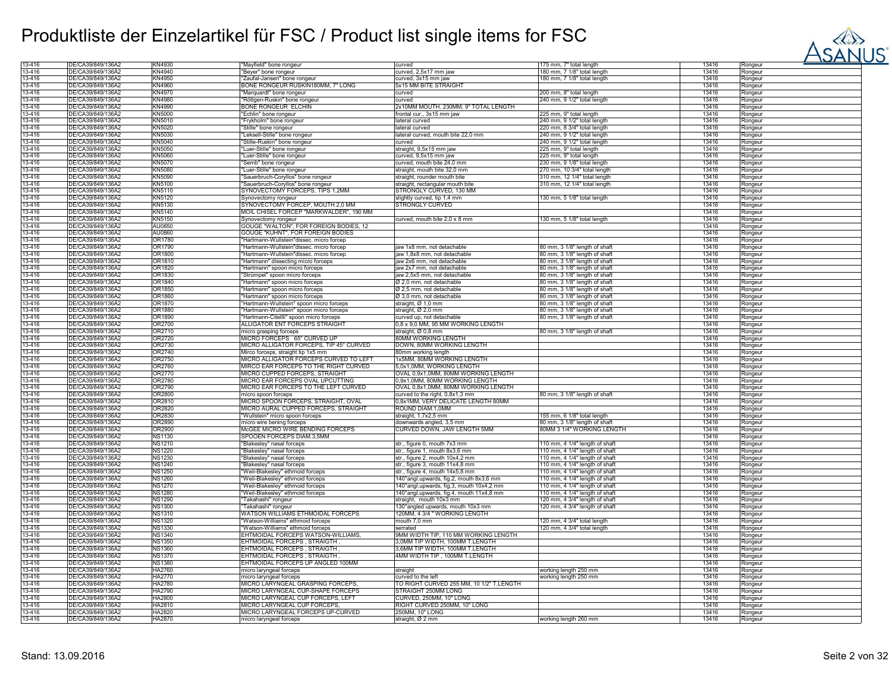

| 13-416   | DE/CA39/849/136A2 | KN4930        | "Mayfield" bone rongeur                  | curved                                    | 175 mm, 7" total length        | 13416 | Rongeur |
|----------|-------------------|---------------|------------------------------------------|-------------------------------------------|--------------------------------|-------|---------|
| 13-416   | DE/CA39/849/136A2 | KN4940        | "Beyer" bone rongeur                     | curved, 2,5x17 mm jaw                     | 180 mm, 7 1/8" total length    | 13416 | Rongeur |
| 13-416   | DE/CA39/849/136A2 | KN4950        | "Zaufal-Jansen" bone rongeur             | curved, 3x15 mm jaw                       | 180 mm, 7 1/8" total length    | 13416 | Rongeur |
|          |                   |               |                                          |                                           |                                |       |         |
| 13-416   | DE/CA39/849/136A2 | KN4960        | BONE RONGEUR RUSKIN180MM, 7" LONG        | 5x15 MM BITE STRAIGHT                     |                                | 13416 | Rongeur |
| 13-416   | DE/CA39/849/136A2 | KN4970        | "Marquardt" bone rongeur                 | curved                                    | 200 mm, 8" total length        | 13416 | Rongeur |
| 13-416   | DE/CA39/849/136A2 | KN4980        | Röttgen-Ruskin" bone rongeur             | curved                                    | 240 mm, 9 1/2" total length    | 13416 | Rongeur |
| 13-416   | DE/CA39/849/136A2 | KN4990        | BONE RONGEUR ELCHIN                      | 2x10MM MOUTH, 230MM, 9" TOTAL LENGTH      |                                | 13416 |         |
|          |                   |               |                                          |                                           |                                |       | Rongeur |
| 13-416   | DE/CA39/849/136A2 | KN5000        | "Echlin" bone rongeur                    | frontal cur., 3x15 mm jaw                 | 225 mm, 9" total length        | 13416 | Rongeur |
| 13-416   | DE/CA39/849/136A2 | KN5010        | "Frykholm" bone rongeur                  | lateral curved                            | 240 mm, 9 1/2" total length    | 13416 | Rongeur |
| 13-416   | DE/CA39/849/136A2 | KN5020        | "Stille" bone rongeur                    | lateral curved                            | 220 mm, 8 3/4" total length    | 13416 | Rongeur |
| 13-416   | DE/CA39/849/136A2 | KN5030        | 'Leksell-Stille" bone rongeur            | lateral curved, mouth bite 22,0 mm        | 240 mm, 9 1/2" total length    | 13416 |         |
|          |                   |               |                                          |                                           |                                |       | Rongeur |
| 13-416   | DE/CA39/849/136A2 | KN5040        | 'Stille-Ruskin" bone rongeur             | curved                                    | 240 mm, 9 1/2" total length    | 13416 | Rongeur |
| 13-416   | DE/CA39/849/136A2 | KN5050        | 'Luer-Stille" bone rongeur               | straight, 9,5x15 mm jaw                   | 225 mm, 9" total length        | 13416 | Rongeur |
| 13-416   | DE/CA39/849/136A2 | KN5060        | Luer-Stille" bone rongeur                | curved, 9,5x15 mm jaw                     | 225 mm, 9" total length        | 13416 | Rongeur |
| 13-416   | DE/CA39/849/136A2 | <b>KN5070</b> |                                          |                                           |                                |       |         |
|          |                   |               | 'Semb" bone rongeur                      | curved, mouth bite 24,0 mm                | 230 mm, 9 1/8" total length    | 13416 | Rongeur |
| 13-416   | DE/CA39/849/136Ä2 | KN5080        | "Luer-Stille" bone rongeur               | straight, mouth bite 32,0 mm              | 270 mm, 10 3/4" total length   | 13416 | Rongeur |
| 13-416   | DE/CA39/849/136A2 | <b>KN5090</b> | "Sauerbruch-Coryllos" bone rongeur       | straight, rounder mouth bite              | 310 mm, 12 1/4" total length   | 13416 | Rongeur |
| 13-416   | DE/CA39/849/136A2 | KN5100        | "Sauerbruch-Coryllos" bone rongeur       | straight, rectangular mouth bite          | 310 mm, 12 1/4" total length   | 13416 | Rongeur |
|          |                   |               |                                          |                                           |                                |       |         |
| 13-416   | DE/CA39/849/136Ä2 | KN5110        | SYNOVECTOMY FORCEPS, TIPS 1,2MM          | STRONGLY CURVED, 130 MM                   |                                | 13416 | Rongeur |
| 13-416   | DE/CA39/849/136A2 | KN5120        | Synovectomy rongeur                      | slightly curved, tip 1,4 mm               | 130 mm, 5 1/8" total length    | 13416 | Rongeur |
| 13-416   | DE/CA39/849/136A2 | KN5130        | SYNOVECTOMY FORCEP, MOUTH 2,0 MM         | <b>STRONGLY CURVED</b>                    |                                | 13416 | Rongeur |
| 13-416   | DE/CA39/849/136Ä2 | KN5140        | MOIL CHISEL FORCEP "MARKWALDER", 190 MM  |                                           |                                | 13416 | Rongeur |
|          |                   |               |                                          |                                           |                                |       |         |
| 13-416   | DE/CA39/849/136A2 | KN5150        | Synovectomy rongeur                      | curved, mouth bite 2,0 x 8 mm             | 130 mm, 5 1/8" total length    | 13416 | Rongeur |
| 13-416   | DE/CA39/849/136Ä2 | AU0850        | GOUGE "WALTON", FOR FOREIGN BODIES, 12   |                                           |                                | 13416 | Rongeur |
| 13-416   | DE/CA39/849/136A2 | AU0860        | GOUGE "KUHNT", FOR FOREIGN BODIES        |                                           |                                | 13416 | Rongeur |
| 13-416   | DE/CA39/849/136A2 | OR1780        | "Hartmann-Wullstein"dissec. micro forcep |                                           |                                | 13416 | Rongeur |
|          |                   |               |                                          |                                           |                                |       |         |
| 13-416   | DE/CA39/849/136Ä2 | OR1790        | "Hartmann-Wullstein"dissec. micro forcep | jaw 1x8 mm, not detachable                | 80 mm, 3 1/8" length of shaft  | 13416 | Rongeur |
| 13-416   | DE/CA39/849/136A2 | OR1800        | Hartmann-Wullstein"dissec. micro forcep  | jaw 1,8x8 mm, not detachable              | 80 mm, 3 1/8" length of shaft  | 13416 | Rongeur |
| 13-416   | DE/CA39/849/136A2 | OR1810        | 'Hartmann" dissecting micro forceps      | aw 2x6 mm, not detachable                 | 80 mm, 3 1/8" length of shaft  | 13416 | Rongeur |
| 13-416   | DE/CA39/849/136A2 | OR1820        | 'Hartmann" spoon micro forceps           | aw 2x7 mm, not detachable                 | 80 mm, 3 1/8" length of shaft  | 13416 |         |
|          |                   |               |                                          |                                           |                                |       | Rongeur |
| 13-416   | DE/CA39/849/136A2 | OR1830        | "Strümpel" spoon micro forceps           | jaw 2,5x5 mm, not detachable              | 80 mm, 3 1/8" length of shaft  | 13416 | Rongeur |
| 13-416   | DE/CA39/849/136A2 | OR1840        | "Hartmann" spoon micro forceps           | Ø 2,0 mm, not detachable                  | 80 mm, 3 1/8" length of shaft  | 13416 | Rongeur |
| 13-416   | DE/CA39/849/136A2 | OR1850        | "Hartmann" spoon micro forceps           | Ø 2,5 mm, not detachable                  | 80 mm, 3 1/8" length of shaft  | 13416 | Rongeur |
|          |                   |               |                                          |                                           |                                |       |         |
| 13-416   | DE/CA39/849/136A2 | OR1860        | "Hartmann" spoon micro forceps           | Ø 3,0 mm, not detachable                  | 80 mm, 3 1/8" length of shaft  | 13416 | Rongeur |
| 13-416   | DE/CA39/849/136A2 | OR1870        | "Hartmann-Wullstein" spoon micro forceps | straight, Ø 1,0 mm                        | 80 mm, 3 1/8" length of shaft  | 13416 | Rongeur |
| 13-416   | DE/CA39/849/136A2 | OR1880        | Hartmann-Wullstein" spoon micro forceps  | straight, Ø 2,0 mm                        | 80 mm, 3 1/8" length of shaft  | 13416 | Rongeur |
| 13-416   | DE/CA39/849/136A2 | OR1890        | Hartmann-Citellli" spoon micro forceps   | curved up, not detachable                 | 80 mm, 3 1/8" length of shaft  | 13416 | Rongeur |
|          |                   |               |                                          |                                           |                                |       |         |
| 13-416   | DE/CA39/849/136A2 | OR2700        | ALLIGATOR ENT FORCEPS STRAIGHT           | 0,8 x 9,0 MM, 95 MM WORKING LENGTH        |                                | 13416 | Rongeur |
| 13-416   | DE/CA39/849/136A2 | OR2710        | micro grasping forceps                   | straight, Ø 0,8 mm                        | 80 mm, 3 1/8" length of shaft  | 13416 | Rongeur |
| 13-416   | DE/CA39/849/136A2 | OR2720        | MICRO FORCEPS 65° CURVED UP              | <b>80MM WORKING LENGTH</b>                |                                | 13416 | Rongeur |
| 13-416   | DE/CA39/849/136A2 | OR2730        | MICRO ALLIGATOR FORCEPS, TIP 45° CURVED  | DOWN, 80MM WORKING LENGTH                 |                                | 13416 |         |
|          |                   |               |                                          |                                           |                                |       | Rongeur |
| 13-416   | DE/CA39/849/136A2 | OR2740        | Mirco forceps, straight tip 1x5 mm       | 80mm working length                       |                                | 13416 | Rongeur |
| 13-416   | DE/CA39/849/136A2 | OR2750        | MICRO ALLIGATOR FORCEPS CURVED TO LEFT   | 1x5MM, 80MM WORKING LENGTH                |                                | 13416 | Rongeur |
| 13-416   | DE/CA39/849/136A2 | OR2760        | MIRCO EAR FORCEPS TO THE RIGHT CURVED    | 5,0x1,0MM, WORKING LENGTH                 |                                | 13416 | Rongeur |
|          |                   |               |                                          |                                           |                                |       |         |
| 13-416   | DE/CA39/849/136A2 | OR2770        | MICRO CUPPED FORCEPS, STRAIGHT           | OVAL 0,9x1,0MM, 80MM WORKING LENGTH       |                                | 13416 | Rongeur |
| 13-416   | DE/CA39/849/136Ä2 | OR2780        | MICRO EAR FORCEPS OVAL UPCUTTING         | 0,9x1,0MM, 80MM WORKING LENGTH            |                                | 13416 | Rongeur |
| 13-416   | DE/CA39/849/136Ä2 | OR2790        | MICRO EAR FORCEPS TO THE LEFT CURVED     | OVAL 0,8x1,0MM, 80MM WORKING LENGTH       |                                | 13416 | Rongeur |
| 13-416   | DE/CA39/849/136A2 | OR2800        | micro spoon forceps                      | curved to the right, 0,8x1,3 mm           | 80 mm, 3 1/8" length of shaft  | 13416 | Rongeur |
|          |                   |               |                                          |                                           |                                |       |         |
| 13-416   | DE/CA39/849/136Ä2 | OR2810        | MICRO SPOON FORCEPS, STRAIGHT, OVAL      | 0,8x1MM, VERY DELICATE LENGTH 80MM        |                                | 13416 | Rongeur |
| 13-416   | DE/CA39/849/136A2 | OR2820        | MICRO AURAL CUPPED FORCEPS, STRAIGHT     | ROUND DIAM.1,0MM                          |                                | 13416 | Rongeur |
| 13-416   | DE/CA39/849/136A2 | OR2830        | "Wullstein" micro spoon forceps          | straight, 1,7x2,5 mm                      | 155 mm, 6 1/8" total length    | 13416 | Rongeur |
| 13-416   | DE/CA39/849/136Ä2 | OR2890        | micro wire bening forceps                | downwards angled, 3,5 mm                  | 80 mm, 3 1/8" length of shaft  | 13416 |         |
|          |                   |               |                                          |                                           |                                |       | Rongeur |
| 13-416   | DE/CA39/849/136A2 | OR2900        | McGEE MICRO WIRE BENDING FORCEPS         | CURVED DOWN, JAW LENGTH 5MM               | 80MM 3 1/4" WORKING LENGTH     | 13416 | Rongeur |
| 13-416   | DE/CA39/849/136A2 | <b>NS1130</b> | SPOOEN FORCEPS DIAM.3,5MM                |                                           |                                | 13416 | Rongeur |
| 13-416   | DE/CA39/849/136A2 | <b>NS1210</b> | "Blakesley" nasal forceps                | str., figure 0, mouth 7x3 mm              | 110 mm, 4 1/4" length of shaft | 13416 | Rongeur |
| 13-416   | DE/CA39/849/136A2 | <b>NS1220</b> | "Blakesley" nasal forceps                | str., figure 1, mouth 8x3,6 mm            | 110 mm, 4 1/4" length of shaft | 13416 | Rongeur |
|          |                   |               |                                          |                                           |                                |       |         |
| 13-416   | DE/CA39/849/136A2 | <b>NS1230</b> | "Blakesley" nasal forceps                | str., figure 2, mouth 10x4,2 mm           | 110 mm, 4 1/4" length of shaft | 13416 | Rongeur |
| 13-416   | DE/CA39/849/136Ä2 | <b>NS1240</b> | "Blakesley" nasal forceps                | str., figure 3, mouth 11x4,8 mm           | 110 mm, 4 1/4" length of shaft | 13416 | Rongeur |
| 13-416   | DE/CA39/849/136A2 | <b>NS1250</b> | "Weil-Blakesley" ethmoid forceps         | str., figure 4, mouth 14x5,8 mm           | 110 mm, 4 1/4" length of shaft | 13416 | Rongeur |
| 13-416   | DE/CA39/849/136A2 | <b>NS1260</b> | "Weil-Blakesley" ethmoid forceps         | 140°angl.upwards, fig.2, mouth 8x3,6 mm   | 110 mm, 4 1/4" length of shaft | 13416 | Rongeur |
|          |                   |               |                                          |                                           |                                |       |         |
| 13-416   | DE/CA39/849/136A2 | <b>NS1270</b> | "Weil-Blakesley" ethmoid forceps         | 140°angl.upwards, fig.3, mouth 10x4,2 mm  | 110 mm, 4 1/4" length of shaft | 13416 | Rongeur |
| 13-416   | DE/CA39/849/136A2 | <b>NS1280</b> | "Weil-Blakesley" ethmoid forceps         | 140° angl.upwards, fig.4, mouth 11x4,8 mm | 110 mm, 4 1/4" length of shaft | 13416 | Rongeur |
| 13-416   | DE/CA39/849/136A2 | <b>NS1290</b> | "Takahashi" rongeur                      | straight, mouth 10x3 mm                   | 120 mm, 4 3/4" length of shaft | 13416 | Rongeur |
| 13-416   | DE/CA39/849/136A2 | <b>NS1300</b> | "Takahashi" rongeur                      | 130° angled upwards, mouth 10x3 mm        | 120 mm, 4 3/4" length of shaft | 13416 | Rongeur |
|          |                   |               |                                          |                                           |                                |       |         |
| 13-416   | DE/CA39/849/136A2 | <b>NS1310</b> | WATSON WILLIAMS ETHMOIDAL FORCEPS        | 120MM, 4 3/4 " WORKING LENGTH             |                                | 13416 | Rongeur |
| 13-416   | DE/CA39/849/136A2 | <b>NS1320</b> | "Watson-Williams" ethmoid forceps        | mouth 7,0 mm                              | 120 mm, 4 3/4" total length    | 13416 | Rongeur |
| 13-416   | DE/CA39/849/136A2 | <b>NS1330</b> | "Watson-Williams" ethmoid forceps        | serrated                                  | 120 mm, 4 3/4" total length    | 13416 | Rongeur |
| 13-416   | DE/CA39/849/136A2 | <b>NS1340</b> | EHTMOIDAL FORCEPS WATSON-WILLIAMS,       | 9MM WIDTH TIP, 110 MM WORKING LENGTH      |                                |       |         |
|          |                   |               |                                          |                                           |                                | 13416 | Rongeur |
| 13-416   | DE/CA39/849/136A2 | <b>NS1350</b> | EHTMOIDAL FORCEPS, STRAIGTH              | 3.0MM TIP WIDTH, 100MM T.LENGTH           |                                | 13416 | Rongeur |
| $13-416$ | DE/CA39/849/136A2 | <b>NS1360</b> | EHTMOIDAL FORCEPS, STRAIGTH              | 3,6MM TIP WIDTH, 100MM T.LENGTH           |                                | 13416 | Rongeur |
| 13-416   | DE/CA39/849/136A2 | <b>NS1370</b> | EHTMOIDAL FORCEPS, STRAIGTH              | 4MM WIDTH TIP, 100MM T.LENGTH             |                                | 13416 |         |
|          |                   |               |                                          |                                           |                                |       | Rongeur |
| 13-416   | DE/CA39/849/136A2 | <b>NS1380</b> | EHTMOIDAL FORCEPS UP ANGLED 100MM        |                                           |                                | 13416 | Rongeur |
| 13-416   | DE/CA39/849/136A2 | <b>HA2760</b> | micro laryngeal forceps                  | straight                                  | working length 250 mm          | 13416 | Rongeur |
| 13-416   | DE/CA39/849/136A2 | HA2770        | micro laryngeal forceps                  | curved to the left                        | working length 250 mm          | 13416 | Rongeur |
| 13-416   | DE/CA39/849/136A2 | HA2780        | MICRO LARYNGEAL GRASPING FORCEPS.        | TO RIGHT CURVED 255 MM, 10 1/2" T.LENGTH  |                                | 13416 |         |
|          |                   |               |                                          |                                           |                                |       | Rongeur |
| 13-416   | DE/CA39/849/136A2 | HA2790        | MICRO LARYNGEAL CUP-SHAPE FORCEPS        | <b>STRAIGHT 250MM LONG</b>                |                                | 13416 | Rongeur |
| 13-416   | DE/CA39/849/136Ä2 | HA2800        | MICRO LARYNGEAL CUP FORCEPS, LEFT        | CURVED, 250MM, 10" LONG                   |                                | 13416 | Rongeur |
| 13-416   | DE/CA39/849/136A2 | HA2810        | MICRO LARYNGEAL CUP FORCEPS,             | RIGHT CURVED 250MM, 10" LONG              |                                | 13416 | Rongeur |
|          |                   |               |                                          |                                           |                                |       |         |
| 13-416   | DE/CA39/849/136A2 | <b>HA2820</b> | MICRO LARYNGEAL FORCEPS UP-CURVED        | 250MM, 10" LONG                           |                                | 13416 | Rongeur |
| 13-416   | DE/CA39/849/136A2 | HA2870        | micro laryngeal forceps                  | straight, Ø 2 mm                          | working length 260 mm          | 13416 | Rongeur |
|          |                   |               |                                          |                                           |                                |       |         |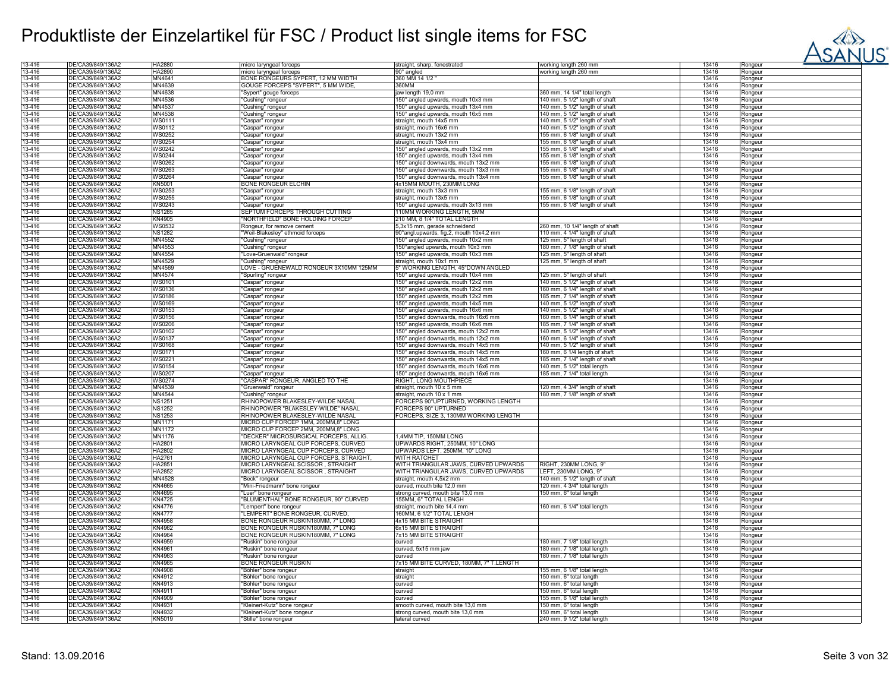

| 13-416           | DE/CA39/849/136A2                      | HA2880                         | micro laryngeal forceps                                   | straight, sharp, fenestrated            | working length 260 mm           | 13416          | Rongeur |
|------------------|----------------------------------------|--------------------------------|-----------------------------------------------------------|-----------------------------------------|---------------------------------|----------------|---------|
| 13-416           | DE/CA39/849/136Ä2                      | HA2890                         | micro laryngeal forceps                                   | $90^\circ$ angled                       | working length 260 mm           | 13416          | Rongeur |
| 13-416           | DE/CA39/849/136A2                      | MN4641                         | BONE RONGEURS SYPERT, 12 MM WIDTH                         | 360 MM 14 1/2                           |                                 | 13416          | Rongeur |
| 13-416           | DE/CA39/849/136A2                      | MN4639                         | GOUGE FORCEPS "SYPERT", 5 MM WIDE,                        | 360MM                                   |                                 | 13416          | Rongeur |
| 13-416           | DE/CA39/849/136Ä2                      | MN4638                         | "Sypert" gouge forceps                                    | jaw length 19,0 mm                      | 360 mm, 14 1/4" total length    | 13416          | Rongeur |
| 13-416           | DE/CA39/849/136A2                      | MN4536                         | 'Cushing" rongeur                                         | 150° angled upwards, mouth 10x3 mm      | 140 mm, 5 1/2" length of shaft  | 13416          | Rongeur |
| 13-416           | DE/CA39/849/136A2                      | MN4537                         | 'Cushing" rongeur                                         | 150° angled upwards, mouth 13x4 mm      | 140 mm, 5 1/2" length of shaft  | 13416          | Rongeur |
| 13-416           | DE/CA39/849/136A2                      | MN4538                         | 'Cushing" rongeur                                         | 150° angled upwards, mouth 16x5 mm      | 140 mm, 5 1/2" length of shaft  | 13416          |         |
|                  | DE/CA39/849/136A2                      |                                |                                                           |                                         |                                 |                | Rongeur |
| 13-416<br>13-416 |                                        | <b>WS0111</b><br><b>WS0112</b> | 'Caspar" rongeur                                          | straight, mouth 14x5 mm                 | 140 mm, 5 1/2" length of shaft  | 13416<br>13416 | Rongeur |
|                  | DE/CA39/849/136A2                      |                                | "Caspar" rongeur                                          | straight, mouth 16x6 mm                 | 140 mm, 5 1/2" length of shaft  |                | Rongeur |
| 13-416           | DE/CA39/849/136A2                      | WS0252                         | 'Caspar" rongeur                                          | straight, mouth 13x2 mm                 | 155 mm, 6 1/8" length of shaft  | 13416          | Rongeur |
| 13-416           | DE/CA39/849/136A2                      | <b>WS0254</b>                  | 'Caspar" rongeur                                          | straight, mouth 13x4 mm                 | 155 mm, 6 1/8" length of shaft  | 13416          | Rongeur |
| 13-416           | DE/CA39/849/136A2                      | <b>WS0242</b>                  | 'Caspar" rongeur                                          | 150° angled upwards, mouth 13x2 mm      | 155 mm, 6 1/8" length of shaft  | 13416          | Rongeur |
| 13-416           | DE/CA39/849/136A2                      | WS0244                         | 'Caspar" rongeur                                          | 150° angled upwards, mouth 13x4 mm      | 155 mm, 6 1/8" length of shaft  | 13416          | Rongeur |
| 13-416           | DE/CA39/849/136A2                      | <b>WS0262</b>                  | 'Caspar" rongeur                                          | 150° angled downwards, mouth 13x2 mm    | 155 mm, 6 1/8" length of shaft  | 13416          | Rongeur |
| 13-416           | DE/CA39/849/136A2                      | WS0263                         | 'Caspar" rongeur                                          | 150° angled downwards, mouth 13x3 mm    | 155 mm, 6 1/8" length of shaft  | 13416          | Rongeur |
| 13-416           | DE/CA39/849/136A2                      | <b>WS0264</b>                  | 'Caspar" rongeur                                          | 150° angled downwards, mouth 13x4 mm    | 155 mm, 6 1/8" length of shaft  | 13416          | Rongeur |
| 13-416           | DE/CA39/849/136A2                      | <b>KN5001</b>                  | <b>BONE RONGEUR ELCHIN</b>                                | 4x15MM MOUTH, 230MM LONG                |                                 | 13416          | Rongeur |
| 13-416           | DE/CA39/849/136A2                      | <b>WS0253</b>                  | "Caspar" rongeur                                          | straight, mouth 13x3 mm                 | 155 mm, 6 1/8" length of shaft  | 13416          | Rongeur |
| 13-416           | DE/CA39/849/136A2                      | <b>WS0255</b>                  | 'Caspar" rongeur                                          | straight, mouth 13x5 mm                 | 155 mm, 6 1/8" length of shaft  | 13416          | Rongeur |
| 13-416           | DE/CA39/849/136A2                      | <b>WS0243</b>                  | "Caspar" rongeur                                          | 150° angled upwards, mouth 3x13 mm      | 155 mm, 6 1/8" length of shaft  | 13416          | Rongeur |
| 13-416           | DE/CA39/849/136Ä2                      | <b>NS1285</b>                  | SEPTUM FORCEPS THROUGH CUTTING                            | 110MM WORKING LENGTH, 5MM               |                                 | 13416          | Rongeur |
| 13-416           | DE/CA39/849/136A2                      | KN4905                         | NORTHFIELD" BONE HOLDING FORCEP                           | 210 MM, 8 1/4" TOTAL LENGTH             |                                 | 13416          | Rongeur |
| 13-416           | DE/CA39/849/136A2                      | <b>WS0532</b>                  | Rongeur, for remove cement                                | 5,3x15 mm, gerade schneidend            | 260 mm, 10 1/4" length of shaft | 13416          | Rongeur |
| 13-416           | DE/CA39/849/136A2                      | <b>NS1282</b>                  | "Weil-Blakesley" ethmoid forceps                          | 90°angl.upwards, fig.2, mouth 10x4,2 mm | 110 mm, 4 1/4" length of shaft  | 13416          | Rongeur |
| 13-416           | DE/CA39/849/136A2                      | MN4552                         | 'Cushing" rongeur                                         | 150° angled upwards, mouth 10x2 mm      | 125 mm, 5" length of shaft      | 13416          | Rongeur |
| 13-416           | DE/CA39/849/136A2                      | MN4553                         | 'Cushing" rongeur                                         | 150° angled upwards, mouth 10x3 mm      | 180 mm, 7 1/8" length of shaft  | 13416          | Rongeur |
| 13-416           | DE/CA39/849/136A2                      | MN4554                         | 'Love-Gruenwald" rongeur                                  | 150° angled upwards, mouth 10x3 mm      | 125 mm, 5" length of shaft      | 13416          | Rongeur |
| 13-416           | DE/CA39/849/136A2                      | MN4529                         | "Cushing" rongeur                                         | straight, mouth 10x1 mm                 | 125 mm, 5" length of shaft      | 13416          | Rongeur |
| 13-416           | DE/CA39/849/136Ä2                      | MN4569                         | LOVE - GRUENEWALD RONGEUR 3X10MM 125MM                    | 5" WORKING LENGTH, 45°DOWN ANGLED       |                                 | 13416          | Rongeur |
| 13-416           | DE/CA39/849/136A2                      | MN4574                         | 'Spurling" rongeur                                        | 150° angled upwards, mouth 10x4 mm      | 125 mm, 5" length of shaft      | 13416          | Rongeur |
| 13-416           | DE/CA39/849/136A2                      | <b>WS0101</b>                  | "Caspar" rongeur                                          | 150° angled upwards, mouth 12x2 mm      | 140 mm, 5 1/2" length of shaft  | 13416          | Rongeur |
| 13-416           | DE/CA39/849/136A2                      | <b>WS0136</b>                  |                                                           | 150° angled upwards, mouth 12x2 mm      | 160 mm, 6 1/4" length of shaft  | 13416          |         |
| 13-416           | DE/CA39/849/136A2                      | <b>WS0186</b>                  | "Caspar" rongeur                                          | 150° angled upwards, mouth 12x2 mm      | 185 mm, 7 1/4" length of shaft  | 13416          | Rongeur |
|                  |                                        |                                | 'Caspar" rongeur                                          |                                         |                                 |                | Rongeur |
| 13-416           | DE/CA39/849/136A2<br>DE/CA39/849/136A2 | <b>WS0169</b>                  | 'Caspar" rongeur                                          | 150° angled upwards, mouth 14x5 mm      | 140 mm, 5 1/2" length of shaft  | 13416          | Rongeur |
| 13-416           |                                        | <b>WS0153</b>                  | 'Caspar" rongeur                                          | 150° angled upwards, mouth 16x6 mm      | 140 mm, 5 1/2" length of shaft  | 13416          | Rongeur |
| 13-416           | DE/CA39/849/136A2                      | <b>WS0156</b>                  | 'Caspar" rongeur                                          | 150° angled downwards, mouth 16x6 mm    | 160 mm, 6 1/4" length of shaft  | 13416          | Rongeur |
| 13-416           | DE/CA39/849/136Ä2                      | <b>WS0206</b>                  | 'Caspar" rongeur                                          | 150° angled upwards, mouth 16x6 mm      | 185 mm, 7 1/4" length of shaft  | 13416          | Ronaeur |
| 13-416           | DE/CA39/849/136A2                      | <b>WS0102</b>                  | Caspar" rongeur                                           | 150° angled downwards, mouth 12x2 mm    | 140 mm, 5 1/2" length of shaft  | 13416          | Rongeur |
| 13-416           | DE/CA39/849/136A2                      | <b>WS0137</b>                  | 'Caspar" rongeur                                          | 150° angled downwards, mouth 12x2 mm    | 160 mm, 6 1/4" length of shaft  | 13416          | Rongeur |
| 13-416           | DE/CA39/849/136Ä2                      | <b>WS0168</b>                  | 'Caspar" rongeur                                          | 150° angled downwards, mouth 14x5 mm    | 140 mm, 5 1/2" length of shaft  | 13416          | Rongeur |
| 13-416           | DE/CA39/849/136A2                      | <b>WS0171</b>                  | 'Caspar" rongeur                                          | 150° angled downwards, mouth 14x5 mm    | 160 mm, 6 1/4 length of shaft   | 13416          | Rongeur |
| 13-416           | DE/CA39/849/136A2                      | <b>WS0221</b>                  | "Caspar" rongeur                                          | 150° angled downwards, mouth 14x5 mm    | 185 mm, 7 1/4" length of shaft  | 13416          | Rongeur |
| 13-416           | DE/CA39/849/136A2                      | <b>WS0154</b>                  | "Caspar" rongeur                                          | 150° angled downwards, mouth 16x6 mm    | 140 mm, 5 1/2" total length     | 13416          | Rongeur |
| 13-416           | DE/CA39/849/136A2                      | <b>WS0207</b>                  | 'Caspar" rongeur                                          | 150° angled downwards, mouth 16x6 mm    | 185 mm, 7 1/4" total length     | 13416          | Rongeur |
| 13-416           | DE/CA39/849/136A2                      | <b>WS0274</b>                  | 'CASPAR" RONGEUR, ANGLED TO THE                           | RIGHT, LONG MOUTHPIECE                  |                                 | 13416          | Rongeur |
| 13-416           | DE/CA39/849/136A2                      | MN4539                         | 'Gruenwald" rongeur                                       | straight, mouth 10 x 5 mm               | 120 mm, 4 3/4" length of shaft  | 13416          | Rongeur |
| 13-416           | DE/CA39/849/136A2                      | MN4544                         | "Cushing" rongeur                                         | straight, mouth 10 x 1 mm               | 180 mm, 7 1/8" length of shaft  | 13416          | Rongeur |
| 13-416           | DE/CA39/849/136A2                      | <b>NS1251</b>                  | RHINOPOWER BLAKESLEY-WILDE NASAL                          | FORCEPS 90°UPTURNED, WORKING LENGTH     |                                 | 13416          | Rongeur |
| 13-416           | DE/CA39/849/136A2                      | <b>NS1252</b>                  | RHINOPOWER "BLAKESLEY-WILDE" NASAL                        | FORCEPS 90° UPTURNED                    |                                 | 13416          | Rongeur |
| 13-416           | DE/CA39/849/136A2                      | <b>NS1253</b>                  | RHINOPOWER BLAKESLEY-WILDE NASAL                          | FORCEPS, SIZE 3, 130MM WORKING LENGTH   |                                 | 13416          | Rongeur |
| 13-416           | DE/CA39/849/136Ä2                      | MN1171                         | MICRO CUP FORCEP 1MM, 200MM,8" LONG                       |                                         |                                 | 13416          | Rongeur |
| 13-416           | DE/CA39/849/136A2                      | <b>MN1172</b>                  | MICRO CUP FORCEP 2MM, 200MM,8" LONG                       |                                         |                                 | 13416          | Rongeur |
| 13-416           | DE/CA39/849/136A2                      | <b>MN1176</b>                  | "DECKER" MICROSURGICAL FORCEPS, ALLIG.                    | ,4MM TIP, 150MM LONG                    |                                 | 13416          | Rongeur |
| 13-416           | DE/CA39/849/136Ä2                      | <b>HA2801</b>                  | MICRO LARYNGEAL CUP FORCEPS, CURVED                       | UPWARDS RIGHT, 250MM, 10" LONG          |                                 | 13416          | Rongeur |
| 13-416           | DE/CA39/849/136A2                      | HA2802                         | MICRO LARYNGEAL CUP FORCEPS, CURVED                       | UPWARDS LEFT, 250MM, 10" LONG           |                                 | 13416          | Rongeur |
| 13-416           | DE/CA39/849/136A2                      | HA2761                         | MICRO LARYNGEAL CUP FORCEPS, STRAIGHT                     | <b>WITH RATCHET</b>                     |                                 | 13416          | Rongeur |
| 13-416           | DE/CA39/849/136Ä2                      | HA2851                         | MICRO LARYNGEAL SCISSOR, STRAIGHT                         | WITH TRIANGULAR JAWS, CURVED UPWARDS    | RIGHT, 230MM LONG, 9"           | 13416          | Rongeur |
| 13-416           | DE/CA39/849/136A2                      | HA2852                         | MICRO LARYNGEAL SCISSOR, STRAIGHT                         | WITH TRIANGULAR JAWS, CURVED UPWARDS    | LEFT, 230MM LONG, 9'            | 13416          | Rongeur |
| 13-416           | DE/CA39/849/136A2                      | MN4528                         | "Beck" rongeur                                            | straight, mouth 4,5x2 mm                | 140 mm, 5 1/2" length of shaft  | 13416          | Rongeur |
| 13-416           | DE/CA39/849/136A2                      | <b>KN4665</b>                  | "Mini-Friedmann" bone rongeur                             | curved, mouth bite 12,0 mm              | 120 mm, 4 3/4" total length     | 13416          | Rongeur |
| 13-416           | DE/CA39/849/136A2                      | KN4695                         | 'Luer" bone rongeur                                       | strong curved, mouth bite 13,0 mm       | 150 mm, 6" total length         | 13416          | Rongeur |
| 13-416           | DE/CA39/849/136Ä2                      | KN4725                         | "BLUMENTHAL" BONE RONGEUR, 90° CURVED                     | 155MM, 6" TOTAL LENGH                   |                                 | 13416          |         |
| 13-416           | DE/CA39/849/136A2                      | <b>KN4776</b>                  |                                                           | straight, mouth bite 14,4 mm            | 160 mm, 6 1/4" total length     | 13416          | Rongeur |
| 13-416           | DE/CA39/849/136A2                      | <b>KN4777</b>                  | "Lempert" bone rongeur<br>"LEMPERT" BONE RONGEUR, CURVED, | 160MM, 6 1/2" TOTAL LENGH               |                                 | 13416          | Rongeur |
| 13-416           | DE/CA39/849/136A2                      | <b>KN4958</b>                  | BONE RONGEUR RUSKIN180MM, 7" LONG                         | 4x15 MM BITE STRAIGHT                   |                                 | 13416          | Rongeur |
|                  | DE/CA39/849/136A2                      | <b>KN4962</b>                  | BONE RONGEUR RUSKIN180MM, 7" LONG                         | 6x15 MM BITE STRAIGHT                   |                                 |                | Rongeur |
| 13-416           | DE/CA39/849/136A2                      | <b>KN4964</b>                  |                                                           |                                         |                                 | 13416          | Rongeur |
| 13-416           | DE/CA39/849/136A2                      | KN4959                         | BONE RONGEUR RUSKIN180MM, 7" LONG                         | 7x15 MM BITE STRAIGHT                   |                                 | 13416          | Rongeur |
| 13-416           |                                        |                                | "Ruskin" bone rongeur                                     | curved                                  | 180 mm, 7 1/8" total length     | 13416          | Rongeur |
| 13-416           | DE/CA39/849/136A2                      | KN4961                         | 'Ruskin" bone rongeur                                     | curved, 5x15 mm jaw                     | 180 mm, 7 1/8" total length     | 13416          | Rongeur |
| 13-416           | DE/CA39/849/136A2                      | KN4963                         | "Ruskin" bone rongeur                                     | curved                                  | 180 mm, 7 1/8" total length     | 13416          | Rongeur |
| 13-416           | DE/CA39/849/136Ä2                      | KN4965                         | <b>BONE RONGEUR RUSKIN</b>                                | 7x15 MM BITE CURVED, 180MM, 7" T.LENGTH |                                 | 13416          | Rongeur |
| 13-416           | DE/CA39/849/136A2                      | <b>KN4908</b>                  | "Böhler" bone rongeur                                     | straight                                | 155 mm, 6 1/8" total length     | 13416          | Rongeur |
| 13-416           | DE/CA39/849/136A2                      | KN4912                         | "Böhler" bone rongeur                                     | straight                                | 150 mm, 6" total length         | 13416          | Rongeur |
| 13-416           | DE/CA39/849/136A2                      | KN4913                         | "Böhler" bone rongeur                                     | curved                                  | 150 mm, 6" total length         | 13416          | Rongeur |
| 13-416           | DE/CA39/849/136A2                      | KN4911                         | "Böhler" bone rongeur                                     | curved                                  | 150 mm, 6" total length         | 13416          | Rongeur |
| 13-416           | DE/CA39/849/136A2                      | KN4909                         | "Böhler" bone rongeur                                     | curved                                  | 155 mm, 6 1/8" total length     | 13416          | Rongeur |
| 13-416           | DE/CA39/849/136A2                      | KN4931                         | Kleinert-Kutz" bone rongeur                               | smooth curved, mouth bite 13,0 mm       | 150 mm, 6" total length         | 13416          | Rongeur |
| 13-416           | DE/CA39/849/136A2                      | KN4932                         | "Kleinert-Kutz" bone rongeur                              | strong curved, mouth bite 13,0 mm       | 150 mm, 6" total length         | 13416          | Rongeur |
| 13-416           | DE/CA39/849/136Ä2                      | KN5019                         | "Stille" bone rongeur                                     | lateral curved                          | 240 mm, 9 1/2" total length     | 13416          | Rongeur |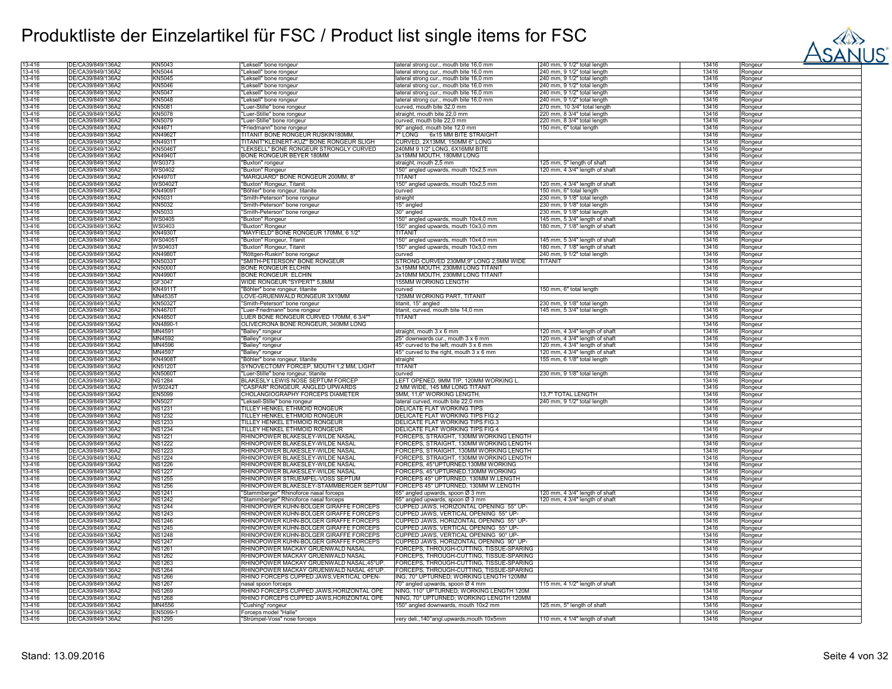

| 13-416 | DE/CA39/849/136A2 | KN5043              | Leksell" bone rongeur                     | ateral strong cur., mouth bite 16,0 mm      | 240 mm, 9 1/2" total length    | 13416 | Rongeur |  |
|--------|-------------------|---------------------|-------------------------------------------|---------------------------------------------|--------------------------------|-------|---------|--|
| 13-416 | DE/CA39/849/136Ä2 | <b>KN5044</b>       | "Leksell" bone rongeur                    | lateral strong cur., mouth bite 16,0 mm     | 240 mm, 9 1/2" total length    | 13416 | Rongeur |  |
| 13-416 | DE/CA39/849/136A2 | <b>KN5045</b>       |                                           |                                             |                                | 13416 |         |  |
|        |                   |                     | 'Leksell" bone rongeur                    | lateral strong cur., mouth bite 16,0 mm     | 240 mm, 9 1/2" total length    |       | Rongeur |  |
| 13-416 | DE/CA39/849/136Ä2 | KN5046              | "Leksell" bone rongeur                    | lateral strong cur., mouth bite 16,0 mm     | 240 mm, 9 1/2" total length    | 13416 | Rongeur |  |
| 13-416 | DE/CA39/849/136A2 | KN5047              | "Leksell" bone rongeur                    | lateral strong cur., mouth bite 16,0 mm     | 240 mm, 9 1/2" total length    | 13416 | Rongeur |  |
| 13-416 | DE/CA39/849/136A2 | KN5048              | 'Leksell" bone rongeur                    | lateral strong cur., mouth bite 16,0 mm     | 240 mm, 9 1/2" total length    | 13416 |         |  |
|        |                   |                     |                                           |                                             |                                |       | Rongeur |  |
| 13-416 | DE/CA39/849/136A2 | KN5081              | 'Luer-Stille" bone rongeur                | curved, mouth bite 32,0 mm                  | 270 mm, 10 3/4" total length   | 13416 | Rongeur |  |
| 13-416 | DE/CA39/849/136A2 | KN5078              | Luer-Stille" bone rongeur                 | straight, mouth bite 22,0 mm                | 220 mm, 8 3/4" total length    | 13416 | Rongeur |  |
| 13-416 | DE/CA39/849/136A2 | KN5079              | Luer-Stille" bone rongeur                 | curved, mouth bite 22,0 mm                  | 220 mm, 8 3/4" total length    | 13416 | Rongeur |  |
| 13-416 | DE/CA39/849/136A2 | KN4671              | "Friedmann" bone rongeur                  | 90° angled, mouth bite 12,0 mm              | 150 mm, 6" total length        | 13416 | Rongeur |  |
|        |                   |                     |                                           |                                             |                                |       |         |  |
| 13-416 | DE/CA39/849/136A2 | KN4962 <sup>-</sup> | TITANIT BONE RONGEUR RUSKIN180MM.         | 7" LONG 6x15 MM BITE STRAIGH                |                                | 13416 | Rongeur |  |
| 13-416 | DE/CA39/849/136A2 | KN49311             | TITANIT"KLEINERT-KUZ" BONE RONGEUR SLIGH  | CURVED, 2X13MM, 150MM 6" LONG               |                                | 13416 | Rongeur |  |
| 13-416 | DE/CA39/849/136Ä2 | <b>KN5046T</b>      | "LEKSELL" BONE RONGEUR STRONGLY CURVED    | 240MM 9 1/2" LONG, 6X16MM BITE              |                                | 13416 | Rongeur |  |
| 13-416 | DE/CA39/849/136A2 | <b>KN4940T</b>      | BONE RONGEUR BEYER 180MM                  | 3x15MM MOUTH, 180MM LONG                    |                                | 13416 |         |  |
|        |                   |                     |                                           |                                             |                                |       | Rongeur |  |
| 13-416 | DE/CA39/849/136A2 | <b>WS0373</b>       | "Buxton" rongeur                          | straight, mouth 2,5 mm                      | 125 mm, 5" length of shaft     | 13416 | Rongeur |  |
| 13-416 | DE/CA39/849/136Ä2 | WS0402              | "Buxton" Rongeur                          | 150° angled upwards, mouth 10x2,5 mm        | 120 mm, 4 3/4" length of shaft | 13416 | Rongeur |  |
| 13-416 | DE/CA39/849/136A2 | <b>KN4970T</b>      | "MARQUARD" BONE RONGEUR 200MM, 8"         | <b>TITANI</b>                               |                                | 13416 | Rongeur |  |
| 13-416 | DE/CA39/849/136A2 | WS04021             |                                           |                                             |                                | 13416 |         |  |
|        |                   |                     | "Buxton" Rongeur, Titanit                 | 150° angled upwards, mouth 10x2,5 mm        | 120 mm, 4 3/4" length of shaft |       | Rongeur |  |
| 13-416 | DE/CA39/849/136A2 | KN4909T             | "Böhler" bone rongeur, titanite           | curved                                      | 150 mm, 6" total length        | 13416 | Rongeur |  |
| 13-416 | DE/CA39/849/136A2 | KN5031              | 'Smith-Peterson" bone rongeur             | straight                                    | 230 mm, 9 1/8" total length    | 13416 | Rongeur |  |
| 13-416 | DE/CA39/849/136Ä2 | KN5032              | "Smith-Peterson" bone rongeur             | 15° angled                                  | 230 mm, 9 1/8" total length    | 13416 | Rongeur |  |
|        | DE/CA39/849/136A2 |                     |                                           |                                             |                                | 13416 |         |  |
| 13-416 |                   | KN5033              | "Smith-Peterson" bone rongeur             | 30° angled                                  | 230 mm, 9 1/8" total length    |       | Rongeur |  |
| 13-416 | DE/CA39/849/136A2 | <b>WS0405</b>       | 'Buxton" Rongeur                          | 150° angled upwards, mouth 10x4,0 mm        | 145 mm, 5 3/4" length of shaft | 13416 | Rongeur |  |
| 13-416 | DE/CA39/849/136A2 | WS0403              | "Buxton" Rongeur                          | 150° angled upwards, mouth 10x3,0 mm        | 180 mm, 7 1/8" length of shaft | 13416 | Rongeur |  |
| 13-416 | DE/CA39/849/136A2 | <b>KN4930T</b>      | "MAYFIELD" BONE RONGEUR 170MM, 6 1/2"     | <b>TITANI</b>                               |                                | 13416 | Rongeur |  |
|        |                   |                     |                                           |                                             |                                |       |         |  |
| 13-416 | DE/CA39/849/136A2 | WS04051             | "Buxton" Rongeur, Titanit                 | 150° angled upwards, mouth 10x4,0 mm        | 145 mm, 5 3/4" length of shaft | 13416 | Rongeur |  |
| 13-416 | DE/CA39/849/136A2 | WS04031             | "Buxton" Rongeur, Titanit                 | 150° angled upwards, mouth 10x3.0 mm        | 180 mm, 7 1/8" length of shaft | 13416 | Rongeur |  |
| 13-416 | DE/CA39/849/136A2 | <b>KN4980T</b>      | "Röttgen-Ruskin" bone rongeur             | curved                                      | 240 mm, 9 1/2" total length    | 13416 | Rongeur |  |
|        |                   |                     |                                           |                                             |                                |       |         |  |
| 13-416 | DE/CA39/849/136A2 | KN5033T             | "SMITH-PETERSON" BONE RONGEUR             | STRONG CURVED 230MM, 9" LONG 2,5MM WIDE     | <b>TITANIT</b>                 | 13416 | Rongeur |  |
| 13-416 | DE/CA39/849/136Ä2 | <b>KN5000T</b>      | <b>BONE RONGEUR ELCHIN</b>                | 3x15MM MOUTH, 230MM LONG TITANIT            |                                | 13416 | Rongeur |  |
| 13-416 | DE/CA39/849/136A2 | KN4990T             | BONE RONGEUR ELCHIN                       | 2x10MM MOUTH, 230MM LONG TITANIT            |                                | 13416 | Rongeur |  |
| 13-416 | DE/CA39/849/136A2 | GF3047              | WIDE RONGEUR "SYPERT" 5,8MM               | 155MM WORKING LENGTH                        |                                | 13416 | Rongeur |  |
|        |                   |                     |                                           |                                             |                                |       |         |  |
| 13-416 | DE/CA39/849/136Ä2 | KN4911T             | "Böhler" bone rongeur, titanite           | curved                                      | 150 mm, 6" total length        | 13416 | Rongeur |  |
| 13-416 | DE/CA39/849/136A2 | MN45351             | LOVE-GRUENWALD RONGEUR 3X10MM             | 125MM WORKING PART, TITANIT                 |                                | 13416 | Rongeur |  |
| 13-416 | DE/CA39/849/136A2 | <b>KN5032T</b>      | "Smith-Peterson" bone rongeur             | titanit, 15° angled                         | 230 mm, 9 1/8" total length    | 13416 | Rongeur |  |
| 13-416 | DE/CA39/849/136A2 | <b>KN4670T</b>      | 'Luer-Friedmann" bone rongeur             | titanit, curved, mouth bite 14,0 mm         | 145 mm, 5 3/4" total length    | 13416 |         |  |
|        |                   |                     |                                           |                                             |                                |       | Rongeur |  |
| 13-416 | DE/CA39/849/136A2 | <b>KN4850T</b>      | LUER BONE RONGEUR CURVED 170MM, 6 3/4'    | TITANIT                                     |                                | 13416 | Rongeur |  |
| 13-416 | DE/CA39/849/136Ä2 | KN4890-1            | OLIVECRONA BONE RONGEUR, 340MM LONG       |                                             |                                | 13416 | Rongeur |  |
| 13-416 | DE/CA39/849/136A2 | MN4591              | 'Bailey" rongeur                          | straight, mouth 3 x 6 mm                    | 120 mm, 4 3/4" length of shaft | 13416 | Rongeur |  |
| 13-416 | DE/CA39/849/136A2 | MN4592              |                                           |                                             |                                |       |         |  |
|        |                   |                     | "Bailey" rongeur                          | 25° downwards cur., mouth 3 x 6 mm          | 120 mm, 4 3/4" length of shaft | 13416 | Rongeur |  |
| 13-416 | DE/CA39/849/136A2 | MN4596              | "Bailey" rongeur                          | 45° curved to the left, mouth 3 x 6 mm      | 120 mm, 4 3/4" length of shaft | 13416 | Rongeur |  |
| 13-416 | DE/CA39/849/136A2 | MN4597              | "Bailey" rongeur                          | 45° curved to the right, mouth 3 x 6 mm     | 120 mm, 4 3/4" length of shaft | 13416 | Rongeur |  |
| 13-416 | DE/CA39/849/136Ä2 | KN4908T             | "Böhler" bone rongeur, titanite           | straight                                    | 155 mm, 6 1/8" total length    | 13416 | Rongeur |  |
|        |                   |                     |                                           |                                             |                                |       |         |  |
| 13-416 | DE/CA39/849/136Ä2 | <b>KN5120T</b>      | SYNOVECTOMY FORCEP, MOUTH 1,2 MM, LIGHT   | <b>TITANI</b>                               |                                | 13416 | Rongeur |  |
| 13-416 | DE/CA39/849/136A2 | KN5060T             | 'Luer-Stille" bone rongeur, titanite      | curved                                      | 230 mm, 9 1/8" total length    | 13416 | Rongeur |  |
| 13-416 | DE/CA39/849/136A2 | <b>NS1284</b>       | BLAKESLY LEWIS NOSE SEPTUM FORCEP         | LEFT OPENED, 9MM TIP, 120MM WORKING L.      |                                | 13416 | Rongeur |  |
| 13-416 | DE/CA39/849/136Ä2 | <b>WS0242T</b>      | "CASPAR" RONGEUR, ANGLED UPWARDS          | 2 MM WIDE, 145 MM LONG TITANIT              |                                | 13416 | Rongeur |  |
|        |                   |                     |                                           |                                             |                                |       |         |  |
| 13-416 | DE/CA39/849/136A2 | EN5099              | CHOLANGIOGRAPHY FORCEPS DIAMETER          | 5MM, 11,6" WORKING LENGTH,                  | 13,7" TOTAL LENGTH             | 13416 | Rongeur |  |
| 13-416 | DE/CA39/849/136A2 | <b>KN5027</b>       | "Leksell-Stille" bone rongeur             | lateral curved, mouth bite 22,0 mm          | 240 mm, 9 1/2" total length    | 13416 | Rongeur |  |
| 13-416 | DE/CA39/849/136A2 | <b>NS1231</b>       | TILLEY HENKEL ETHMOID RONGEUR             | <b>DELICATE FLAT WORKING TIPS</b>           |                                | 13416 | Rongeur |  |
| 13-416 | DE/CA39/849/136A2 | <b>NS1232</b>       | TILLEY HENKEL ETHMOID RONGEUR             | DELICATE FLAT WORKING TIPS FIG.2            |                                | 13416 | Rongeur |  |
|        |                   |                     |                                           |                                             |                                |       |         |  |
| 13-416 | DE/CA39/849/136Ä2 | <b>NS1233</b>       | TILLEY HENKEL ETHMOID RONGEUR             | DELICATE FLAT WORKING TIPS FIG.3            |                                | 13416 | Rongeur |  |
| 13-416 | DE/CA39/849/136A2 | <b>NS1234</b>       | TILLEY HENKEL ETHMOID RONGEUR             | DELICATE FLAT WORKING TIPS FIG.4            |                                | 13416 | Rongeur |  |
| 13-416 | DE/CA39/849/136A2 | <b>NS1221</b>       | RHINOPOWER BLAKESLEY-WILDE NASAL          | FORCEPS, STRAIGHT, 130MM WORKING LENGTH     |                                | 13416 | Rongeur |  |
| 13-416 | DE/CA39/849/136A2 | <b>NS1222</b>       | RHINOPOWER BLAKESLEY-WILDE NASAL          | FORCEPS, STRAIGHT, 130MM WORKING LENGTH     |                                | 13416 |         |  |
|        |                   |                     |                                           |                                             |                                |       | Rongeur |  |
| 13-416 | DE/CA39/849/136A2 | <b>NS1223</b>       | RHINOPOWER BLAKESLEY-WILDE NASAL          | FORCEPS, STRAIGHT, 130MM WORKING LENGTH     |                                | 13416 | Rongeur |  |
| 13-416 | DE/CA39/849/136A2 | <b>NS1224</b>       | RHINOPOWER BLAKESLEY-WILDE NASAL          | FORCEPS, STRAIGHT, 130MM WORKING LENGTH     |                                | 13416 | Rongeur |  |
| 13-416 | DE/CA39/849/136A2 | <b>NS1226</b>       | RHINOPOWER BLAKESLEY-WILDE NASAL          | FORCEPS. 45°UPTURNED.130MM WORKING          |                                | 13416 | Rongeur |  |
|        |                   |                     |                                           |                                             |                                |       |         |  |
| 13-416 | DE/CA39/849/136A2 | <b>NS1227</b>       | RHINOPOWER BLAKESLEY-WILDE NASAL          | FORCEPS, 45°UPTURNED, 130MM WORKING         |                                | 13416 | Rongeur |  |
| 13-416 | DE/CA39/849/136Ä2 | <b>NS1255</b>       | RHINOPOWER STRUEMPEL-VOSS SEPTUM          | FORCEPS 45° UPTURNED, 130MM W.LENGTH        |                                | 13416 | Rongeur |  |
| 13-416 | DE/CA39/849/136A2 | <b>NS1256</b>       | RHINOPOWER BLAKESLEY-STAMMBERGER SEPTUM   | FORCEPS 45° UPTURNED, 130MM W.LENGTH        |                                | 13416 | Rongeur |  |
| 13-416 | DE/CA39/849/136A2 | NS1241              | 'Stammberger" Rhinoforce nasal forceps    | 65° angled upwards, spoon Ø 3 mm            | 120 mm, 4 3/4" length of shaft | 13416 | Rongeur |  |
|        |                   |                     |                                           |                                             |                                |       |         |  |
| 13-416 | DE/CA39/849/136A2 | <b>NS1242</b>       | "Stammberger" Rhinoforce nasal forceps    | 65° angled upwards, spoon Ø 3 mm            | 120 mm, 4 3/4" length of shaft | 13416 | Rongeur |  |
| 13-416 | DE/CA39/849/136A2 | <b>NS1244</b>       | RHINOPOWER KUHN-BOLGER GIRAFFE FORCEPS    | CUPPED JAWS, HORIZONTAL OPENING 55° UP-     |                                | 13416 | Rongeur |  |
| 13-416 | DE/CA39/849/136A2 | <b>NS1243</b>       | RHINOPOWER KUHN-BOLGER GIRAFFE FORCEPS    | CUPPED JAWS, VERTICAL OPENING 55° UP-       |                                | 13416 | Rongeur |  |
| 13-416 | DE/CA39/849/136A2 | <b>NS1246</b>       | RHINOPOWER KUHN-BOLGER GIRAFFE FORCEPS    | CUPPED JAWS, HORIZONTAL OPENING 55° UP-     |                                | 13416 | Rongeur |  |
|        | DE/CA39/849/136A2 |                     |                                           | CUPPED JAWS, VERTICAL OPENING 55° UP-       |                                |       |         |  |
| 13-416 |                   | <b>NS1245</b>       | RHINOPOWER KUHN-BOLGER GIRAFFE FORCEPS    |                                             |                                | 13416 | Rongeur |  |
| 13-416 | DE/CA39/849/136A2 | <b>NS1248</b>       | RHINOPOWER KUHN-BOLGER GIRAFFE FORCEPS    | CUPPED JAWS, VERTICAL OPENING 90° UP-       |                                | 13416 | Rongeur |  |
| 13-416 | DE/CA39/849/136A2 | <b>NS1247</b>       | RHINOPOWER KUHN-BOLGER GIRAFFE FORCEPS    | CUPPED JAWS, HORIZONTAL OPENING 90° UP-     |                                | 13416 | Rongeur |  |
| 13-416 | DE/CA39/849/136A2 | NS1261              | RHINOPOWER MACKAY GRUENWALD NASAL         | FORCEPS, THROUGH-CUTTING, TISSUE-SPARING    |                                | 13416 | Rongeur |  |
|        |                   |                     |                                           |                                             |                                |       |         |  |
| 13-416 | DE/CA39/849/136Ä2 | <b>NS1262</b>       | RHINOPOWER MACKAY GRUENWALD NASAL         | FORCEPS, THROUGH-CUTTING, TISSUE-SPARING    |                                | 13416 | Rongeur |  |
| 13-416 | DE/CA39/849/136A2 | <b>NS1263</b>       | RHINOPOWER MACKAY GRUENWALD NASAL, 45°UP. | FORCEPS, THROUGH-CUTTING, TISSUE-SPARING    |                                | 13416 | Rongeur |  |
| 13-416 | DE/CA39/849/136A2 | <b>NS1264</b>       | RHINOPOWER MACKAY GRUENWALD NASAL 45°UP   | FORCEPS, THROUGH-CUTTING, TISSUE-SPARING    |                                | 13416 | Rongeur |  |
| 13-416 | DE/CA39/849/136Ä2 | <b>NS1266</b>       | RHINO FORCEPS CUPPED JAWS, VERTICAL OPEN- | ING, 70° UPTURNED; WORKING LENGTH 120MM     |                                | 13416 | Rongeur |  |
|        |                   |                     |                                           |                                             |                                |       |         |  |
| 13-416 | DE/CA39/849/136A2 | <b>NS1267</b>       | nasal spoon forceps                       | 70° angled upwards, spoon Ø 4 mm            | 115 mm, 4 1/2" length of shaft | 13416 | Rongeur |  |
| 13-416 | DE/CA39/849/136A2 | NS1269              | RHINO FORCEPS CUPPED JAWS, HORIZONTAL OPE | NING, 110° UPTURNED; WORKING LENGTH 120M    |                                | 13416 | Rongeur |  |
| 13-416 | DE/CA39/849/136A2 | <b>NS1268</b>       | RHINO FORCEPS CUPPED JAWS, HORIZONTAL OPE | NING, 70° UPTURNED; WORKING LENGTH 120MM    |                                | 13416 | Rongeur |  |
| 13-416 | DE/CA39/849/136A2 | MN4556              | Cushing" rongeur                          | 150° angled downwards, mouth 10x2 mm        | 125 mm, 5" length of shaft     | 13416 | Rongeur |  |
|        |                   |                     |                                           |                                             |                                |       |         |  |
| 13-416 | DE/CA39/849/136Ä2 | EN5099-1            | Forceps model "Halle                      |                                             |                                | 13416 | Rongeur |  |
| 13-416 | DE/CA39/849/136Ä2 | <b>NS1295</b>       | "Strümpel-Voss" nose forceps              | very deli., 140° angl.upwards, mouth 10x5mm | 110 mm, 4 1/4" length of shaft | 13416 | Rongeur |  |
|        |                   |                     |                                           |                                             |                                |       |         |  |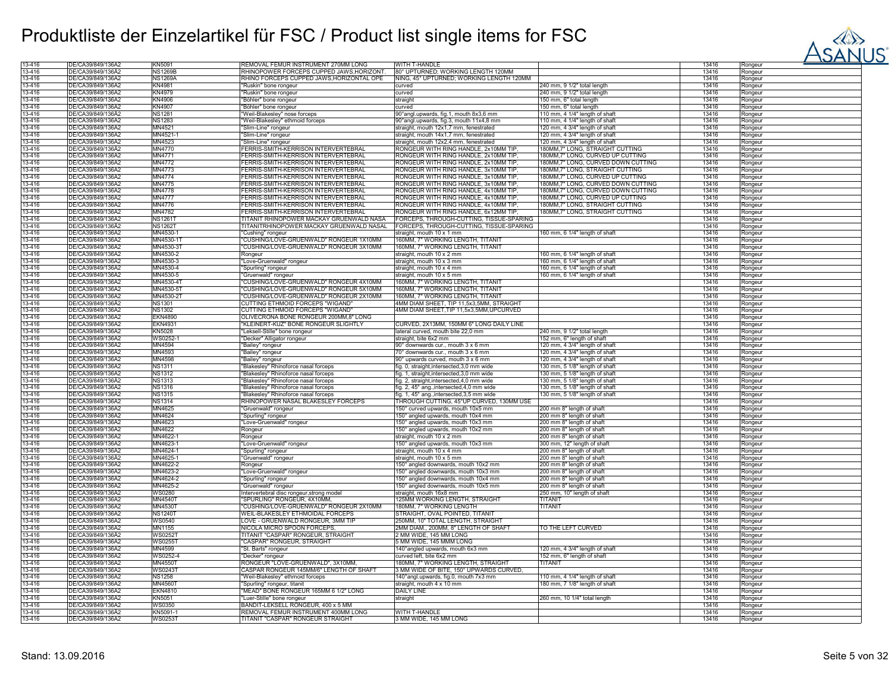

| 13-416 | DE/CA39/849/136A2 | KN5091         | REMOVAL FEMUR INSTRUMENT 270MM LONG        | <b>WITH T-HANDLE</b>                       |                                    | 13416 | Rongeur |
|--------|-------------------|----------------|--------------------------------------------|--------------------------------------------|------------------------------------|-------|---------|
| 13-416 | DE/CA39/849/136A2 | <b>NS1269B</b> | RHINOPOWER FORCEPS CUPPED JAWS, HORIZONT.  | 80° UPTURNED; WORKING LENGTH 120MM         |                                    | 13416 | Rongeur |
| 13-416 | DE/CA39/849/136A2 | <b>NS1269A</b> | RHINO FORCEPS CUPPED JAWS, HORIZONTAL OPE  | NING, 45° UPTURNED; WORKING LENGTH 120MM   |                                    | 13416 | Rongeur |
| 13-416 | DF/CA39/849/136A2 | KN4981         | "Ruskin" bone rongeur                      | curved                                     | 240 mm, 9 1/2" total length        | 13416 | Rongeur |
| 13-416 | DE/CA39/849/136Ä2 | <b>KN4979</b>  | "Ruskin" bone rongeur                      | curved                                     | 240 mm, 9 1/2" total length        | 13416 | Rongeur |
| 13-416 | DE/CA39/849/136A2 | KN4906         | 'Böhler" bone rongeur                      | straight                                   | 150 mm, 6" total length            | 13416 | Rongeur |
|        | DE/CA39/849/136Ä2 |                |                                            |                                            |                                    |       |         |
| 13-416 |                   | KN4907         | "Böhler" bone rongeur                      | curved                                     | 150 mm, 6" total length            | 13416 | Rongeur |
| 13-416 | DE/CA39/849/136Ä2 | <b>NS1281</b>  | "Weil-Blakesley" nose forceps              | 90° angl.upwards, fig.1, mouth 8x3,6 mm    | 110 mm, 4 1/4" length of shaft     | 13416 | Rongeur |
| 13-416 | DE/CA39/849/136A2 | <b>NS1283</b>  | "Weil-Blakesley" ethmoid forceps           | 90° angl.upwards, fig.3, mouth 11x4,8 mm   | 110 mm, 4 1/4" length of shaft     | 13416 | Rongeur |
| 13-416 | DE/CA39/849/136Ä2 | MN4521         | "Slim-Line" rongeur                        | straight, mouth 12x1,7 mm, fenestrated     | 120 mm, 4 3/4" length of shaft     | 13416 | Rongeur |
| 13-416 | DE/CA39/849/136A2 | MN4521-1       | "Slim-Line" rongeur                        | straight, mouth 14x1,7 mm, fenestrated     | 120 mm, 4 3/4" length of shaft     | 13416 | Rongeur |
| 13-416 | DE/CA39/849/136A2 | MN4523         | "Slim-Line" rongeur                        | straight, mouth 12x2,4 mm, fenestrated     | 120 mm, 4 3/4" length of shaft     | 13416 | Rongeur |
| 13-416 | DE/CA39/849/136A2 | MN4770         | FERRIS-SMITH-KERRISON INTERVERTEBRAL       | RONGEUR WITH RING HANDLE, 2x10MM TIP,      | 180MM,7" LONG, STRAIGHT CUTTING    | 13416 | Rongeur |
| 13-416 | DE/CA39/849/136A2 | MN4771         | FERRIS-SMITH-KERRISON INTERVERTEBRAL       | RONGEUR WITH RING HANDLE, 2x10MM TIP,      | 180MM,7" LONG, CURVED UP CUTTING   | 13416 | Rongeur |
|        |                   | MN4772         | FERRIS-SMITH-KERRISON INTERVERTEBRAL       |                                            |                                    | 13416 |         |
| 13-416 | DE/CA39/849/136A2 |                |                                            | RONGEUR WITH RING HANDLE, 2x10MM TIP       | 180MM,7" LONG, CURVED DOWN CUTTING |       | Rongeur |
| 13-416 | DE/CA39/849/136A2 | MN4773         | FERRIS-SMITH-KERRISON INTERVERTEBRAL       | RONGEUR WITH RING HANDLE, 3x10MM TIP       | 180MM,7" LONG, STRAIGHT CUTTING    | 13416 | Rongeur |
| 13-416 | DE/CA39/849/136A2 | MN4774         | FERRIS-SMITH-KERRISON INTERVERTEBRAL       | RONGEUR WITH RING HANDLE, 3x10MM TIP       | 180MM,7" LONG, CURVED UP CUTTING   | 13416 | Rongeur |
| 13-416 | DE/CA39/849/136A2 | MN4775         | FERRIS-SMITH-KERRISON INTERVERTEBRAL       | RONGEUR WITH RING HANDLE, 3x10MM TIP       | 180MM,7" LONG, CURVED DOWN CUTTING | 13416 | Rongeur |
| 13-416 | DE/CA39/849/136A2 | MN4778         | FERRIS-SMITH-KERRISON INTERVERTEBRAL       | RONGEUR WITH RING HANDLE, 4x10MM TIP,      | 80MM,7" LONG, CURVED DOWN CUTTING  | 13416 | Rongeur |
| 13-416 | DE/CA39/849/136A2 | <b>MN4777</b>  | <b>ERRIS-SMITH-KERRISON INTERVERTEBRAL</b> | RONGEUR WITH RING HANDLE, 4x10MM TIP,      | 80MM,7" LONG, CURVED UP CUTTING    | 13416 | Rongeur |
| 13-416 | DE/CA39/849/136A2 | MN4776         | FERRIS-SMITH-KERRISON INTERVERTEBRAL       | RONGEUR WITH RING HANDLE, 4x10MM TIP,      | 180MM,7" LONG, STRAIGHT CUTTING    | 13416 | Rongeur |
|        | DE/CA39/849/136A2 | MN4782         | FERRIS-SMITH-KERRISON INTERVERTEBRAL       | RONGEUR WITH RING HANDLE, 6x12MM TIP,      | 180MM,7" LONG, STRAIGHT CUTTING    | 13416 |         |
| 13-416 |                   |                |                                            |                                            |                                    |       | Rongeur |
| 13-416 | DE/CA39/849/136A2 | <b>NS1261T</b> | TITANIT RHINOPOWER MACKAY GRUENWALD NASA   | FORCEPS, THROUGH-CUTTING, TISSUE-SPARING   |                                    | 13416 | Rongeur |
| 13-416 | DE/CA39/849/136A2 | <b>NS1262T</b> | TITANITRHINOPOWER MACKAY GRUENWALD NASAL   | FORCEPS, THROUGH-CUTTING, TISSUE-SPARING   |                                    | 13416 | Rongeur |
| 13-416 | DE/CA39/849/136A2 | MN4530-1       | "Cushing" rongeur                          | straight, mouth 10 x 1 mm                  | 160 mm, 6 1/4" length of shaft     | 13416 | Rongeur |
| 13-416 | DE/CA39/849/136A2 | MN4530-1       | 'CUSHING/LOVE-GRUENWALD" RONGEUR 1X10MM    | 160MM, 7" WORKING LENGTH, TITANIT          |                                    | 13416 | Rongeur |
| 13-416 | DE/CA39/849/136A2 | MN4530-31      | 'CUSHING/LOVE-GRUENWALD" RONGEUR 3X10MM    | 160MM, 7" WORKING LENGTH, TITANIT          |                                    | 13416 | Rongeur |
| 13-416 | DE/CA39/849/136A2 | MN4530-2       | Rongeur                                    | straight, mouth 10 x 2 mm                  | 160 mm, 6 1/4" length of shaft     | 13416 | Rongeur |
| 13-416 | DE/CA39/849/136A2 | MN4530-3       |                                            | straight, mouth 10 x 3 mm                  | 160 mm, 6 1/4" length of shaft     | 13416 |         |
|        |                   |                | 'Love-Gruenwald" rongeur                   |                                            |                                    |       | Rongeur |
| 13-416 | DE/CA39/849/136A2 | MN4530-4       | Spurling" rongeur                          | straight, mouth 10 x 4 mm                  | 160 mm, 6 1/4" length of shaft     | 13416 | Rongeur |
| 13-416 | DE/CA39/849/136A2 | MN4530-5       | "Gruenwald" rongeur                        | straight, mouth 10 x 5 mm                  | 160 mm, 6 1/4" length of shaft     | 13416 | Rongeur |
| 13-416 | DE/CA39/849/136A2 | MN4530-4T      | "CUSHING/LOVE-GRUENWALD" RONGEUR 4X10MM    | 160MM, 7" WORKING LENGTH, TITANIT          |                                    | 13416 | Rongeur |
| 13-416 | DE/CA39/849/136A2 | MN4530-51      | "CUSHING/LOVE-GRUENWALD" RONGEUR 5X10MM    | 160MM, 7" WORKING LENGTH, TITANIT          |                                    | 13416 | Rongeur |
| 13-416 | DE/CA39/849/136A2 | MN4530-2T      | CUSHING/LOVE-GRUENWALD" RONGEUR 2X10MM     | 160MM, 7" WORKING LENGTH, TITANIT          |                                    | 13416 | Rongeur |
| 13-416 | DE/CA39/849/136Ä2 | <b>NS1301</b>  | CUTTING ETHMOID FORCEPS "WIGAND"           | 4MM DIAM SHEET, TIP 11,5x3,5MM, STRAIGHT   |                                    | 13416 | Rongeur |
| 13-416 | DE/CA39/849/136A2 | <b>NS1302</b>  | CUTTING ETHMOID FORCEPS "WIGAND"           | 4MM DIAM SHEET, TIP 11,5x3,5MM, UPCURVED   |                                    | 13416 | Rongeur |
|        |                   |                |                                            |                                            |                                    |       |         |
| 13-416 | DE/CA39/849/136A2 | <b>EKN4890</b> | OLIVECRONA BONE RONGEUR 200MM,8" LONG      |                                            |                                    | 13416 | Rongeur |
| 13-416 | DE/CA39/849/136Ä2 | <b>EKN4931</b> | "KLEINERT-KUZ" BONE RONGEUR SLIGHTLY       | CURVED, 2X13MM, 150MM 6" LONG DAILY LINE   |                                    | 13416 | Rongeur |
| 13-416 | DE/CA39/849/136A2 | KN5028         | "Leksell-Stille" bone rongeur              | lateral curved, mouth bite 22,0 mm         | 240 mm, 9 1/2" total length        | 13416 | Rongeur |
| 13-416 | DE/CA39/849/136A2 | WS0252-        | "Decker" Alligator rongeur                 | straight, bite 6x2 mm                      | 152 mm, 6" length of shaft         | 13416 | Rongeur |
| 13-416 | DE/CA39/849/136Ä2 | MN4594         | "Bailey" rongeur                           | 90° downwards cur., mouth 3 x 6 mm         | 120 mm, 4 3/4" length of shaf      | 13416 | Rongeur |
| 13-416 | DE/CA39/849/136A2 | MN4593         | "Bailey" rongeur                           | 70° downwards cur., mouth 3 x 6 mm         | 120 mm, 4 3/4" length of shaft     | 13416 | Rongeur |
| 13-416 | DE/CA39/849/136A2 | MN4598         |                                            | 90° upwards curved, mouth 3 x 6 mm         |                                    | 13416 |         |
|        |                   |                | "Bailey" rongeur                           |                                            | 120 mm, 4 3/4" length of shaft     |       | Rongeur |
| 13-416 | DE/CA39/849/136Ä2 | <b>NS1311</b>  | "Blakesley" Rhinoforce nasal forceps       | fig. 0, straight, intersected, 3,0 mm wide | 130 mm, 5 1/8" length of shaft     | 13416 | Rongeur |
| 13-416 | DE/CA39/849/136A2 | <b>NS1312</b>  | 'Blakesley" Rhinoforce nasal forceps       | fig. 1, straight, intersected, 3,0 mm wide | 130 mm, 5 1/8" length of shaft     | 13416 | Rongeur |
| 13-416 | DE/CA39/849/136A2 | <b>NS1313</b>  | "Blakesley" Rhinoforce nasal forceps       | fig. 2, straight, intersected, 4,0 mm wide | 130 mm, 5 1/8" length of shaft     | 13416 | Rongeur |
| 13-416 | DE/CA39/849/136A2 | <b>NS1316</b>  | "Blakesley" Rhinoforce nasal forceps       | fig. 2, 45° ang., intersected, 4,0 mm wide | 130 mm, 5 1/8" length of shaft     | 13416 | Rongeur |
| 13-416 | DE/CA39/849/136A2 | <b>NS1315</b>  | "Blakesley" Rhinoforce nasal forceps       | fig. 1, 45° ang., intersected, 3,5 mm wide | 130 mm, 5 1/8" length of shaft     | 13416 | Rongeur |
| 13-416 | DE/CA39/849/136Ä2 | <b>NS1314</b>  | RHINOPOWER NASAL BLAKESLEY FORCEPS         | THROUGH CUTTING, 45°UP CURVED, 130MM USE   |                                    | 13416 | Rongeur |
| 13-416 | DE/CA39/849/136A2 | MN4625         | 'Gruenwald" rongeur                        | 150° curved upwards, mouth 10x5 mm         | 200 mm 8" length of shaft          | 13416 | Rongeur |
| 13-416 | DE/CA39/849/136A2 | MN4624         |                                            | 150° angled upwards, mouth 10x4 mm         | 200 mm 8" length of shaft          | 13416 |         |
|        |                   |                | 'Spurling" rongeur                         |                                            |                                    |       | Rongeur |
| 13-416 | DE/CA39/849/136Ä2 | MN4623         | "Love-Gruenwald" rongeur                   | 150° angled upwards, mouth 10x3 mm         | 200 mm 8" length of shaft          | 13416 | Rongeur |
| 13-416 | DE/CA39/849/136A2 | MN4622         | Rongeur                                    | 150° angled upwards, mouth 10x2 mm         | 200 mm 8" length of shaft          | 13416 | Rongeur |
| 13-416 | DE/CA39/849/136A2 | MN4622-1       | Rongeur                                    | straight, mouth 10 x 2 mm                  | 200 mm 8" length of shaft          | 13416 | Rongeur |
| 13-416 | DE/CA39/849/136Ä2 | MN4623-1       | "Love-Gruenwald" rongeur                   | 150° angled upwards, mouth 10x3 mm         | 300 mm, 12" length of shaft        | 13416 | Rongeur |
| 13-416 | DE/CA39/849/136A2 | MN4624-1       | 'Spurling" rongeur                         | straight, mouth 10 x 4 mm                  | 200 mm 8" length of shaft          | 13416 | Rongeur |
| 13-416 | DE/CA39/849/136Ä2 | MN4625-1       | "Gruenwald" rongeur                        | straight, mouth 10 x 5 mm                  | 200 mm 8" length of shaft          | 13416 | Rongeur |
| 13-416 | DE/CA39/849/136Ä2 | MN4622-2       | Rongeur                                    | 150° angled downwards, mouth 10x2 mm       | 200 mm 8" length of shaft          | 13416 | Rongeur |
| 13-416 | DE/CA39/849/136A2 | MN4623-2       | "Love-Gruenwald" rongeur                   | 150° angled downwards, mouth 10x3 mm       | 200 mm 8" length of shaft          | 13416 |         |
|        |                   |                |                                            |                                            |                                    |       | Rongeur |
| 13-416 | DE/CA39/849/136A2 | MN4624-2       | 'Spurling" rongeur                         | 150° angled downwards, mouth 10x4 mm       | 200 mm 8" length of shaft          | 13416 | Rongeur |
| 13-416 | DE/CA39/849/136A2 | MN4625-2       | Gruenwald" rongeur                         | 150° angled downwards, mouth 10x5 mm       | 200 mm 8" length of shaft          | 13416 | Rongeur |
| 13-416 | DE/CA39/849/136A2 | <b>WS0280</b>  | Intervertebral disc rongeur, strong model  | straight, mouth 16x8 mm                    | 250 mm, 10" length of shaft        | 13416 | Rongeur |
| 13-416 | DE/CA39/849/136A2 | MN4540T        | "SPURLING" RONGEUR, 4X10MM,                | 125MM WORKING LENGTH, STRAIGHT             | TITANIT                            | 13416 | Rongeur |
| 13-416 | DE/CA39/849/136A2 | MN45301        | "CUSHING/LOVE-GRUENWALD" RONGEUR 2X10MM    | 180MM, 7" WORKING LENGTH                   | <b>TITANIT</b>                     | 13416 | Rongeur |
| 13-416 | DE/CA39/849/136A2 | <b>NS1240T</b> | WEIL-BLAKESLEY ETHMOIDAL FORCEPS           | STRAIGHT, OVAL POINTED, TITANIT            |                                    | 13416 | Rongeur |
| 13-416 | DE/CA39/849/136A2 | <b>WS0540</b>  | LOVE - GRUENWALD RONGEUR, 3MM TIP          | 250MM, 10" TOTAL LENGTH, STRAIGHT          |                                    | 13416 | Rongeur |
| 13-416 | DE/CA39/849/136A2 | MN1155         | NICOLA MICRO SPOON FORCEPS,                | 2MM DIAM., 200MM, 8" LENGTH OF SHAFT       | TO THE LEFT CURVED                 | 13416 |         |
|        |                   |                |                                            |                                            |                                    |       | Rongeur |
| 13-416 | DE/CA39/849/136A2 | <b>WS0252T</b> | TITANIT "CASPAR" RONGEUR, STRAIGHT         | 2 MM WIDE, 145 MM LONG                     |                                    | 13416 | Rongeur |
| 13-416 | DE/CA39/849/136A2 | <b>WS0255T</b> | "CASPAR" RONGEUR, STRAIGHT                 | 5 MM WIDE, 145 MMM LONG                    |                                    | 13416 | Rongeur |
| 13-416 | DE/CA39/849/136A2 | MN4599         | "St. Barts" rongeur                        | 140°angled upwards, mouth 6x3 mm           | 120 mm, 4 3/4" length of shaft     | 13416 | Rongeur |
| 13-416 | DE/CA39/849/136A2 | WS0252-4       | "Decker" rongeur                           | curved left, bite 6x2 mm                   | 152 mm, 6" length of shaft         | 13416 | Rongeur |
| 13-416 | DE/CA39/849/136Ä2 | MN4550T        | RONGEUR "LOVE-GRUENWALD", 3X10MM,          | 180MM, 7" WORKING LENGTH, STRAIGHT         | <b>TITANIT</b>                     | 13416 | Rongeur |
| 13-416 | DE/CA39/849/136A2 | WS0243T        | CASPAR RONGEUR 145MM/6" LENGTH OF SHAFT    | 3 MM WIDE OF BITE, 150° UPWARDS CURVED,    |                                    | 13416 | Rongeur |
| 13-416 | DE/CA39/849/136Ä2 | <b>NS1258</b>  | "Weil-Blakesley" ethmoid forceps           | 140° angl.upwards, fig.0, mouth 7x3 mm     | 110 mm, 4 1/4" length of shaft     | 13416 | Rongeur |
| 13-416 | DE/CA39/849/136A2 | MN45601        | 'Spurling" rongeur, titanit                | straight, mouth 4 x 10 mm                  | 180 mm, 7 1/8" length of shaft     | 13416 |         |
|        |                   |                |                                            |                                            |                                    |       | Rongeur |
| 13-416 | DE/CA39/849/136A2 | <b>EKN4810</b> | "MEAD" BONE RONGEUR 165MM 6 1/2" LONG      | <b>DAILY LINE</b>                          |                                    | 13416 | Rongeur |
| 13-416 | DE/CA39/849/136Ä2 | KN5051         | 'Luer-Stille" bone rongeur                 | straight                                   | 260 mm, 10 1/4" total length       | 13416 | Rongeur |
| 13-416 | DE/CA39/849/136A2 | <b>WS0350</b>  | BANDIT-LEKSELL RONGEUR, 400 x 5 MM         |                                            |                                    | 13416 | Rongeur |
| 13-416 | DE/CA39/849/136A2 | KN5091-1       | REMOVAL FEMUR INSTRUMENT 400MM LONG        | <b>WITH T-HANDLE</b>                       |                                    | 13416 | Rongeur |
| 13-416 | DE/CA39/849/136A2 | <b>WS0253T</b> | TITANIT "CASPAR" RONGEUR STRAIGHT          | 3 MM WIDE, 145 MM LONG                     |                                    | 13416 | Rongeur |
|        |                   |                |                                            |                                            |                                    |       |         |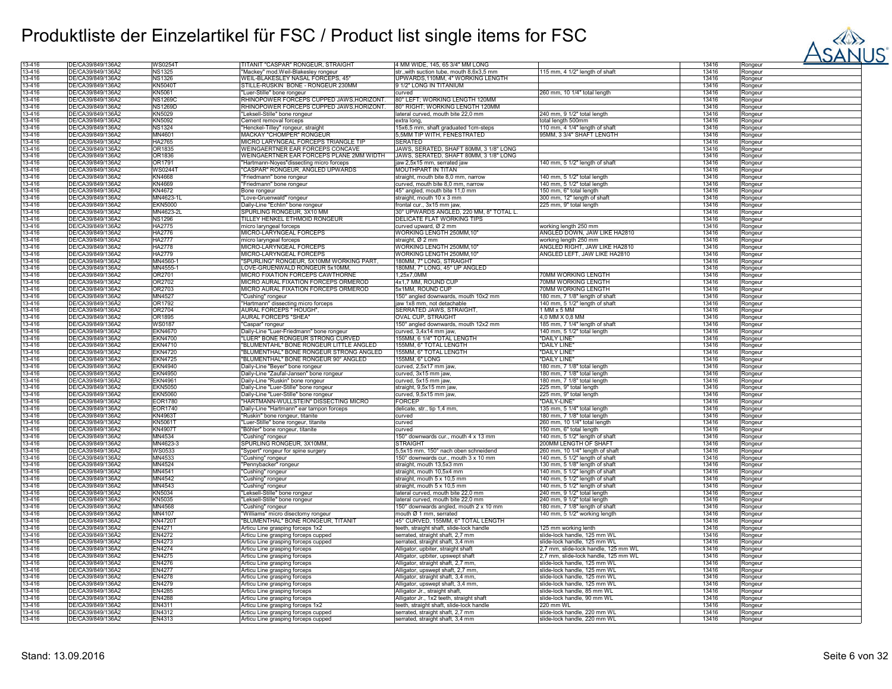

| 13-416 | DE/CA39/849/136A2 | WS0254T        | TITANIT "CASPAR" RONGEUR, STRAIGHT                                     | 4 MM WIDE, 145, 65 3/4" MM LONG           |                                      | 13416 | Rongeur |
|--------|-------------------|----------------|------------------------------------------------------------------------|-------------------------------------------|--------------------------------------|-------|---------|
| 13-416 | DE/CA39/849/136Ä2 | <b>NS1325</b>  | "Mackey" mod.Weil-Blakesley rongeur                                    | str., with suction tube, mouth 8,6x3.5 mm | 115 mm, 4 1/2" length of shaft       | 13416 | Rongeur |
| 13-416 | DE/CA39/849/136A2 | <b>NS1326</b>  | WEIL-BLAKESLEY NASAL FORCEPS, 45'                                      | UPWARDS, 110MM, 4" WORKING LENGTH         |                                      | 13416 | Rongeur |
| 13-416 | DE/CA39/849/136A2 | <b>KN5040T</b> | STILLE-RUSKIN BONE - RONGEUR 230MM                                     | 9 1/2" LONG IN TITANIUM                   |                                      | 13416 |         |
|        |                   |                |                                                                        |                                           |                                      |       | Rongeur |
| 13-416 | DE/CA39/849/136Ä2 | KN5061         | "Luer-Stille" bone rongeur<br>RHINOPOWER FORCEPS CUPPED JAWS,HORIZONT. | curved                                    | 260 mm, 10 1/4" total length         | 13416 | Rongeur |
| 13-416 | DE/CA39/849/136A2 | <b>NS1269C</b> |                                                                        | 80° LEFT; WORKING LENGTH 120MM            |                                      | 13416 | Rongeur |
| 13-416 | DE/CA39/849/136A2 | <b>NS1269D</b> | RHINOPOWER FORCEPS CUPPED JAWS, HORIZONT.                              | 80° RIGHT; WORKING LENGTH 120MM           |                                      | 13416 | Rongeur |
| 13-416 | DE/CA39/849/136A2 | KN5029         | "Leksell-Stille" bone rongeur                                          | lateral curved, mouth bite 22,0 mm        | 240 mm, 9 1/2" total length          | 13416 | Rongeur |
| 13-416 | DE/CA39/849/136A2 | <b>KN5092</b>  | Cement removal forceps                                                 | extra long,                               | total length 500mm                   | 13416 | Rongeur |
| 13-416 | DE/CA39/849/136Ä2 | <b>NS1324</b>  | "Henckel-Tilley" rongeur, straight                                     | 15x6,5 mm, shaft graduated 1cm-steps      | 110 mm. 4 1/4" length of shaft       | 13416 | Rongeur |
| 13-416 | DE/CA39/849/136A2 | MN4601         | <b>MACKAY "CHOMPER" RONGEUR</b>                                        | 5,5MM TIP WITH, FENESTRATED               | 95MM, 3 3/4" SHAFT LENGTH            | 13416 |         |
|        |                   |                |                                                                        |                                           |                                      |       | Rongeur |
| 13-416 | DE/CA39/849/136A2 | <b>HA2765</b>  | MICRO LARYNGEAL FORCEPS TRIANGLE TIP                                   | <b>SERATED</b>                            |                                      | 13416 | Rongeur |
| 13-416 | DE/CA39/849/136Ä2 | OR1835         | WEINGAERTNER EAR FORCEPS CONCAVE                                       | JAWS, SERATED, SHAFT 80MM, 3 1/8" LONG    |                                      | 13416 | Rongeur |
| 13-416 | DE/CA39/849/136A2 | OR1836         | WEINGAERTNER EAR FORCEPS PLANE 2MM WIDTH                               | JAWS, SERATED, SHAFT 80MM, 3 1/8" LONG    |                                      | 13416 | Rongeur |
| 13-416 | DE/CA39/849/136A2 | OR1791         | Hartmann-Noyes"dissecting micro forceps                                | jaw 2,5x15 mm, serrated jaw               | 140 mm, 5 1/2" length of shaft       | 13416 | Rongeur |
| 13-416 | DE/CA39/849/136A2 | WS02441        | 'CASPAR" RONGEUR, ANGLED UPWARDS                                       | MOUTHPART IN TITAN                        |                                      | 13416 | Rongeur |
| 13-416 | DE/CA39/849/136A2 | <b>KN4668</b>  |                                                                        |                                           |                                      | 13416 |         |
|        |                   |                | 'Friedmann" bone rongeur                                               | straight, mouth bite 8,0 mm, narrow       | 140 mm, 5 1/2" total length          |       | Rongeur |
| 13-416 | DE/CA39/849/136A2 | KN4669         | "Friedmann" bone rongeur                                               | curved, mouth bite 8,0 mm, narrow         | 140 mm, 5 1/2" total length          | 13416 | Rongeur |
| 13-416 | DE/CA39/849/136A2 | KN4672         | Bone rongeur                                                           | 45° angled, mouth bite 11,0 mm            | 150 mm, 6" total length              | 13416 | Rongeur |
| 13-416 | DE/CA39/849/136A2 | MN4623-1I      | "Love-Gruenwald" rongeur                                               | straight, mouth 10 x 3 mm                 | 300 mm, 12" length of shaft          | 13416 | Rongeur |
| 13-416 | DE/CA39/849/136A2 | <b>EKN5000</b> | Daily-Line "Echlin" bone rongeur                                       | frontal cur., 3x15 mm jaw                 | 225 mm, 9" total length              | 13416 | Rongeur |
| 13-416 | DE/CA39/849/136Ä2 | MN4623-2L      | SPURLING RONGEUR, 3X10 MM                                              | 30° UPWARDS ANGLED, 220 MM, 8" TOTAL L.   |                                      | 13416 | Rongeur |
|        |                   |                |                                                                        |                                           |                                      |       |         |
| 13-416 | DE/CA39/849/136A2 | <b>NS1296</b>  | TILLEY HENKEL ETHMOID RONGEUR                                          | DELICATE FLAT WORKING TIPS                |                                      | 13416 | Rongeur |
| 13-416 | DE/CA39/849/136A2 | HA2775         | micro laryngeal forceps                                                | curved upward, Ø 2 mm                     | working length 250 mm                | 13416 | Rongeur |
| 13-416 | DE/CA39/849/136A2 | <b>HA2776</b>  | MICRO-LARYNGEAL FORCEPS                                                | WORKING LENGTH 250MM, 10                  | ANGLED DOWN, JAW LIKE HA2810         | 13416 | Rongeur |
| 13-416 | DE/CA39/849/136A2 | <b>HA2777</b>  | micro laryngeal forceps                                                | straight, Ø 2 mm                          | working length 250 mm                | 13416 | Rongeur |
| 13-416 | DE/CA39/849/136A2 | <b>HA2778</b>  | MICRO-LARYNGEAL FORCEPS                                                | WORKING LENGTH 250MM,10'                  | ANGLED RIGHT, JAW LIKE HA2810        | 13416 | Rongeur |
| 13-416 | DE/CA39/849/136A2 | <b>HA2779</b>  | MICRO-LARYNGEAL FORCEPS                                                | WORKING LENGTH 250MM,10"                  | ANGLED LEFT, JAW LIKE HA2810         | 13416 | Rongeur |
| 13-416 | DE/CA39/849/136A2 | MN4560-        | "SPURLING" RONGEUR, 5X10MM WORKING PART.                               | 180MM, 7" LONG, STRAIGHT                  |                                      | 13416 |         |
|        |                   |                |                                                                        |                                           |                                      |       | Rongeur |
| 13-416 | DE/CA39/849/136Ä2 | MN4555-1       | LOVE-GRUENWALD RONGEUR 5x10MM.                                         | 180MM, 7" LONG, 45° UP ANGLED             |                                      | 13416 | Rongeur |
| 13-416 | DE/CA39/849/136A2 | OR2701         | MICRO FIXATION FORCEPS CAWTHORNE                                       | 1,25x7,0MM                                | 70MM WORKING LENGTH                  | 13416 | Rongeur |
| 13-416 | DE/CA39/849/136Ä2 | OR2702         | MICRO AURAL FIXATION FORCEPS ORMEROD                                   | 4x1,7 MM, ROUND CUP                       | 70MM WORKING LENGTH                  | 13416 | Rongeur |
| 13-416 | DE/CA39/849/136Ä2 | OR2703         | MICRO AURAL FIXATION FORCEPS ORMEROD                                   | 5x1MM, ROUND CUP                          | 70MM WORKING LENGTH                  | 13416 | Rongeur |
| 13-416 | DE/CA39/849/136A2 | MN4527         | "Cushing" rongeur                                                      | 150° angled downwards, mouth 10x2 mm      | 180 mm, 7 1/8" length of shaft       | 13416 | Rongeur |
| 13-416 | DE/CA39/849/136A2 | OR1792         | "Hartmann" dissecting micro forceps                                    | jaw 1x8 mm, not detachable                | 140 mm, 5 1/2" length of shaft       | 13416 |         |
|        |                   |                |                                                                        |                                           |                                      |       | Rongeur |
| 13-416 | DE/CA39/849/136A2 | OR2704         | AURAL FORCEPS " HOUGH",                                                | SERRATED JAWS, STRAIGHT,                  | 1 MM x 5 MM                          | 13416 | Rongeur |
| 13-416 | DE/CA39/849/136A2 | OR1895         | AURAL FORCEPS "SHEA"                                                   | <b>OVAL CUP, STRAIGHT</b>                 | 4,0 MM X 0,8 MM                      | 13416 | Rongeur |
| 13-416 | DE/CA39/849/136Ä2 | <b>WS0187</b>  | "Caspar" rongeur                                                       | 150° angled downwards, mouth 12x2 mm      | 185 mm, 7 1/4" length of shaft       | 13416 | Rongeur |
| 13-416 | DE/CA39/849/136A2 | <b>EKN4670</b> | Daily-Line "Luer-Friedmann" bone rongeur                               | curved, 3,4x14 mm jaw,                    | 140 mm, 5 1/2" total length          | 13416 | Rongeur |
| 13-416 | DE/CA39/849/136A2 | <b>EKN4700</b> | "LUER" BONE RONGEUR STRONG CURVED                                      | 155MM, 6 1/4" TOTAL LENGTH                | "DAILY LINE"                         | 13416 | Rongeur |
| 13-416 | DE/CA39/849/136A2 | <b>EKN4710</b> | "BLUMENTAHL" BONE RONGEUR LITTLE ANGLED                                | 155MM, 6" TOTAL LENGTH                    | "DAILY LINE"                         | 13416 |         |
|        |                   |                |                                                                        |                                           |                                      |       | Rongeur |
| 13-416 | DE/CA39/849/136A2 | <b>EKN4720</b> | "BLUMENTHAL" BONE RONGEUR STRONG ANGLED                                | 155MM, 6" TOTAL LENGTH                    | "DAILY LINE"                         | 13416 | Rongeur |
| 13-416 | DE/CA39/849/136A2 | <b>EKN4725</b> | "BLUMENTHAL" BONE RONGEUR 90° ANGLED                                   | 155MM, 6" LONG                            | "DAILY LINE"                         | 13416 | Rongeur |
| 13-416 | DE/CA39/849/136A2 | <b>EKN4940</b> | Daily-Line "Beyer" bone rongeur                                        | curved, 2,5x17 mm jaw                     | 180 mm, 7 1/8" total length          | 13416 | Rongeur |
| 13-416 | DE/CA39/849/136A2 | <b>EKN4950</b> | Daily-Line "Zaufal-Jansen" bone rongeur                                | curved, 3x15 mm jaw,                      | 180 mm, 7 1/8" total length          | 13416 | Rongeur |
| 13-416 | DE/CA39/849/136A2 | <b>EKN4961</b> | Daily-Line "Ruskin" bone rongeur                                       | curved, 5x15 mm jaw,                      | 180 mm, 7 1/8" total length          | 13416 | Rongeur |
| 13-416 | DE/CA39/849/136A2 | <b>EKN5050</b> | Daily-Line "Luer-Stille" bone rongeur                                  | straight, 9,5x15 mm jaw                   | 225 mm, 9" total length              | 13416 |         |
|        |                   |                |                                                                        |                                           |                                      |       | Rongeur |
| 13-416 | DE/CA39/849/136A2 | <b>EKN5060</b> | Daily-Line "Luer-Stille" bone rongeur                                  | curved, 9,5x15 mm jaw,                    | 225 mm, 9" total length              | 13416 | Rongeur |
| 13-416 | DE/CA39/849/136Ä2 | EOR1780        | "HARTMANN-WULLSTEIN" DISSECTING MICRO                                  | FORCEP                                    | "DAILY-LINE"                         | 13416 | Rongeur |
| 13-416 | DE/CA39/849/136A2 | EOR1740        | Daily-Line "Hartmann" ear tampon forceps                               | delicate, str., tip 1,4 mm,               | 135 mm, 5 1/4" total length          | 13416 | Rongeur |
| 13-416 | DE/CA39/849/136A2 | <b>KN4963T</b> | "Ruskin" bone rongeur, titanite                                        | curved                                    | 180 mm, 7 1/8" total length          | 13416 | Rongeur |
| 13-416 | DE/CA39/849/136A2 | <b>KN5061T</b> | "Luer-Stille" bone rongeur, titanite                                   | curved                                    | 260 mm, 10 1/4" total length         | 13416 | Rongeur |
| 13-416 | DE/CA39/849/136A2 | KN49071        | 'Böhler" bone rongeur, titanite                                        | curved                                    | 150 mm, 6" total length              | 13416 | Rongeur |
|        |                   |                |                                                                        |                                           |                                      |       |         |
| 13-416 | DE/CA39/849/136A2 | MN4534         | "Cushing" rongeur                                                      | 150° downwards cur., mouth 4 x 13 mm      | 140 mm, 5 1/2" length of shaft       | 13416 | Rongeur |
| 13-416 | DE/CA39/849/136A2 | MN4623-3       | SPURLING RONGEUR, 3X10MM,                                              | <b>STRAIGHT</b>                           | 200MM LENGTH OF SHAFT                | 13416 | Rongeur |
| 13-416 | DE/CA39/849/136A2 | <b>WS0533</b>  | 'Sypert" rongeur for spine surgery                                     | 5,5x15 mm, 150° nach oben schneidend      | 260 mm, 10 1/4" length of shaft      | 13416 | Rongeur |
| 13-416 | DE/CA39/849/136A2 | MN4533         | "Cushing" rongeur                                                      | 150° downwards cur., mouth 3 x 10 mm      | 140 mm, 5 1/2" length of shaft       | 13416 | Rongeur |
| 13-416 | DE/CA39/849/136Ä2 | MN4524         | "Pennybacker" rongeur                                                  | straight, mouth 13,5x3 mm                 | 130 mm, 5 1/8" length of shaft       | 13416 | Rongeur |
| 13-416 | DE/CA39/849/136A2 | MN4541         | 'Cushing" rongeur                                                      | straight, mouth 10,5x4 mm                 | 140 mm, 5 1/2" length of shaft       | 13416 | Rongeur |
|        |                   |                |                                                                        |                                           |                                      |       |         |
| 13-416 | DE/CA39/849/136Ä2 | MN4542         | 'Cushing" rongeur                                                      | straight, mouth 5 x 10,5 mm               | 140 mm, 5 1/2" length of shaft       | 13416 | Rongeur |
| 13-416 | DE/CA39/849/136A2 | MN4543         | 'Cushing" rongeur                                                      | straight, mouth 5 x 10,5 mm               | 140 mm, 5 1/2" length of shaft       | 13416 | Rongeur |
| 13-416 | DE/CA39/849/136A2 | <b>KN5034</b>  | 'Leksell-Stille" bone rongeur                                          | lateral curved, mouth bite 22,0 mm        | 240 mm, 9 1/2" total length          | 13416 | Rongeur |
| 13-416 | DE/CA39/849/136A2 | <b>KN5035</b>  | 'Leksell-Stille" bone rongeur                                          | lateral curved, mouth bite 22,0 mm        | 240 mm, 9 1/2" total length          | 13416 | Rongeur |
| 13-416 | DE/CA39/849/136A2 | MN4568         | 'Cushing" rongeur                                                      | 150° downwards angled, mouth 2 x 10 mm    | 180 mm, 7 1/8" length of shaft       | 13416 | Rongeur |
| 13-416 | DE/CA39/849/136A2 | MN4107         | 'Williams" micro disectomy rongeur                                     | mouth Ø 1 mm, serrated                    | 140 mm, 5 1/2" working length        | 13416 | Rongeur |
| 13-416 | DE/CA39/849/136Ä2 | KN47201        |                                                                        | 45° CURVED, 155MM, 6" TOTAL LENGTH        |                                      | 13416 |         |
|        |                   |                | "BLUMENTHAL" BONE RONGEUR, TITANIT                                     |                                           |                                      |       | Rongeur |
| 13-416 | DE/CA39/849/136A2 | EN4271         | Articu Line grasping forceps 1x2                                       | teeth, straight shaft, slide-lock handle  | 125 mm working lenth                 | 13416 | Rongeur |
| 13-416 | DE/CA39/849/136A2 | <b>EN4272</b>  | Articu Line grasping forceps cupped                                    | serrated, straight shaft, 2,7 mm          | slide-lock handle, 125 mm WL         | 13416 | Rongeur |
| 13-416 | DE/CA39/849/136A2 | EN4273         | Articu Line grasping forceps cupped                                    | serrated, straight shaft, 3,4 mm          | slide-lock handle, 125 mm WL         | 13416 | Rongeur |
| 13-416 | DE/CA39/849/136A2 | <b>EN4274</b>  | Articu Line grasping forceps                                           | Alligator, upbiter, straight shaft        | 2,7 mm, slide-lock handle, 125 mm WL | 13416 | Rongeur |
| 13-416 | DE/CA39/849/136A2 | EN4275         | Articu Line grasping forceps                                           | Alligator, upbiter, upswept shaft         | 2,7 mm, slide-lock handle, 125 mm WL | 13416 | Rongeur |
|        |                   |                |                                                                        |                                           |                                      |       |         |
| 13-416 | DE/CA39/849/136A2 | EN4276         | Articu Line grasping forceps                                           | Alligator, straight shaft, 2,7 mm,        | slide-lock handle, 125 mm WL         | 13416 | Rongeur |
| 13-416 | DE/CA39/849/136A2 | <b>EN4277</b>  | Articu Line grasping forceps                                           | Alligator, upswept shaft, 2,7 mm,         | slide-lock handle, 125 mm WL         | 13416 | Rongeur |
| 13-416 | DE/CA39/849/136Ä2 | <b>EN4278</b>  | Articu Line grasping forceps                                           | Alligator, straight shaft, 3,4 mm,        | slide-lock handle, 125 mm WL         | 13416 | Rongeur |
| 13-416 | DE/CA39/849/136A2 | EN4279         | Articu Line grasping forceps                                           | Alligator, upswept shaft, 3,4 mm          | slide-lock handle, 125 mm WL         | 13416 | Rongeur |
| 13-416 | DE/CA39/849/136A2 | <b>EN4285</b>  | Articu Line grasping forceps                                           | Alligator Jr., straight shaft,            | slide-lock handle, 85 mm WL          | 13416 | Rongeur |
| 13-416 | DE/CA39/849/136A2 | <b>EN4288</b>  | Articu Line grasping forceps                                           | Alligator Jr., 1x2 teeth, straight shaft  | slide-lock handle, 90 mm WL          | 13416 | Rongeur |
| 13-416 | DE/CA39/849/136A2 | EN4311         |                                                                        |                                           | 220 mm WL                            | 13416 |         |
|        |                   |                | Articu Line grasping forceps 1x2                                       | teeth, straight shaft, slide-lock handle  |                                      |       | Rongeur |
| 13-416 | DE/CA39/849/136A2 | EN4312         | Articu Line grasping forceps cupped                                    | serrated, straight shaft, 2,7 mm          | slide-lock handle, 220 mm WL         | 13416 | Rongeur |
| 13-416 | DE/CA39/849/136A2 | EN4313         | Articu Line grasping forceps cupped                                    | serrated, straight shaft, 3,4 mm          | slide-lock handle, 220 mm WL         | 13416 | Rongeur |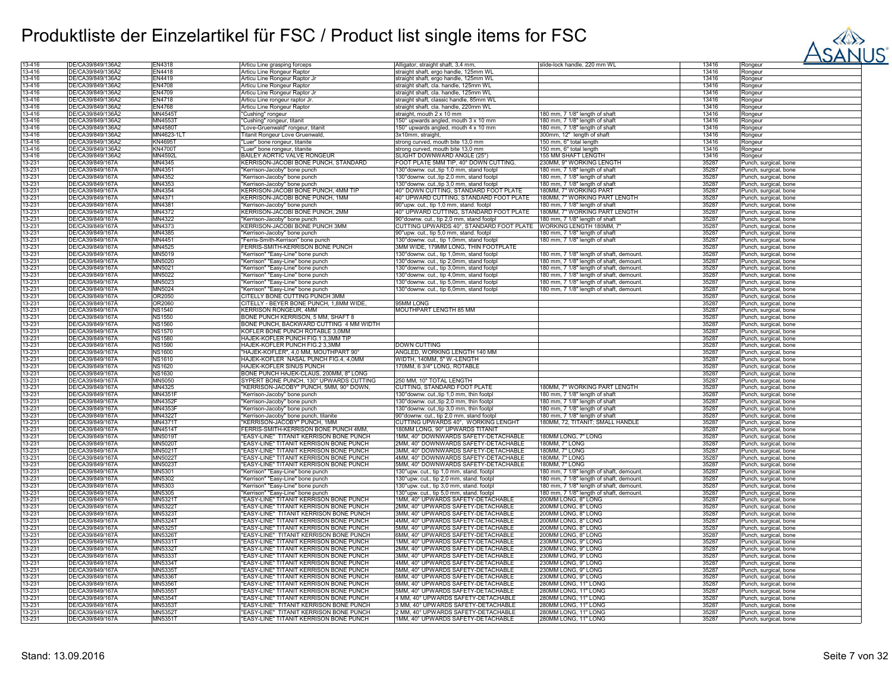

| 13-416           | DE/CA39/849/136A2                    | EN4318             | Articu Line grasping forceps                                                       | Alligator, straight shaft, 3,4 mm                                        | slide-lock handle, 220 mm WL                | 13416          | Rongeur                           |
|------------------|--------------------------------------|--------------------|------------------------------------------------------------------------------------|--------------------------------------------------------------------------|---------------------------------------------|----------------|-----------------------------------|
| 13-416           | DE/CA39/849/136Ä2                    | <b>EN4418</b>      | Articu Line Rongeur Raptor                                                         | straight shaft, ergo handle, 125mm WL                                    |                                             | 13416          | Rongeur                           |
| 13-416           | DE/CA39/849/136A2                    | EN4419             | Articu Line Rongeur Raptor Jr                                                      | straight shaft, ergo handle, 125mm WL                                    |                                             | 13416          | Rongeur                           |
| 13-416           | DE/CA39/849/136A2                    | <b>EN4708</b>      | Articu Line Rongeur Raptor                                                         | straight shaft, cla. handle, 125mm WL                                    |                                             | 13416          | Rongeur                           |
| 13-416           | DE/CA39/849/136A2                    | EN4709             | Articu Line Rongeur Raptor Jr                                                      | straight shaft, cla. handle, 125mm WL                                    |                                             | 13416          | Rongeur                           |
| 13-416           | DE/CA39/849/136A2                    | EN4718             | Articu Line rongeur raptor Jr                                                      | straight shaft, classic handle, 85mm WL                                  |                                             | 13416          | Rongeur                           |
| 13-416           | DE/CA39/849/136A2                    | <b>EN4768</b>      | Articu Line Rongeur Raptor                                                         | straight shaft, cla. handle, 220mm WL                                    |                                             | 13416          | Rongeur                           |
|                  |                                      |                    |                                                                                    |                                                                          |                                             |                |                                   |
| 13-416           | DE/CA39/849/136Ä2                    | MN4545T            | Cushing" rongeur                                                                   | straight, mouth 2 x 10 mm                                                | 180 mm, 7 1/8" length of shaft              | 13416          | Rongeur                           |
| 13-416           | DE/CA39/849/136Å2                    | MN4553T            | Cushing" rongeur, titanit                                                          | 150° upwards angled, mouth 3 x 10 mm                                     | 180 mm, 7 1/8" length of shaft              | 13416          | Rongeur                           |
| 13-416           | DE/CA39/849/136Ä2                    | MN4580T            | "Love-Gruenwald" rongeur, titanit                                                  | 150° upwards angled, mouth 4 x 10 mm                                     | 180 mm, 7 1/8" length of shaft              | 13416          | Rongeur                           |
| 13-416           | DE/CA39/849/136A2                    | MN4623-1L          | Titanit Rongeur Love Gruenwald.                                                    | 3x10mm, straight,                                                        | 300mm, 12" length of shaft                  | 13416          | Rongeur                           |
| 13-416           | DE/CA39/849/136A2                    | <b>KN4695T</b>     | "Luer" bone rongeur, titanite                                                      | strong curved, mouth bite 13,0 mm                                        | 150 mm, 6" total length                     | 13416          | Rongeur                           |
| 13-416           | DE/CA39/849/136A2                    | <b>KN4700T</b>     | "Luer" bone rongeur, titanite                                                      | strong curved, mouth bite 13,0 mm                                        | 150 mm, 6" total length                     | 13416          | Rongeur                           |
| 13-416           | DE/CA39/849/136A2                    | <b>MN4592L</b>     | <b>BAILEY AORTIC VALVE RONGEUR</b>                                                 | SLIGHT DOWNWARD ANGLE (25°                                               | <b>155 MM SHAFT LENGTH</b>                  | 13416          | Rongeur                           |
| 13-231           | DE/CA39/849/167A                     | MN4345             | KERRISON-JACOBI BONE PUNCH, STANDARD                                               | FOOT PLATE 5MM TIP, 40° DOWN CUTTING,                                    | 230MM, 9" WORKING LENGTH                    | 35287          | Punch, surgical, bone             |
| 13-231           | DE/CA39/849/167Ä                     | MN4351             | "Kerrison-Jacoby" bone punch                                                       | 130° downw. cut., tip 1,0 mm, stand footp                                | 180 mm, 7 1/8" length of shaft              | 35287          | unch, surgical, bone              |
| 13-231           | DE/CA39/849/167Å                     | MN4352             | "Kerrison-Jacoby" bone punch                                                       | 130° downw. cut., tip 2,0 mm, stand footpl                               | 180 mm, 7 1/8" length of shaft              | 35287          | Punch, surgical, bone             |
| 13-231           | DE/CA39/849/167Å                     | MN4353             | "Kerrison-Jacoby" bone punch                                                       | 130° downw. cut., tip 3,0 mm, stand footpl                               | 180 mm, 7 1/8" length of shaft              | 35287          | Punch, surgical, bone             |
| 13-231           | DE/CA39/849/167Ä                     | MN4354             | KERRISON-JACOBI BONE PUNCH. 4MM TIP                                                | 40° DOWN CUTTING. STANDARD FOOT PLATE                                    | 180MM, 7" WORKING PART                      | 35287          | <sup>2</sup> unch, surgical, bone |
| 13-231           | DE/CA39/849/167A                     | MN4371             | KERRISON-JACOBI BONE PUNCH, 1MM                                                    | 40° UPWARD CUTTING, STANDARD FOOT PLATE                                  | 180MM, 7" WORKING PART LENGTH               | 35287          | unch, surgical, bone              |
|                  |                                      |                    |                                                                                    |                                                                          |                                             |                |                                   |
| 13-231           | DE/CA39/849/167Ä                     | MN4381             | "Kerrison-Jacoby" bone punch                                                       | 90°upw. cut., tip 1,0 mm, stand. footpl                                  | 180 mm, 7 1/8" length of shaft              | 35287          | Punch, surgical, bone             |
| 13-231           | DE/CA39/849/167Ä                     | MN4372             | KERRISON-JACOBI BONE PUNCH, 2MM                                                    | 40° UPWARD CUTTING, STANDARD FOOT PLATE                                  | 180MM, 7" WORKING PART LENGTH               | 35287          | Punch, surgical, bone             |
| 13-231           | DE/CA39/849/167A                     | MN4322             | 'Kerrison-Jacoby" bone punch                                                       | 90° downw. cut., tip 2,0 mm, stand footpl                                | 180 mm, 7 1/8" length of shaft              | 35287          | Punch, surgical, bone             |
| 13-231           | DE/CA39/849/167Ä                     | MN4373             | KERRISON-JACOBI BONE PUNCH 3MM                                                     | CUTTING UPWARDS 40°, STANDARD FOOT PLATE                                 | WORKING LENGTH 180MM, 7                     | 35287          | unch, surgical, bone              |
| 13-231           | DE/CA39/849/167A                     | MN4385             | 'Kerrison-Jacoby" bone punch                                                       | 90°upw. cut., tip 5,0 mm, stand. footpl                                  | 180 mm, 7 1/8" length of shaft              | 35287          | Punch, surgical, bone             |
| 13-231           | DE/CA39/849/167A                     | MN4451             | "Ferris-Smith-Kerrison" bone punch                                                 | 130°downw. cut., tip 1,0mm, stand footp                                  | 180 mm, 7 1/8" length of shaft              | 35287          | <sup>2</sup> unch, surgical, bone |
| 13-231           | DE/CA39/849/167A                     | MN4525             | FERRIS-SMITH-KERRISON BONE PUNCH                                                   | 3MM WIDE, 179MM LONG, THIN FOOTPLATE                                     |                                             | 35287          | <sup>2</sup> unch, surgical, bone |
| 13-231           | DE/CA39/849/167A                     | MN5019             | "Kerrison" "Easy-Line" bone punch                                                  | 130°downw. cut., tip 1,0mm, stand footpl                                 | 180 mm, 7 1/8" length of shaft, demount     | 35287          | Punch, surgical, bone             |
| 13-231           | DE/CA39/849/167Ä                     | MN5020             | "Kerrison" "Easy-Line" bone punch                                                  | 130°downw. cut., tip 2,0mm, stand footpl                                 | 180 mm, 7 1/8" length of shaft, demount     | 35287          | <sup>2</sup> unch, surgical, bone |
| 13-231           | DE/CA39/849/167Ä                     | MN5021             | "Kerrison" "Easy-Line" bone punch                                                  | 130° downw. cut., tip 3,0mm, stand footpl                                | 180 mm, 7 1/8" length of shaft, demount     | 35287          | <sup>2</sup> unch, surgical, bone |
| 13-231           | DE/CA39/849/167A                     | MN5022             | "Kerrison" "Easy-Line" bone punch                                                  | 130° downw. cut., tip 4,0mm, stand footpl                                | 180 mm, 7 1/8" length of shaft, demount     | 35287          | Punch, surgical, bone             |
| 13-231           | DE/CA39/849/167Å                     | MN5023             | "Kerrison" "Easy-Line" bone punch                                                  | 130° downw. cut., tip 5,0mm, stand footpl                                | 180 mm, 7 1/8" length of shaft, demount     | 35287          | <sup>2</sup> unch, surgical, bone |
| 13-231           | DE/CA39/849/167Ä                     | MN5024             | "Kerrison" "Easy-Line" bone punch                                                  | 130° downw. cut., tip 6,0mm, stand footpl                                | 180 mm, 7 1/8" length of shaft, demount     | 35287          | <sup>2</sup> unch, surgical, bone |
| 13-231           | DE/CA39/849/167A                     | OR2050             | CITELLY BONE CUTTING PUNCH 3MM                                                     |                                                                          |                                             | 35287          | Punch, surgical, bone             |
| 13-231           | DE/CA39/849/167Ä                     | OR2060             | CITELLY - BEYER BONE PUNCH, 1,8MM WIDE                                             | 95MM LONG                                                                |                                             | 35287          | Punch, surgical, bone             |
| 13-231           | DE/CA39/849/167A                     | <b>NS1540</b>      | <b>KERRISON RONGEUR, 4MM</b>                                                       | MOUTHPART LENGTH 85 MM                                                   |                                             | 35287          | Punch, surgical, bone             |
|                  |                                      |                    |                                                                                    |                                                                          |                                             |                |                                   |
| 13-231           | DE/CA39/849/167A                     | <b>NS1550</b>      | BONE PUNCH KERRISON, 5 MM, SHAFT 8                                                 |                                                                          |                                             | 35287          | Punch, surgical, bone             |
| 13-231           | DE/CA39/849/167Ä                     | <b>NS1560</b>      | BONE PUNCH, BACKWARD CUTTING 4 MM WIDTH                                            |                                                                          |                                             | 35287          | Punch, surgical, bone             |
| 13-231           | DE/CA39/849/167Ă                     | <b>NS1570</b>      | KOFLER BONE PUNCH ROTABLE 3,0MM                                                    |                                                                          |                                             | 35287          | Punch, surgical, bone             |
| 13-231           | DE/CA39/849/167A                     | <b>NS1580</b>      | HAJEK-KOFLER PUNCH FIG.1 3,3MM TIP                                                 |                                                                          |                                             | 35287          | unch, surgical, bone              |
| 13-231           | DE/CA39/849/167Ä                     | <b>NS1590</b>      | HAJEK-KOFLER PUNCH FIG.2 3,3MM                                                     | DOWN CUTTING                                                             |                                             | 35287          | unch, surgical, bone              |
| 13-231           | DE/CA39/849/167A                     | <b>NS1600</b>      | "HAJEK-KOFLER", 4,0 MM, MOUTHPART 90                                               | ANGLED, WORKING LENGTH 140 MM                                            |                                             | 35287          | Punch, surgical, bone             |
| 13-231           | DE/CA39/849/167Å                     | <b>NS1610</b>      | HAJEK-KOFLER NASAL PUNCH FIG.4, 4,0MM                                              | WIDTH, 140MM, 5" W.-LENGTH                                               |                                             | 35287          | Punch, surgical, bone             |
| 13-231           | DE/CA39/849/167A                     | <b>NS1620</b>      | HAJEK-KOFLER SINUS PUNCH                                                           | 170MM, 6 3/4" LONG, ROTABLE                                              |                                             | 35287          | Punch, surgical, bone             |
| 13-231           | DE/CA39/849/167Ä                     | <b>NS1630</b>      | BONE PUNCH HAJEK-CLAUS, 200MM, 8" LONG                                             |                                                                          |                                             | 35287          | Punch, surgical, bone             |
| 13-231           | DE/CA39/849/167Ä                     | MN5050             | SYPERT BONE PUNCH, 130° UPWARDS CUTTING                                            | 250 MM, 10" TOTAL LENGTH                                                 |                                             | 35287          | Punch, surgical, bone             |
| 13-231           | DE/CA39/849/167A                     | MN4325             | "KERRISON-JACOBY" PUNCH, 5MM, 90° DOWN,                                            | CUTTING, STANDARD FOOT PLATE                                             | 180MM, 7" WORKING PART LENGTH               | 35287          | Punch, surgical, bone             |
| 13-231           | DE/CA39/849/167A                     | <b>MN4351F</b>     | "Kerrison-Jacoby" bone punch                                                       | 130° downw. cut., tip 1,0 mm, thin footpl                                | 180 mm, 7 1/8" length of shaft              | 35287          | unch, surgical, bone              |
| 13-231           | DE/CA39/849/167Ä                     | MN4352F            | "Kerrison-Jacoby" bone punch                                                       | 130° downw. cut., tip 2,0 mm, thin footpl                                | 180 mm, 7 1/8" length of shaft              | 35287          | unch, surgical, bone              |
| 13-231           | DE/CA39/849/167A                     | <b>MN4353F</b>     | "Kerrison-Jacoby" bone punch                                                       | 130° downw. cut., tip 3,0 mm, thin footpl                                | 180 mm, 7 1/8" length of shaft              | 35287          | Punch, surgical, bone             |
| 13-231           | DE/CA39/849/167A                     | MN4322T            | "Kerrison-Jacoby" bone punch, titanite                                             | 90° downw. cut., tip 2,0 mm, stand footpl                                | 180 mm, 7 1/8" length of shaft              | 35287          | Punch, surgical, bone             |
| 13-231           | DE/CA39/849/167Ä                     | MN4371T            | "KERRISON-JACOBY" PUNCH, 1MM                                                       | CUTTING UPWARDS 40°, WORKING LENGHT                                      | 180MM, 72, TITANIT; SMALL HANDLE            | 35287          | <sup>2</sup> unch, surgical, bone |
| 13-231           | DE/CA39/849/167A                     | MN4514T            | FERRIS-SMITH-KERRISON BONE PUNCH 4MM                                               | 180MM LONG, 90° UPWARDS TITANIT                                          |                                             | 35287          |                                   |
|                  |                                      |                    |                                                                                    |                                                                          |                                             |                | <sup>o</sup> unch, surgical, bone |
| 13-231           | DE/CA39/849/167Å                     | MN5019T            | "EASY-LINE" TITANIT KERRISON BONE PUNCH                                            | 1MM, 40° DOWNWARDS SAFETY-DETACHABLE                                     | 180MM LONG, 7" LONG                         | 35287          | Punch, surgical, bone             |
| 13-231           | DE/CA39/849/167A                     | <b>MN5020T</b>     | "EASY-LINE" TITANIT KERRISON BONE PUNCH                                            | 2MM, 40° DOWNWARDS SAFETY-DETACHABLE                                     | 180MM, 7" LONG                              | 35287          | Punch, surgical, bone             |
| 13-231           | DE/CA39/849/167A                     | MN5021T            | EASY-LINE" TITANIT KERRISON BONE PUNCH                                             | 3MM, 40° DOWNWARDS SAFETY-DETACHABLE                                     | 180MM, 7" LONG                              | 35287          | unch, surgical, bone              |
| 13-231           | DE/CA39/849/167Ă                     | MN5022T            | "EASY-LINE" TITANIT KERRISON BONE PUNCH                                            | 4MM, 40° DOWNWARDS SAFETY-DETACHABLE                                     | 180MM, 7" LONG                              | 35287          | unch, surgical, bone              |
| 13-231           | DE/CA39/849/167Ä                     | MN5023T            | "EASY-LINE" TITANIT KERRISON BONE PUNCH                                            | 5MM, 40° DOWNWARDS SAFETY-DETACHABLE                                     | 180MM, 7" LONG                              | 35287          | unch, surgical, bone              |
| 13-231           | DE/CA39/849/167A                     | MN5301             | "Kerrison" "Easy-Line" bone punch                                                  | 130°upw. cut., tip 1,0 mm, stand. footpl                                 | 180 mm, 7 1/8" length of shaft, demount     | 35287          | <sup>2</sup> unch, surgical, bone |
| 13-231           | DE/CA39/849/167A                     | MN5302             | "Kerrison" "Easy-Line" bone punch                                                  | 130°upw. cut., tip 2,0 mm, stand. footpl                                 | 180 mm, 7 1/8" length of shaft, demount     | 35287          | <sup>2</sup> unch, surgical, bone |
| 13-231           | DE/CA39/849/167A                     | MN5303             | "Kerrison" "Easy-Line" bone punch                                                  | 130°upw. cut., tip 3,0 mm, stand. footpl                                 | 180 mm, 7 1/8" length of shaft, demount     | 35287          | <sup>2</sup> unch, surgical, bone |
| 13-231           | DE/CA39/849/167A                     | MN5305             | "Kerrison" "Easy-Line" bone punch                                                  | 130°upw. cut., tip 5,0 mm, stand. footpl                                 | 180 mm, 7 1/8" length of shaft, demount     | 35287          | Punch, surgical, bone             |
| 13-231           | DE/CA39/849/167A                     | MN5321T            | "EASY-LINE" TITANIT KERRISON BONE PUNCH                                            | 1MM, 40° UPWARDS SAFETY-DETACHABLE                                       | 200MM LONG, 8" LONG                         | 35287          | Punch, surgical, bone             |
| 13-231           | DE/CA39/849/167A                     | MN53221            | 'EASY-LINE" TITANIT KERRISON BONE PUNCH                                            | 2MM, 40° UPWARDS SAFETY-DETACHABLE                                       | 200MM LONG, 8" LONG                         | 35287          | <sup>2</sup> unch, surgical, bone |
| 13-231           | DE/CA39/849/167Å                     | MN5323T            | 'EASY-LINE" TITANIT KERRISON BONE PUNCH                                            | 3MM, 40° UPWARDS SAFETY-DETACHABLE                                       | 200MM LONG, 8" LONG                         | 35287          | unch, surgical, bone              |
| 13-231           | DE/CA39/849/167Ä                     | <b>MN5324T</b>     | "EASY-LINE" TITANIT KERRISON BONE PUNCH                                            | 4MM, 40° UPWARDS SAFETY-DETACHABLE                                       | 200MM LONG, 8" LONG                         | 35287          | Punch, surgical, bone             |
| 13-231           | DE/CA39/849/167A                     | MN53251            | "EASY-LINE" TITANIT KERRISON BONE PUNCH                                            | 5MM, 40° UPWARDS SAFETY-DETACHABLE                                       | 200MM LONG, 8" LONG                         | 35287          | <sup>2</sup> unch, surgical, bone |
| 13-231           | DE/CA39/849/167A                     | MN5326T            | "EASY-LINE" TITANIT KERRISON BONE PUNCH                                            | 6MM, 40° UPWARDS SAFETY-DETACHABLE                                       | 200MM LONG, 8" LONG                         | 35287          | <sup>2</sup> unch, surgical, bone |
| 13-231           | DE/CA39/849/167Ä                     | MN5331T            | "EASY-LINE" TITANIT KERRISON BONE PUNCH                                            | 1MM, 40° UPWARDS SAFETY-DETACHABLE                                       | 230MM LONG, 9" LONG                         | 35287          | <sup>2</sup> unch, surgical, bone |
| 13-231           | DE/CA39/849/167A                     | MN53321            | 'EASY-LINE" TITANIT KERRISON BONE PUNCH                                            | 2MM, 40° UPWARDS SAFETY-DETACHABLE                                       | <b>230MM LONG, 9" LONG</b>                  | 35287          | Punch, surgical, bone             |
| 13-231           | DE/CA39/849/167A                     | <b>MN5333T</b>     | "EASY-LINE" TITANIT KERRISON BONE PUNCH                                            | 3MM, 40° UPWARDS SAFETY-DETACHABLE                                       | 230MM LONG, 9" LONG                         | 35287          | Punch, surgical, bone             |
| 13-231           | DE/CA39/849/167A                     | MN5334T            | "EASY-LINE" TITANIT KERRISON BONE PUNCH                                            | 4MM, 40° UPWARDS SAFETY-DETACHABLE                                       | 230MM LONG. 9" LONG                         | 35287          |                                   |
| 13-231           | DE/CA39/849/167A                     | MN5335T            | 'EASY-LINE" TITANIT KERRISON BONE PUNCH                                            | 5MM, 40° UPWARDS SAFETY-DETACHABLE                                       | 230MM LONG, 9" LONG                         | 35287          | <sup>2</sup> unch, surgical, bone |
|                  |                                      |                    |                                                                                    |                                                                          |                                             |                | unch, surgical, bone              |
| 13-231<br>13-231 | DE/CA39/849/167Ä<br>DE/CA39/849/167A | MN5336T<br>MN5356T | "EASY-LINE" TITANIT KERRISON BONE PUNCH<br>"EASY-LINE" TITANIT KERRISON BONE PUNCH | 6MM, 40° UPWARDS SAFETY-DETACHABLE<br>6MM, 40° UPWARDS SAFETY-DETACHABLE | 230MM LONG, 9" LONG<br>280MM LONG, 11" LONG | 35287<br>35287 | <sup>2</sup> unch, surgical, bone |
|                  |                                      |                    |                                                                                    |                                                                          |                                             |                | <sup>2</sup> unch, surgical, bone |
| 13-231           | DE/CA39/849/167A                     | MN5355T            | "EASY-LINE" TITANIT KERRISON BONE PUNCH                                            | 5MM, 40° UPWARDS SAFETY-DETACHABLE                                       | 280MM LONG, 11" LONG                        | 35287          | Punch, surgical, bone             |
| 13-231           | DE/CA39/849/167Ä                     | MN5354T            | "EASY-LINE" TITANIT KERRISON BONE PUNCH                                            | 4 MM, 40° UPWARDS SAFETY-DETACHABLE                                      | 280MM LONG, 11" LONG                        | 35287          | <sup>2</sup> unch, surgical, bone |
| 13-231           | DE/CA39/849/167Ă                     | MN53531            | "EASY-LINE" TITANIT KERRISON BONE PUNCH                                            | 3 MM, 40° UPWARDS SAFETY-DETACHABLE                                      | 280MM LONG, 11" LONG                        | 35287          | Punch, surgical, bone             |
| 13-231           | DE/CA39/849/167A                     | MN5352T            | "EASY-LINE" TITANIT KERRISON BONE PUNCH                                            | 2 MM, 40° UPWARDS SAFETY-DETACHABLE                                      | 280MM LONG, 11" LONG                        | 35287          | Punch, surgical, bone             |
| 13-231           | DE/CA39/849/167A                     | MN5351T            | "EASY-LINE" TITANIT KERRISON BONE PUNCH                                            | 1MM, 40° UPWARDS SAFETY-DETACHABLE                                       | 280MM LONG, 11" LONG                        | 35287          | Punch, surgical, bone             |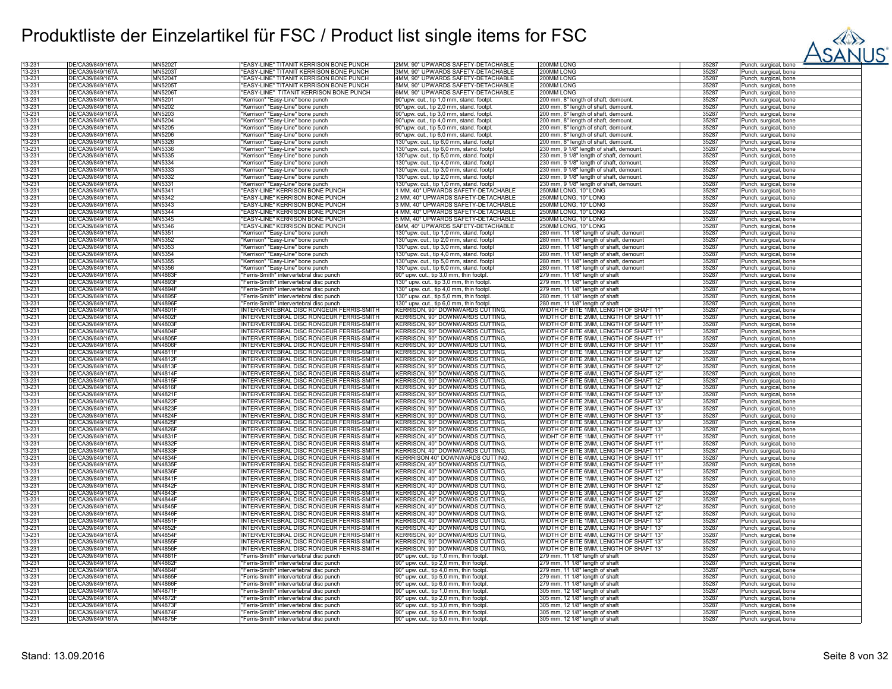

| 13-231 | DE/CA39/849/167Å | <b>MN5202T</b> | "EASY-LINE" TITANIT KERRISON BONE PUNCH         | 2MM, 90° UPWARDS SAFETY-DETACHABLE       | 200MM LONG                               | 35287 | Punch, surgical, bone             |
|--------|------------------|----------------|-------------------------------------------------|------------------------------------------|------------------------------------------|-------|-----------------------------------|
|        |                  |                |                                                 |                                          |                                          |       |                                   |
| 13-231 | DE/CA39/849/167Ä | MN52031        | 'EASY-LINE" TITANIT KERRISON BONE PUNCH         | 3MM, 90° UPWARDS SAFETY-DETACHABLE       | 200MM LONG                               | 35287 | Punch, surgical, bone             |
| 13-231 | DE/CA39/849/167A | <b>MN5204T</b> | "EASY-LINE" TITANIT KERRISON BONE PUNCH         | 4MM, 90° UPWARDS SAFETY-DETACHABLE       | 200MM LONG                               | 35287 | Punch, surgical, bone             |
| 13-231 | DE/CA39/849/167A | <b>MN5205T</b> | "EASY-LINE" TITANIT KERRISON BONE PUNCH         | 5MM, 90° UPWARDS SAFETY-DETACHABLE       | 200MM LONG                               | 35287 | Punch, surgical, bone             |
|        |                  |                |                                                 |                                          |                                          |       |                                   |
| 13-231 | DE/CA39/849/167Ä | MN52061        | "EASY-LINE" TITANIT KERRISON BONE PUNCH         | 6MM, 90° UPWARDS SAFETY-DETACHABLE       | 200MM LONG                               | 35287 | Punch, surgical, bone             |
| 13-231 | DE/CA39/849/167Å | MN5201         | 'Kerrison" "Easy-Line" bone punch               | 90°upw. cut., tip 1,0 mm, stand. footpl. | 200 mm, 8" length of shaft, demount.     | 35287 | Punch, surgical, bone             |
| 13-231 | DE/CA39/849/167Ä | MN5202         | "Kerrison" "Easy-Line" bone punch               | 90°upw. cut., tip 2,0 mm, stand. footpl. | 200 mm, 8" length of shaft, demount.     | 35287 | Punch, surgical, bone             |
|        |                  |                |                                                 |                                          |                                          |       |                                   |
| 13-231 | DE/CA39/849/167A | MN5203         | "Kerrison" "Easy-Line" bone punch               | 90°upw. cut., tip 3,0 mm, stand. footpl. | 200 mm, 8" length of shaft, demount.     | 35287 | Punch, surgical, bone             |
| 13-231 | DE/CA39/849/167A | MN5204         | 'Kerrison" "Easy-Line" bone punch               | 90°upw. cut., tip 4,0 mm, stand. footpl. | 200 mm, 8" length of shaft, demount      | 35287 | <sup>2</sup> unch, surgical, bone |
| 13-231 | DE/CA39/849/167Ä | MN5205         | 'Kerrison" "Easy-Line" bone punch               | 90°upw. cut., tip 5,0 mm, stand. footpl. | 200 mm, 8" length of shaft, demount.     | 35287 | Punch, surgical, bone             |
|        |                  |                |                                                 |                                          |                                          |       |                                   |
| 13-231 | DE/CA39/849/167A | MN5206         | "Kerrison" "Easy-Line" bone punch               | 90°upw. cut., tip 6,0 mm, stand. footpl. | 200 mm, 8" length of shaft, demount.     | 35287 | Punch, surgical, bone             |
| 13-231 | DE/CA39/849/167A | MN5326         | "Kerrison" "Easy-Line" bone punch               | 130°upw. cut., tip 6,0 mm, stand. footpl | 200 mm, 8" length of shaft, demount.     | 35287 | Punch, surgical, bone             |
| 13-231 | DE/CA39/849/167Ä | MN5336         | "Kerrison" "Easy-Line" bone punch               | 130°upw. cut., tip 6,0 mm, stand. footpl | 230 mm, 9 1/8" length of shaft, demount  | 35287 | Punch, surgical, bone             |
|        |                  |                |                                                 |                                          |                                          |       |                                   |
| 13-231 | DE/CA39/849/167Å | <b>MN5335</b>  | 'Kerrison" "Easy-Line" bone punch               | 130°upw. cut., tip 5,0 mm, stand. footpl | 230 mm, 9 1/8" length of shaft, demount  | 35287 | Punch, surgical, bone             |
| 13-231 | DE/CA39/849/167A | MN5334         | "Kerrison" "Easy-Line" bone punch               | 130°upw. cut., tip 4,0 mm, stand. footpl | 230 mm, 9 1/8" length of shaft, demount  | 35287 | Punch, surgical, bone             |
| 13-231 | DE/CA39/849/167A | MN5333         |                                                 |                                          |                                          | 35287 |                                   |
|        |                  |                | "Kerrison" "Easy-Line" bone punch               | 130°upw. cut., tip 3,0 mm, stand. footpl | 230 mm, 9 1/8" length of shaft, demount  |       | Punch, surgical, bone             |
| 13-231 | DE/CA39/849/167A | MN5332         | 'Kerrison" "Easy-Line" bone punch               | 130°upw. cut., tip 2,0 mm, stand. footpl | 230 mm, 9 1/8" length of shaft, demount  | 35287 | <sup>2</sup> unch, surgical, bone |
| 13-231 | DE/CA39/849/167A | MN5331         | "Kerrison" "Easy-Line" bone punch               | 130°upw. cut., tip 1,0 mm, stand. footpl | 230 mm, 9 1/8" length of shaft, demount. | 35287 | Punch, surgical, bone             |
| 13-231 | DE/CA39/849/167Å | MN5341         | "EASY-LINE" KERRISON BONE PUNCH                 | 1 MM, 40° UPWARDS SAFETY-DETACHABLE      | 250MM LONG, 10" LONG                     | 35287 |                                   |
|        |                  |                |                                                 |                                          |                                          |       | Punch, surgical, bone             |
| 13-231 | DE/CA39/849/167A | MN5342         | "EASY-LINE" KERRISON BONE PUNCH                 | 2 MM, 40° UPWARDS SAFETY-DETACHABLE      | 250MM LONG, 10" LONG                     | 35287 | Punch, surgical, bone             |
| 13-231 | DE/CA39/849/167A | MN5343         | "EASY-LINE" KERRISON BONE PUNCH                 | 3 MM, 40° UPWARDS SAFETY-DETACHABLE      | 250MM LONG, 10" LONG                     | 35287 | Punch, surgical, bone             |
|        | DE/CA39/849/167A |                | "EASY-LINE" KERRISON BONE PUNCH                 | 4 MM, 40° UPWARDS SAFETY-DETACHABLE      |                                          | 35287 |                                   |
| 13-231 |                  | MN5344         |                                                 |                                          | 250MM LONG, 10" LONG                     |       | Punch, surgical, bone             |
| 13-231 | DE/CA39/849/167A | MN5345         | <b>'EASY-LINE" KERRISON BONE PUNCH</b>          | 5 MM, 40° UPWARDS SAFETY-DETACHABLE      | 250MM LONG, 10" LONG                     | 35287 | Punch, surgical, bone             |
| 13-231 | DE/CA39/849/167Ä | MN5346         | "EASY-LINE" KERRISON BONE PUNCH                 | 6MM, 40° UPWARDS SAFETY-DETACHABLE       | 250MM LONG, 10" LONG                     | 35287 | Punch, surgical, bone             |
| 13-231 | DE/CA39/849/167A | MN5351         | 'Kerrison" "Easy-Line" bone punch               | 130°upw. cut., tip 1,0 mm, stand. footpl | 280 mm, 11 1/8" length of shaft, demount | 35287 | unch, surgical, bone              |
|        |                  |                |                                                 |                                          |                                          |       |                                   |
| 13-231 | DE/CA39/849/167A | MN5352         | 'Kerrison" "Easy-Line" bone punch               | 130°upw. cut., tip 2,0 mm, stand. footpl | 280 mm, 11 1/8" length of shaft, demount | 35287 | Punch, surgical, bone             |
| 13-231 | DE/CA39/849/167Ä | MN5353         | "Kerrison" "Easy-Line" bone punch               | 130°upw. cut., tip 3,0 mm, stand. footpl | 280 mm, 11 1/8" length of shaft, demount | 35287 | Punch, surgical, bone             |
| 13-231 | DE/CA39/849/167A | MN5354         | "Kerrison" "Easy-Line" bone punch               | 130°upw. cut., tip 4,0 mm, stand. footpl | 280 mm, 11 1/8" length of shaft, demount | 35287 | Punch, surgical, bone             |
|        |                  |                |                                                 |                                          |                                          |       |                                   |
| 13-231 | DE/CA39/849/167Ä | MN5355         | "Kerrison" "Easy-Line" bone punch               | 130°upw. cut., tip 5,0 mm, stand. footpl | 280 mm, 11 1/8" length of shaft, demount | 35287 | Punch, surgical, bone             |
| 13-231 | DE/CA39/849/167Ä | MN5356         | "Kerrison" "Easy-Line" bone punch               | 130°upw. cut., tip 6,0 mm, stand. footpl | 280 mm, 11 1/8" length of shaft, demount | 35287 | Punch, surgical, bone             |
| 13-231 | DE/CA39/849/167A | MN4863R        | "Ferris-Smith" intervertebral disc punch        |                                          |                                          | 35287 |                                   |
|        |                  |                |                                                 | 90° upw. cut., tip 3,0 mm, thin footpl.  | 279 mm, 11 1/8" length of shaft          |       | Punch, surgical, bone             |
| 13-231 | DE/CA39/849/167Å | MN4893F        | "Ferris-Smith" intervertebral disc punch        | 130° upw. cut., tip 3,0 mm, thin footpl  | 279 mm, 11 1/8" length of shaft          | 35287 | Punch, surgical, bone             |
| 13-231 | DE/CA39/849/167Ä | MN4894F        | "Ferris-Smith" intervertebral disc punch        | 130° upw. cut., tip 4,0 mm, thin footpl. | 279 mm, 11 1/8" length of shaft          | 35287 | Punch, surgical, bone             |
|        | DE/CA39/849/167A |                |                                                 |                                          |                                          | 35287 |                                   |
| 13-231 |                  | <b>MN4895F</b> | "Ferris-Smith" intervertebral disc punch        | 130° upw. cut., tip 5,0 mm, thin footpl. | 280 mm, 11 1/8" length of shaft          |       | Punch, surgical, bone             |
| 13-231 | DE/CA39/849/167Ä | <b>MN4896F</b> | "Ferris-Smith" intervertebral disc punch        | 130° upw. cut., tip 6,0 mm, thin footpl. | 280 mm, 11 1/8" length of shaft          | 35287 | Punch, surgical, bone             |
| 13-231 | DE/CA39/849/167A | <b>MN4801F</b> | INTERVERTEBRAL DISC RONGEUR FERRIS-SMITH        | KERRISON, 90° DOWNWARDS CUTTING.         | WIDTH OF BITE 1MM, LENGTH OF SHAFT 11'   | 35287 | Punch, surgical, bone             |
|        |                  |                |                                                 | <b>KERRISON, 90° DOWNWARDS CUTTING</b>   |                                          | 35287 |                                   |
| 13-231 | DE/CA39/849/167A | <b>MN4802F</b> | INTERVERTEBRAL DISC RONGEUR FERRIS-SMITH        |                                          | WIDTH OF BITE 2MM, LENGTH OF SHAFT 11'   |       | Punch, surgical, bone             |
| 13-231 | DE/CA39/849/167Ä | MN4803F        | INTERVERTEBRAL DISC RONGEUR FERRIS-SMITH        | KERRISON, 90° DOWNWARDS CUTTING          | WIDTH OF BITE 3MM, LENGTH OF SHAFT 11"   | 35287 | Punch, surgical, bone             |
| 13-231 | DE/CA39/849/167A | <b>MN4804F</b> | INTERVERTEBRAL DISC RONGEUR FERRIS-SMITH        | KERRISON, 90° DOWNWARDS CUTTING          | WIDTH OF BITE 4MM, LENGTH OF SHAFT 11"   | 35287 | Punch, surgical, bone             |
| 13-231 | DE/CA39/849/167A | <b>MN4805F</b> |                                                 |                                          |                                          | 35287 |                                   |
|        |                  |                | NTERVERTEBRAL DISC RONGEUR FERRIS-SMITH         | KERRISON, 90° DOWNWARDS CUTTING.         | WIDTH OF BITE 5MM, LENGTH OF SHAFT 11"   |       | Punch, surgical, bone             |
| 13-231 | DE/CA39/849/167Ä | <b>MN4806F</b> | <b>INTERVERTEBRAL DISC RONGEUR FERRIS-SMITH</b> | KERRISON, 90° DOWNWARDS CUTTING.         | WIDTH OF BITE 6MM, LENGTH OF SHAFT 11"   | 35287 | Punch, surgical, bone             |
| 13-231 | DE/CA39/849/167A | MN4811F        | INTERVERTEBRAL DISC RONGEUR FERRIS-SMITH        | KERRISON, 90° DOWNWARDS CUTTING          | WIDTH OF BITE 1MM, LENGTH OF SHAFT 12'   | 35287 | Punch, surgical, bone             |
|        |                  |                |                                                 |                                          |                                          |       |                                   |
| 13-231 | DE/CA39/849/167Ä | <b>MN4812F</b> | INTERVERTEBRAL DISC RONGEUR FERRIS-SMITH        | KERRISON, 90° DOWNWARDS CUTTING.         | WIDTH OF BITE 2MM, LENGTH OF SHAFT 12"   | 35287 | Punch, surgical, bone             |
| 13-231 | DE/CA39/849/167A | MN4813F        | INTERVERTEBRAL DISC RONGEUR FERRIS-SMITH        | KERRISON, 90° DOWNWARDS CUTTING.         | WIDTH OF BITE 3MM. LENGTH OF SHAFT 12"   | 35287 | Punch, surgical, bone             |
| 13-231 | DE/CA39/849/167A | MN4814F        | INTERVERTEBRAL DISC RONGEUR FERRIS-SMITH        | KERRISON, 90° DOWNWARDS CUTTING.         | WIDTH OF BITE 4MM, LENGTH OF SHAFT 12"   | 35287 | Punch, surgical, bone             |
|        |                  |                |                                                 |                                          |                                          |       |                                   |
| 13-231 | DE/CA39/849/167Å | MN4815F        | INTERVERTEBRAL DISC RONGEUR FERRIS-SMITH        | KERRISON, 90° DOWNWARDS CUTTING          | WIDTH OF BITE 5MM, LENGTH OF SHAFT 12"   | 35287 | Punch, surgical, bone             |
| 13-231 | DE/CA39/849/167Ä | MN4816F        | INTERVERTEBRAL DISC RONGEUR FERRIS-SMITH        | KERRISON, 90° DOWNWARDS CUTTING.         | WIDTH OF BITE 6MM, LENGTH OF SHAFT 12"   | 35287 | Punch, surgical, bone             |
| 13-231 | DE/CA39/849/167A | MN4821F        | INTERVERTEBRAL DISC RONGEUR FERRIS-SMITH        | KERRISON, 90° DOWNWARDS CUTTING.         | WIDTH OF BITE 1MM, LENGTH OF SHAFT 13"   | 35287 | Punch, surgical, bone             |
|        |                  |                |                                                 |                                          |                                          |       |                                   |
| 13-231 | DE/CA39/849/167Ä | MN4822F        | NTERVERTEBRAL DISC RONGEUR FERRIS-SMITH         | KERRISON, 90° DOWNWARDS CUTTING.         | WIDTH OF BITE 2MM, LENGTH OF SHAFT 13'   | 35287 | Punch, surgical, bone             |
| 13-231 | DE/CA39/849/167A | <b>MN4823F</b> | INTERVERTEBRAL DISC RONGEUR FERRIS-SMITH        | KERRISON, 90° DOWNWARDS CUTTING          | WIDTH OF BITE 3MM, LENGTH OF SHAFT 13"   | 35287 | Punch, surgical, bone             |
| 13-231 | DE/CA39/849/167A | <b>MN4824F</b> | INTERVERTEBRAL DISC RONGEUR FERRIS-SMITH        | KERRISON, 90° DOWNWARDS CUTTING          | WIDTH OF BITE 4MM, LENGTH OF SHAFT 13"   | 35287 |                                   |
|        |                  |                |                                                 |                                          |                                          |       | Punch, surgical, bone             |
| 13-231 | DE/CA39/849/167A | MN4825F        | INTERVERTEBRAL DISC RONGEUR FERRIS-SMITH        | KERRISON, 90° DOWNWARDS CUTTING.         | WIDTH OF BITE 5MM. LENGTH OF SHAFT 13"   | 35287 | Punch, surgical, bone             |
| 13-231 | DE/CA39/849/167A | <b>MN4826F</b> | INTERVERTEBRAL DISC RONGEUR FERRIS-SMITH        | KERRISON, 90° DOWNWARDS CUTTING          | WIDTH OF BITE 6MM, LENGTH OF SHAFT 13"   | 35287 | Punch, surgical, bone             |
| 13-231 | DE/CA39/849/167Å | MN4831F        | INTERVERTEBRAL DISC RONGEUR FERRIS-SMITH        | KERRISON, 40° DOWNWARDS CUTTING          | WIDHT OF BITE 1MM, LENGTH OF SHAFT 11"   | 35287 | Punch, surgical, bone             |
|        |                  |                |                                                 |                                          |                                          |       |                                   |
| 13-231 | DE/CA39/849/167Ä | MN4832F        | <b>INTERVERTEBRAL DISC RONGEUR FERRIS-SMITH</b> | KERRISON, 40° DOWNWARDS CUTTING          | WIDTH OF BITE 2MM, LENGTH OF SHAFT 11"   | 35287 | Punch, surgical, bone             |
| 13-231 | DE/CA39/849/167A | MN4833F        | NTERVERTEBRAL DISC RONGEUR FERRIS-SMITH         | KERRISON, 40° DOWNWARDS CUTTING.         | WIDTH OF BITE 3MM, LENGTH OF SHAFT 11"   | 35287 | Punch, surgical, bone             |
| 13-231 | DE/CA39/849/167A | <b>MN4834F</b> | NTERVERTEBRAL DISC RONGEUR FERRIS-SMITH         | <b>KERRRISON 40° DOWNWARDS CUTTING</b>   | WIDTH OF BITE 4MM, LENGTH OF SHAFT 11'   | 35287 | <sup>2</sup> unch, surgical, bone |
|        |                  |                |                                                 |                                          |                                          |       |                                   |
| 13-231 | DE/CA39/849/167Ä | MN4835F        | INTERVERTEBRAL DISC RONGEUR FERRIS-SMITH        | KERRISON, 40° DOWNWARDS CUTTING          | WIDTH OF BITE 5MM, LENGTH OF SHAFT 11'   | 35287 | Punch, surgical, bone             |
| 13-231 | DE/CA39/849/167A | <b>MN4836F</b> | INTERVERTEBRAL DISC RONGEUR FERRIS-SMITH        | KERRISON, 40° DOWNWARDS CUTTING.         | WIDTH OF BITE 6MM, LENGTH OF SHAFT 11'   | 35287 | Punch, surgical, bone             |
| 13-231 | DE/CA39/849/167Ä | MN4841F        | INTERVERTEBRAL DISC RONGEUR FERRIS-SMITH        | KERRISON, 40° DOWNWARDS CUTTING.         | WIDTH OF BITE 1MM. LENGTH OF SHAFT 12"   | 35287 | Punch, surgical, bone             |
| 13-231 | DE/CA39/849/167A | <b>MN4842F</b> | INTERVERTEBRAL DISC RONGEUR FERRIS-SMITH        | KERRISON, 40° DOWNWARDS CUTTING.         | WIDTH OF BITE 2MM, LENGTH OF SHAFT 12"   | 35287 | Punch, surgical, bone             |
|        |                  |                |                                                 |                                          |                                          |       |                                   |
| 13-231 | DE/CA39/849/167A | <b>MN4843F</b> | INTERVERTEBRAL DISC RONGEUR FERRIS-SMITH        | KERRISON, 40° DOWNWARDS CUTTING          | WIDTH OF BITE 3MM, LENGTH OF SHAFT 12"   | 35287 | Punch, surgical, bone             |
| 13-231 | DE/CA39/849/167A | <b>MN4844F</b> | INTERVERTEBRAL DISC RONGEUR FERRIS-SMITH        | KERRISON, 40° DOWNWARDS CUTTING.         | WIDTH OF BITE 4MM, LENGTH OF SHAFT 12"   | 35287 | Punch, surgical, bone             |
| 13-231 | DE/CA39/849/167Å | <b>MN4845F</b> | NTERVERTEBRAL DISC RONGEUR FERRIS-SMITH         | KERRISON, 40° DOWNWARDS CUTTING.         | WIDTH OF BITE 5MM, LENGTH OF SHAFT 12"   | 35287 | Punch, surgical, bone             |
|        |                  |                |                                                 |                                          |                                          |       |                                   |
| 13-231 | DE/CA39/849/167A | <b>MN4846F</b> | NTERVERTEBRAL DISC RONGEUR FERRIS-SMITH         | KERRISON, 40° DOWNWARDS CUTTING          | WIDTH OF BITE 6MM, LENGTH OF SHAFT 12'   | 35287 | <sup>2</sup> unch, surgical, bone |
| 13-231 | DE/CA39/849/167Ä | MN4851F        | INTERVERTEBRAL DISC RONGEUR FERRIS-SMITH        | KERRISON, 40° DOWNWARDS CUTTING          | WIDTH OF BITE 1MM, LENGTH OF SHAFT 13"   | 35287 | Punch, surgical, bone             |
| 13-231 | DE/CA39/849/167A | <b>MN4852F</b> | INTERVERTEBRAL DISC RONGEUR FERRIS-SMITH        | KERRISON, 40° DOWNWARDS CUTTING,         | WIDTH OF BITE 2MM, LENGTH OF SHAFT 13"   | 35287 |                                   |
|        |                  |                |                                                 |                                          |                                          |       | Punch, surgical, bone             |
| 13-231 | DE/CA39/849/167A | MN4854F        | INTERVERTEBRAL DISC RONGEUR FERRIS-SMITH        | KERRISON, 90° DOWNWARDS CUTTING          | WIDTH OF BITE 4MM, LENGTH OF SHAFT 13"   | 35287 | Punch, surgical, bone             |
| 13-231 | DE/CA39/849/167Ä | MN4855F        | INTERVERTEBRAL DISC RONGEUR FERRIS-SMITH        | KERRISON, 90° DOWNWARDS CUTTING.         | WIDTH OF BITE 5MM, LENGTH OF SHAFT 13"   | 35287 | Punch, surgical, bone             |
| 13-231 | DE/CA39/849/167Å | <b>MN4856F</b> | INTERVERTEBRAL DISC RONGEUR FERRIS-SMITH        |                                          | WIDTH OF BITE 6MM, LENGTH OF SHAFT 13"   | 35287 |                                   |
|        |                  |                |                                                 | KERRISON, 90° DOWNWARDS CUTTING          |                                          |       | Punch, surgical, bone             |
| 13-231 | DE/CA39/849/167A | MN4861F        | "Ferris-Smith" intervertebral disc punch        | 90° upw. cut., tip 1,0 mm, thin footpl.  | 279 mm, 11 1/8" length of shaft          | 35287 | Punch, surgical, bone             |
| 13-231 | DE/CA39/849/167Ä | MN4862F        | "Ferris-Smith" intervertebral disc punch        | 90° upw. cut., tip 2,0 mm, thin footpl   | 279 mm, 11 1/8" length of shaft          | 35287 | Punch, surgical, bone             |
|        | DE/CA39/849/167Å | <b>MN4864F</b> |                                                 |                                          |                                          |       |                                   |
| 13-231 |                  |                | 'Ferris-Smith" intervertebral disc punch        | 90° upw. cut., tip 4,0 mm, thin footpl   | 279 mm, 11 1/8" length of shaft          | 35287 | Punch, surgical, bone             |
| 13-231 | DE/CA39/849/167Ä | MN4865F        | "Ferris-Smith" intervertebral disc punch        | 90° upw. cut., tip 5,0 mm, thin footpl   | 279 mm, 11 1/8" length of shaft          | 35287 | Punch, surgical, bone             |
| 13-231 | DE/CA39/849/167A | <b>MN4866F</b> | 'Ferris-Smith" intervertebral disc punch        | 90° upw. cut., tip 6,0 mm, thin footpl.  | 279 mm, 11 1/8" length of shaft          | 35287 | Punch, surgical, bone             |
| 13-231 | DE/CA39/849/167A | <b>MN4871F</b> | "Ferris-Smith" intervertebral disc punch        | 90° upw. cut., tip 1,0 mm, thin footpl.  |                                          | 35287 |                                   |
|        |                  |                |                                                 |                                          | 305 mm, 12 1/8" length of shaft          |       | Punch, surgical, bone             |
| 13-231 | DE/CA39/849/167Ä | MN4872F        | "Ferris-Smith" intervertebral disc punch        | 90° upw. cut., tip 2,0 mm, thin footpl.  | 305 mm, 12 1/8" length of shaft          | 35287 | Punch, surgical, bone             |
| 13-231 | DE/CA39/849/167Å | <b>MN4873F</b> | 'Ferris-Smith" intervertebral disc punch        | 90° upw. cut., tip 3,0 mm, thin footpl.  | 305 mm, 12 1/8" length of shaft          | 35287 | Punch, surgical, bone             |
|        |                  | <b>MN4874F</b> |                                                 |                                          |                                          |       |                                   |
| 13-231 | DE/CA39/849/167A |                | "Ferris-Smith" intervertebral disc punch        | 90° upw. cut., tip 4,0 mm, thin footpl   | 305 mm, 12 1/8" length of shaft          | 35287 | Punch, surgical, bone             |
| 13-231 | DE/CA39/849/167Ä | <b>MN4875F</b> | "Ferris-Smith" intervertebral disc punch        | 90° upw. cut., tip 5,0 mm, thin footpl   | 305 mm, 12 1/8" length of shaft          | 35287 | Punch, surgical, bone             |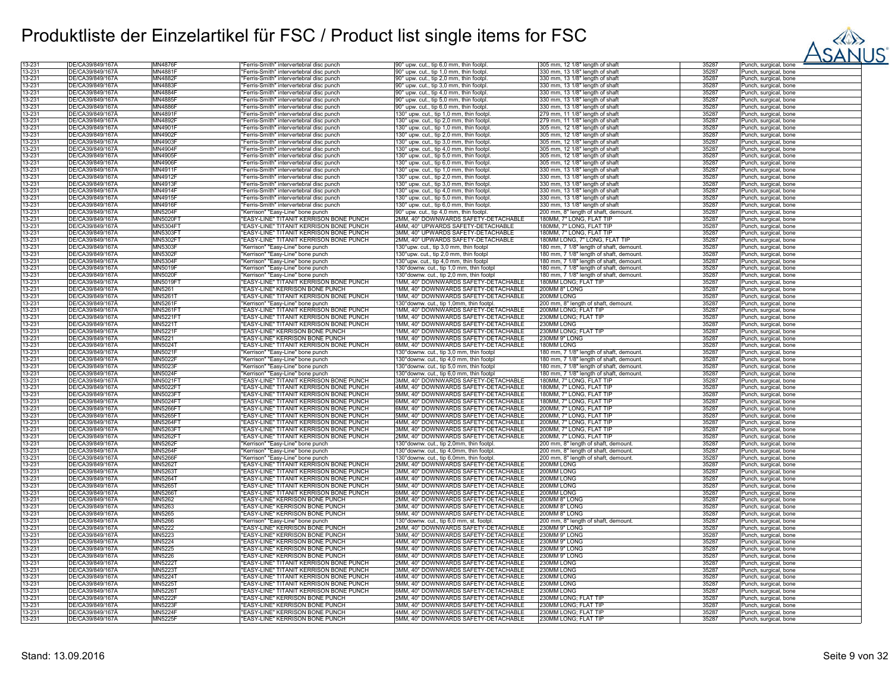

| 13-231           | DE/CA39/849/167A                     | <b>MN4876F</b>            | Ferris-Smith" intervertebral disc punch                                                  | 90° upw. cut., tip 6,0 mm, thin footpl                                       | 305 mm, 12 1/8" length of shaft          | 35287          | Punch, surgical, bone             |
|------------------|--------------------------------------|---------------------------|------------------------------------------------------------------------------------------|------------------------------------------------------------------------------|------------------------------------------|----------------|-----------------------------------|
| 13-231           | DE/CA39/849/167A                     | MN4881F                   | 'Ferris-Smith" intervertebral disc punch                                                 | 90° upw. cut., tip 1,0 mm, thin footpl.                                      | 330 mm, 13 1/8" length of shaft          | 35287          | Punch, surgical, bone             |
| 13-231           | DE/CA39/849/167A                     | <b>MN4882F</b>            | 'Ferris-Smith" intervertebral disc punch                                                 | 90° upw. cut., tip 2,0 mm, thin footpl.                                      | 330 mm, 13 1/8" length of shaft          | 35287          | Punch, surgical, bone             |
| 13-231           | DE/CA39/849/167Ä                     | MN4883F                   | 'Ferris-Smith" intervertebral disc punch                                                 | 90° upw. cut., tip 3,0 mm, thin footpl.                                      | 330 mm, 13 1/8" length of shaft          | 35287          | Punch, surgical, bone             |
| 13-231           | DE/CA39/849/167Ä                     | <b>MN4884F</b>            | "Ferris-Smith" intervertebral disc punch                                                 | 90° upw. cut., tip 4,0 mm, thin footpl.                                      | 330 mm, 13 1/8" length of shaft          | 35287          | Punch, surgical, bone             |
| 13-231           | DE/CA39/849/167A                     | MN4885F                   | 'Ferris-Smith" intervertebral disc punch                                                 | 90° upw. cut., tip 5,0 mm, thin footpl.                                      | 330 mm, 13 1/8" length of shaft          | 35287          | Punch, surgical, bone             |
| 13-231           | DE/CA39/849/167A                     | <b>MN4886F</b>            | 'Ferris-Smith" intervertebral disc punch                                                 | 90° upw. cut., tip 6,0 mm, thin footpl.                                      | 330 mm, 13 1/8" length of shaft          | 35287          | Punch, surgical, bone             |
| 13-231           | DE/CA39/849/167A                     | MN4891F                   | Ferris-Smith" intervertebral disc punch                                                  | 130° upw. cut., tip 1,0 mm, thin footpl                                      | 279 mm. 11 1/8" length of shaft          | 35287          | Punch, surgical, bone             |
| 13-231           | DE/CA39/849/167Å                     | <b>MN4892F</b>            | Ferris-Smith" intervertebral disc punch                                                  | 130° upw. cut., tip 2,0 mm, thin footpl                                      | 279 mm, 11 1/8" length of shaft          | 35287          | Punch, surgical, bone             |
|                  | DE/CA39/849/167Ä                     | MN4901F                   |                                                                                          |                                                                              | 305 mm, 12 1/8" length of shaft          | 35287          |                                   |
| 13-231<br>13-231 | DE/CA39/849/167A                     | MN4902F                   | 'Ferris-Smith" intervertebral disc punch<br>Ferris-Smith" intervertebral disc punch      | 130° upw. cut., tip 1,0 mm, thin footpl                                      | 305 mm, 12 1/8" length of shaft          | 35287          | Punch, surgical, bone             |
|                  |                                      |                           |                                                                                          | 130° upw. cut., tip 2,0 mm, thin footpl.                                     |                                          |                | Punch, surgical, bone             |
| 13-231           | DE/CA39/849/167A                     | MN4903F                   | Ferris-Smith" intervertebral disc punch                                                  | 130° upw. cut., tip 3,0 mm, thin footpl                                      | 305 mm, 12 1/8" length of shaft          | 35287          | Punch, surgical, bone             |
| 13-231           | DE/CA39/849/167A                     | MN4904F                   | "Ferris-Smith" intervertebral disc punch                                                 | 130° upw. cut., tip 4,0 mm, thin footpl.                                     | 305 mm, 12 1/8" length of shaft          | 35287          | Punch, surgical, bone             |
| 13-231           | DE/CA39/849/167A                     | MN4905F                   | 'Ferris-Smith" intervertebral disc punch                                                 | 130° upw. cut., tip 5,0 mm, thin footpl.                                     | 305 mm, 12 1/8" length of shaft          | 35287          | Punch, surgical, bone             |
| 13-231           | DE/CA39/849/167A                     | MN4906F                   | Ferris-Smith" intervertebral disc punch                                                  | 130° upw. cut., tip 6,0 mm, thin footpl.                                     | 305 mm, 12 1/8" length of shaft          | 35287          | Punch, surgical, bone             |
| 13-231           | DE/CA39/849/167A                     | MN4911F                   | Ferris-Smith" intervertebral disc punch                                                  | 130° upw. cut., tip 1,0 mm, thin footpl.                                     | 330 mm. 13 1/8" length of shaft          | 35287          | Punch, surgical, bone             |
| 13-231           | DE/CA39/849/167Å                     | MN4912F                   | Ferris-Smith" intervertebral disc punch                                                  | 130° upw. cut., tip 2,0 mm, thin footpl.                                     | 330 mm, 13 1/8" length of shaft          | 35287          | Punch, surgical, bone             |
| 13-231           | DE/CA39/849/167A                     | MN4913F                   | "Ferris-Smith" intervertebral disc punch                                                 | 130° upw. cut., tip 3,0 mm, thin footpl.                                     | 330 mm, 13 1/8" length of shaft          | 35287          | Punch, surgical, bone             |
| 13-231           | DE/CA39/849/167A                     | <b>MN4914F</b>            | "Ferris-Smith" intervertebral disc punch                                                 | 130° upw. cut., tip 4,0 mm, thin footpl.                                     | 330 mm, 13 1/8" length of shaft          | 35287          | Punch, surgical, bone             |
| 13-231           | DE/CA39/849/167A                     | MN4915F                   | 'Ferris-Smith" intervertebral disc punch                                                 | 130° upw. cut., tip 5,0 mm, thin footpl.                                     | 330 mm, 13 1/8" length of shaft          | 35287          | Punch, surgical, bone             |
| 13-231           | DE/CA39/849/167A                     | <b>MN4916F</b>            | "Ferris-Smith" intervertebral disc punch                                                 | 130° upw. cut., tip 6,0 mm, thin footpl.                                     | 330 mm, 13 1/8" length of shaft          | 35287          | Punch, surgical, bone             |
| 13-231           | DE/CA39/849/167Ä                     | MN5204F                   | "Kerrison" "Easy-Line" bone punch                                                        | 90° upw. cut., tip 4,0 mm, thin footpl.                                      | 200 mm, 8" length of shaft, demount.     | 35287          | Punch, surgical, bone             |
| 13-231           | DE/CA39/849/167A                     | MN5020F                   | <b>EASY-LINE" TITANIT KERRISON BONE PUNCH</b>                                            | 2MM, 40° DOWNWARDS SAFETY-DETACHABLE                                         | 180MM, 7" LONG, FLAT TIP                 | 35287          | Punch, surgical, bone             |
| 13-231           | DE/CA39/849/167A                     | MN5304F1                  | EASY-LINE" TITANIT KERRISON BONE PUNCH                                                   | 4MM, 40° UPWARDS SAFETY-DETACHABLE                                           | 180MM, 7" LONG, FLAT TIP                 | 35287          | Punch, surgical, bone             |
| 13-231           | DE/CA39/849/167Å                     | MN5303F                   | <b>EASY-LINE" TITANIT KERRISON BONE PUNCH</b>                                            | 3MM, 40° UPWARDS SAFETY-DETACHABLE                                           | 180MM, 7" LONG, FLAT TIF                 | 35287          | <sup>2</sup> unch, surgical, bone |
|                  | DE/CA39/849/167Å                     |                           |                                                                                          |                                                                              |                                          |                |                                   |
| 13-231           |                                      | MN5302F1<br>MN5303F       | EASY-LINE" TITANIT KERRISON BONE PUNCH                                                   | 2MM, 40° UPWARDS SAFETY-DETACHABLE                                           | 180MM LONG, 7" LONG, FLAT TIP            | 35287          | Punch, surgical, bone             |
| 13-231           | DE/CA39/849/167A                     |                           | "Kerrison" "Easy-Line" bone punch                                                        | 130°upw. cut., tip 3,0 mm, thin footpl                                       | 180 mm, 7 1/8" length of shaft, demount  | 35287          | Punch, surgical, bone             |
| 13-231           | DE/CA39/849/167A                     | <b>MN5302F</b>            | "Kerrison" "Easy-Line" bone punch                                                        | 130°upw. cut., tip 2,0 mm, thin footpl                                       | 180 mm, 7 1/8" length of shaft, demount  | 35287          | Punch, surgical, bone             |
| 13-231           | DE/CA39/849/167A                     | MN5304F                   | "Kerrison" "Easy-Line" bone punch                                                        | 130°upw. cut., tip 4,0 mm, thin footpl                                       | 180 mm, 7 1/8" length of shaft, demount  | 35287          | Punch, surgical, bone             |
| 13-231           | DE/CA39/849/167A                     | <b>MN5019F</b>            | "Kerrison" "Easy-Line" bone punch                                                        | 130° downw. cut., tip 1,0 mm, thin footpl                                    | 180 mm, 7 1/8" length of shaft, demount  | 35287          | Punch, surgical, bone             |
| 13-231           | DE/CA39/849/167A                     | <b>MN5020F</b>            | 'Kerrison" "Easy-Line" bone punch                                                        | 130°downw. cut., tip 2,0 mm, thin footpl                                     | 180 mm, 7 1/8" length of shaft, demount. | 35287          | Punch, surgical, bone             |
| 13-231           | DE/CA39/849/167Ä                     | MN5019F1                  | "EASY-LINE" TITANIT KERRISON BONE PUNCH                                                  | 1MM, 40° DOWNWARDS SAFETY-DETACHABLE                                         | 180MM LONG; FLAT TIP                     | 35287          | Punch, surgical, bone             |
| 13-231           | DE/CA39/849/167Ä                     | MN5261                    | <b>EASY-LINE" KERRISON BONE PUNCH</b>                                                    | MM, 40° DOWNWARDS SAFETY-DETACHABLE                                          | 200MM 8" LONG                            | 35287          | Punch, surgical, bone             |
| 13-231           | DE/CA39/849/167A                     | MN52611                   | "EASY-LINE" TITANIT KERRISON BONE PUNCH                                                  | 1MM, 40° DOWNWARDS SAFETY-DETACHABLE                                         | 200MM LONG                               | 35287          | Punch, surgical, bone             |
| 13-231           | DE/CA39/849/167A                     | <b>MN5261F</b>            | "Kerrison" "Easy-Line" bone punch                                                        | 130° downw. cut., tip 1,0mm, thin footpl.                                    | 200 mm, 8" length of shaft, demount.     | 35287          | Punch, surgical, bone             |
| 13-231           | DE/CA39/849/167A                     | MN5261F                   | 'EASY-LINE" TITANIT KERRISON BONE PUNCH                                                  | 1MM, 40° DOWNWARDS SAFETY-DETACHABLE                                         | 200MM LONG; FLAT TIP                     | 35287          | Punch, surgical, bone             |
| 13-231           | DE/CA39/849/167A                     | MN5221F1                  | 'EASY-LINE" TITANIT KERRISON BONE PUNCH                                                  | 1MM, 40° DOWNWARDS SAFETY-DETACHABLE                                         | 230MM LONG; FLAT TIP                     | 35287          | Punch, surgical, bone             |
| 13-231           | DE/CA39/849/167Ä                     | MN5221T                   | 'EASY-LINE" TITANIT KERRISON BONE PUNCH                                                  | 1MM, 40° DOWNWARDS SAFETY-DETACHABLE                                         | 230MM LONG                               | 35287          | Punch, surgical, bone             |
| 13-231           | DE/CA39/849/167A                     | <b>MN5221F</b>            | <b>EASY-LINE" KERRISON BONE PUNCH</b>                                                    | MM, 40° DOWNWARDS SAFETY-DETACHABLE                                          | 230MM LONG; FLAT TIP                     | 35287          | Punch, surgical, bone             |
| 13-231           | DE/CA39/849/167A                     | MN5221                    | <b>EASY-LINE" KERRISON BONE PUNCH</b>                                                    | 1MM, 40° DOWNWARDS SAFETY-DETACHABLE                                         | 230MM 9" LONG                            | 35287          | Punch, surgical, bone             |
|                  |                                      |                           |                                                                                          |                                                                              | 180MM LONG                               |                |                                   |
| 13-231           | DE/CA39/849/167Ä                     | MN50241                   | 'EASY-LINE" TITANIT KERRISON BONE PUNCH                                                  | 6MM, 40° DOWNWARDS SAFETY-DETACHABLE                                         |                                          | 35287          | Punch, surgical, bone             |
| 13-231           | DE/CA39/849/167Å                     | MN5021F                   | 'Kerrison" "Easy-Line" bone punch                                                        | 130°downw. cut., tip 3,0 mm, thin footpl                                     | 180 mm, 7 1/8" length of shaft, demount. | 35287          | Punch, surgical, bone             |
| 13-231           | DE/CA39/849/167A                     | <b>MN5022F</b>            | "Kerrison" "Easy-Line" bone punch                                                        | 130° downw. cut., tip 4,0 mm, thin footpl                                    | 180 mm, 7 1/8" length of shaft, demount. | 35287          | Punch, surgical, bone             |
| 13-231           | DE/CA39/849/167A                     | MN5023F                   | "Kerrison" "Easy-Line" bone punch                                                        | 130° downw, cut., tip 5.0 mm, thin footpl                                    | 180 mm. 7 1/8" length of shaft, demount  | 35287          | Punch, surgical, bone             |
| 13-231           | DE/CA39/849/167Å                     | <b>MN5024F</b>            | 'Kerrison" "Easy-Line" bone punch                                                        | 130°downw. cut., tip 6,0 mm, thin footpl                                     | 180 mm, 7 1/8" length of shaft, demount  | 35287          | Punch, surgical, bone             |
| 13-231           | DE/CA39/849/167Ä                     | MN5021F                   | "EASY-LINE" TITANIT KERRISON BONE PUNCH                                                  | 3MM, 40° DOWNWARDS SAFETY-DETACHABLE                                         | 180MM, 7" LONG, FLAT TIP                 | 35287          | Punch, surgical, bone             |
| 13-231           | DE/CA39/849/167A                     | MN5022FT                  | 'EASY-LINE" TITANIT KERRISON BONE PUNCH                                                  | 4MM, 40° DOWNWARDS SAFETY-DETACHABLE                                         | 180MM, 7" LONG, FLAT TIP                 | 35287          | Punch, surgical, bone             |
| 13-231           | DE/CA39/849/167A                     | MN5023F1                  | <b>EASY-LINE" TITANIT KERRISON BONE PUNCH</b>                                            | 5MM, 40° DOWNWARDS SAFETY-DETACHABLE                                         | 180MM, 7" LONG, FLAT TIF                 | 35287          | Punch, surgical, bone             |
| 13-231           | DE/CA39/849/167Ä                     | MN5024F                   | 'EASY-LINE" TITANIT KERRISON BONE PUNCH                                                  | 6MM, 40° DOWNWARDS SAFETY-DETACHABLE                                         | 180MM, 7" LONG, FLAT TIF                 | 35287          | Punch, surgical, bone             |
| 13-231           | DE/CA39/849/167A                     | <b>MN5266F</b>            | 'EASY-LINE" TITANIT KERRISON BONE PUNCH                                                  | 6MM, 40° DOWNWARDS SAFETY-DETACHABLE                                         | 200MM, 7" LONG, FLAT TIF                 | 35287          | Punch, surgical, bone             |
| 13-231           | DE/CA39/849/167A                     | MN5265F1                  | 'EASY-LINE" TITANIT KERRISON BONE PUNCH                                                  | 5MM, 40° DOWNWARDS SAFETY-DETACHABLE                                         | 200MM, 7" LONG, FLAT TIF                 | 35287          | Punch, surgical, bone             |
| 13-231           | DE/CA39/849/167A                     | MN5264FT                  | 'EASY-LINE" TITANIT KERRISON BONE PUNCH                                                  | 4MM, 40° DOWNWARDS SAFETY-DETACHABLE                                         | 200MM, 7" LONG, FLAT TIF                 | 35287          | Punch, surgical, bone             |
| 13-231           | DE/CA39/849/167Å                     | MN5263F1                  | <b>EASY-LINE" TITANIT KERRISON BONE PUNCH</b>                                            | 3MM, 40° DOWNWARDS SAFETY-DETACHABLE                                         | 200MM, 7" LONG, FLAT TIP                 | 35287          | Punch, surgical, bone             |
| 13-231           | DE/CA39/849/167Ä                     | MN5262F1                  | "EASY-LINE" TITANIT KERRISON BONE PUNCH                                                  | 2MM, 40° DOWNWARDS SAFETY-DETACHABLE                                         | 200MM, 7" LONG, FLAT TIP                 | 35287          | Punch, surgical, bone             |
| 13-231           | DE/CA39/849/167A                     | <b>MN5262F</b>            | "Kerrison" "Easy-Line" bone punch                                                        | 130° downw. cut., tip 2,0mm, thin footpl.                                    | 200 mm, 8" length of shaft, demount.     | 35287          |                                   |
| 13-231           | DE/CA39/849/167A                     | <b>MN5264F</b>            |                                                                                          | 30° downw. cut., tip 4,0mm, thin footpl                                      |                                          | 35287          | Punch, surgical, bone             |
|                  | DE/CA39/849/167Ä                     | <b>MN5266F</b>            | 'Kerrison" "Easy-Line" bone punch                                                        |                                                                              | 200 mm, 8" length of shaft, demount      | 35287          | Punch, surgical, bone             |
| 13-231           |                                      |                           | 'Kerrison" "Easy-Line" bone punch                                                        | 130°downw. cut., tip 6,0mm, thin footpl.                                     | 200 mm, 8" length of shaft, demount.     |                | Punch, surgical, bone             |
| 13-231           | DE/CA39/849/167A                     | MN5262T                   | "EASY-LINE" TITANIT KERRISON BONE PUNCH                                                  | 2MM, 40° DOWNWARDS SAFETY-DETACHABLE                                         | 200MM LONG                               | 35287          | Punch, surgical, bone             |
| 13-231           | DE/CA39/849/167A                     | MN52631                   | 'EASY-LINE" TITANIT KERRISON BONE PUNCH                                                  | 3MM, 40° DOWNWARDS SAFETY-DETACHABLE                                         | 200MM LONG                               | 35287          | Punch, surgical, bone             |
| 13-231           | DE/CA39/849/167Ä                     | MN52641                   | 'EASY-LINE" TITANIT KERRISON BONE PUNCH                                                  | 4MM, 40° DOWNWARDS SAFETY-DETACHABLE                                         | 200MM LONG                               | 35287          | Punch, surgical, bone             |
| 13-231           | DE/CA39/849/167Å                     | MN5265                    | <b>EASY-LINE" TITANIT KERRISON BONE PUNCH</b>                                            | 5MM, 40° DOWNWARDS SAFETY-DETACHABLE                                         | 200MM LONG                               | 35287          | Punch, surgical, bone             |
| 13-231           | DE/CA39/849/167A                     | MN52661                   | EASY-LINE" TITANIT KERRISON BONE PUNCH                                                   | 6MM, 40° DOWNWARDS SAFETY-DETACHABLE                                         | 200MM LONG                               | 35287          | Punch, surgical, bone             |
| 13-231           | DE/CA39/849/167A                     | MN5262                    | 'EASY-LINE" KERRISON BONE PUNCH                                                          | 2MM, 40° DOWNWARDS SAFETY-DETACHABLE                                         | 200MM 8" LONG                            | 35287          | Punch, surgical, bone             |
| 13-231           | DE/CA39/849/167A                     | MN5263                    | <b>EASY-LINE" KERRISON BONE PUNCH</b>                                                    | 3MM, 40° DOWNWARDS SAFETY-DETACHABLE                                         | 200MM 8" LONG                            | 35287          | Punch, surgical, bone             |
| 13-231           | DE/CA39/849/167A                     | MN5265                    | 'EASY-LINE" KERRISON BONE PUNCH                                                          | 5MM, 40° DOWNWARDS SAFETY-DETACHABLE                                         | 200MM 8" LONG                            | 35287          | Punch, surgical, bone             |
| 13-231           | DE/CA39/849/167A                     | MN5266                    | "Kerrison" "Easy-Line" bone punch                                                        | 130° downw. cut., tip 6,0 mm, st. footpl.                                    | 200 mm, 8" length of shaft, demount.     | 35287          | Punch, surgical, bone             |
| 13-231           | DE/CA39/849/167A                     | MN5222                    | 'EASY-LINE" KERRISON BONE PUNCH                                                          | 2MM, 40° DOWNWARDS SAFETY-DETACHABLE                                         | 230MM 9" LONG                            | 35287          | Punch, surgical, bone             |
| 13-231           | DE/CA39/849/167A                     | MN5223                    | "EASY-LINE" KERRISON BONE PUNCH                                                          | 3MM, 40° DOWNWARDS SAFETY-DETACHABLE                                         | 230MM 9" LONG                            | 35287          | Punch, surgical, bone             |
| 13-231           | DE/CA39/849/167Ä                     | MN5224                    | 'EASY-LINE" KERRISON BONE PUNCH                                                          | 1MM, 40° DOWNWARDS SAFETY-DETACHABLE                                         | 230MM 9" LONG                            | 35287          | Punch, surgical, bone             |
| 13-231           | DE/CA39/849/167A                     | MN5225                    | EASY-LINE" KERRISON BONE PUNCH                                                           | MM, 40° DOWNWARDS SAFETY-DETACHABLE                                          | 230MM 9" LONG                            | 35287          | Punch, surgical, bone             |
| 13-231           | DE/CA39/849/167A                     | MN5226                    | 'EASY-LINE" KERRISON BONE PUNCH                                                          | 6MM, 40° DOWNWARDS SAFETY-DETACHABLE                                         | 230MM 9" LONG                            | 35287          | Punch, surgical, bone             |
| 13-231           | DE/CA39/849/167Ä                     | <b>MN5222T</b>            | <b>EASY-LINE" TITANIT KERRISON BONE PUNCH</b>                                            | 2MM, 40° DOWNWARDS SAFETY-DETACHABLE                                         | 230MM LONG                               | 35287          | Punch, surgical, bone             |
| 13-231           | DE/CA39/849/167Å                     | MN52231                   | EASY-LINE" TITANIT KERRISON BONE PUNCH                                                   | 3MM, 40° DOWNWARDS SAFETY-DETACHABLE                                         | 230MM LONG                               | 35287          |                                   |
|                  |                                      |                           |                                                                                          |                                                                              |                                          |                | Punch, surgical, bone             |
| 13-231<br>13-231 | DE/CA39/849/167A<br>DE/CA39/849/167A | <b>MN5224T</b><br>MN52251 | "EASY-LINE" TITANIT KERRISON BONE PUNCH<br><b>EASY-LINE" TITANIT KERRISON BONE PUNCH</b> | 4MM, 40° DOWNWARDS SAFETY-DETACHABLE<br>5MM, 40° DOWNWARDS SAFETY-DETACHABLE | 230MM LONG<br>230MM LONG                 | 35287<br>35287 | Punch, surgical, bone             |
|                  |                                      |                           |                                                                                          |                                                                              |                                          |                | Punch, surgical, bone             |
| 13-231           | DE/CA39/849/167Å                     | MN52261                   | <b>EASY-LINE" TITANIT KERRISON BONE PUNCH</b>                                            | 6MM, 40° DOWNWARDS SAFETY-DETACHABLE                                         | 230MM LONG                               | 35287          | Punch, surgical, bone             |
| 13-231           | DE/CA39/849/167Ä                     | <b>MN5222F</b>            | 'EASY-LINE" KERRISON BONE PUNCH                                                          | 2MM, 40° DOWNWARDS SAFETY-DETACHABLE                                         | 230MM LONG; FLAT TIP                     | 35287          | Punch, surgical, bone             |
| 13-231           | DE/CA39/849/167A                     | <b>MN5223F</b>            | EASY-LINE" KERRISON BONE PUNCH                                                           | 3MM, 40° DOWNWARDS SAFETY-DETACHABLE                                         | 230MM LONG; FLAT TIP                     | 35287          | Punch, surgical, bone             |
| 13-231           | DE/CA39/849/167A                     | <b>MN5224F</b>            | <b>'EASY-LINE" KERRISON BONE PUNCH</b>                                                   | 4MM, 40° DOWNWARDS SAFETY-DETACHABLE                                         | 230MM LONG; FLAT TIP                     | 35287          | Punch, surgical, bone             |
| 13-231           | DE/CA39/849/167Ä                     | <b>MN5225F</b>            | 'EASY-LINE" KERRISON BONE PUNCH                                                          | 5MM, 40° DOWNWARDS SAFETY-DETACHABLE                                         | 230MM LONG: FLAT TIP                     | 35287          | Punch, surgical, bone             |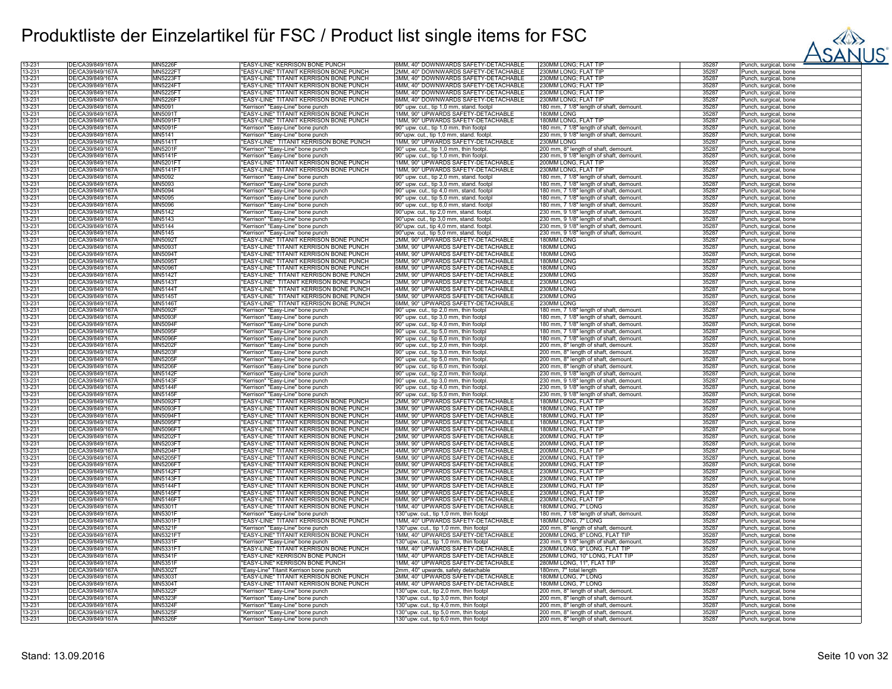

| 13-231 | DE/CA39/849/167Ă | <b>MN5226R</b>  | <b>EASY-LINE" KERRISON BONE PUNCH</b>         | 6MM, 40° DOWNWARDS SAFETY-DETACHABLE      | 230MM LONG; FLAT TIF                     | 35287 | Punch, surgical, bone             |
|--------|------------------|-----------------|-----------------------------------------------|-------------------------------------------|------------------------------------------|-------|-----------------------------------|
|        |                  |                 |                                               |                                           |                                          |       |                                   |
| 13-231 | DE/CA39/849/167Ä | <b>MN5222FT</b> | "EASY-LINE" TITANIT KERRISON BONE PUNCH       | 2MM, 40° DOWNWARDS SAFETY-DETACHABLE      | 230MM LONG; FLAT TIP                     | 35287 | Punch, surgical, bone             |
| 13-231 | DE/CA39/849/167A | MN5223F1        | "EASY-LINE" TITANIT KERRISON BONE PUNCH       | 3MM, 40° DOWNWARDS SAFETY-DETACHABLE      | 230MM LONG; FLAT TIP                     | 35287 | Punch, surgical, bone             |
| 13-231 | DE/CA39/849/167Ă | <b>MN5224FT</b> | "EASY-LINE" TITANIT KERRISON BONE PUNCH       | 4MM, 40° DOWNWARDS SAFETY-DETACHABLE      | 230MM LONG; FLAT TIP                     | 35287 | Punch, surgical, bone             |
| 13-231 | DE/CA39/849/167Ä | <b>MN5225FT</b> | EASY-LINE" TITANIT KERRISON BONE PUNCH        | 5MM, 40° DOWNWARDS SAFETY-DETACHABLE      | 230MM LONG; FLAT TIP                     | 35287 | Punch, surgical, bone             |
| 13-231 | DE/CA39/849/167A | <b>MN5226F1</b> | EASY-LINE" TITANIT KERRISON BONE PUNCH        | 3MM, 40° DOWNWARDS SAFETY-DETACHABLE      | 230MM LONG; FLAT TIP                     | 35287 | Punch, surgical, bone             |
|        |                  |                 |                                               |                                           |                                          |       |                                   |
| 13-231 | DE/CA39/849/167Ă | MN5091          | "Kerrison" "Easy-Line" bone punch             | 90° upw. cut., tip 1,0 mm, stand. footpl  | 180 mm, 7 1/8" length of shaft, demount. | 35287 | Punch, surgical, bone             |
| 13-231 | DE/CA39/849/167A | MN5091T         | "EASY-LINE" TITANIT KERRISON BONE PUNCH       | 1MM, 90° UPWARDS SAFETY-DETACHABLE        | 180MM LONG                               | 35287 | Punch, surgical, bone             |
| 13-231 | DE/CA39/849/167Ă | MN5091F         | EASY-LINE" TITANIT KERRISON BONE PUNCH        | 1MM, 90° UPWARDS SAFETY-DETACHABLE        | 180MM LONG, FLAT TIF                     | 35287 | Punch, surgical, bone             |
| 13-231 | DE/CA39/849/167A | MN5091F         | "Kerrison" "Easy-Line" bone punch             | 90° upw. cut., tip 1,0 mm, thin footpl    | 180 mm, 7 1/8" length of shaft, demount. | 35287 | Punch, surgical, bone             |
| 13-231 | DE/CA39/849/167Ă | MN5141          | "Kerrison" "Easy-Line" bone punch             | 90°upw, cut., tip 1.0 mm, stand, footpl   | 230 mm, 9 1/8" length of shaft, demount. | 35287 | Punch, surgical, bone             |
|        |                  |                 |                                               |                                           |                                          |       |                                   |
| 13-231 | DE/CA39/849/167A | MN5141          | "EASY-LINE" TITANIT KERRISON BONE PUNCH       | 1MM, 90° UPWARDS SAFETY-DETACHABLE        | 230MM LONG                               | 35287 | Punch, surgical, bone             |
| 13-231 | DE/CA39/849/167Ä | MN5201F         | "Kerrison" "Easy-Line" bone punch             | 90° upw. cut., tip 1,0 mm, thin footpl.   | 200 mm, 8" length of shaft, demount.     | 35287 | Punch, surgical, bone             |
| 13-231 | DE/CA39/849/167Å | MN5141          | 'Kerrison" "Easy-Line" bone punch             | 90° upw. cut., tip 1,0 mm, thin footpl.   | 230 mm, 9 1/8" length of shaft, demount. | 35287 | Punch, surgical, bone             |
| 13-231 | DE/CA39/849/167A | MN5201FT        | <b>EASY-LINE" TITANIT KERRISON BONE PUNCH</b> | 1MM, 90° UPWARDS SAFETY-DETACHABLE        | 200MM LONG, FLAT TIP                     | 35287 | Punch, surgical, bone             |
| 13-231 | DE/CA39/849/167A | <b>MN5141FT</b> | EASY-LINE" TITANIT KERRISON BONE PUNCH        | 1MM, 90° UPWARDS SAFETY-DETACHABLE        | 230MM LONG, FLAT TIP                     | 35287 | Punch, surgical, bone             |
|        |                  |                 |                                               |                                           |                                          | 35287 |                                   |
| 13-231 | DE/CA39/849/167Å | MN5092          | 'Kerrison" "Easy-Line" bone punch             | 90° upw. cut., tip 2,0 mm, stand. footpl  | 180 mm, 7 1/8" length of shaft, demount. |       | Punch, surgical, bone             |
| 13-231 | DE/CA39/849/167A | MN5093          | "Kerrison" "Easy-Line" bone punch             | 90° upw. cut., tip 3,0 mm, stand. footpl  | 180 mm, 7 1/8" length of shaft, demount. | 35287 | Punch, surgical, bone             |
| 13-231 | DE/CA39/849/167A | MN5094          | "Kerrison" "Easy-Line" bone punch             | 90° upw. cut., tip 4,0 mm, stand. footpl  | 180 mm, 7 1/8" length of shaft, demount  | 35287 | Punch, surgical, bone             |
| 13-231 | DE/CA39/849/167A | MN5095          | "Kerrison" "Easy-Line" bone punch             | 90° upw. cut., tip 5,0 mm, stand. footpl  | 180 mm, 7 1/8" length of shaft, demount  | 35287 | Punch, surgical, bone             |
| 13-231 | DE/CA39/849/167Ă | MN5096          | "Kerrison" "Easy-Line" bone punch             | 90° upw. cut., tip 6,0 mm, stand. footpl  | 180 mm, 7 1/8" length of shaft, demount  | 35287 | Punch, surgical, bone             |
|        |                  |                 |                                               |                                           |                                          |       |                                   |
| 13-231 | DE/CA39/849/167Ä | MN5142          | "Kerrison" "Easy-Line" bone punch             | 90°upw. cut., tip 2,0 mm, stand. footpl   | 230 mm, 9 1/8" length of shaft, demount. | 35287 | Punch, surgical, bone             |
| 13-231 | DE/CA39/849/167Å | MN5143          | 'Kerrison" "Easy-Line" bone punch             | 90°upw. cut., tip 3,0 mm, stand. footpl   | 230 mm, 9 1/8" length of shaft, demount. | 35287 | Punch, surgical, bone             |
| 13-231 | DE/CA39/849/167Ä | MN5144          | 'Kerrison" "Easy-Line" bone punch             | 90°upw. cut., tip 4,0 mm, stand. footpl   | 230 mm, 9 1/8" length of shaft, demount. | 35287 | Punch, surgical, bone             |
| 13-231 | DE/CA39/849/167Ä | MN5145          | 'Kerrison" "Easy-Line" bone punch             | 90°upw. cut., tip 5,0 mm, stand. footpl   | 230 mm, 9 1/8" length of shaft, demount. | 35287 | Punch, surgical, bone             |
| 13-231 | DE/CA39/849/167A | MN50921         | <b>EASY-LINE" TITANIT KERRISON BONE PUNCH</b> | 2MM, 90° UPWARDS SAFETY-DETACHABLE        | 180MM LONG                               | 35287 | Punch, surgical, bone             |
| 13-231 | DE/CA39/849/167A | MN5093T         | "EASY-LINE" TITANIT KERRISON BONE PUNCH       | 3MM, 90° UPWARDS SAFETY-DETACHABLE        | 180MM LONG                               | 35287 |                                   |
|        |                  |                 |                                               |                                           |                                          |       | Punch, surgical, bone             |
| 13-231 | DE/CA39/849/167A | MN5094          | <b>FASY-LINE" TITANIT KERRISON BONE PUNCH</b> | 4MM, 90° UPWARDS SAFETY-DETACHABLE        | <b>180MM LONG</b>                        | 35287 | Punch, surgical, bone             |
| 13-231 | DE/CA39/849/167Ă | MN5095T         | 'EASY-LINE" TITANIT KERRISON BONE PUNCH       | 5MM, 90° UPWARDS SAFETY-DETACHABLE        | 180MM LONG                               | 35287 | Punch, surgical, bone             |
| 13-231 | DE/CA39/849/167Ä | MN5096T         | "EASY-LINE" TITANIT KERRISON BONE PUNCH       | 6MM, 90° UPWARDS SAFETY-DETACHABLE        | 180MM LONG                               | 35287 | Punch, surgical, bone             |
| 13-231 | DE/CA39/849/167Å | <b>MN5142T</b>  | "EASY-LINE" TITANIT KERRISON BONE PUNCH       | 2MM, 90° UPWARDS SAFETY-DETACHABLE        | 230MM LONG                               | 35287 | Punch, surgical, bone             |
| 13-231 | DE/CA39/849/167Å | <b>MN5143T</b>  | "EASY-LINE" TITANIT KERRISON BONE PUNCH       | 3MM, 90° UPWARDS SAFETY-DETACHABLE        | 230MM LONG                               | 35287 | Punch, surgical, bone             |
|        |                  |                 |                                               |                                           |                                          |       |                                   |
| 13-231 | DE/CA39/849/167Ä | MN51441         | 'EASY-LINE" TITANIT KERRISON BONE PUNCH       | 4MM, 90° UPWARDS SAFETY-DETACHABLE        | 230MM LONG                               | 35287 | Punch, surgical, bone             |
| 13-231 | DE/CA39/849/167A | MN5145T         | "EASY-LINE" TITANIT KERRISON BONE PUNCH       | 5MM, 90° UPWARDS SAFETY-DETACHABLE        | 230MM LONG                               | 35287 | Punch, surgical, bone             |
| 13-231 | DE/CA39/849/167Ä | MN5146T         | "EASY-LINE" TITANIT KERRISON BONE PUNCH       | 6MM, 90° UPWARDS SAFETY-DETACHABLE        | 230MM LONG                               | 35287 | Punch, surgical, bone             |
| 13-231 | DE/CA39/849/167A | <b>MN5092F</b>  | 'Kerrison" "Easy-Line" bone punch             | 90° upw. cut., tip 2,0 mm, thin footpl    | 180 mm, 7 1/8" length of shaft, demount  | 35287 | Punch, surgical, bone             |
| 13-231 | DE/CA39/849/167A | <b>MN5093F</b>  | "Kerrison" "Easy-Line" bone punch             | 90° upw. cut., tip 3,0 mm, thin footpl    | 180 mm, 7 1/8" length of shaft, demount. | 35287 | Punch, surgical, bone             |
|        |                  |                 |                                               |                                           |                                          |       |                                   |
| 13-231 | DE/CA39/849/167Ä | <b>MN5094F</b>  | "Kerrison" "Easy-Line" bone punch             | 90° upw. cut., tip 4,0 mm, thin footpl    | 180 mm, 7 1/8" length of shaft, demount. | 35287 | Punch, surgical, bone             |
| 13-231 | DE/CA39/849/167Ă | <b>MN5095F</b>  | 'Kerrison" "Easy-Line" bone punch             | 90° upw. cut., tip 5,0 mm, thin footpl    | 180 mm, 7 1/8" length of shaft, demount. | 35287 | Punch, surgical, bone             |
| 13-231 | DE/CA39/849/167A | <b>MN5096F</b>  | 'Kerrison" "Easy-Line" bone punch             | 90° upw. cut., tip 6,0 mm, thin footpl    | 180 mm, 7 1/8" length of shaft, demount. | 35287 | Punch, surgical, bone             |
| 13-231 | DE/CA39/849/167Ä | MN5202F         | "Kerrison" "Easy-Line" bone punch             | 90° upw. cut., tip 2,0 mm, thin footpl    | 200 mm, 8" length of shaft, demount.     | 35287 | Punch, surgical, bone             |
| 13-231 | DE/CA39/849/167Ä | <b>MN5203F</b>  | 'Kerrison" "Easy-Line" bone punch             | 90° upw. cut., tip 3,0 mm, thin footpl    | 200 mm, 8" length of shaft, demount.     | 35287 | Punch, surgical, bone             |
| 13-231 | DE/CA39/849/167Å | <b>MN5205F</b>  | "Kerrison" "Easy-Line" bone punch             | 90° upw. cut., tip 5,0 mm, thin footpl.   | 200 mm, 8" length of shaft, demount.     | 35287 |                                   |
|        |                  |                 |                                               |                                           |                                          |       | Punch, surgical, bone             |
| 13-231 | DE/CA39/849/167Ä | <b>MN5206F</b>  | "Kerrison" "Easy-Line" bone punch             | 90° upw. cut., tip 6,0 mm, thin footpl.   | 200 mm, 8" length of shaft, demount.     | 35287 | Punch, surgical, bone             |
| 13-231 | DE/CA39/849/167Ă | <b>MN5142F</b>  | "Kerrison" "Easy-Line" bone punch             | 90° upw. cut., tip 2,0 mm, thin footpl.   | 230 mm, 9 1/8" length of shaft, demount  | 35287 | Punch, surgical, bone             |
| 13-231 | DE/CA39/849/167A | <b>MN5143F</b>  | "Kerrison" "Easy-Line" bone punch             | 90° upw. cut., tip 3,0 mm, thin footpl.   | 230 mm, 9 1/8" length of shaft, demount. | 35287 | Punch, surgical, bone             |
| 13-231 | DE/CA39/849/167Ä | <b>MN5144F</b>  | "Kerrison" "Easy-Line" bone punch             | 90° upw. cut., tip 4,0 mm, thin footpl.   | 230 mm, 9 1/8" length of shaft, demount. | 35287 | Punch, surgical, bone             |
| 13-231 | DE/CA39/849/167A | <b>MN5145F</b>  | 'Kerrison" "Easy-Line" bone punch             | 90° upw. cut., tip 5,0 mm, thin footpl    | 230 mm, 9 1/8" length of shaft, demount  | 35287 | Punch, surgical, bone             |
|        |                  |                 |                                               |                                           |                                          | 35287 |                                   |
| 13-231 | DE/CA39/849/167Ä | MN5092F1        | "EASY-LINE" TITANIT KERRISON BONE PUNCH       | 2MM, 90° UPWARDS SAFETY-DETACHABLE        | 180MM LONG, FLAT TIP                     |       | Punch, surgical, bone             |
| 13-231 | DE/CA39/849/167Å | MN5093F1        | EASY-LINE" TITANIT KERRISON BONE PUNCH        | 3MM, 90° UPWARDS SAFETY-DETACHABLE        | 180MM LONG, FLAT TIF                     | 35287 | Punch, surgical, bone             |
| 13-231 | DE/CA39/849/167A | MN5094FT        | "EASY-LINE" TITANIT KERRISON BONE PUNCH       | 4MM, 90° UPWARDS SAFETY-DETACHABLE        | 180MM LONG, FLAT TIP                     | 35287 | Punch, surgical, bone             |
| 13-231 | DE/CA39/849/167Ä | <b>MN5095FT</b> | "EASY-LINE" TITANIT KERRISON BONE PUNCH       | 5MM, 90° UPWARDS SAFETY-DETACHABLE        | 180MM LONG, FLAT TIP                     | 35287 | Punch, surgical, bone             |
| 13-231 | DE/CA39/849/167Ä | <b>MN5096FT</b> | 'EASY-LINE" TITANIT KERRISON BONE PUNCH       | <b>SMM, 90° UPWARDS SAFETY-DETACHABLE</b> | 80MM LONG, FLAT TIP                      | 35287 | Punch, surgical, bone             |
| 13-231 | DE/CA39/849/167A | <b>MN5202FT</b> | 'EASY-LINE" TITANIT KERRISON BONE PUNCH       | 2MM, 90° UPWARDS SAFETY-DETACHABLE        | 200MM LONG, FLAT TIP                     | 35287 |                                   |
|        |                  |                 |                                               |                                           |                                          |       | Punch, surgical, bone             |
| 13-231 | DE/CA39/849/167Ä | MN5203F1        | <b>EASY-LINE" TITANIT KERRISON BONE PUNCH</b> | 3MM, 90° UPWARDS SAFETY-DETACHABLE        | 200MM LONG, FLAT TIP                     | 35287 | Punch, surgical, bone             |
| 13-231 | DE/CA39/849/167Ä | MN5204F1        | <b>EASY-LINE" TITANIT KERRISON BONE PUNCH</b> | 4MM, 90° UPWARDS SAFETY-DETACHABLE        | 200MM LONG, FLAT TIP                     | 35287 | <sup>2</sup> unch, surgical, bone |
| 13-231 | DE/CA39/849/167Ă | <b>MN5205FT</b> | "EASY-LINE" TITANIT KERRISON BONE PUNCH       | 5MM, 90° UPWARDS SAFETY-DETACHABLE        | 200MM LONG, FLAT TIP                     | 35287 | Punch, surgical, bone             |
| 13-231 | DE/CA39/849/167Ä | MN5206F1        | "EASY-LINE" TITANIT KERRISON BONE PUNCH       | 6MM, 90° UPWARDS SAFETY-DETACHABLE        | 200MM LONG, FLAT TIP                     | 35287 | Punch, surgical, bone             |
| 13-231 | DE/CA39/849/167Ă | MN5142F1        | <b>EASY-LINE" TITANIT KERRISON BONE PUNCH</b> | 2MM, 90° UPWARDS SAFETY-DETACHABLE        | 230MM LONG, FLAT TIP                     | 35287 | Punch, surgical, bone             |
| 13-231 | DE/CA39/849/167Ä | MN5143F1        | "EASY-LINE" TITANIT KERRISON BONE PUNCH       | 3MM, 90° UPWARDS SAFETY-DETACHABLE        | 230MM LONG, FLAT TIP                     | 35287 | Punch, surgical, bone             |
|        |                  |                 |                                               |                                           |                                          |       |                                   |
| 13-231 | DE/CA39/849/167Ă | MN5144F1        | 'EASY-LINE" TITANIT KERRISON BONE PUNCH       | 4MM, 90° UPWARDS SAFETY-DETACHABLE        | 230MM LONG, FLAT TIP                     | 35287 | Punch, surgical, bone             |
| 13-231 | DE/CA39/849/167A | MN5145FT        | <b>EASY-LINE" TITANIT KERRISON BONE PUNCH</b> | 5MM, 90° UPWARDS SAFETY-DETACHABLE        | 230MM LONG, FLAT TIP                     | 35287 | Punch, surgical, bone             |
| 13-231 | DE/CA39/849/167Ä | MN5146FT        | <b>EASY-LINE" TITANIT KERRISON BONE PUNCH</b> | 6MM, 90° UPWARDS SAFETY-DETACHABLE        | 230MM LONG, FLAT TIP                     | 35287 | Punch, surgical, bone             |
| 13-231 | DE/CA39/849/167A | MN5301T         | EASY-LINE" TITANIT KERRISON BONE PUNCH        | 1MM, 40° UPWARDS SAFETY-DETACHABLE        | 180MM LONG, 7" LONG                      | 35287 | Punch, surgical, bone             |
| 13-231 | DE/CA39/849/167A | <b>MN5301F</b>  | 'Kerrison" "Easy-Line" bone punch             | 130°upw. cut., tip 1,0 mm, thin footpl    | 180 mm, 7 1/8" length of shaft, demount. | 35287 | Punch, surgical, bone             |
| 13-231 | DE/CA39/849/167Ä | MN5301F         | "EASY-LINE" TITANIT KERRISON BONE PUNCH       | 1MM, 40° UPWARDS SAFETY-DETACHABLE        | 180MM LONG, 7" LONG                      | 35287 | Punch, surgical, bone             |
| 13-231 | DE/CA39/849/167Ä |                 |                                               |                                           |                                          | 35287 |                                   |
|        |                  | MN5321F         | "Kerrison" "Easy-Line" bone punch             | 130°upw. cut., tip 1,0 mm, thin footpl    | 200 mm, 8" length of shaft, demount.     |       | Punch, surgical, bone             |
| 13-231 | DE/CA39/849/167A | <b>MN5321FT</b> | "EASY-LINE" TITANIT KERRISON BONE PUNCH       | 1MM, 40° UPWARDS SAFETY-DETACHABLE        | 200MM LONG, 8" LONG, FLAT TIP            | 35287 | Punch, surgical, bone             |
| 13-231 | DE/CA39/849/167Ä | MN5331F         | "Kerrison" "Easy-Line" bone punch             | 130°upw. cut., tip 1,0 mm, thin footpl    | 230 mm, 9 1/8" length of shaft, demount. | 35287 | Punch, surgical, bone             |
| 13-231 | DE/CA39/849/167Ă | MN5331F1        | <b>EASY-LINE" TITANIT KERRISON BONE PUNCH</b> | 1MM, 40° UPWARDS SAFETY-DETACHABLE        | 230MM LONG, 9" LONG, FLAT TIP            | 35287 | Punch, surgical, bone             |
| 13-231 | DE/CA39/849/167Å | MN5341F         | <b>EASY-LINE" KERRISON BONE PUNCH</b>         | MM, 40° UPWARDS SAFETY-DETACHABLE         | 250MM LONG, 10" LONG, FLAT TIP           | 35287 | Punch, surgical, bone             |
| 13-231 | DE/CA39/849/167Ä | MN5351F         | <b>EASY-LINE" KERRISON BONE PUNCH</b>         | 1MM, 40° UPWARDS SAFETY-DETACHABLE        | 280MM LONG, 11", FLAT TIP                | 35287 | <sup>2</sup> unch, surgical, bone |
|        |                  |                 |                                               |                                           |                                          |       |                                   |
| 13-231 | DE/CA39/849/167A | MN5302T         | "Easy-Line" Titanit Kerrison bone punch       | 2mm, 40° upwards, safety detachable       | 180mm, 7" total length                   | 35287 | Punch, surgical, bone             |
| 13-231 | DE/CA39/849/167Ä | MN5303T         | "EASY-LINE" TITANIT KERRISON BONE PUNCH       | 3MM, 40° UPWARDS SAFETY-DETACHABLE        | 180MM LONG, 7" LONG                      | 35287 | Punch, surgical, bone             |
| 13-231 | DE/CA39/849/167Ă | MN5304          | <b>EASY-LINE" TITANIT KERRISON BONE PUNCH</b> | 4MM, 40° UPWARDS SAFETY-DETACHABLE        | 180MM LONG, 7" LONG                      | 35287 | Punch, surgical, bone             |
| 13-231 | DE/CA39/849/167A | <b>MN5322F</b>  | 'Kerrison" "Easy-Line" bone punch             | 130°upw. cut., tip 2,0 mm, thin footpl    | 200 mm, 8" length of shaft, demount.     | 35287 | Punch, surgical, bone             |
| 13-231 | DE/CA39/849/167Ä | MN5323F         | "Kerrison" "Easy-Line" bone punch             | 130°upw. cut., tip 3,0 mm, thin footpl    | 200 mm, 8" length of shaft, demount.     | 35287 | Punch, surgical, bone             |
| 13-231 | DE/CA39/849/167A | MN5324          |                                               |                                           |                                          | 35287 |                                   |
|        |                  |                 | "Kerrison" "Easy-Line" bone punch             | 130°upw. cut., tip 4,0 mm, thin footpl    | 200 mm, 8" length of shaft, demount.     |       | Punch, surgical, bone             |
| 13-231 | DE/CA39/849/167Ă | <b>MN5325F</b>  | "Kerrison" "Easy-Line" bone punch             | 130°upw. cut., tip 5,0 mm, thin footpl    | 200 mm, 8" length of shaft, demount.     | 35287 | Punch, surgical, bone             |
| 13-231 | DE/CA39/849/167Ä | <b>MN5326F</b>  | "Kerrison" "Easy-Line" bone punch             | 130°upw. cut., tip 6,0 mm, thin footpl    | 200 mm, 8" length of shaft, demount.     | 35287 | Punch, surgical, bone             |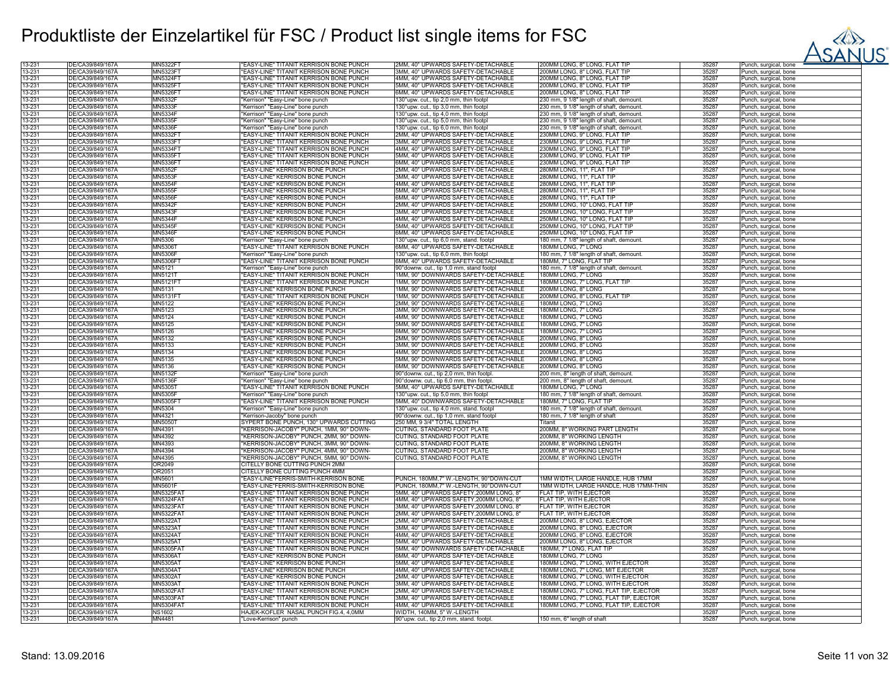

| 13-231           | DE/CA39/849/167Ă                     | MN5322F                     | 'EASY-LINE" TITANIT KERRISON BONE PUNCH                        | 2MM, 40° UPWARDS SAFETY-DETACHABLE                                   | 00MM LONG, 8" LONG, FLAT TII             | 35287          | Punch, surgical, bone                          |
|------------------|--------------------------------------|-----------------------------|----------------------------------------------------------------|----------------------------------------------------------------------|------------------------------------------|----------------|------------------------------------------------|
| 13-231           | DE/CA39/849/167Ä                     | MN5323F1                    | "EASY-LINE" TITANIT KERRISON BONE PUNCH                        | 3MM, 40° UPWARDS SAFETY-DETACHABLE                                   | 200MM LONG, 8" LONG, FLAT TIP            | 35287          | Punch, surgical, bone                          |
| 13-231           | DE/CA39/849/167A                     | <b>MN5324F1</b>             | "EASY-LINE" TITANIT KERRISON BONE PUNCH                        | 4MM, 40° UPWARDS SAFETY-DETACHABLE                                   | 200MM LONG, 8" LONG, FLAT TIP            | 35287          | Punch, surgical, bone                          |
| 13-231           | DE/CA39/849/167Ä                     | MN5325F1                    | "EASY-LINE" TITANIT KERRISON BONE PUNCH                        | 5MM, 40° UPWARDS SAFETY-DETACHABLE                                   | 200MM LONG, 8" LONG, FLAT TIP            | 35287          | Punch, surgical, bone                          |
| 13-231           | DE/CA39/849/167Ä                     | MN5326F1                    | "EASY-LINE" TITANIT KERRISON BONE PUNCH                        | 6MM, 40° UPWARDS SAFETY-DETACHABLE                                   | 200MM LONG, 8" LONG, FLAT TIP            | 35287          | Punch, surgical, bone                          |
| 13-231           | DE/CA39/849/167A                     | <b>MN5332F</b>              | "Kerrison" "Easy-Line" bone punch                              | 130°upw. cut., tip 2,0 mm, thin footpl                               | 230 mm, 9 1/8" length of shaft, demount  | 35287          | Punch, surgical, bone                          |
| 13-231           | DE/CA39/849/167A                     | <b>MN5333F</b>              | "Kerrison" "Easy-Line" bone punch                              | 130°upw. cut., tip 3,0 mm, thin footpl                               | 230 mm, 9 1/8" length of shaft, demount. | 35287          | Punch, surgical, bone                          |
| 13-231           | DE/CA39/849/167A                     | <b>MN5334F</b>              | "Kerrison" "Easy-Line" bone punch                              | 130°upw. cut., tip 4,0 mm, thin footpl                               | 230 mm, 9 1/8" length of shaft, demount. | 35287          | Punch, surgical, bone                          |
| 13-231           | DE/CA39/849/167Ă                     | <b>MN5335F</b>              |                                                                |                                                                      |                                          | 35287          |                                                |
|                  |                                      |                             | Kerrison" "Easy-Line" bone punch                               | 130°upw. cut., tip 5,0 mm, thin footpl                               | 230 mm, 9 1/8" length of shaft, demount. |                | Punch, surgical, bone                          |
| 13-231           | DE/CA39/849/167Ä                     | <b>MN5336F</b>              | "Kerrison" "Easy-Line" bone punch                              | 130°upw. cut., tip 6,0 mm, thin footpl                               | 230 mm, 9 1/8" length of shaft, demount. | 35287          | Punch, surgical, bone                          |
| 13-231           | DE/CA39/849/167A                     | MN5332F                     | "EASY-LINE" TITANIT KERRISON BONE PUNCH                        | 2MM, 40° UPWARDS SAFETY-DETACHABLE                                   | 230MM LONG, 9" LONG, FLAT TIP            | 35287          | Punch, surgical, bone                          |
| 13-231           | DE/CA39/849/167A                     | MN5333F                     | "EASY-LINE" TITANIT KERRISON BONE PUNCH                        | 3MM, 40° UPWARDS SAFETY-DETACHABLE                                   | 230MM LONG, 9" LONG, FLAT TIP            | 35287          | Punch, surgical, bone                          |
| 13-231           | DE/CA39/849/167Ä                     | MN5334F                     | "EASY-LINE" TITANIT KERRISON BONE PUNCH                        | 4MM, 40° UPWARDS SAFETY-DETACHABLE                                   | 230MM LONG, 9" LONG, FLAT TIP            | 35287          | Punch, surgical, bone                          |
| 13-231           | DE/CA39/849/167Ä                     | MN5335F1                    | "EASY-LINE" TITANIT KERRISON BONE PUNCH                        | 5MM, 40° UPWARDS SAFETY-DETACHABLE                                   | 230MM LONG, 9" LONG, FLAT TIP            | 35287          | Punch, surgical, bone                          |
| 13-231           | DE/CA39/849/167A                     | <b>MN5336F1</b>             | "EASY-LINE" TITANIT KERRISON BONE PUNCH                        | 6MM, 40° UPWARDS SAFETY-DETACHABLE                                   | 230MM LONG, 9" LONG, FLAT TIP            | 35287          | Punch, surgical, bone                          |
| 13-231           | DE/CA39/849/167A                     | <b>MN5352F</b>              | "EASY-LINE" KERRISON BONE PUNCH                                | 2MM, 40° UPWARDS SAFETY-DETACHABLE                                   | 280MM LONG, 11", FLAT TIP                | 35287          | Punch, surgical, bone                          |
| 13-231           | DE/CA39/849/167A                     | <b>MN5353F</b>              | "EASY-LINE" KERRISON BONE PUNCH                                | 3MM, 40° UPWARDS SAFETY-DETACHABLE                                   | 280MM LONG, 11", FLAT TIP                | 35287          | Punch, surgical, bone                          |
| 13-231           | DE/CA39/849/167A                     | MN5354F                     | "EASY-LINE" KERRISON BONE PUNCH                                | 4MM, 40° UPWARDS SAFETY-DETACHABLE                                   | 280MM LONG, 11", FLAT TIP                | 35287          | Punch, surgical, bone                          |
| 13-231           | DE/CA39/849/167A                     | <b>MN5355F</b>              | "EASY-LINE" KERRISON BONE PUNCH                                | 5MM, 40° UPWARDS SAFETY-DETACHABLE                                   | 280MM LONG, 11", FLAT TIP                | 35287          |                                                |
| 13-231           | DE/CA39/849/167A                     | <b>MN5356F</b>              | "EASY-LINE" KERRISON BONE PUNCH                                | 6MM, 40° UPWARDS SAFETY-DETACHABLE                                   | 280MM LONG, 11", FLAT TIP                | 35287          | Punch, surgical, bone                          |
|                  |                                      |                             |                                                                |                                                                      |                                          |                | Punch, surgical, bone                          |
| 13-231           | DE/CA39/849/167Ă                     | <b>MN5342F</b>              | "EASY-LINE" KERRISON BONE PUNCH                                | 2MM, 40° UPWARDS SAFETY-DETACHABLE                                   | 250MM LONG, 10" LONG, FLAT TIP           | 35287          | Punch, surgical, bone                          |
| 13-231           | DE/CA39/849/167Ä                     | MN5343F                     | "EASY-LINE" KERRISON BONE PUNCH                                | 3MM, 40° UPWARDS SAFETY-DETACHABLE                                   | 250MM LONG, 10" LONG, FLAT TIP           | 35287          | Punch, surgical, bone                          |
| 13-231           | DE/CA39/849/167A                     | <b>MN5344F</b>              | "EASY-LINE" KERRISON BONE PUNCH                                | 4MM, 40° UPWARDS SAFETY-DETACHABLE                                   | 250MM LONG, 10" LONG, FLAT TIP           | 35287          | Punch, surgical, bone                          |
| 13-231           | DE/CA39/849/167A                     | <b>MN5345F</b>              | "EASY-LINE" KERRISON BONE PUNCH                                | 5MM, 40° UPWARDS SAFETY-DETACHABLE                                   | 250MM LONG, 10" LONG, FLAT TIP           | 35287          | Punch, surgical, bone                          |
| 13-231           | DE/CA39/849/167Ă                     | <b>MN5346F</b>              | 'EASY-LINE" KERRISON BONE PUNCH                                | 6MM, 40° UPWARDS SAFETY-DETACHABLE                                   | 250MM LONG, 10" LONG, FLAT TIP           | 35287          | Punch, surgical, bone                          |
| 13-231           | DE/CA39/849/167A                     | <b>MN5306</b>               | 'Kerrison" "Easy-Line" bone punch                              | 130°upw. cut., tip 6,0 mm, stand. footpl                             | 180 mm, 7 1/8" length of shaft, demount. | 35287          | Punch, surgical, bone                          |
| 13-231           | DE/CA39/849/167A                     | MN5306T                     | "EASY-LINE" TITANIT KERRISON BONE PUNCH                        | 6MM, 40° UPWARDS SAFETY-DETACHABLE                                   | 180MM LONG. 7" LONG                      | 35287          | Punch, surgical, bone                          |
| 13-231           | DE/CA39/849/167A                     | <b>MN5306F</b>              | "Kerrison" "Easy-Line" bone punch                              | 130°upw. cut., tip 6,0 mm, thin footpl                               | 180 mm, 7 1/8" length of shaft, demount. | 35287          | Punch, surgical, bone                          |
| 13-231           | DE/CA39/849/167Ă                     | MN5306F                     | "EASY-LINE" TITANIT KERRISON BONE PUNCH                        | 6MM, 40° UPWARDS SAFETY-DETACHABLE                                   | 180MM, 7" LONG, FLAT TIP                 | 35287          | Punch, surgical, bone                          |
|                  |                                      |                             |                                                                |                                                                      |                                          |                |                                                |
| 13-231           | DE/CA39/849/167Ä                     | MN5121                      | "Kerrison" "Easy-Line" bone punch                              | 90° downw. cut., tip 1,0 mm, stand footpl                            | 180 mm, 7 1/8" length of shaft, demount. | 35287          | Punch, surgical, bone                          |
| 13-231           | DE/CA39/849/167A                     | MN5121T                     | "EASY-LINE" TITANIT KERRISON BONE PUNCH                        | 1MM, 90° DOWNWARDS SAFETY-DETACHABLE                                 | 180MM LONG, 7" LONG                      | 35287          | Punch, surgical, bone                          |
| 13-231           | DE/CA39/849/167Å                     | <b>MN5121FT</b>             | "EASY-LINE" TITANIT KERRISON BONE PUNCH                        | IMM, 90° DOWNWARDS SAFETY-DETACHABLE                                 | 180MM LONG, 7" LONG, FLAT TIP            | 35287          | Punch, surgical, bone                          |
| 13-231           | DE/CA39/849/167Ä                     | MN5131                      | 'EASY-LINE" KERRISON BONE PUNCH                                | 1MM, 90° DOWNWARDS SAFETY-DETACHABLE                                 | 200MM LONG, 8" LONG                      | 35287          | Punch, surgical, bone                          |
| 13-231           | DE/CA39/849/167Å                     | MN5131F                     | "EASY-LINE" TITANIT KERRISON BONE PUNCH                        | 1MM, 90° DOWNWARDS SAFETY-DETACHABLE                                 | 200MM LONG, 8" LONG, FLAT TIP            | 35287          | Punch, surgical, bone                          |
| 13-231           | DE/CA39/849/167A                     | MN5122                      | "EASY-LINE" KERRISON BONE PUNCH                                | 2MM, 90° DOWNWARDS SAFETY-DETACHABLE                                 | 180MM LONG, 7" LONG                      | 35287          | Punch, surgical, bone                          |
| 13-231           | DE/CA39/849/167A                     | MN5123                      | "EASY-LINE" KERRISON BONE PUNCH                                | 3MM, 90° DOWNWARDS SAFETY-DETACHABLE                                 | 180MM LONG, 7" LONG                      | 35287          | Punch, surgical, bone                          |
| 13-231           | DE/CA39/849/167Å                     | MN5124                      | "EASY-LINE" KERRISON BONE PUNCH                                | 4MM, 90° DOWNWARDS SAFETY-DETACHABLE                                 | 180MM LONG, 7" LONG                      | 35287          | Punch, surgical, bone                          |
| 13-231           | DE/CA39/849/167A                     | MN5125                      | "EASY-LINE" KERRISON BONE PUNCH                                | 5MM, 90° DOWNWARDS SAFETY-DETACHABLE                                 | 180MM LONG, 7" LONG                      | 35287          | Punch, surgical, bone                          |
| 13-231           | DE/CA39/849/167Å                     | MN5126                      | "EASY-LINE" KERRISON BONE PUNCH                                | 6MM, 90° DOWNWARDS SAFETY-DETACHABLE                                 | 180MM LONG, 7" LONG                      | 35287          | Punch, surgical, bone                          |
| 13-231           | DE/CA39/849/167Ă                     | MN5132                      | "EASY-LINE" KERRISON BONE PUNCH                                | 2MM, 90° DOWNWARDS SAFETY-DETACHABLE                                 | 200MM LONG, 8" LONG                      | 35287          | Punch, surgical, bone                          |
|                  |                                      |                             |                                                                |                                                                      |                                          |                |                                                |
|                  |                                      |                             |                                                                |                                                                      |                                          |                |                                                |
| 13-231           | DE/CA39/849/167Ä                     | MN5133                      | "EASY-LINE" KERRISON BONE PUNCH                                | 3MM, 90° DOWNWARDS SAFETY-DETACHABLE                                 | 200MM LONG. 8" LONG                      | 35287          | Punch, surgical, bone                          |
| 13-231           | DE/CA39/849/167A                     | MN5134                      | "EASY-LINE" KERRISON BONE PUNCH                                | 4MM, 90° DOWNWARDS SAFETY-DETACHABLE                                 | 200MM LONG, 8" LONG                      | 35287          | Punch, surgical, bone                          |
| 13-231           | DE/CA39/849/167A                     | MN5135                      | "EASY-LINE" KERRISON BONE PUNCH                                | 5MM, 90° DOWNWARDS SAFETY-DETACHABLE                                 | 200MM LONG, 8" LONG                      | 35287          | Punch, surgical, bone                          |
| 13-231           | DE/CA39/849/167Ä                     | MN5136                      | "EASY-LINE" KERRISON BONE PUNCH                                | 6MM, 90° DOWNWARDS SAFETY-DETACHABLE                                 | 200MM LONG. 8" LONG                      | 35287          | Punch, surgical, bone                          |
| 13-231           | DE/CA39/849/167Ă                     | <b>MN5132F</b>              | "Kerrison" "Easy-Line" bone punch                              | 90° downw. cut., tip 2,0 mm, thin footpl.                            | 200 mm, 8" length of shaft, demount.     | 35287          | Punch, surgical, bone                          |
| 13-231           | DE/CA39/849/167A                     | <b>MN5136F</b>              | "Kerrison" "Easy-Line" bone punch                              | 90° downw. cut., tip 6,0 mm, thin footpl                             |                                          | 35287          |                                                |
| 13-231           | DE/CA39/849/167A                     | MN5305T                     |                                                                |                                                                      | 200 mm, 8" length of shaft, demount.     | 35287          | Punch, surgical, bone                          |
|                  |                                      |                             | "EASY-LINE" TITANIT KERRISON BONE PUNCH                        | 5MM, 40° UPWARDS SAFETY-DETACHABLE                                   | 180MM LONG, 7" LONG                      |                | Punch, surgical, bone                          |
| 13-231           | DE/CA39/849/167Ă                     | <b>MN5305F</b>              | "Kerrison" "Easy-Line" bone punch                              | 130°upw. cut., tip 5,0 mm, thin footpl                               | 80 mm, 7 1/8" length of shaft, demount.  | 35287          | Punch, surgical, bone                          |
| 13-231           | DE/CA39/849/167Ä                     | MN5305F1                    | 'EASY-LINE" TITANIT KERRISON BONE PUNCH                        | 5MM, 40° DOWNWARDS SAFETY-DETACHABLE                                 | 180MM, 7" LONG, FLAT TIP                 | 35287          | Punch, surgical, bone                          |
| 13-231           | DE/CA39/849/167A                     | MN5304                      | "Kerrison" "Easy-Line" bone punch                              | 130°upw. cut., tip 4,0 mm, stand. footpl                             | 180 mm, 7 1/8" length of shaft, demount. | 35287          | Punch, surgical, bone                          |
| 13-231           | DE/CA39/849/167A                     | MN4321                      | "Kerrison-Jacoby" bone punch                                   | 90° downw. cut., tip 1,0 mm, stand footpl                            | 180 mm, 7 1/8" length of shaft           | 35287          | Punch, surgical, bone                          |
| 13-231           | DE/CA39/849/167A                     | MN5050T                     | SYPERT BONE PUNCH, 130° UPWARDS CUTTING                        | 250 MM, 9 3/4" TOTAL LENGTH                                          | Titanit                                  | 35287          | Punch, surgical, bone                          |
| 13-231           | DE/CA39/849/167Ă                     | MN4391                      | "KERRISON-JACOBY" PUNCH, 1MM, 90° DOWN-                        | CUTING, STANDARD FOOT PLATE                                          | 200MM, 8" WORKING PART LENGTH            | 35287          | Punch, surgical, bone                          |
| 13-231           | DE/CA39/849/167A                     | MN4392                      | "KERRISON-JACOBY" PUNCH, 2MM, 90° DOWN-                        | CUTING, STANDARD FOOT PLATE                                          | 200MM, 8" WORKING LENGTH                 | 35287          | Punch, surgical, bone                          |
| 13-231           | DE/CA39/849/167A                     | MN4393                      | "KERRISON-JACOBY" PUNCH, 3MM, 90° DOWN-                        | CUTING. STANDARD FOOT PLATE                                          | 200MM, 8" WORKING LENGTH                 | 35287          | Punch, surgical, bone                          |
| 13-231           | DE/CA39/849/167A                     | MN4394                      | 'KERRISON-JACOBY" PUNCH, 4MM, 90° DOWN-                        | CUTING, STANDARD FOOT PLATE                                          | <b>200MM, 8" WORKING LENGTH</b>          | 35287          | Punch, surgical, bone                          |
| 13-231           | DE/CA39/849/167Ă                     | MN4395                      | "KERRISON-JACOBY" PUNCH, 5MM, 90° DOWN-                        | CUTING, STANDARD FOOT PLATE                                          | 200MM, 8" WORKING LENGTH                 | 35287          | Punch, surgical, bone                          |
| 13-231           | DE/CA39/849/167Ä                     | OR2049                      | CITELLY BONE CUTTING PUNCH 2MM                                 |                                                                      |                                          | 35287          | Punch, surgical, bone                          |
| 13-231           | DE/CA39/849/167A                     | OR2051                      | CITELLY BONE CUTTING PUNCH 4MM                                 |                                                                      |                                          | 35287          | Punch, surgical, bone                          |
| 13-231           | DE/CA39/849/167Ä                     | MN5601                      | "EASY-LINE"FERRIS-SMITH-KERRISON BONE                          | PUNCH, 180MM,7" W.-LENGTH, 90°DOWN-CUT                               | 1MM WIDTH, LARGE HANDLE, HUB 17MM        | 35287          |                                                |
| 13-231           | DE/CA39/849/167Ă                     | <b>MN5601F</b>              | "EASY-LINE"FERRIS-SMITH-KERRISON BONE                          | PUNCH, 180MM,7" W.-LENGTH, 90°DOWN-CUT                               |                                          | 35287          | Punch, surgical, bone                          |
|                  |                                      |                             |                                                                |                                                                      | IMM WIDTH, LARGE HANDLE, HUB 17MM-THIN   |                | Punch, surgical, bone                          |
| 13-231           | DE/CA39/849/167Ă                     | <b>MN5325FA</b>             | 'EASY-LINE" TITANIT KERRISON BONE PUNCH                        | 5MM, 40° UPWARDS SAFETY, 200MM LONG, 8'                              | FLAT TIP, WITH EJECTOR                   | 35287          | Punch, surgical, bone                          |
| 13-231           | DE/CA39/849/167A                     | <b>MN5324FAT</b>            | "EASY-LINE" TITANIT KERRISON BONE PUNCH                        | 4MM, 40° UPWARDS SAFETY.200MM LONG, 8'                               | FLAT TIP, WITH EJECTOR                   | 35287          | Punch, surgical, bone                          |
| 13-231           | DE/CA39/849/167A                     | <b>MN5323FAT</b>            | "EASY-LINE" TITANIT KERRISON BONE PUNCH                        | 3MM, 40° UPWARDS SAFETY, 200MM LONG, 8'                              | FLAT TIP, WITH EJECTOR                   | 35287          | Punch, surgical, bone                          |
| 13-231           | DE/CA39/849/167Å                     | <b>MN5322FAT</b>            | 'EASY-LINE" TITANIT KERRISON BONE PUNCH                        | 2MM, 40° UPWARDS SAFETY,200MM LONG, 8'                               | ELAT TIP, WITH EJECTOR                   | 35287          | Punch, surgical, bone                          |
| 13-231           | DE/CA39/849/167Ä                     | <b>MN5322AT</b>             | "EASY-LINE" TITANIT KERRISON BONE PUNCH                        | 2MM, 40° UPWARDS SAFETY-DETACHABLE                                   | 200MM LONG, 8" LONG, EJECTOR             | 35287          | Punch, surgical, bone                          |
| 13-231           | DE/CA39/849/167A                     | <b>MN5323AT</b>             | "EASY-LINE" TITANIT KERRISON BONE PUNCH                        | 3MM, 40° UPWARDS SAFETY-DETACHABLE                                   | 200MM LONG, 8" LONG, EJECTOR             | 35287          | Punch, surgical, bone                          |
| 13-231           | DE/CA39/849/167A                     | MN5324A1                    | "EASY-LINE" TITANIT KERRISON BONE PUNCH                        | 4MM, 40° UPWARDS SAFETY-DETACHABLE                                   | 200MM LONG, 8" LONG, EJECTOR             | 35287          | Punch, surgical, bone                          |
| 13-231           | DE/CA39/849/167Ä                     | MN5325A1                    | "EASY-LINE" TITANIT KERRISON BONE PUNCH                        | 5MM, 40° UPWARDS SAFETY-DETACHABLE                                   | 200MM LONG, 8" LONG, EJECTOR             | 35287          | Punch, surgical, bone                          |
| 13-231           | DE/CA39/849/167A                     | <b>MN5305FAT</b>            | "EASY-LINE" TITANIT KERRISON BONE PUNCH                        | 5MM, 40° DOWNWARDS SAFETY-DETACHABLE                                 | 180MM, 7" LONG, FLAT TIP                 | 35287          | Punch, surgical, bone                          |
| 13-231           | DE/CA39/849/167A                     | <b>MN5306AT</b>             | "EASY-LINE" KERRISON BONE PUNCH                                | 6MM, 40° UPWARDS SAFTEY-DETACHABLE                                   | 180MM LONG, 7" LONG                      | 35287          | Punch, surgical, bone                          |
| 13-231           | DE/CA39/849/167A                     | MN5305A1                    | "EASY-LINE" KERRISON BONE PUNCH                                | 5MM, 40° UPWARDS SAFTEY-DETACHABLE                                   | 80MM LONG, 7" LONG, WITH EJECTOR         | 35287          | Punch, surgical, bone                          |
|                  | DE/CA39/849/167Ă                     | MN5304A1                    |                                                                |                                                                      |                                          | 35287          |                                                |
| 13-231           |                                      |                             | 'EASY-LINE" KERRISON BONE PUNCH                                | 4MM, 40° UPWARDS SAFTEY-DETACHABLE                                   | 180MM LONG, 7" LONG, MIT EJECTOR         |                | Punch, surgical, bone                          |
| 13-231<br>13-231 | DE/CA39/849/167Ä<br>DE/CA39/849/167A | <b>MN5302AT</b><br>MN5303A1 | "EASY-LINE" KERRISON BONE PUNCH                                | 2MM, 40° UPWARDS SAFTEY-DETACHABLE                                   | 180MM LONG, 7" LONG, WITH EJECTOR        | 35287<br>35287 | Punch, surgical, bone                          |
|                  |                                      |                             | "EASY-LINE" TITANIT KERRISON BONE PUNCH                        | 3MM, 40° UPWARDS SAFETY-DETACHABLE                                   | 180MM LONG, 7" LONG, WITH EJECTOR        |                | Punch, surgical, bone                          |
| 13-231           | DE/CA39/849/167A                     | MN5302FA                    | "EASY-LINE" TITANIT KERRISON BONE PUNCH                        | 2MM, 40° UPWARDS SAFETY-DETACHABLE                                   | 180MM LONG, 7" LONG, FLAT TIP, EJECTOR   | 35287          | Punch, surgical, bone                          |
| 13-231           | DE/CA39/849/167Ä                     | MN5303FA                    | "EASY-LINE" TITANIT KERRISON BONE PUNCH                        | 3MM, 40° UPWARDS SAFETY-DETACHABLE                                   | 180MM LONG, 7" LONG, FLAT TIP, EJECTOR   | 35287          | Punch, surgical, bone                          |
| 13-231           | DE/CA39/849/167A                     | MN5304FA7                   | 'EASY-LINE" TITANIT KERRISON BONE PUNCH                        | 4MM, 40° UPWARDS SAFETY-DETACHABLE                                   | 180MM LONG, 7" LONG, FLAT TIP, EJECTOR   | 35287          | Punch, surgical, bone                          |
| 13-231<br>13-231 | DE/CA39/849/167A<br>DE/CA39/849/167A | <b>NS1602</b><br>MN4481     | HAJEK-KOFLER NASAL PUNCH FIG.4, 4,0MM<br>"Love-Kerrison" punch | WIDTH, 140MM, 5"W.-LENGTH<br>90°upw. cut., tip 2,0 mm, stand. footpl | 150 mm, 6" length of shaft               | 35287<br>35287 | Punch, surgical, bone<br>Punch, surgical, bone |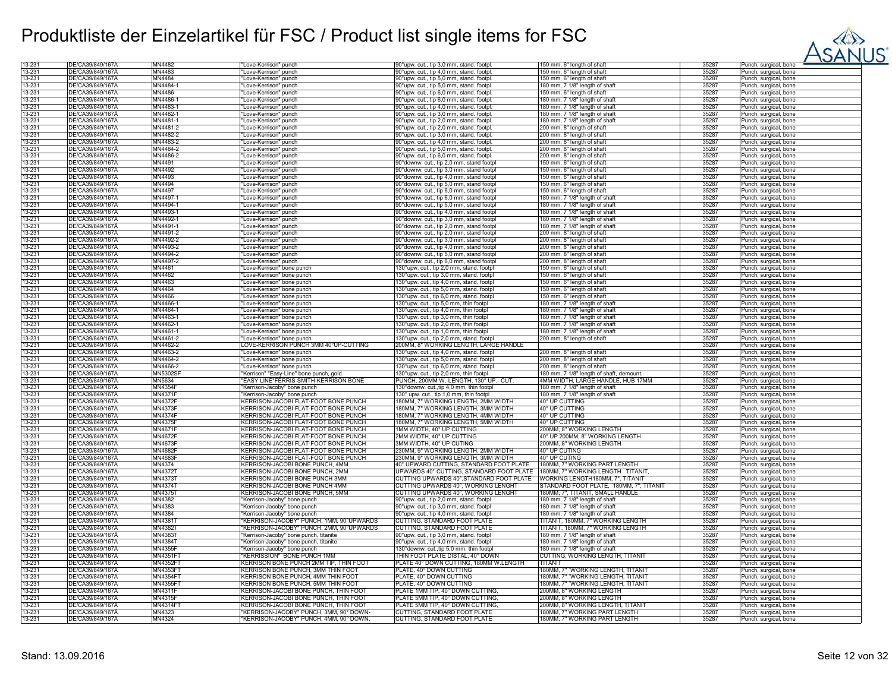

| 13-231           | DE/CA39/849/167A | MN4482          | "Love-Kerrison" punch                       | 90°upw. cut., tip 3,0 mm, stand. footpl.                                    | 150 mm, 6" length of shaft               | 35287 | Punch, surgical, bone |
|------------------|------------------|-----------------|---------------------------------------------|-----------------------------------------------------------------------------|------------------------------------------|-------|-----------------------|
| 13-231           | DE/CA39/849/167Ä | MN4483          | "Love-Kerrison" punch                       | 90°upw. cut., tip 4,0 mm, stand. footpl                                     | 150 mm, 6" length of shaft               | 35287 | Punch, surgical, bone |
| 13-231           | DE/CA39/849/167A | MN4484          | 'Love-Kerrison" punch                       | 90°upw. cut., tip 5,0 mm, stand. footpl.                                    | 150 mm, 6" length of shaft               | 35287 | Punch, surgical, bone |
|                  |                  |                 |                                             |                                                                             |                                          |       |                       |
| 13-231           | DE/CA39/849/167Ä | MN4484-1        | "Love-Kerrison" punch                       | 90°upw. cut., tip 5,0 mm, stand. footpl.                                    | 180 mm, 7 1/8" length of shaft           | 35287 | Punch, surgical, bone |
| 13-231           | DE/CA39/849/167A | MN4486          | "Love-Kerrison" punch                       | 90°upw. cut., tip 6,0 mm, stand. footpl.                                    | 150 mm, 6" length of shaft               | 35287 | Punch, surgical, bone |
| 13-231           | DE/CA39/849/167A | MN4486-1        | "Love-Kerrison" punch                       | 90°upw. cut., tip 6,0 mm, stand. footpl.                                    | 180 mm, 7 1/8" length of shaft           | 35287 | Punch, surgical, bone |
| 13-231           | DE/CA39/849/167A | MN4483-1        | "Love-Kerrison" punch                       | 90°upw. cut., tip 4,0 mm, stand. footpl.                                    | 180 mm, 7 1/8" length of shaft           | 35287 | Punch, surgical, bone |
| 13-231           | DE/CA39/849/167Ä | MN4482-1        | "Love-Kerrison" punch                       | 90°upw. cut., tip 3,0 mm, stand. footpl.                                    | 180 mm, 7 1/8" length of shaft           | 35287 | Punch, surgical, bone |
| 13-231           | DE/CA39/849/167A | MN4481-1        | "Love-Kerrison" punch                       | 90°upw. cut., tip 2,0 mm, stand. footpl.                                    | 180 mm, 7 1/8" length of shaft           | 35287 | Punch, surgical, bone |
|                  |                  |                 |                                             |                                                                             |                                          |       |                       |
| 13-231           | DE/CA39/849/167Ä | MN4481-2        | 'Love-Kerrison" punch                       | 90°upw. cut., tip 2,0 mm, stand. footpl                                     | 200 mm, 8" length of shaft               | 35287 | Punch, surgical, bone |
| 13-231           | DE/CA39/849/167A | MN4482-2        | Love-Kerrison" punch                        | 90°upw. cut., tip 3,0 mm, stand. footpl                                     | 200 mm, 8" length of shaft               | 35287 | Punch, surgical, bone |
| 13-231           | DE/CA39/849/167A | MN4483-2        | "Love-Kerrison" punch                       | 90°upw. cut., tip 4,0 mm, stand. footpl                                     | 200 mm, 8" length of shaft               | 35287 | Punch, surgical, bone |
| 13-231           | DE/CA39/849/167A | MN4484-2        | "Love-Kerrison" punch                       | 90°upw. cut., tip 5,0 mm, stand. footpl.                                    | 200 mm, 8" length of shaft               | 35287 | Punch, surgical, bone |
| 13-231           | DE/CA39/849/167A | MN4486-2        | "Love-Kerrison" punch                       | 90°upw. cut., tip 6,0 mm, stand. footpl.                                    | 200 mm, 8" length of shaft               | 35287 | Punch, surgical, bone |
| 13-231           | DE/CA39/849/167A | MN4491          | "Love-Kerrison" punch                       | 90° downw. cut., tip 2,0 mm, stand footp                                    | 150 mm, 6" length of shaft               | 35287 | Punch, surgical, bone |
|                  |                  | MN4492          |                                             |                                                                             |                                          |       |                       |
| 13-231           | DE/CA39/849/167Ä |                 | "Love-Kerrison" punch                       | 90° downw. cut., tip 3,0 mm, stand footpl                                   | 150 mm, 6" length of shaft               | 35287 | Punch, surgical, bone |
| 13-231           | DE/CA39/849/167A | MN4493          | "Love-Kerrison" punch                       | 90° downw. cut., tip 4,0 mm, stand footpl                                   | 150 mm, 6" length of shaft               | 35287 | Punch, surgical, bone |
| 13-231           | DE/CA39/849/167A | MN4494          | "Love-Kerrison" punch                       | 90°downw. cut., tip 5,0 mm, stand footpl                                    | 150 mm, 6" length of shaft               | 35287 | Punch, surgical, bone |
| 13-231           | DE/CA39/849/167Ä | MN4497          | 'Love-Kerrison" punch                       | 90°downw. cut., tip 6,0 mm, stand footp                                     | 150 mm, 6" length of shaft               | 35287 | Punch, surgical, bone |
| 13-231           | DE/CA39/849/167A | MN4497-1        | "Love-Kerrison" punch                       | 90° downw. cut., tip 6,0 mm, stand footpl                                   | 180 mm, 7 1/8" length of shaft           | 35287 | Punch, surgical, bone |
| 13-231           | DE/CA39/849/167A | MN4494-1        | "Love-Kerrison" punch                       | 90° downw. cut., tip 5,0 mm, stand footpl                                   | 180 mm, 7 1/8" length of shaft           | 35287 | Punch, surgical, bone |
|                  |                  |                 |                                             |                                                                             |                                          |       |                       |
| 13-231           | DE/CA39/849/167Ä | MN4493-1        | "Love-Kerrison" punch                       | 90° downw. cut., tip 4,0 mm, stand footpl                                   | 180 mm, 7 1/8" length of shaft           | 35287 | Punch, surgical, bone |
| 13-231           | DE/CA39/849/167A | MN4492-1        | "Love-Kerrison" punch                       | 90° downw. cut., tip 3,0 mm, stand footp                                    | 180 mm, 7 1/8" length of shaft           | 35287 | Punch, surgical, bone |
| 13-231           | DE/CA39/849/167A | MN4491-1        | "Love-Kerrison" punch                       | 90° downw. cut., tip 2,0 mm, stand footpl                                   | 180 mm, 7 1/8" length of shaft           | 35287 | Punch, surgical, bone |
| 13-231           | DE/CA39/849/167A | MN4491-2        | "Love-Kerrison" punch                       | 90°downw. cut., tip 2,0 mm, stand footpl                                    | 200 mm, 8" length of shaft               | 35287 | Punch, surgical, bone |
| 13-231           | DE/CA39/849/167A | MN4492-2        | Love-Kerrison" punch                        | 90°downw. cut., tip 3,0 mm, stand footpl                                    | 200 mm, 8" length of shaft               | 35287 | Punch, surgical, bone |
| 13-231           | DE/CA39/849/167Ä | MN4493-2        | Love-Kerrison" punch                        | 90° downw. cut., tip 4,0 mm, stand footp                                    | 200 mm, 8" length of shaft               | 35287 | Punch, surgical, bone |
| 13-231           | DE/CA39/849/167A | MN4494-2        |                                             |                                                                             |                                          | 35287 |                       |
|                  |                  |                 | "Love-Kerrison" punch                       | 90° downw. cut., tip 5,0 mm, stand footpl                                   | 200 mm, 8" length of shaft               |       | Punch, surgical, bone |
| 13-231           | DE/CA39/849/167Ä | MN4497-2        | "Love-Kerrison" punch                       | 90° downw. cut., tip 6,0 mm, stand footpl                                   | 200 mm, 8" length of shaft               | 35287 | Punch, surgical, bone |
| 13-231           | DE/CA39/849/167Ä | MN4461          | "Love-Kerrison" bone punch                  | 130°upw. cut., tip 2,0 mm, stand. footpl                                    | 150 mm, 6" length of shaft               | 35287 | Punch, surgical, bone |
| 13-231           | DE/CA39/849/167A | MN4462          | "Love-Kerrison" bone punch                  | 130°upw. cut., tip 3,0 mm, stand. footpl                                    | 150 mm, 6" length of shaft               | 35287 | Punch, surgical, bone |
| 13-231           | DE/CA39/849/167A | MN4463          | "Love-Kerrison" bone punch                  | 130°upw. cut., tip 4,0 mm, stand. footpl                                    | 150 mm, 6" length of shaft               | 35287 | Punch, surgical, bone |
| 13-231           | DE/CA39/849/167A | MN4464          | "Love-Kerrison" bone punch                  | 130°upw. cut., tip 5,0 mm, stand. footpl                                    | 150 mm, 6" length of shaft               | 35287 | Punch, surgical, bone |
| 13-231           | DE/CA39/849/167A | MN4466          |                                             |                                                                             |                                          | 35287 |                       |
|                  |                  |                 | 'Love-Kerrison" bone punch                  | 130°upw. cut., tip 6,0 mm, stand. footpl                                    | 150 mm, 6" length of shaft               |       | Punch, surgical, bone |
| 13-231           | DE/CA39/849/167A | MN4466-         | "Love-Kerrison" bone punch                  | 130°upw. cut., tip 5,0 mm, thin footpl                                      | 180 mm, 7 1/8" length of shaft           | 35287 | Punch, surgical, bone |
| 13-231           | DE/CA39/849/167A | MN4464-1        | "Love-Kerrison" bone punch                  | 130°upw. cut., tip 4,0 mm, thin footpl                                      | 180 mm, 7 1/8" length of shaft           | 35287 | Punch, surgical, bone |
| 13-231           | DE/CA39/849/167A | MN4463-1        | "Love-Kerrison" bone punch                  | 130°upw. cut., tip 3,0 mm, thin footpl                                      | 180 mm, 7 1/8" length of shaft           | 35287 | Punch, surgical, bone |
| 13-231           | DE/CA39/849/167Ä | MN4462-1        | "Love-Kerrison" bone punch                  | 130°upw. cut., tip 2,0 mm, thin footpl                                      | 180 mm, 7 1/8" length of shaft           | 35287 | Punch, surgical, bone |
| 13-231           | DE/CA39/849/167A | MN4461-1        | "Love-Kerrison" bone punch                  | 130°upw. cut., tip 1,0 mm, thin footpl                                      | 180 mm, 7 1/8" length of shaft           | 35287 | Punch, surgical, bone |
| 13-231           | DE/CA39/849/167A | MN4461-2        | "Love-Kerrison" bone punch                  | 130°upw. cut., tip 2,0 mm, stand. footpl                                    | 200 mm, 8" length of shaft               | 35287 |                       |
|                  | DE/CA39/849/167A |                 |                                             |                                                                             |                                          |       | Punch, surgical, bone |
| 13-231           |                  | MN4462-2        | LOVE-KERRISON PUNCH 3MM 40°UP-CUTTING       | 200MM, 8" WORKING LENGTH, LARGE HANDLE                                      |                                          | 35287 | Punch, surgical, bone |
| 13-231           | DE/CA39/849/167A | MN4463-2        | 'Love-Kerrison" bone punch                  | 130°upw. cut., tip 4,0 mm, stand. footpl                                    | 200 mm, 8" length of shaft               | 35287 | Punch, surgical, bone |
| 13-231           | DE/CA39/849/167Ä | MN4464-2        | "Love-Kerrison" bone punch                  | 130°upw. cut., tip 5,0 mm, stand. footpl                                    | 200 mm, 8" length of shaft               | 35287 | Punch, surgical, bone |
| 13-231           | DE/CA39/849/167A | MN4466-2        | "Love-Kerrison" bone punch                  | 130°upw. cut., tip 6,0 mm, stand. footpl                                    | 200 mm, 8" length of shaft               | 35287 | Punch, surgical, bone |
| 13-231           | DE/CA39/849/167A | <b>MN5302SF</b> | "Kerrison" "Easy-Line" bone punch, gold     | 130°upw. cut., tip 2,0 mm, thin footpl                                      | 180 mm, 7 1/8" length of shaft, demount. | 35287 | Punch, surgical, bone |
| 13-231           | DE/CA39/849/167A | MN5634          | "EASY LINE"FERRIS-SMITH-KERRISON BONE       | PUNCH, 200MM W.-LENGTH, 130° UP.- CUT.                                      | 4MM WIDTH, LARGE HANDLE, HUB 17MM        | 35287 | Punch, surgical, bone |
|                  | DE/CA39/849/167Ä | MN4354F         |                                             |                                                                             |                                          | 35287 |                       |
| 13-231<br>13-231 |                  | <b>MN4371F</b>  | "Kerrison-Jacoby" bone punch                | 130° downw. cut., tip 4,0 mm, thin footpl                                   | 180 mm, 7 1/8" length of shaft           |       | Punch, surgical, bone |
|                  | DE/CA39/849/167A |                 | "Kerrison-Jacoby" bone punch                | 130° upw. cut., tip 1,0 mm, thin footpl                                     | 180 mm, 7 1/8" length of shaft           | 35287 | Punch, surgical, bone |
| 13-231           | DE/CA39/849/167Ä | MN4372F         | KERRISON-JACOBI FLAT-FOOT BONE PUNCH        | 180MM, 7" WORKING LENGTH, 2MM WIDTH                                         | 40° UP CUTTING                           | 35287 | Punch, surgical, bone |
| 13-231           | DE/CA39/849/167A | MN4373F         | KERRISON-JACOBI FLAT-FOOT BONE PUNCH        | 180MM, 7" WORKING LENGTH, 3MM WIDTH                                         | 40° UP CUTTING                           | 35287 | Punch, surgical, bone |
| 13-231           | DE/CA39/849/167A | <b>MN4374F</b>  | KERRISON-JACOBI FLAT-FOOT BONE PUNCH        | 180MM, 7" WORKING LENGTH, 4MM WIDTH                                         | 40° UP CUTTING                           | 35287 | Punch, surgical, bone |
| 13-231           | DE/CA39/849/167A | <b>MN4375F</b>  | KERRISON-JACOBI FLAT-FOOT BONE PUNCH        | 180MM, 7" WORKING LENGTH, 5MM WIDTH                                         | 40° UP CUTTING                           | 35287 | Punch, surgical, bone |
| 13-231           | DE/CA39/849/167A | MN4671F         | KERRISON-JACOBI FLAT-FOOT BONE PUNCH        | 1MM WIDTH, 40° UP CUTTING                                                   | 200MM, 8" WORKING LENGTH                 | 35287 | Punch, surgical, bone |
| 13-231           | DE/CA39/849/167A | MN4672F         | KERRISON-JACOBI FLAT-FOOT BONE PUNCH        | 2MM WIDTH, 40° UP CUTTING                                                   | 40° UP 200MM, 8" WORKING LENGTH          | 35287 |                       |
|                  |                  |                 |                                             |                                                                             |                                          |       | Punch, surgical, bone |
| 13-231           | DE/CA39/849/167A | MN4673F         | KERRISON-JACOBI FLAT-FOOT BONE PUNCH        | 3MM WIDTH, 40° UP CUTING                                                    | 200MM, 8" WORKING LENGTH                 | 35287 | Punch, surgical, bone |
| 13-231           | DE/CA39/849/167A | <b>MN4682F</b>  | <b>KERRISON-JACOBI FLAT-FOOT BONE PUNCH</b> | 230MM, 9" WORKING LENGTH, 2MM WIDTH                                         | 40° UP CUTING                            | 35287 | Punch, surgical, bone |
| 13-231           | DE/CA39/849/167A | MN4683F         | <b>KERRISON-JACOBI FLAT-FOOT BONE PUNCH</b> | 230MM, 9" WORKING LENGTH, 3MM WIDTH                                         | 40° UP CUTING                            | 35287 | Punch, surgical, bone |
| 13-231           | DE/CA39/849/167Ä | MN4374          | <b>KERRISON-JACOBI BONE PUNCH, 4MM</b>      | 40° UPWARD CUTTING, STANDARD FOOT PLATE                                     | 180MM, 7" WORKING PART LENGTH            | 35287 | Punch, surgical, bone |
| 13-231           | DE/CA39/849/167A | <b>MN4372T</b>  | KERRISON-JACOBI BONE PUNCH, 2MM             | UPWARDS 40° CUTTING, STANDARD FOOT PLATE [180MM, 7" WORKING LENGTH _TITANI' |                                          | 35287 | Punch, surgical, bone |
| 13-231           | DE/CA39/849/167A | <b>MN4373T</b>  | KERRISON-JACOBI BONE PUNCH 3MM              | CUTTING UPWARDS 40°, STANDARD FOOT PLATE   WORKING LENGTH180MM, 7", TITANIT |                                          | 35287 | Punch, surgical, bone |
| 13-231           | DE/CA39/849/167A | MN4374T         | KERRISON-JACOBI BONE PUNCH 4MM              | CUTTING UPWARDS 40°, WORKING LENGHT                                         | STANDARD FOOT PLATE, 180MM, 7", TITANIT  | 35287 |                       |
|                  |                  |                 |                                             |                                                                             |                                          |       | Punch, surgical, bone |
| 13-231           | DE/CA39/849/167A | MN4375T         | KERRISON-JACOBI BONE PUNCH, 5MM             | CUTTING UPWARDS 40°, WORKING LENGHT                                         | 180MM, 7", TITANIT, SMALL HANDLE         | 35287 | Punch, surgical, bone |
| 13-231           | DE/CA39/849/167Ä | MN4382          | "Kerrison-Jacoby" bone punch                | 90°upw. cut., tip 2,0 mm, stand. footpl                                     | 180 mm, 7 1/8" length of shaft           | 35287 | Punch, surgical, bone |
| 13-231           | DE/CA39/849/167A | MN4383          | "Kerrison-Jacoby" bone punch                | 90°upw. cut., tip 3,0 mm, stand. footp                                      | 180 mm, 7 1/8" length of shaft           | 35287 | Punch, surgical, bone |
| 13-231           | DE/CA39/849/167A | MN4384          | "Kerrison-Jacoby" bone punch                | 90°upw. cut., tip 4,0 mm, stand. footp                                      | 180 mm, 7 1/8" length of shaft           | 35287 | Punch, surgical, bone |
| 13-231           | DE/CA39/849/167Ä | MN4381T         | "KERRISON-JACOBY" PUNCH, 1MM, 90°UPWARDS    | CUTTING, STANDARD FOOT PLATE                                                | TITANIT, 180MM, 7" WORKING LENGTH        | 35287 | Punch, surgical, bone |
| 13-231           | DE/CA39/849/167A | MN4382T         | "KERRISON-JACOBY" PUNCH, 2MM, 90°UPWARDS    | CUTTING, STANDARD FOOT PLATE                                                | TITANIT, 180MM, 7" WORKING LENGTH        | 35287 |                       |
|                  |                  |                 |                                             |                                                                             |                                          |       | Punch, surgical, bone |
| 13-231           | DE/CA39/849/167A | MN4383T         | "Kerrison-Jacoby" bone punch, titanite      | 90°upw. cut., tip 3,0 mm, stand. footpl                                     | 180 mm, 7 1/8" length of shaft           | 35287 | Punch, surgical, bone |
| 13-231           | DE/CA39/849/167Ä | MN4384T         | "Kerrison-Jacoby" bone punch, titanite      | 90°upw. cut., tip 4,0 mm, stand. footpl                                     | 180 mm, 7 1/8" length of shaft           | 35287 | Punch, surgical, bone |
| 13-231           | DE/CA39/849/167A | MN4355F         | "Kerrison-Jacoby" bone punch                | 130°downw. cut.,tip 5,0 mm, thin footp                                      | 180 mm, 7 1/8" length of shaft           | 35287 | Punch, surgical, bone |
| 13-231           | DE/CA39/849/167A | MN4351F         | "KERRISSION" BONE PUNCH 1MM                 | THIN FOOT PLATE DISTAL, 40° DOWN                                            | CUTTING, WORKING LENGTH, TITANIT         | 35287 | Punch, surgical, bone |
| 13-231           | DE/CA39/849/167A | MN4352F         | KERRISON BONE PUNCH 2MM TIP, THIN FOOT      | PLATE 40° DOWN CUTTING, 180MM W.LENGTH                                      | TITANIT                                  | 35287 | Punch, surgical, bone |
| 13-231           | DE/CA39/849/167A | MN4353F         | <b>KERRISON BONE PUNCH, 3MM THIN FOOT</b>   | PLATE, 40° DOWN CUTTING                                                     | 180MM, 7" 'WORKING LENGTH, TITANIT       | 35287 |                       |
|                  |                  |                 |                                             |                                                                             |                                          |       | Punch, surgical, bone |
| 13-231           | DE/CA39/849/167Ä | MN4354F1        | KERRISON BONE PUNCH, 4MM THIN FOOT          | PLATE, 40° DOWN CUTTING                                                     | 180MM, 7" 'WORKING LENGTH, TITANIT       | 35287 | Punch, surgical, bone |
| 13-231           | DE/CA39/849/167A | MN4355F         | KERRISON BONE PUNCH, 5MM THIN FOOT          | PLATE, 40° DOWN CUTTING                                                     | 180MM, 7" 'WORKING LENGTH, TITANIT       | 35287 | Punch, surgical, bone |
| 13-231           | DE/CA39/849/167A | MN4311F         | KERRISON-JACOBI BONE PUNCH, THIN FOOT       | PLATE 1MM TIP, 40° DOWN CUTTING                                             | 200MM, 8" WORKING LENGTH                 | 35287 | Punch, surgical, bone |
| 13-231           | DE/CA39/849/167Ä | MN4315F         | KERRISON-JACOBI BONE PUNCH, THIN FOOT       | PLATE 5MM TIP, 40° DOWN CUTTING                                             | 200MM, 8" WORKING LENGTH                 | 35287 | Punch, surgical, bone |
| 13-231           | DE/CA39/849/167A | <b>MN4314F</b>  | KERRISON-JACOBI BONE PUNCH, THIN FOOT       | PLATE 5MM TIP, 40° DOWN CUTTING                                             | 200MM, 8" WORKING LENGTH, TITANIT        | 35287 | Punch, surgical, bone |
| 13-231           | DE/CA39/849/167A | MN4323          | "KERRISON-JACOBY" PUNCH, 3MM, 90° DOWN-     | CUTTING, STANDARD FOOT PLATE                                                | 180MM, 7" WORKING PART LENGTH            | 35287 |                       |
|                  |                  |                 |                                             |                                                                             |                                          |       | Punch, surgical, bone |
| 13-231           | DE/CA39/849/167A | MN4324          | "KERRISON-JACOBY" PUNCH, 4MM, 90° DOWN,     | CUTTING, STANDARD FOOT PLATE                                                | 180MM, 7" WORKING PART LENGTH            | 35287 | Punch, surgical, bone |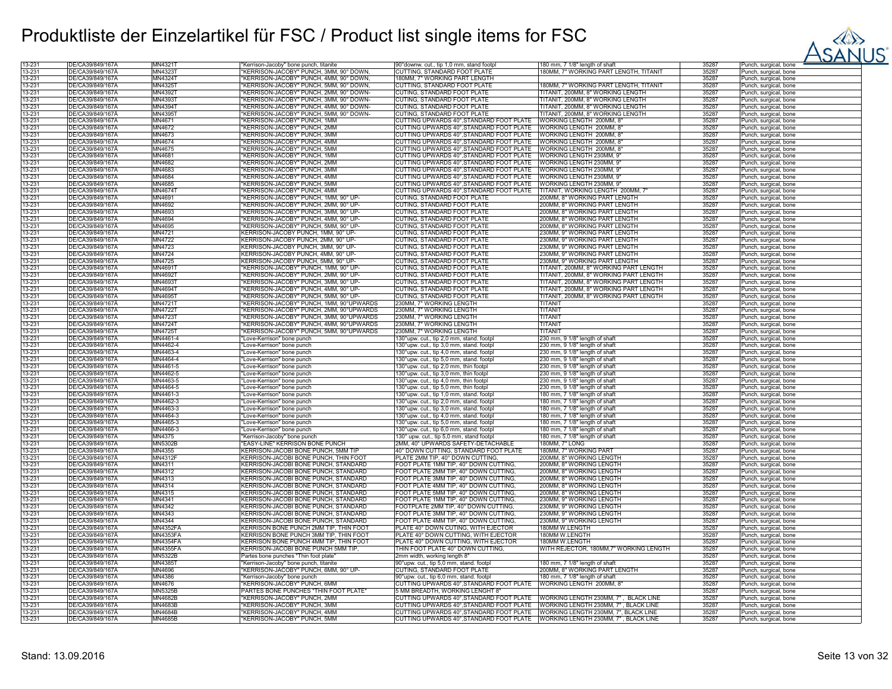

| 13-231 | DE/CA39/849/167Ă | MN4321T         | "Kerrison-Jacoby" bone punch, titanite   | 90° downw. cut., tip 1,0 mm, stand footpl                                       | 180 mm, 7 1/8" length of shaft               | 35287 | unch, surgical, bone              |
|--------|------------------|-----------------|------------------------------------------|---------------------------------------------------------------------------------|----------------------------------------------|-------|-----------------------------------|
| 13-231 | DE/CA39/849/167Ä | MN4323T         | "KERRISON-JACOBY" PUNCH, 3MM, 90° DOWN   | CUTTING, STANDARD FOOT PLATE                                                    | 180MM, 7" WORKING PART LENGTH, TITANIT       | 35287 | unch, surgical, bone              |
| 13-231 | DE/CA39/849/167A | MN4324T         | "KERRISON-JACOBY" PUNCH, 4MM, 90° DOWN,  | 180MM, 7" WORKING PART LENGTH                                                   |                                              | 35287 | Punch, surgical, bone             |
| 13-231 | DE/CA39/849/167A | MN4325T         | "KERRISON-JACOBY" PUNCH, 5MM, 90° DOWN   | CUTTING, STANDARD FOOT PLATE                                                    | 180MM, 7" WORKING PART LENGTH, TITANIT       | 35287 | Punch, surgical, bone             |
| 13-231 | DE/CA39/849/167Ä | MN4392T         | "KERRISON-JACOBY" PUNCH, 2MM, 90° DOWN-  | CUTING, STANDARD FOOT PLATE                                                     | <b>TITANIT, 200MM, 8" WORKING LENGTH</b>     | 35287 | Punch, surgical, bone             |
|        |                  |                 |                                          |                                                                                 |                                              |       |                                   |
| 13-231 | DE/CA39/849/167Ă | MN4393T         | 'KERRISON-JACOBY" PUNCH, 3MM, 90° DOWN-  | CUTING, STANDARD FOOT PLATE                                                     | TITANIT, 200MM, 8" WORKING LENGTH            | 35287 | <sup>2</sup> unch, surgical, bone |
| 13-231 | DE/CA39/849/167Ä | MN4394T         | "KERRISON-JACOBY" PUNCH, 4MM, 90° DOWN-  | CUTING, STANDARD FOOT PLATE                                                     | TITANIT, 200MM, 8" WORKING LENGTH            | 35287 | Punch, surgical, bone             |
| 13-231 | DE/CA39/849/167A | MN4395T         | "KERRISON-JACOBY" PUNCH, 5MM, 90° DOWN-  | CUTING, STANDARD FOOT PLATE                                                     | <b>TITANIT, 200MM, 8" WORKING LENGTH</b>     | 35287 | Punch, surgical, bone             |
| 13-231 | DE/CA39/849/167A | MN4671          | 'KERRISON-JACOBY" PUNCH, 1MM             | CUTTING UPWARDS 40°, STANDARD FOOT PLATE                                        | WORKING LENGTH 200MM, 8'                     | 35287 | unch, surgical, bone              |
| 13-231 | DE/CA39/849/167Ä | MN4672          | "KERRISON-JACOBY" PUNCH, 2MM             | CUTTING UPWARDS 40°, STANDARD FOOT PLATE                                        | WORKING LENGTH 200MM, 8                      | 35287 | unch, surgical, bone              |
| 13-231 | DE/CA39/849/167A | MN4673          | "KERRISON-JACOBY" PUNCH, 3MM             | CUTTING UPWARDS 40°, STANDARD FOOT PLATE                                        | WORKING LENGTH 200MM, 8                      | 35287 | Punch, surgical, bone             |
| 13-231 | DE/CA39/849/167A | MN4674          | "KERRISON-JACOBY" PUNCH, 4MM             | CUTTING UPWARDS 40°, STANDARD FOOT PLATE WORKING LENGTH 200MM, 8                |                                              | 35287 | Punch, surgical, bone             |
| 13-231 | DE/CA39/849/167Ä | MN4675          | "KERRISON-JACOBY" PUNCH, 5MM             | CUTTING UPWARDS 40°, STANDARD FOOT PLATE WORKING LENGTH 200MM, 8'               |                                              | 35287 | <sup>2</sup> unch, surgical, bone |
| 13-231 | DE/CA39/849/167Ä | MN4681          | "KERRISON-JACOBY" PUNCH, 1MM             | CUTTING UPWARDS 40°, STANDARD FOOT PLATE   WORKING LENGTH 230MM, 9              |                                              | 35287 | <sup>2</sup> unch, surgical, bone |
| 13-231 | DE/CA39/849/167Ä | MN4682          | "KERRISON-JACOBY" PUNCH, 2MM             | CUTTING UPWARDS 40°, STANDARD FOOT PLATE                                        | WORKING LENGTH 230MM, 9                      | 35287 |                                   |
|        |                  |                 |                                          |                                                                                 |                                              |       | Punch, surgical, bone             |
| 13-231 | DE/CA39/849/167A | MN4683          | "KERRISON-JACOBY" PUNCH, 3MM             | CUTTING UPWARDS 40°, STANDARD FOOT PLATE                                        | WORKING LENGTH 230MM, 9                      | 35287 | Punch, surgical, bone             |
| 13-231 | DE/CA39/849/167A | MN4684          | "KERRISON-JACOBY" PUNCH, 4MM             | CUTTING UPWARDS 40°, STANDARD FOOT PLATE                                        | WORKING LENGTH 230MM, 9                      | 35287 | unch, surgical, bone              |
| 13-231 | DE/CA39/849/167A | MN4685          | "KERRISON-JACOBY" PUNCH, 5MM             | CUTTING UPWARDS 40°, STANDARD FOOT PLATE                                        | WORKING LENGTH 230MM, 9'                     | 35287 | unch, surgical, bone              |
| 13-231 | DE/CA39/849/167Ä | MN4674T         | "KERRISON-JACOBY" PUNCH, 4MM             | CUTTING UPWARDS 40°, STANDARD FOOT PLATE                                        | TITANIT, WORKING LENGTH 200MM, 7"            | 35287 | Punch, surgical, bone             |
| 13-231 | DE/CA39/849/167A | MN4691          | "KERRISON-JACOBY" PUNCH, 1MM, 90° UP-    | CUTING, STANDARD FOOT PLATE                                                     | 200MM, 8" WORKING PART LENGTH                | 35287 | Punch, surgical, bone             |
| 13-231 | DE/CA39/849/167Ă | MN4692          | "KERRISON-JACOBY" PUNCH, 2MM, 90° UP-    | CUTING, STANDARD FOOT PLATE                                                     | 200MM, 8" WORKING PART LENGTH                | 35287 | <sup>2</sup> unch, surgical, bone |
| 13-231 | DE/CA39/849/167Ä | MN4693          | "KERRISON-JACOBY" PUNCH, 3MM, 90° UP-    | CUTING, STANDARD FOOT PLATE                                                     | 200MM, 8" WORKING PART LENGTH                | 35287 | Punch, surgical, bone             |
| 13-231 | DE/CA39/849/167Ă | MN4694          | "KERRISON-JACOBY" PUNCH, 4MM, 90° UP-    | CUTING, STANDARD FOOT PLATE                                                     | 200MM, 8" WORKING PART LENGTH                | 35287 | Punch, surgical, bone             |
| 13-231 | DE/CA39/849/167A | MN4695          | "KERRISON-JACOBY" PUNCH, 5MM, 90° UP-    | CUTING, STANDARD FOOT PLATE                                                     | 200MM, 8" WORKING PART LENGTH                | 35287 |                                   |
|        |                  |                 |                                          |                                                                                 |                                              |       | Punch, surgical, bone             |
| 13-231 | DE/CA39/849/167A | MN4721          | KERRISON-JACOBY PUNCH, 1MM, 90° UP-      | CUTING, STANDARD FOOT PLATE                                                     | 230MM, 9" WORKING PART LENGTH                | 35287 | unch, surgical, bone              |
| 13-231 | DE/CA39/849/167Ä | MN4722          | KERRISON-JACOBY PUNCH, 2MM, 90° UP-      | CUTING, STANDARD FOOT PLATE                                                     | 230MM, 9" WORKING PART LENGTH                | 35287 | unch, surgical, bone              |
| 13-231 | DE/CA39/849/167Ä | MN4723          | KERRISON-JACOBY PUNCH, 3MM, 90° UP-      | CUTING, STANDARD FOOT PLATE                                                     | 230MM, 9" WORKING PART LENGTH                | 35287 | Punch, surgical, bone             |
| 13-231 | DE/CA39/849/167A | MN4724          | KERRISON-JACOBY PUNCH, 4MM, 90° UP-      | CUTING, STANDARD FOOT PLATE                                                     | 230MM, 9" WORKING PART LENGTH                | 35287 | Punch, surgical, bone             |
| 13-231 | DE/CA39/849/167Å | <b>MN4725</b>   | KERRISON-JACOBY PUNCH, 5MM, 90° UP-      | CUTING, STANDARD FOOT PLATE                                                     | 230MM, 9" WORKING PART LENGTH                | 35287 | <sup>2</sup> unch, surgical, bone |
| 13-231 | DE/CA39/849/167Ä | MN4691T         | "KERRISON-JACOBY" PUNCH, 1MM, 90° UP-    | CUTING, STANDARD FOOT PLATE                                                     | TITANIT, 200MM, 8" WORKING PART LENGTH       | 35287 | <sup>2</sup> unch, surgical, bone |
| 13-231 | DE/CA39/849/167A | MN4692T         | "KERRISON-JACOBY" PUNCH, 2MM, 90° UP-    | CUTING, STANDARD FOOT PLATE                                                     | TITANIT, 200MM, 8" WORKING PART LENGTH       | 35287 | Punch, surgical, bone             |
| 13-231 | DE/CA39/849/167Å | MN4693T         | "KERRISON-JACOBY" PUNCH, 3MM, 90° UP-    | CUTING, STANDARD FOOT PLATE                                                     | <b>ITANIT, 200MM, 8" WORKING PART LENGTH</b> | 35287 | Punch, surgical, bone             |
| 13-231 | DE/CA39/849/167Ä | MN4694T         | 'KERRISON-JACOBY" PUNCH, 4MM, 90° UP-    | CUTING, STANDARD FOOT PLATE                                                     | ITANIT, 200MM, 8" WORKING PART LENGTH        | 35287 | unch, surgical, bone              |
| 13-231 | DE/CA39/849/167Å | MN4695T         | "KERRISON-JACOBY" PUNCH, 5MM, 90° UP-    | CUTING, STANDARD FOOT PLATE                                                     | TITANIT, 200MM, 8" WORKING PART LENGTH       | 35287 |                                   |
| 13-231 | DE/CA39/849/167A | MN4721T         |                                          |                                                                                 | <b>TITANIT</b>                               | 35287 | unch, surgical, bone              |
|        |                  |                 | "KERRISON-JACOBY" PUNCH, 1MM, 90°UPWARDS | 230MM, 7" WORKING LENGTH                                                        |                                              |       | Punch, surgical, bone             |
| 13-231 | DE/CA39/849/167A | MN47221         | "KERRISON-JACOBY" PUNCH, 2MM, 90°UPWARDS | 230MM, 7" WORKING LENGTH                                                        | <b>TITANI</b>                                | 35287 | Punch, surgical, bone             |
| 13-231 | DE/CA39/849/167A | MN4723T         | "KERRISON-JACOBY" PUNCH, 3MM, 90°UPWARDS | 230MM, 7" WORKING LENGTH                                                        | <b>TITANI</b>                                | 35287 | Punch, surgical, bone             |
| 13-231 | DE/CA39/849/167Ä | MN4724T         | "KERRISON-JACOBY" PUNCH, 4MM, 90°UPWARDS | 230MM, 7" WORKING LENGTH                                                        | TITANIT                                      | 35287 | Punch, surgical, bone             |
| 13-231 | DE/CA39/849/167Ă | MN4725T         | "KERRISON-JACOBY" PUNCH, 5MM, 90°UPWARDS | 230MM, 7" WORKING LENGTH                                                        | <b>TITANIT</b>                               | 35287 | Punch, surgical, bone             |
| 13-231 | DE/CA39/849/167Ă | MN4461-4        | "Love-Kerrison" bone punch               | 130°upw. cut., tip 2,0 mm, stand. footpl                                        | 230 mm, 9 1/8" length of shaft               | 35287 | Punch, surgical, bone             |
| 13-231 | DE/CA39/849/167Ä | MN4462-4        | Love-Kerrison" bone punch                | 130°upw. cut., tip 3,0 mm, stand. footpl                                        | 230 mm, 9 1/8" length of shaft               | 35287 | unch, surgical, bone              |
| 13-231 | DE/CA39/849/167Ă | MN4463-4        | 'Love-Kerrison" bone punch               | 130°upw. cut., tip 4,0 mm, stand. footpl                                        | 230 mm, 9 1/8" length of shaft               | 35287 | Punch, surgical, bone             |
| 13-231 | DE/CA39/849/167A | MN4464-4        | "Love-Kerrison" bone punch               | 130°upw. cut., tip 5,0 mm, stand. footpl                                        | 230 mm, 9 1/8" length of shaft               | 35287 | Punch, surgical, bone             |
| 13-231 | DE/CA39/849/167Ä | MN4461-5        | "Love-Kerrison" bone punch               | 130°upw. cut., tip 2,0 mm, thin footpl                                          | 230 mm, 9 1/8" length of shaft               | 35287 | <sup>2</sup> unch, surgical, bone |
| 13-231 | DE/CA39/849/167Ă | MN4462-5        | 'Love-Kerrison" bone punch               | 130°upw. cut., tip 3,0 mm, thin footpl                                          | 230 mm, 9 1/8" length of shaft               | 35287 | Punch, surgical, bone             |
|        |                  |                 |                                          |                                                                                 |                                              |       |                                   |
| 13-231 | DE/CA39/849/167Ä | MN4463-5        | "Love-Kerrison" bone punch               | 130°upw. cut., tip 4,0 mm, thin footpl                                          | 230 mm, 9 1/8" length of shaft               | 35287 | Punch, surgical, bone             |
| 13-231 | DE/CA39/849/167A | MN4464-5        | "Love-Kerrison" bone punch               | 130°upw. cut., tip 5,0 mm, thin footpl                                          | 230 mm, 9 1/8" length of shaft               | 35287 | Punch, surgical, bone             |
| 13-231 | DE/CA39/849/167Ă | MN4461-3        | 'Love-Kerrison" bone punch               | 130°upw. cut., tip 1,0 mm, stand. footpl                                        | 180 mm, 7 1/8" length of shaft               | 35287 | Punch, surgical, bone             |
| 13-231 | DE/CA39/849/167Ä | MN4462-3        | Love-Kerrison" bone punch                | 130°upw. cut., tip 2,0 mm, stand. footpl                                        | 180 mm, 7 1/8" length of shaft               | 35287 | unch, surgical, bone              |
| 13-231 | DE/CA39/849/167A | MN4463-3        | "Love-Kerrison" bone punch               | 130°upw. cut., tip 3,0 mm, stand. footpl                                        | 180 mm, 7 1/8" length of shaft               | 35287 | Punch, surgical, bone             |
| 13-231 | DE/CA39/849/167A | MN4464-3        | "Love-Kerrison" bone punch               | 130°upw. cut., tip 4,0 mm, stand. footpl                                        | 180 mm, 7 1/8" length of shaft               | 35287 | Punch, surgical, bone             |
| 13-231 | DE/CA39/849/167Ä | MN4465-3        | "Love-Kerrison" bone punch               | 130°upw. cut., tip 5,0 mm, stand. footpl                                        | 180 mm, 7 1/8" length of shaft               | 35287 | <sup>2</sup> unch, surgical, bone |
| 13-231 | DE/CA39/849/167A | MN4466-3        | "Love-Kerrison" bone punch               | 130°upw. cut., tip 6,0 mm, stand. footpl                                        | 180 mm, 7 1/8" length of shaft               | 35287 | <sup>2</sup> unch, surgical, bone |
| 13-231 | DE/CA39/849/167Å | MN4375          | "Kerrison-Jacoby" bone punch             | 130° upw. cut., tip 5,0 mm, stand footpl                                        | 180 mm, 7 1/8" length of shaft               | 35287 | Punch, surgical, bone             |
| 13-231 | DE/CA39/849/167A | <b>MN5302B</b>  | "EASY-LINE" KERRISON BONE PUNCH          | 2MM, 40° UPWARDS SAFETY-DETACHABLE                                              | 180MM, 7" LONG                               | 35287 | Punch, surgical, bone             |
| 13-231 | DE/CA39/849/167A | MN4355          | KERRISON-JACOBI BONE PUNCH, 5MM TIF      | 40° DOWN CUTTING, STANDARD FOOT PLATE                                           | 180MM, 7" WORKING PART                       | 35287 | unch, surgical, bone              |
| 13-231 | DE/CA39/849/167Ă | MN4312F         | KERRISON-JACOBI BONE PUNCH, THIN FOOT    | PLATE 2MM TIP, 40° DOWN CUTTING                                                 | 200MM, 8" WORKING LENGTH                     | 35287 |                                   |
|        |                  |                 |                                          |                                                                                 |                                              |       | unch, surgical, bone              |
| 13-231 | DE/CA39/849/167Ä | MN4311          | KERRISON-JACOBI BONE PUNCH, STANDARD     | FOOT PLATE 1MM TIP, 40° DOWN CUTTING                                            | 200MM, 8" WORKING LENGTH                     | 35287 | Punch, surgical, bone             |
| 13-231 | DE/CA39/849/167A | MN4312          | KERRISON-JACOBI BONE PUNCH, STANDARD     | FOOT PLATE 2MM TIP, 40° DOWN CUTTING,                                           | 200MM, 8" WORKING LENGTH                     | 35287 | <sup>2</sup> unch, surgical, bone |
| 13-231 | DE/CA39/849/167Ä | MN4313          | KERRISON-JACOBI BONE PUNCH, STANDARD     | FOOT PLATE 3MM TIP, 40° DOWN CUTTING,                                           | 200MM, 8" WORKING LENGTH                     | 35287 | <sup>2</sup> unch, surgical, bone |
| 13-231 | DE/CA39/849/167A | MN4314          | KERRISON-JACOBI BONE PUNCH, STANDARD     | FOOT PLATE 4MM TIP, 40° DOWN CUTTING,                                           | 200MM, 8" WORKING LENGTH                     | 35287 | <sup>2</sup> unch, surgical, bone |
| 13-231 | DE/CA39/849/167A | MN4315          | KERRISON-JACOBI BONE PUNCH, STANDARD     | FOOT PLATE 5MM TIP, 40° DOWN CUTTING,                                           | 200MM, 8" WORKING LENGTH                     | 35287 | Punch, surgical, bone             |
| 13-231 | DE/CA39/849/167A | MN4341          | KERRISON-JACOBI BONE PUNCH, STANDARD     | FOOT PLATE 1MM TIP, 40° DOWN CUTTING                                            | 230MM, 9" WORKING LENGTH                     | 35287 | Punch, surgical, bone             |
| 13-231 | DE/CA39/849/167A | MN4342          | KERRISON-JACOBI BONE PUNCH, STANDARD     | FOOTPLATE 2MM TIP, 40° DOWN CUTTING,                                            | 230MM, 9" WORKING LENGTH                     | 35287 | unch, surgical, bone              |
| 13-231 | DE/CA39/849/167A | MN4343          | KERRISON-JACOBI BONE PUNCH, STANDARD     | FOOT PLATE 3MM TIP, 40° DOWN CUTTING                                            | 230MM, 9" WORKING LENGTH                     | 35287 | unch, surgical, bone              |
| 13-231 | DE/CA39/849/167Ä | MN4344          | KERRISON-JACOBI BONE PUNCH, STANDARD     | FOOT PLATE 4MM TIP, 40° DOWN CUTTING                                            | 230MM, 9" WORKING LENGTH                     | 35287 | Punch, surgical, bone             |
| 13-231 | DE/CA39/849/167A | <b>MN4352FA</b> | KERRISON BONE PUNCH 2MM TIP, THIN FOOT   | PLATE 40° DOWN CUTING, WITH EJECTOR                                             | 180MM W.LENGTH                               | 35287 | Punch, surgical, bone             |
| 13-231 | DE/CA39/849/167A | <b>MN4353FA</b> | KERRISON BONE PUNCH 3MM TIP, THIN FOOT   | PLATE 40° DOWN CUTTING, WITH EJECTOR                                            | 180MM W.LENGTH                               | 35287 | <sup>2</sup> unch, surgical, bone |
| 13-231 | DE/CA39/849/167Ä | <b>MN4354FA</b> | KERRISON BONE PUNCH 4MM TIP, THIN FOOT   | PLATE 40° DOWN CUTTING, WITH EJECTOR                                            | 180MM W.LENGTH                               | 35287 | Punch, surgical, bone             |
| 13-231 | DE/CA39/849/167Ă | <b>MN4355FA</b> | KERRISON-JACOBI BONE PUNCH 5MM TIP,      | THIN FOOT PLATE 40° DOWN CUTTING,                                               | WITH REJECTOR, 180MM,7" WORKING LENGTH       | 35287 |                                   |
| 13-231 | DE/CA39/849/167Å | <b>MN5322B</b>  |                                          |                                                                                 |                                              | 35287 | Punch, surgical, bone             |
|        |                  |                 | Partes bone punches "Thin foot plate"    | 2mm width, working length 8"                                                    |                                              |       | <sup>9</sup> unch, surgical, bone |
| 13-231 | DE/CA39/849/167Ä | MN4385T         | 'Kerrison-Jacoby" bone punch, titanite   | 90°upw. cut., tip 5,0 mm, stand. footpl                                         | 180 mm, 7 1/8" length of shaft               | 35287 | Junch, surgical, bone             |
| 13-231 | DE/CA39/849/167A | MN4696          | 'KERRISON-JACOBY" PUNCH, 6MM, 90° UP-    | CUTING, STANDARD FOOT PLATE                                                     | 200MM, 8" WORKING PART LENGTH                | 35287 | Punch, surgical, bone             |
| 13-231 | DE/CA39/849/167Ä | MN4386          | "Kerrison-Jacoby" bone punch             | 90°upw. cut., tip 6,0 mm, stand. footpl                                         | 180 mm, 7 1/8" length of shaft               | 35287 | Punch, surgical, bone             |
| 13-231 | DE/CA39/849/167A | MN4676          | "KERRISON-JACOBY" PUNCH, 6MM             | CUTTING UPWARDS 40°, STANDARD FOOT PLATE                                        | WORKING LENGTH 200MM, 8                      | 35287 | Punch, surgical, bone             |
| 13-231 | DE/CA39/849/167A | <b>MN5325E</b>  | PARTES BONE PUNCHES "THIN FOOT PLATE"    | 5 MM BREADTH, WORKING LENGHT 8'                                                 |                                              | 35287 | <sup>2</sup> unch, surgical, bone |
| 13-231 | DE/CA39/849/167Ä | MN4682B         | "KERRISON-JACOBY" PUNCH, 2MM             | CUTTING UPWARDS 40°, STANDARD FOOT PLATE                                        | WORKING LENGTH 230MM, 7", BLACK LINE         | 35287 | Punch, surgical, bone             |
| 13-231 | DE/CA39/849/167A | <b>MN4683B</b>  | "KERRISON-JACOBY" PUNCH, 3MM             | CUTTING UPWARDS 40°, STANDARD FOOT PLATE                                        | WORKING LENGTH 230MM, 7", BLACK LINE         | 35287 | Punch, surgical, bone             |
| 13-231 | DE/CA39/849/167Å | MN4684B         | "KERRISON-JACOBY" PUNCH, 4MM             | CUTTING UPWARDS 40°,STANDARD FOOT PLATE NORKING LENGTH 230MM, 7", BLACK LINE    |                                              | 35287 | <sup>2</sup> unch, surgical, bone |
| 13-231 | DE/CA39/849/167Ä | MN4685B         | "KERRISON-JACOBY" PUNCH, 5MM             | CUTTING UPWARDS 40°, STANDARD FOOT PLATE   WORKING LENGTH 230MM, 7", BLACK LINE |                                              | 35287 | Punch, surgical, bone             |
|        |                  |                 |                                          |                                                                                 |                                              |       |                                   |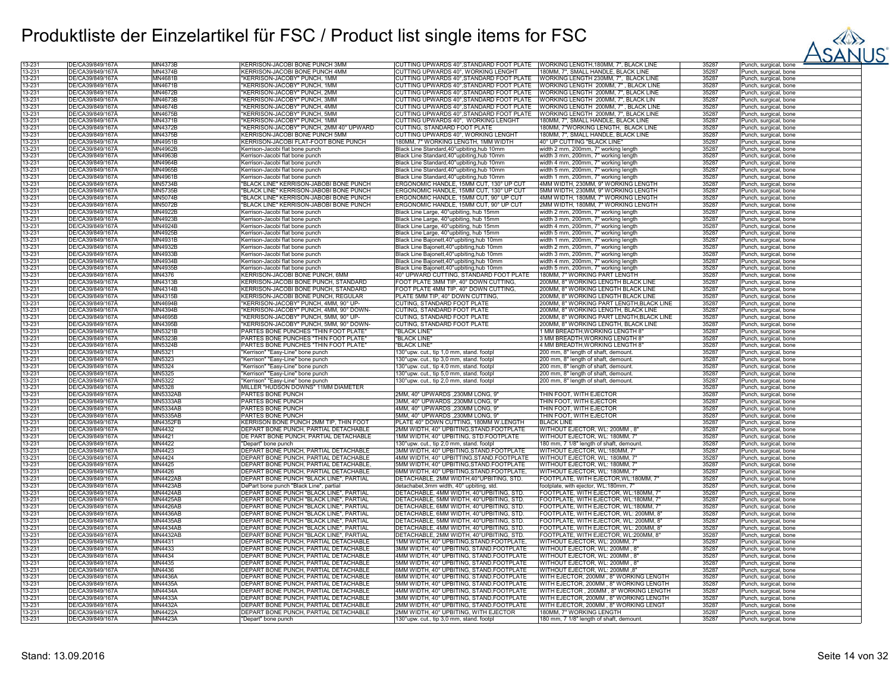

| 13-231 | DE/CA39/849/167Å | MN4373B         | KERRISON-JACOBI BONE PUNCH 3MM          | CUTTING UPWARDS 40°, STANDARD FOOT PLATE    | WORKING LENGTH, 180MM, 7", BLACK LINE     | 35287 | Punch, surgical, bone |
|--------|------------------|-----------------|-----------------------------------------|---------------------------------------------|-------------------------------------------|-------|-----------------------|
|        |                  |                 |                                         |                                             |                                           |       |                       |
| 13-231 | DE/CA39/849/167Ä | MN4374B         | KERRISON-JACOBI BONE PUNCH 4MM          | CUTTING UPWARDS 40°. WORKING LENGHT         | 180MM, 7", SMALL HANDLE, BLACK LINE       | 35287 | Punch, surgical, bone |
| 13-231 | DE/CA39/849/167A | MN4681B         | "KERRISON-JACOBY" PUNCH, 1MM            | CUTTING UPWARDS 40°, STANDARD FOOT PLATE    | WORKING LENGTH 230MM, 7", BLACK LINE      | 35287 | Punch, surgical, bone |
|        |                  |                 |                                         |                                             |                                           |       |                       |
| 13-231 | DE/CA39/849/167A | MN4671B         | "KERRISON-JACOBY" PUNCH, 1MM            | CUTTING UPWARDS 40°, STANDARD FOOT PLATE    | WORKING LENGTH 200MM, 7", BLACK LINE      | 35287 | Punch, surgical, bone |
| 13-231 | DE/CA39/849/167Ä | MN4672B         | "KERRISON-JACOBY" PUNCH, 2MM            | CUTTING UPWARDS 40°, STANDARD FOOT PLATE    | WORKING LENGTH 200MM, 7", BLACK LINE      | 35287 | Punch, surgical, bone |
| 13-231 | DE/CA39/849/167A | MN4673B         | "KERRISON-JACOBY" PUNCH, 3MM            | CUTTING UPWARDS 40°, STANDARD FOOT PLATE    | WORKING LENGTH 200MM, 7", BLACK LIN       | 35287 | Punch, surgical, bone |
| 13-231 | DE/CA39/849/167A | MN4674B         | "KERRISON-JACOBY" PUNCH, 4MM            | CUTTING UPWARDS 40°, STANDARD FOOT PLATE    | WORKING LENGTH 200MM, 7", BLACK LINE      | 35287 | Punch, surgical, bone |
|        |                  |                 |                                         |                                             |                                           |       |                       |
| 13-231 | DE/CA39/849/167A | MN4675B         | "KERRISON-JACOBY" PUNCH, 5MM            | CUTTING UPWARDS 40°, STANDARD FOOT PLATE    | WORKING LENGTH 200MM, 7", BLACK LINE      | 35287 | Punch, surgical, bone |
| 13-231 | DE/CA39/849/167Ä | MN4371B         | "KERRISON-JACOBY" PUNCH, 1MM            | CUTTING UPWARDS 40°, WORKING LENGHT         | 180MM, 7", SMALL HANDLE, BLACK LINE       | 35287 | Punch, surgical, bone |
| 13-231 | DE/CA39/849/167Ä | MN4372B         | "KERRISON-JACOBY" PUNCH, 2MM 40° UPWARD | CUTTING. STANDARD FOOT PLATE                | 180MM, 7"WORKING LENGTH, BLACK LINE       | 35287 | Punch, surgical, bone |
|        |                  |                 |                                         |                                             |                                           |       |                       |
| 13-231 | DE/CA39/849/167Å | MN4375B         | KERRISON-JACOBI BONE PUNCH 5MM          | CUTTING UPWARDS 40°, WORKING LENGHT         | 180MM, 7", SMALL HANDLE, BLACK LINE       | 35287 | Punch, surgical, bone |
| 13-231 | DE/CA39/849/167A | <b>MN4951B</b>  | KERRISON-JACOBI FLAT-FOOT BONE PUNCH    | 180MM, 7" WORKING LENGTH, 1MM WIDTH         | 40° UP CUTTING "BLACK LINE"               | 35287 | Punch, surgical, bone |
| 13-231 | DE/CA39/849/167Ä | MN4962B         | Kerrison-Jacobi flat bone punch         | Black Line Standard, 40°upbiting, hub 10mm  | width 2 mm, 200mm, 7" working length      | 35287 | Punch, surgical, bone |
| 13-231 | DE/CA39/849/167Å | MN4963B         | Kerrison-Jacobi flat bone punch         | Black Line Standard, 40°upbiting, hub 10mm  | width 3 mm, 200mm, 7" working length      | 35287 | Punch, surgical, bone |
|        |                  |                 |                                         |                                             |                                           |       |                       |
| 13-231 | DE/CA39/849/167A | <b>MN4964B</b>  | Kerrison-Jacobi flat bone punch         | Black Line Standard, 40°upbiting, hub 10mm  | width 4 mm, 200mm, 7" working length      | 35287 | Punch, surgical, bone |
| 13-231 | DE/CA39/849/167Ä | MN4965B         | Kerrison-Jacobi flat bone punch         | Black Line Standard, 40°upbiting, hub 10mm  | width 5 mm, 200mm, 7" working length      | 35287 | Punch, surgical, bone |
| 13-231 | DE/CA39/849/167A | MN4961B         | Kerrison-Jacobi flat bone punch         | Black Line Standard, 40° upbiting, hub 10mm | width 1 mm, 200mm, 7" working length      | 35287 | Punch, surgical, bone |
|        |                  |                 |                                         |                                             |                                           |       |                       |
| 13-231 | DE/CA39/849/167Å | <b>MN5734B</b>  | "BLACK LINE" KERRISON-JABOBI BONE PUNCH | ERGONOMIC HANDLE, 15MM CUT, 130° UP CUT     | 4MM WIDTH, 230MM, 9" WORKING LENGTH       | 35287 | Punch, surgical, bone |
| 13-231 | DE/CA39/849/167Ä | MN5735B         | "BLACK LINE" KERRISON-JABOBI BONE PUNCH | ERGONOMIC HANDLE, 15MM CUT, 130° UP CUT     | 5MM WIDTH, 230MM, 9" WORKING LENGTH       | 35287 | Punch, surgical, bone |
| 13-231 | DE/CA39/849/167A | MN5074B         | "BLACK LINE" KERRISON-JABOBI BONE PUNCH | ERGONOMIC HANDLE, 15MM CUT, 90° UP CUT      | 4MM WIDTH, 180MM, 7" WORKING LENGTH       | 35287 | Punch, surgical, bone |
|        |                  |                 |                                         |                                             |                                           |       |                       |
| 13-231 | DE/CA39/849/167A | <b>MN5072B</b>  | "BLACK LINE" KERRISON-JABOBI BONE PUNCH | ERGONOMIC HANDLE, 15MM CUT, 90° UP CUT      | 2MM WIDTH, 180MM, 7" WORKING LENGTH       | 35287 | Punch, surgical, bone |
| 13-231 | DE/CA39/849/167Ä | MN4922B         | Kerrison-Jacobi flat bone punch         | Black Line Large, 40°upbiting, hub 15mm     | width 2 mm, 200mm, 7" working length      | 35287 | Punch, surgical, bone |
| 13-231 | DE/CA39/849/167Å | MN4923B         | Kerrison-Jacobi flat bone punch         | Black Line Large, 40°upbiting, hub 15mm     | width 3 mm, 200mm, 7" working length      | 35287 | Punch, surgical, bone |
|        |                  |                 |                                         |                                             |                                           |       |                       |
| 13-231 | DE/CA39/849/167Ä | MN4924B         | Kerrison-Jacobi flat bone punch         | Black Line Large, 40°upbiting, hub 15mm     | width 4 mm, 200mm, 7" working length      | 35287 | Punch, surgical, bone |
| 13-231 | DE/CA39/849/167Å | MN4925B         | Kerrison-Jacobi flat bone punch         | Black Line Large, 40°upbiting, hub 15mm     | width 5 mm, 200mm, 7" working length      | 35287 | Punch, surgical, bone |
| 13-231 | DE/CA39/849/167A | MN4931B         | Kerrison-Jacobi flat bone punch         | Black Line Bajonett, 40°upbiting, hub 10mm  | width 1 mm, 200mm, 7" working length      | 35287 | Punch, surgical, bone |
| 13-231 | DE/CA39/849/167Ä | MN4932B         |                                         |                                             | width 2 mm, 200mm, 7" working length      | 35287 |                       |
|        |                  |                 | Kerrison-Jacobi flat bone punch         | Black Line Bajonett,40°upbiting,hub 10mm    |                                           |       | Punch, surgical, bone |
| 13-231 | DE/CA39/849/167A | MN4933B         | Kerrison-Jacobi flat bone punch         | Black Line Bajonett, 40°upbiting, hub 10mm  | width 3 mm, 200mm, 7" working length      | 35287 | Punch, surgical, bone |
| 13-231 | DE/CA39/849/167Å | MN4934B         | Kerrison-Jacobi flat bone punch         | Black Line Bajonett, 40°upbiting, hub 10mm  | width 4 mm, 200mm, 7" working length      | 35287 | Punch, surgical, bone |
| 13-231 | DE/CA39/849/167Ä | MN4935B         | Kerrison-Jacobi flat bone punch         | Black Line Bajonett, 40°upbiting, hub 10mm  | width 5 mm, 200mm, 7" working length      | 35287 | Punch, surgical, bone |
|        |                  |                 |                                         |                                             |                                           |       |                       |
| 13-231 | DE/CA39/849/167Å | MN4376          | KERRISON-JACOBI BONE PUNCH, 6MM         | 40° UPWARD CUTTING, STANDARD FOOT PLATE     | 180MM, 7" WORKING PART LENGTH             | 35287 | Punch, surgical, bone |
| 13-231 | DE/CA39/849/167Ă | MN4313B         | KERRISON-JACOBI BONE PUNCH, STANDARD    | FOOT PLATE 3MM TIP. 40° DOWN CUTTING        | 200MM, 8" WORKING LENGTH BLACK LINE       | 35287 | Punch, surgical, bone |
| 13-231 | DE/CA39/849/167A | <b>MN4314B</b>  | KERRISON-JACOBI BONE PUNCH. STANDARD    | FOOT PLATE 4MM TIP, 40° DOWN CUTTING,       | 200MM. 8" WORKING LENGTH BLACK LINE       | 35287 | Punch, surgical, bone |
|        |                  |                 |                                         |                                             |                                           |       |                       |
| 13-231 | DE/CA39/849/167A | MN4315B         | KERRISON-JACOBI BONE PUNCH, REGULAR     | PLATE 5MM TIP, 40° DOWN CUTTING             | 200MM, 8" WORKING LENGTH BLACK LINE       | 35287 | Punch, surgical, bone |
| 13-231 | DE/CA39/849/167A | MN4694B         | "KERRISON-JACOBY" PUNCH, 4MM, 90° UP-   | CUTING, STANDARD FOOT PLATE                 | 200MM, 8" WORKING PART LENGTH, BLACK LINE | 35287 | Punch, surgical, bone |
| 13-231 | DE/CA39/849/167A | MN4394B         | "KERRISON-JACOBY" PUNCH, 4MM, 90° DOWN- | CUTING, STANDARD FOOT PLATE                 | 200MM, 8" WORKING LENGTH, BLACK LINE      | 35287 | Punch, surgical, bone |
| 13-231 | DE/CA39/849/167A | MN4695B         | "KERRISON-JACOBY" PUNCH, 5MM, 90° UP-   | CUTING. STANDARD FOOT PLATE                 | 200MM, 8" WORKING PART LENGTH.BLACK LINE  | 35287 |                       |
|        |                  |                 |                                         |                                             |                                           |       | Punch, surgical, bone |
| 13-231 | DE/CA39/849/167Ä | <b>MN4395B</b>  | "KERRISON-JACOBY" PUNCH, 5MM, 90° DOWN- | CUTING, STANDARD FOOT PLATE                 | 200MM, 8" WORKING LENGTH, BLACK LINE      | 35287 | Punch, surgical, bone |
| 13-231 | DE/CA39/849/167A | MN5321B         | PARTES BONE PUNCHES "THIN FOOT PLATE"   | 'BLACK LINE'                                | MM BREADTH, WORKING LENGTH 8'             | 35287 | Punch, surgical, bone |
| 13-231 | DE/CA39/849/167Å | MN5323B         | PARTES BONE PUNCHES "THIN FOOT PLATE"   | "BLACK LINE                                 | <b>MM BREADTH, WORKING LENGTH 8'</b>      | 35287 |                       |
|        |                  |                 |                                         |                                             |                                           |       | Punch, surgical, bone |
| 13-231 | DE/CA39/849/167Ä | <b>MN5324B</b>  | PARTES BONE PUNCHES "THIN FOOT PLATE"   | "BLACK LINE"                                | 4 MM BREADTH, WORKING LENGTH 8'           | 35287 | Punch, surgical, bone |
| 13-231 | DE/CA39/849/167Å | MN5321          | "Kerrison" "Easy-Line" bone punch       | 130°upw. cut., tip 1,0 mm, stand. footpl    | 200 mm, 8" length of shaft, demount.      | 35287 | Punch, surgical, bone |
| 13-231 | DE/CA39/849/167A | MN5323          | "Kerrison" "Easy-Line" bone punch       | 130°upw. cut., tip 3,0 mm, stand. footpl    | 200 mm, 8" length of shaft, demount.      | 35287 | Punch, surgical, bone |
|        |                  |                 |                                         |                                             |                                           |       |                       |
| 13-231 | DE/CA39/849/167Ä | MN5324          | "Kerrison" "Easy-Line" bone punch       | 130°upw. cut., tip 4,0 mm, stand. footpl    | 200 mm, 8" length of shaft, demount.      | 35287 | Punch, surgical, bone |
| 13-231 | DE/CA39/849/167Å | MN5325          | "Kerrison" "Easy-Line" bone punch       | 130°upw. cut., tip 5,0 mm, stand. footpl    | 200 mm, 8" length of shaft, demount.      | 35287 | Punch, surgical, bone |
| 13-231 | DE/CA39/849/167A | MN5322          | "Kerrison" "Easy-Line" bone punch       | 130°upw. cut., tip 2,0 mm, stand. footpl    | 200 mm, 8" length of shaft, demount.      | 35287 | Punch, surgical, bone |
|        |                  |                 | MILLER "HUDSON DOWNS" 11MM DIAMETER     |                                             |                                           |       |                       |
| 13-231 | DE/CA39/849/167Ä | MN5328          |                                         |                                             |                                           | 35287 | Punch, surgical, bone |
| 13-231 | DE/CA39/849/167A | <b>MN5332AB</b> | PARTES BONE PUNCH                       | 2MM, 40° UPWARDS, 230MM LONG, 9'            | THIN FOOT, WITH EJECTOR                   | 35287 | Punch, surgical, bone |
| 13-231 | DE/CA39/849/167Ä | <b>MN5333AB</b> | PARTES BONE PUNCH                       | 3MM, 40° UPWARDS .230MM LONG, 9'            | THIN FOOT, WITH EJECTOR                   | 35287 | Punch, surgical, bone |
| 13-231 | DE/CA39/849/167Å | <b>MN5334AB</b> | PARTES BONE PUNCH                       | 4MM, 40° UPWARDS, 230MM LONG, 9'            | THIN FOOT, WITH EJECTOR                   | 35287 | Punch, surgical, bone |
|        |                  |                 |                                         |                                             |                                           |       |                       |
| 13-231 | DE/CA39/849/167A | MN5335AB        | PARTES BONE PUNCH                       | 5MM, 40° UPWARDS, 230MM LONG, 9'            | THIN FOOT, WITH EJECTOR                   | 35287 | Punch, surgical, bone |
| 13-231 | DE/CA39/849/167Ä | <b>MN4352FB</b> | KERRISON BONE PUNCH 2MM TIP. THIN FOOT  | PLATE 40° DOWN CUTTING, 180MM W.LENGTH      | <b>BLACK LINE</b>                         | 35287 | Punch, surgical, bone |
| 13-231 | DE/CA39/849/167A | MN4432          | DEPART BONE PUNCH, PARTIAL DETACHABLE   | 2MM WIDTH, 40° UPBITING, STAND. FOOTPLATE   | WITHOUT EJECTOR, WL: 200MM, 8'            | 35287 | Punch, surgical, bone |
| 13-231 | DE/CA39/849/167A | MN4421          | DE PART BONE PUNCH, PARTIAL DETACHABLE  | 1MM WIDTH, 40° UPBITING, STD.FOOTPLATE      | WITHOUT EJECTOR, WL: 180MM, 7"            | 35287 | Punch, surgical, bone |
|        |                  |                 |                                         |                                             |                                           |       |                       |
| 13-231 | DE/CA39/849/167Ä | MN4422          | "Depart" bone punch                     | 130°upw. cut., tip 2,0 mm, stand. footpl    | 180 mm, 7 1/8" length of shaft, demount.  | 35287 | Punch, surgical, bone |
| 13-231 | DE/CA39/849/167A | MN4423          | DEPART BONE PUNCH, PARTIAL DETACHABLE   | 3MM WIDTH, 40° UPBITING, STAND. FOOTPLATE   | WITHOUT EJECTOR, WL:180MM, 7"             | 35287 | Punch, surgical, bone |
| 13-231 | DE/CA39/849/167Ă | MN4424          | DEPART BONE PUNCH, PARTIAL DETACHABLE   | 4MM WIDTH, 40° UPBITTING, STAND. FOOTPLATE  | WITHOUT EJECTOR, WL: 180MM, 7"            | 35287 | Punch, surgical, bone |
|        | DE/CA39/849/167Ä |                 |                                         |                                             |                                           | 35287 |                       |
| 13-231 |                  | MN4425          | DEPART BONE PUNCH, PARTIAL DETACHABLE   | 5MM WIDTH, 40° UPBITING, STAND. FOOTPLATE   | WITHOUT EJECTOR, WL: 180MM, 7'            |       | Punch, surgical, bone |
| 13-231 | DE/CA39/849/167A | MN4426          | DEPART BONE PUNCH, PARTIAL DETACHABLE   | 6MM WIDTH, 40° UPBITING, STAND. FOOTPLATE,  | WITHOUT EJECTOR, WL: 180MM, 7'            | 35287 | Punch, surgical, bone |
| 13-231 | DE/CA39/849/167Ä | <b>MN4422AB</b> | DEPART BONE PUNCH "BLACK LINE", PARTIAL | DETACHABLE, 2MM WIDTH,40°UPBITING, STD.     | FOOTPLATE, WITH EJECTOR, WL:180MM, 7"     | 35287 | Punch, surgical, bone |
| 13-231 | DE/CA39/849/167A | <b>MN4423AB</b> | DePart bone punch "Black Line", partial | detachabel, 3mm width, 40° upbiting, std.   | footplate, with ejector, WL:180mm, 7      | 35287 | Punch, surgical, bone |
|        |                  |                 |                                         |                                             |                                           |       |                       |
| 13-231 | DE/CA39/849/167Å | <b>MN4424AB</b> | DEPART BONE PUNCH "BLACK LINE", PARTIAL | DETACHABLE, 4MM WIDTH, 40°UPBITING, STD     | FOOTPLATE, WITH EJECTOR, WL:180MM, 7      | 35287 | Punch, surgical, bone |
| 13-231 | DE/CA39/849/167Ä | <b>MN4425AB</b> | DEPART BONE PUNCH "BLACK LINE", PARTIAL | DETACHABLE, 5MM WIDTH, 40°UPBITING, STD.    | FOOTPLATE, WITH EJECTOR, WL:180MM, 7      | 35287 | Punch, surgical, bone |
| 13-231 | DE/CA39/849/167A | MN4426AB        | DEPART BONE PUNCH "BLACK LINE", PARTIAL | DETACHABLE, 6MM WIDTH, 40°UPBITING, STD.    | FOOTPLATE, WITH EJECTOR, WL:180MM, 7      | 35287 | Punch, surgical, bone |
| 13-231 | DE/CA39/849/167A | <b>MN4436AB</b> | DEPART BONE PUNCH "BLACK LINE", PARTIAL | DETACHABLE, 6MM WIDTH, 40°UPBITING, STD.    | FOOTPLATE, WITH EJECTOR, WL: 200MM, 8     | 35287 | Punch, surgical, bone |
|        |                  |                 |                                         |                                             |                                           |       |                       |
| 13-231 | DE/CA39/849/167A | MN4435AB        | DEPART BONE PUNCH "BLACK LINE", PARTIAI | DETACHABLE, 5MM WIDTH, 40°UPBITING, STD.    | FOOTPLATE, WITH EJECTOR, WL: 200MM, 8'    | 35287 | Punch, surgical, bone |
| 13-231 | DE/CA39/849/167A | <b>MN4434AB</b> | DEPART BONE PUNCH "BLACK LINE", PARTIAL | DETACHABLE, 4MM WIDTH, 40°UPBITING, STD.    | FOOTPLATE, WITH EJECTOR, WL: 200MM, 8"    | 35287 | Punch, surgical, bone |
| 13-231 | DE/CA39/849/167A | <b>MN4432AB</b> | DEPART BONE PUNCH "BLACK LINE", PARTIAL | DETACHABLE, 2MM WIDTH, 40°UPBITING, STD.    | FOOTPLATE, WITH EJECTOR, WL:200MM, 8"     | 35287 | Punch, surgical, bone |
|        |                  |                 |                                         |                                             |                                           |       |                       |
| 13-231 | DE/CA39/849/167Ä | MN4431          | DEPART BONE PUNCH, PARTIAL DETACHABLE   | 1MM WIDTH, 40° UPBITING, STAND: FOOTPLATE   | WITHOUT EJECTOR, WL: 200MM, 7"            | 35287 | Punch, surgical, bone |
| 13-231 | DE/CA39/849/167A | MN4433          | DEPART BONE PUNCH, PARTIAL DETACHABLE   | 3MM WIDTH, 40° UPBITING, STAND.FOOTPLATE    | WITHOUT EJECTOR, WL: 200MM, 8             | 35287 | Punch, surgical, bone |
| 13-231 | DE/CA39/849/167Å | MN4434          | DEPART BONE PUNCH, PARTIAL DETACHABLE   | 4MM WIDTH, 40° UPBITING, STAND.FOOTPLATE    | WITHOUT EJECTOR, WL: 200MM, 8"            | 35287 | Punch, surgical, bone |
| 13-231 | DE/CA39/849/167Ä | MN4435          | DEPART BONE PUNCH, PARTIAL DETACHABLE   | 5MM WIDTH, 40° UPBITING, STAND.FOOTPLATE    | WITHOUT EJECTOR, WL: 200MM, 8"            | 35287 |                       |
|        |                  |                 |                                         |                                             |                                           |       | Punch, surgical, bone |
| 13-231 | DE/CA39/849/167A | MN4436          | DEPART BONE PUNCH, PARTIAL DETACHABLE   | 6MM WIDTH, 40° UPBITING, STAND.FOOTPLATE    | WITHOUT EJECTOR, WL: 200MM,8'             | 35287 | Punch, surgical, bone |
| 13-231 | DE/CA39/849/167A | MN4436A         | DEPART BONE PUNCH, PARTIAL DETACHABLE   | 6MM WIDTH, 40° UPBITING, STAND.FOOTPLATE    | WITH EJECTOR, 200MM, 8" WORKING LENGTH    | 35287 | Punch, surgical, bone |
| 13-231 | DE/CA39/849/167A | MN4435A         | DEPART BONE PUNCH, PARTIAL DETACHABLE   | 5MM WIDTH, 40° UPBITING, STAND.FOOTPLATE    | WITH EJECTOR, 200MM, 8" WORKING LENGTH    | 35287 | Punch, surgical, bone |
|        |                  |                 |                                         |                                             |                                           |       |                       |
| 13-231 | DE/CA39/849/167A | MN4434A         | DEPART BONE PUNCH, PARTIAL DETACHABLE   | 4MM WIDTH, 40° UPBITING, STAND.FOOTPLATE    | WITH EJECTOR, 200MM, 8" WORKING LENGTH    | 35287 | Punch, surgical, bone |
| 13-231 | DE/CA39/849/167Ä | MN4433A         | DEPART BONE PUNCH, PARTIAL DETACHABLE   | 3MM WIDTH, 40° UPBITING, STAND.FOOTPLATE    | WITH EJECTOR, 200MM, 8" WORKING LENGTH    | 35287 | Punch, surgical, bone |
| 13-231 | DE/CA39/849/167Å | MN4432A         | DEPART BONE PUNCH, PARTIAL DETACHABLE   | 2MM WIDTH, 40° UPBITING, STAND.FOOTPLATE    | WITH EJECTOR, 200MM, 8" WORKING LENGT     | 35287 | Punch, surgical, bone |
|        | DE/CA39/849/167A |                 |                                         |                                             |                                           |       |                       |
| 13-231 |                  | <b>MN4422A</b>  | DEPART BONE PUNCH, PARTIAL DETACHABLE   | 2MM WIDTH, 40° UPBITING, WITH EJECTOR       | 180MM, 7" WORKING LENGTH                  | 35287 | Punch, surgical, bone |
| 13-231 | DE/CA39/849/167A | MN4423A         | "Depart" bone punch                     | 130°upw. cut., tip 3,0 mm, stand. footpl    | 180 mm, 7 1/8" length of shaft, demount.  | 35287 | Punch, surgical, bone |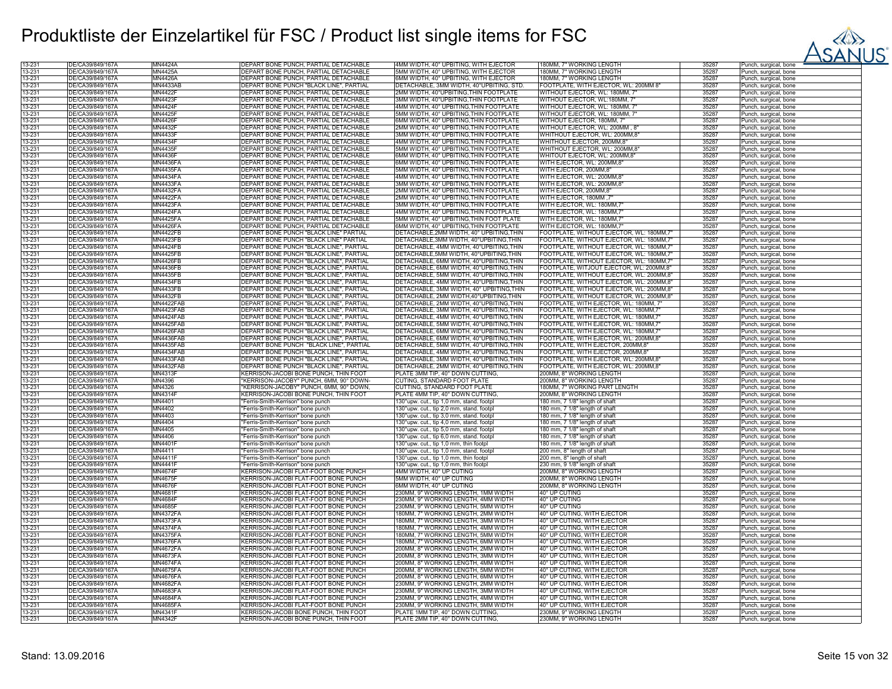

| 13-231 | DE/CA39/849/167A | MN4424A                            | DEPART BONE PUNCH, PARTIAL DETACHABLE                                            | 4MM WIDTH, 40° UPBITING, WITH EJECTOR     | 180MM, 7" WORKING LENGTH                               | 35287 | Punch, surgical, bone                          |
|--------|------------------|------------------------------------|----------------------------------------------------------------------------------|-------------------------------------------|--------------------------------------------------------|-------|------------------------------------------------|
| 13-231 | DE/CA39/849/167A | MN4425A                            | DEPART BONE PUNCH, PARTIAL DETACHABLE                                            | 5MM WIDTH, 40° UPBITING, WITH EJECTOR     | 180MM. 7" WORKING LENGTH                               | 35287 | Punch, surgical, bone                          |
| 13-231 | DE/CA39/849/167A | MN4426A                            | DEPART BONE PUNCH, PARTIAL DETACHABLE                                            | 6MM WIDTH, 40° UPBITING, WITH EJECTOR     | 180MM, 7" WORKING LENGTH                               | 35287 | Punch, surgical, bone                          |
| 13-231 | DE/CA39/849/167A | <b>MN4433AB</b>                    | DEPART BONE PUNCH "BLACK LINE", PARTIAL                                          | DETACHABLE, 3MM WIDTH, 40°UPBITING, STD.  | FOOTPLATE, WITH EJECTOR, WL: 200MM 8"                  | 35287 | Punch, surgical, bone                          |
| 13-231 | DE/CA39/849/167Ä | MN4422F                            | DEPART BONE PUNCH, PARTIAL DETACHABLE                                            | 2MM WIDTH, 40°UPBITING, THIN FOOTPLATE    | WITHOUT EJECTOR, WL: 180MM, 7"                         | 35287 | Punch, surgical, bone                          |
| 13-231 | DE/CA39/849/167A | MN4423F                            | DEPART BONE PUNCH, PARTIAL DETACHABLE                                            | 3MM WIDTH, 40°UPBITING, THIN FOOTPLATE    | WITHOUT EJECTOR, WL:180MM, 7'                          | 35287 | Punch, surgical, bone                          |
| 13-231 | DE/CA39/849/167Ä | <b>MN4424F</b>                     | DEPART BONE PUNCH, PARTIAL DETACHABLE                                            | 4MM WIDTH, 40° UPBITING, THIN FOOTPLATE   | WITHOUT EJECTOR, WL: 180MM, 7"                         | 35287 | Punch, surgical, bone                          |
| 13-231 | DE/CA39/849/167Ä | <b>MN4425F</b>                     | DEPART BONE PUNCH, PARTIAL DETACHABLE                                            | 5MM WIDTH, 40° UPBITING, THIN FOOTPLATE   | WITHOUT EJECTOR, WL: 180MM, 7"                         | 35287 | Punch, surgical, bone                          |
| 13-231 | DE/CA39/849/167A | <b>MN4426F</b>                     | DEPART BONE PUNCH, PARTIAL DETACHABLE                                            | 6MM WIDTH, 40° UPBITING, THIN FOOTPLATE   | WITHOUT EJECTOR, 180MM, 7"                             | 35287 | Punch, surgical, bone                          |
| 13-231 | DE/CA39/849/167A | MN4432F                            | DEPART BONE PUNCH, PARTIAL DETACHABLE                                            | 2MM WIDTH, 40° UPBITING, THIN FOOTPLATE   | WITHOUT EJECTOR, WL: 200MM, 8                          | 35287 | Punch, surgical, bone                          |
| 13-231 | DE/CA39/849/167A | <b>MN4433F</b>                     | DEPART BONE PUNCH, PARTIAL DETACHABLE                                            | 3MM WIDTH, 40° UPBITING, THIN FOOTPLATE   | WHITHOUT EJECTOR, WL: 200MM,8'                         | 35287 | Punch, surgical, bone                          |
| 13-231 | DE/CA39/849/167A | MN4434F                            | DEPART BONE PUNCH, PARTIAL DETACHABLE                                            | 4MM WIDTH, 40° UPBITING, THIN FOOTPLATE   | WHITHOUT EJECTOR, 200MM,8"                             | 35287 | Punch, surgical, bone                          |
| 13-231 | DE/CA39/849/167Ä | <b>MN4435F</b>                     | DEPART BONE PUNCH, PARTIAL DETACHABLE                                            | 5MM WIDTH, 40° UPBITING, THIN FOOTPLATE   | WHITHOUT EJECTOR, WL: 200MM,8                          | 35287 | Punch, surgical, bone                          |
| 13-231 | DE/CA39/849/167A | MN4436F                            | DEPART BONE PUNCH, PARTIAL DETACHABLE                                            | 6MM WIDTH, 40° UPBITING, THIN FOOTPLATE   | WHITOUT EJECTOR, WL: 200MM,8'                          | 35287 | Punch, surgical, bone                          |
| 13-231 | DE/CA39/849/167A | <b>MN4436FA</b>                    | DEPART BONE PUNCH, PARTIAL DETACHABLE                                            | 6MM WIDTH, 40° UPBITING, THIN FOOTPLATE   | WITH EJECTOR, WL: 200MM,8"                             | 35287 | Punch, surgical, bone                          |
| 13-231 | DE/CA39/849/167Ä | <b>MN4435FA</b>                    | DEPART BONE PUNCH, PARTIAL DETACHABLE                                            | 5MM WIDTH, 40° UPBITING, THIN FOOTPLATE   | WITH EJECTOR, 200MM,8"                                 | 35287 | Punch, surgical, bone                          |
| 13-231 | DE/CA39/849/167A | <b>MN4434FA</b>                    | DEPART BONE PUNCH, PARTIAL DETACHABLE                                            | 4MM WIDTH, 40° UPBITING, THIN FOOTPLATE   | WITH EJECTOR, WL: 200MM, 8                             | 35287 | Punch, surgical, bone                          |
| 13-231 | DE/CA39/849/167A | <b>MN4433FA</b>                    | DEPART BONE PUNCH, PARTIAL DETACHABLE                                            | 3MM WIDTH, 40° UPBITING, THIN FOOTPLATE   | WITH EJECTOR, WL: 200MM,8'                             | 35287 | Punch, surgical, bone                          |
| 13-231 | DE/CA39/849/167A | <b>MN4432FA</b>                    | DEPART BONE PUNCH, PARTIAL DETACHABLE                                            | 2MM WIDTH, 40° UPBITING. THIN FOOTPLATE   | WITH EJECTOR, 200MM.8'                                 | 35287 | Punch, surgical, bone                          |
| 13-231 | DE/CA39/849/167A | <b>MN4422FA</b>                    | DEPART BONE PUNCH, PARTIAL DETACHABLE                                            | 2MM WIDTH, 40° UPBITING, THIN FOOTPLATE   | VIITH EJECTOR, 180MM, 7                                | 35287 | Punch, surgical, bone                          |
| 13-231 | DE/CA39/849/167A | MN4423FA                           | DEPART BONE PUNCH, PARTIAL DETACHABLE                                            | 3MM WIDTH, 40° UPBITING, THIN FOOTPLATE   | WITH EJECTOR, WL: 180MM,7                              | 35287 |                                                |
| 13-231 | DE/CA39/849/167Ä | <b>MN4424FA</b>                    | DEPART BONE PUNCH, PARTIAL DETACHABLE                                            | 4MM WIDTH, 40° UPBITING, THIN FOOTPLATE   |                                                        | 35287 | Punch, surgical, bone                          |
| 13-231 | DE/CA39/849/167A | <b>MN4425FA</b>                    | DEPART BONE PUNCH, PARTIAL DETACHABLE                                            | 5MM WIDTH, 40° UPBITING, THIN FOOT PLATE  | WITH EJECTOR, WL: 180MM,7<br>WITH EJECTOR, WL: 180MM,7 | 35287 | Punch, surgical, bone<br>Punch, surgical, bone |
| 13-231 | DE/CA39/849/167Ä | <b>MN4426FA</b>                    | DEPART BONE PUNCH, PARTIAL DETACHABLE                                            | 6MM WIDTH, 40° UPBITING, THIN FOOTPLATE   | WITH EJECTOR, WL: 180MM,7                              | 35287 | Punch, surgical, bone                          |
|        | DE/CA39/849/167Å |                                    |                                                                                  |                                           |                                                        |       |                                                |
| 13-231 |                  | <b>MN4422FB</b><br><b>MN4423FB</b> | DEPART BONE PUNCH "BLACK LINE" PARTIAL<br>DEPART BONE PUNCH "BLACK LINE" PARTIAL | DETACHABLE, 2MM WIDTH, 40° UPBITING, THIN | FOOTPLATE, WITHOUT EJECTOR, WL: 180MM,7'               | 35287 | Punch, surgical, bone                          |
| 13-231 | DE/CA39/849/167A |                                    |                                                                                  | DETACHABLE, 3MM WIDTH, 40°UPBITING, THIN  | FOOTPLATE, WITHOUT EJECTOR, WL: 180MM,7'               | 35287 | Punch, surgical, bone                          |
| 13-231 | DE/CA39/849/167A | <b>MN4424FB</b>                    | <b>DEPART BONE PUNCH "BLACK LINE", PARTIAL</b>                                   | DETACHABLE, 4MM WIDTH, 40°UPBITING, THIN  | FOOTPLATE, WITHOUT EJECTOR, WL: 180MM.7"               | 35287 | Punch, surgical, bone                          |
| 13-231 | DE/CA39/849/167A | <b>MN4425FB</b>                    | DEPART BONE PUNCH "BLACK LINE", PARTIAL                                          | DETACHABLE, 5MM WIDTH, 40°UPBITING, THIN  | FOOTPLATE, WITHOUT EJECTOR, WL: 180MM,7"               | 35287 | Punch, surgical, bone                          |
| 13-231 | DE/CA39/849/167A | MN4426FB                           | DEPART BONE PUNCH "BLACK LINE", PARTIAL                                          | DETACHABLE, 6MM WIDTH, 40°UPBITING, THIN  | FOOTPLATE, WITHOUT EJECTOR, WL: 180MM,7"               | 35287 | Punch, surgical, bone                          |
| 13-231 | DE/CA39/849/167Ä | <b>MN4436FB</b>                    | DEPART BONE PUNCH "BLACK LINE", PARTIAL                                          | DETACHABLE, 6MM WIDTH, 40°UPBITING, THIN  | FOOTPLATE, WITJOUT EJECTOR, WL: 200MM,8"               | 35287 | Punch, surgical, bone                          |
| 13-231 | DE/CA39/849/167A | MN4435FB                           | DEPART BONE PUNCH "BLACK LINE", PARTIAL                                          | DETACHABLE, 5MM WIDTH, 40°UPBITING, THIN  | FOOTPLATE, WITHOUT EJECTOR, WL: 200MM,8"               | 35287 | Punch, surgical, bone                          |
| 13-231 | DE/CA39/849/167A | <b>MN4434FB</b>                    | DEPART BONE PUNCH "BLACK LINE", PARTIAL                                          | DETACHABLE, 4MM WIDTH, 40°UPBITING, THIN  | FOOTPLATE, WITHOUT EJECTOR, WL: 200MM,8"               | 35287 | Punch, surgical, bone                          |
| 13-231 | DE/CA39/849/167A | MN4433FB                           | DEPART BONE PUNCH "BLACK LINE", PARTIAL                                          | DETACHABLE, 3MM WIDTH, 40° UPBITING, THIN | FOOTPLATE, WITHOUT EJECTOR, WL: 200MM,8"               | 35287 | Punch, surgical, bone                          |
| 13-231 | DE/CA39/849/167A | <b>MN4432FB</b>                    | DEPART BONE PUNCH "BLACK LINE", PARTIAL                                          | DETACHABLE, 2MM WIDTH,40°UPBITING,THIN    | FOOTPLATE, WITHOUT EJECTOR, WL: 200MM,8"               | 35287 | Punch, surgical, bone                          |
| 13-231 | DE/CA39/849/167A | MN4422FAB                          | DEPART BONE PUNCH "BLACK LINE", PARTIAL                                          | DETACHABLE, 2MM WIDTH, 40°UPBITING, THIN  | FOOTPLATE, WITH EJECTOR, WL: 180MM, 7"                 | 35287 | Punch, surgical, bone                          |
| 13-231 | DE/CA39/849/167A | MN4423FAB                          | DEPART BONE PUNCH "BLACK LINE", PARTIAL                                          | DETACHABLE, 3MM WIDTH, 40°UPBITING, THIN  | FOOTPLATE, WITH EJECTOR, WL: 180MM,7                   | 35287 | Punch, surgical, bone                          |
| 13-231 | DE/CA39/849/167A | MN4424FAB                          | DEPART BONE PUNCH "BLACK LINE", PARTIAL                                          | DETACHABLE, 4MM WIDTH, 40°UPBITING, THIN  | FOOTPLATE, WITH EJECTOR, WL: 180MM,7                   | 35287 | Punch, surgical, bone                          |
| 13-231 | DE/CA39/849/167Ä | MN4425FAB                          | DEPART BONE PUNCH "BLACK LINE", PARTIAL                                          | DETACHABLE, 5MM WIDTH, 40°UPBITING, THIN  | FOOTPLATE, WITH EJECTOR, WL: 180MM,7'                  | 35287 | Punch, surgical, bone                          |
| 13-231 | DE/CA39/849/167A | MN4426FAB                          | DEPART BONE PUNCH "BLACK LINE", PARTIAL                                          | DETACHABLE, 6MM WIDTH, 40°UPBITING, THIN  | FOOTPLATE, WITH EJECTOR, WL: 180MM,7                   | 35287 | Punch, surgical, bone                          |
| 13-231 | DE/CA39/849/167A | MN4436FAB                          | DEPART BONE PUNCH "BLACK LINE", PARTIAL                                          | DETACHABLE, 6MM WIDTH, 40°UPBITING,THIN   | FOOTPLATE, WITH EJECTOR, WL: 200MM,8                   | 35287 | Punch, surgical, bone                          |
| 13-231 | DE/CA39/849/167Ä | <b>MN4435FAB</b>                   | DEPART BONE PUNCH "BLACK LINE", PARTIAL                                          | DETACHABLE, 5MM WIDTH, 40°UPBITING,THIN   | FOOTPLATE, WITH EJECTOR, 200MM,8"                      | 35287 | Punch, surgical, bone                          |
| 13-231 | DE/CA39/849/167A | MN4434FAB                          | DEPART BONE PUNCH "BLACK LINE", PARTIAL                                          | DETACHABLE, 4MM WIDTH, 40°UPBITING, THIN  | FOOTPLATE, WITH EJECTOR, 200MM,8"                      | 35287 | Punch, surgical, bone                          |
| 13-231 | DE/CA39/849/167A | MN4433FAB                          | DEPART BONE PUNCH "BLACK LINE", PARTIAL                                          | DETACHABLE, 3MM WIDTH, 40°UPBITING, THIN  | FOOTPLATE, WITH EJECTOR, WL: 200MM,8                   | 35287 | Punch, surgical, bone                          |
| 13-231 | DE/CA39/849/167Ä | MN4432FAB                          | DEPART BONE PUNCH "BLACK LINE", PARTIAL                                          | DETACHABLE, 2MM WIDTH, 40°UPBITING, THIN  | FOOTPLATE, WITH EJECTOR, WL: 200MM,8'                  | 35287 | Punch, surgical, bone                          |
| 13-231 | DE/CA39/849/167Å | <b>MN4313F</b>                     | KERRISON-JACOBI BONE PUNCH, THIN FOOT                                            | PLATE 3MM TIP, 40° DOWN CUTTING           | 200MM, 8" WORKING LENGTH                               | 35287 | Punch, surgical, bone                          |
| 13-231 | DE/CA39/849/167A | MN4396                             | "KERRISON-JACOBY" PUNCH, 6MM, 90° DOWN-                                          | CUTING, STANDARD FOOT PLATE               | 200MM, 8" WORKING LENGTH                               | 35287 | Punch, surgical, bone                          |
| 13-231 | DE/CA39/849/167A | MN4326                             | 'KERRISON-JACOBY" PUNCH, 6MM, 90° DOWN                                           | CUTTING, STANDARD FOOT PLATE              | 180MM, 7" WORKING PART LENGTH                          | 35287 | Punch, surgical, bone                          |
| 13-231 | DE/CA39/849/167A | MN4314F                            | KERRISON-JACOBI BONE PUNCH, THIN FOOT                                            | PLATE 4MM TIP, 40° DOWN CUTTING           | 200MM, 8" WORKING LENGTH                               | 35287 | Punch, surgical, bone                          |
| 13-231 | DE/CA39/849/167A | MN4401                             | "Ferris-Smith-Kerrison" bone punch                                               | 130°upw. cut., tip 1,0 mm, stand. footpl  | 180 mm, 7 1/8" length of shaft                         | 35287 | Punch, surgical, bone                          |
| 13-231 | DE/CA39/849/167A | MN4402                             | "Ferris-Smith-Kerrison" bone punch                                               | 130°upw. cut., tip 2,0 mm, stand. footpl  | 180 mm, 7 1/8" length of shaft                         | 35287 | Punch, surgical, bone                          |
| 13-231 | DE/CA39/849/167A | MN4403                             | "Ferris-Smith-Kerrison" bone punch                                               | 130°upw. cut., tip 3,0 mm, stand. footpl  | 180 mm, 7 1/8" length of shaft                         | 35287 | Punch, surgical, bone                          |
| 13-231 | DE/CA39/849/167Ä | MN4404                             | "Ferris-Smith-Kerrison" bone punch                                               | 130°upw. cut., tip 4,0 mm, stand. footpl  | 180 mm, 7 1/8" length of shaft                         | 35287 | Punch, surgical, bone                          |
| 13-231 | DE/CA39/849/167A | MN4405                             | 'Ferris-Smith-Kerrison" bone punch                                               | 130°upw. cut., tip 5,0 mm, stand. footpl  | 180 mm, 7 1/8" length of shaft                         | 35287 | Punch, surgical, bone                          |
| 13-231 | DE/CA39/849/167A | MN4406                             | "Ferris-Smith-Kerrison" bone punch                                               | 130°upw. cut., tip 6,0 mm, stand. footpl  | 180 mm, 7 1/8" length of shaft                         | 35287 | Punch, surgical, bone                          |
| 13-231 | DE/CA39/849/167A | <b>MN4401F</b>                     | "Ferris-Smith-Kerrison" bone punch                                               | 130°upw. cut., tip 1,0 mm, thin footpl    | 180 mm, 7 1/8" length of shaft                         | 35287 | Punch, surgical, bone                          |
| 13-231 | DE/CA39/849/167A | MN4411                             | Ferris-Smith-Kerrison" bone punch                                                | 130°upw. cut., tip 1,0 mm, stand. footpl  | 200 mm, 8" length of shaft                             | 35287 | Punch, surgical, bone                          |
| 13-231 | DE/CA39/849/167A | MN4411F                            | "Ferris-Smith-Kerrison" bone punch                                               | 130°upw. cut., tip 1,0 mm, thin footpl    | 200 mm, 8" length of shaft                             | 35287 | Punch, surgical, bone                          |
| 13-231 | DE/CA39/849/167A | <b>MN4441F</b>                     | "Ferris-Smith-Kerrison" bone punch                                               | 130°upw. cut., tip 1,0 mm, thin footpl    | 230 mm, 9 1/8" length of shaft                         | 35287 | Punch, surgical, bone                          |
| 13-231 | DE/CA39/849/167A | <b>MN4674F</b>                     | KERRISON-JACOBI FLAT-FOOT BONE PUNCH                                             | 4MM WIDTH, 40° UP CUTING                  | 200MM, 8" WORKING LENGTH                               | 35287 | Punch, surgical, bone                          |
| 13-231 | DE/CA39/849/167Ä | MN4675F                            | KERRISON-JACOBI FLAT-FOOT BONE PUNCH                                             | 5MM WIDTH, 40° UP CUTING                  | 200MM, 8" WORKING LENGTH                               | 35287 | Punch, surgical, bone                          |
| 13-231 | DE/CA39/849/167Å | <b>MN4676F</b>                     | KERRISON-JACOBI FLAT-FOOT BONE PUNCH                                             | 6MM WIDTH, 40° UP CUTING                  | 200MM, 8" WORKING LENGTH                               | 35287 | Punch, surgical, bone                          |
| 13-231 | DE/CA39/849/167Å | MN4681F                            | KERRISON-JACOBI FLAT-FOOT BONE PUNCH                                             | 230MM, 9" WORKING LENGTH, 1MM WIDTH       | 40° UP CUTING                                          | 35287 | Punch, surgical, bone                          |
| 13-231 | DE/CA39/849/167A | <b>MN4684F</b>                     | KERRISON-JACOBI FLAT-FOOT BONE PUNCH                                             | 230MM, 9" WORKING LENGTH, 4MM WIDTH       | 40° UP CUTING                                          | 35287 | Punch, surgical, bone                          |
| 13-231 | DE/CA39/849/167A | <b>MN4685F</b>                     | KERRISON-JACOBI FLAT-FOOT BONE PUNCH                                             | 230MM, 9" WORKING LENGTH, 5MM WIDTH       | 40° UP CUTING                                          | 35287 | Punch, surgical, bone                          |
| 13-231 | DE/CA39/849/167A | <b>MN4372FA</b>                    | KERRISON-JACOBI FLAT-FOOT BONE PUNCH                                             | 180MM, 7" WORKING LENGTH, 2MM WIDTH       | 40° UP CUTING, WITH EJECTOR                            | 35287 | Punch, surgical, bone                          |
| 13-231 | DE/CA39/849/167A | <b>MN4373FA</b>                    | KERRISON-JACOBI FLAT-FOOT BONE PUNCH                                             | 180MM, 7" WORKING LENGTH, 3MM WIDTH       | 40° UP CUTING, WITH EJECTOR                            | 35287 | Punch, surgical, bone                          |
| 13-231 | DE/CA39/849/167A | <b>MN4374FA</b>                    | KERRISON-JACOBI FLAT-FOOT BONE PUNCH                                             | 180MM, 7" WORKING LENGTH, 4MM WIDTH       | 40° UP CUTING, WITH EJECTOR                            | 35287 | Punch, surgical, bone                          |
| 13-231 | DE/CA39/849/167Ä | MN4375FA                           | KERRISON-JACOBI FLAT-FOOT BONE PUNCH                                             | 180MM, 7" WORKING LENGTH, 5MM WIDTH       | 40° UP CUTING, WITH EJECTOR                            | 35287 | Punch, surgical, bone                          |
| 13-231 | DE/CA39/849/167Ä | <b>MN4376FA</b>                    | KERRISON-JACOBI FLAT-FOOT BONE PUNCH                                             | 180MM, 7" WORKING LENGTH, 6MM WIDTH       | 40° UP CUTING, WITH EJECTOR                            | 35287 | Punch, surgical, bone                          |
| 13-231 | DE/CA39/849/167A | MN4672FA                           | KERRISON-JACOBI FLAT-FOOT BONE PUNCH                                             | 200MM, 8" WORKING LENGTH, 2MM WIDTH       | 40° UP CUTING, WITH EJECTOR                            | 35287 | Punch, surgical, bone                          |
| 13-231 | DE/CA39/849/167A | <b>MN4673FA</b>                    | KERRISON-JACOBI FLAT-FOOT BONE PUNCH                                             | 200MM, 8" WORKING LENGTH, 3MM WIDTH       | 40° UP CUTING, WITH EJECTOR                            | 35287 | Punch, surgical, bone                          |
| 13-231 | DE/CA39/849/167Ä | <b>MN4674FA</b>                    | KERRISON-JACOBI FLAT-FOOT BONE PUNCH                                             | 200MM, 8" WORKING LENGTH, 4MM WIDTH       | 40° UP CUTING, WITH EJECTOR                            | 35287 | Punch, surgical, bone                          |
| 13-231 | DE/CA39/849/167Å | <b>MN4675FA</b>                    | KERRISON-JACOBI FLAT-FOOT BONE PUNCH                                             | 200MM, 8" WORKING LENGTH, 5MM WIDTH       | 40° UP CUTING, WITH EJECTOR                            | 35287 | Punch, surgical, bone                          |
| 13-231 | DE/CA39/849/167A | <b>MN4676FA</b>                    | KERRISON-JACOBI FLAT-FOOT BONE PUNCH                                             | 200MM, 8" WORKING LENGTH, 6MM WIDTH       | 40° UP CUTING, WITH EJECTOR                            | 35287 | Punch, surgical, bone                          |
| 13-231 | DE/CA39/849/167A | <b>MN4682FA</b>                    | KERRISON-JACOBI FLAT-FOOT BONE PUNCH                                             | 230MM, 9" WORKING LENGTH, 2MM WIDTH       | 40° UP CUTING, WITH EJECTOR                            | 35287 | Punch, surgical, bone                          |
| 13-231 | DE/CA39/849/167Å | <b>MN4683FA</b>                    | KERRISON-JACOBI FLAT-FOOT BONE PUNCH                                             | 230MM, 9" WORKING LENGTH, 3MM WIDTH       | 40° UP CUTING, WITH EJECTOR                            | 35287 | Punch, surgical, bone                          |
| 13-231 | DE/CA39/849/167Ä | <b>MN4684FA</b>                    | KERRISON-JACOBI FLAT-FOOT BONE PUNCH                                             | 230MM, 9" WORKING LENGTH, 4MM WIDTH       | 40° UP CUTING, WITH EJECTOR                            | 3528  | Punch, surgical, bone                          |
| 13-231 | DE/CA39/849/167A | <b>MN4685FA</b>                    | KERRISON-JACOBI FLAT-FOOT BONE PUNCH                                             | 230MM, 9" WORKING LENGTH, 5MM WIDTH       | 40° UP CUTING, WITH EJECTOR                            | 35287 | Punch, surgical, bone                          |
| 13-231 | DE/CA39/849/167A | <b>MN4341F</b>                     | KERRISON-JACOBI BONE PUNCH, THIN FOOT                                            | PLATE 1MM TIP, 40° DOWN CUTTING           | 230MM, 9" WORKING LENGTH                               | 35287 | Punch, surgical, bone                          |
| 13-231 | DE/CA39/849/167Ä | MN4342F                            | KERRISON-JACOBI BONE PUNCH, THIN FOOT                                            | PLATE 2MM TIP, 40° DOWN CUTTING,          | 230MM, 9" WORKING LENGTH                               | 35287 | Punch, surgical, bone                          |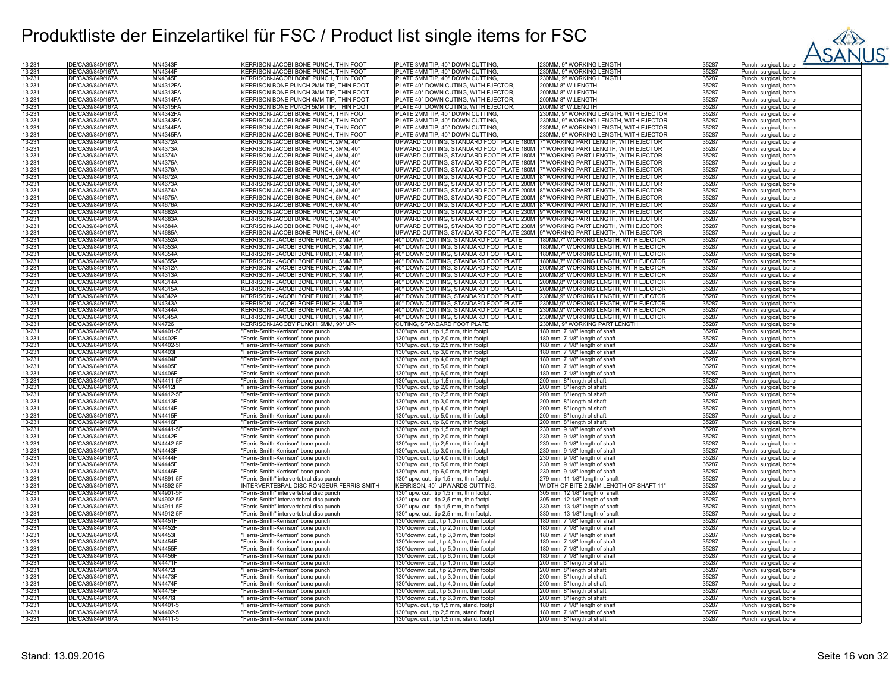

| 13-231           | DE/CA39/849/167A                     | MN4343                    | KERRISON-JACOBI BONE PUNCH, THIN FOOT                                    | PLATE 3MM TIP, 40° DOWN CUTTING                                                       | 230MM, 9" WORKING LENGTH                 | 35287          | Punch, surgical, bone                                      |
|------------------|--------------------------------------|---------------------------|--------------------------------------------------------------------------|---------------------------------------------------------------------------------------|------------------------------------------|----------------|------------------------------------------------------------|
| 13-231           | DE/CA39/849/167A                     | <b>MN4344F</b>            | KERRISON-JACOBI BONE PUNCH. THIN FOOT                                    | PLATE 4MM TIP, 40° DOWN CUTTING                                                       | 230MM, 9" WORKING LENGTH                 | 35287          | Punch, surgical, bone                                      |
| 13-231           | DE/CA39/849/167A                     | <b>MN4345F</b>            | KERRISON-JACOBI BONE PUNCH, THIN FOOT                                    | PLATE 5MM TIP, 40° DOWN CUTTING                                                       | 230MM, 9" WORKING LENGTH                 | 35287          | <sup>2</sup> unch, surgical, bone                          |
| 13-231           | DE/CA39/849/167Ä                     | MN4312FA                  | KERRISON BONE PUNCH 2MM TIP, THIN FOOT                                   | PLATE 40° DOWN CUTING, WITH EJECTOR,                                                  | 200MM 8" W.LENGTH                        | 35287          | Punch, surgical, bone                                      |
| 13-231           | DE/CA39/849/167Ä                     | MN4313FA                  | KERRISON BONE PUNCH 3MM TIP, THIN FOOT                                   | PLATE 40° DOWN CUTING, WITH EJECTOR,                                                  | 200MM 8" W.LENGTH                        | 35287          | Punch, surgical, bone                                      |
| 13-231           | DE/CA39/849/167A                     | <b>MN4314FA</b>           | KERRISON BONE PUNCH 4MM TIP, THIN FOOT                                   | PLATE 40° DOWN CUTING, WITH EJECTOR,                                                  | 200MM 8" W.LENGTH                        | 35287          | Punch, surgical, bone                                      |
| 13-231           | DE/CA39/849/167A                     | <b>MN4315FA</b>           | KERRISON BONE PUNCH 5MM TIP, THIN FOOT                                   | PLATE 40° DOWN CUTING, WITH EJECTOR,                                                  | 200MM 8" W.LENGTH                        | 35287          | Punch, surgical, bone                                      |
| 13-231           | DE/CA39/849/167A                     | <b>MN4342FA</b>           | KERRISON-JACOBI BONE PUNCH, THIN FOOT                                    | PLATE 2MM TIP, 40° DOWN CUTTING,                                                      | 230MM, 9" WORKING LENGTH, WITH EJECTOR   | 35287          | unch, surgical, bone                                       |
| 13-231           | DE/CA39/849/167A                     | <b>MN4343FA</b>           | KERRISON-JACOBI BONE PUNCH, THIN FOOT                                    | PLATE 3MM TIP, 40° DOWN CUTTING                                                       | 230MM, 9" WORKING LENGTH, WITH EJECTOR   | 35287          | Punch, surgical, bone                                      |
| 13-231           | DE/CA39/849/167A                     | <b>MN4344FA</b>           | KERRISON-JACOBI BONE PUNCH, THIN FOOT                                    | PLATE 4MM TIP, 40° DOWN CUTTING                                                       | 230MM, 9" WORKING LENGTH, WITH EJECTOR   | 35287          | <sup>2</sup> unch, surgical, bone                          |
| 13-231           | DE/CA39/849/167A                     | <b>MN4345FA</b>           | KERRISON-JACOBI BONE PUNCH, THIN FOOT                                    | PLATE 5MM TIP, 40° DOWN CUTTING.                                                      | 230MM, 9" WORKING LENGTH, WITH EJECTOR   | 35287          | <sup>2</sup> unch, surgical, bone                          |
| 13-231           | DE/CA39/849/167A                     | <b>MN4372A</b>            | KERRISON-JACOBI BONE PUNCH, 2MM, 40°                                     | UPWARD CUTTING, STANDARD FOOT PLATE, 180M 7" WORKING PART LENGTH, WITH EJECTOR        |                                          | 35287          | <sup>2</sup> unch, surgical, bone                          |
| 13-231           | DE/CA39/849/167Ä                     | <b>MN4373A</b>            | KERRISON-JACOBI BONE PUNCH, 3MM, 40°                                     | UPWARD CUTTING, STANDARD FOOT PLATE, 180M 7" WORKING PART LENGTH, WITH EJECTOR        |                                          | 35287          | <sup>2</sup> unch, surgical, bone                          |
| 13-231           | DE/CA39/849/167Ă                     | MN4374A                   | KERRISON-JACOBI BONE PUNCH, 4MM, 40'                                     | UPWARD CUTTING, STANDARD FOOT PLATE, 180M 7" WORKING PART LENGTH, WITH EJECTOR        |                                          | 35287          | <sup>2</sup> unch, surgical, bone                          |
| 13-231           | DE/CA39/849/167Ă                     | MN4375A                   | KERRISON-JACOBI BONE PUNCH, 5MM, 40'                                     | UPWARD CUTTING, STANDARD FOOT PLATE, 180M 7" WORKING PART LENGTH, WITH EJECTOR        |                                          | 35287          | unch, surgical, bone                                       |
| 13-231           | DE/CA39/849/167Ä                     | <b>MN4376A</b>            | KERRISON-JACOBI BONE PUNCH, 6MM, 40°                                     | UPWARD CUTTING, STANDARD FOOT PLATE, 180M  7" WORKING PART LENGTH, WITH EJECTOR       |                                          | 35287          | unch, surgical, bone                                       |
| 13-231           | DE/CA39/849/167A                     | MN4672A                   | KERRISON-JACOBI BONE PUNCH, 2MM, 40'                                     | UPWARD CUTTING, STANDARD FOOT PLATE, 200M 8" WORKING PART LENGTH, WITH EJECTOR        |                                          | 35287          | Punch, surgical, bone                                      |
| 13-231           | DE/CA39/849/167A                     | <b>MN4673A</b>            | KERRISON-JACOBI BONE PUNCH, 3MM, 40'                                     | UPWARD CUTTING, STANDARD FOOT PLATE, 200M 8" WORKING PART LENGTH, WITH EJECTOR        |                                          | 35287          |                                                            |
| 13-231           | DE/CA39/849/167Ä                     | <b>MN4674A</b>            | KERRISON-JACOBI BONE PUNCH, 4MM, 40                                      | UPWARD CUTTING, STANDARD FOOT PLATE, 200M 8" WORKING PART LENGTH, WITH EJECTOR        |                                          | 35287          | Punch, surgical, bone<br><sup>2</sup> unch, surgical, bone |
|                  | DE/CA39/849/167Å                     | MN4675A                   |                                                                          |                                                                                       |                                          | 35287          |                                                            |
| 13-231           |                                      |                           | KERRISON-JACOBI BONE PUNCH, 5MM, 40'                                     | UPWARD CUTTING, STANDARD FOOT PLATE,200M 8" WORKING PART LENGTH, WITH EJECTOR         |                                          |                | unch, surgical, bone                                       |
| 13-231           | DE/CA39/849/167Ä                     | MN4676A                   | KERRISON-JACOBI BONE PUNCH, 6MM, 40'                                     | UPWARD CUTTING, STANDARD FOOT PLATE,200M 8" WORKING PART LENGTH, WITH EJECTOR         |                                          | 35287          | Punch, surgical, bone                                      |
| 13-231           | DE/CA39/849/167Ä                     | MN4682A                   | KERRISON-JACOBI BONE PUNCH, 2MM, 40°                                     | JPWARD CUTTING, STANDARD FOOT PLATE,230M 9" WORKING PART LENGTH, WITH EJECTOR         |                                          | 35287          | Punch, surgical, bone                                      |
| 13-231           | DE/CA39/849/167A                     | MN4683A                   | (ERRISON-JACOBI BONE PUNCH, 3MM, 40                                      | JPWARD CUTTING, STANDARD FOOT PLATE,230M  9" WORKING PART LENGTH, WITH EJECTOR        |                                          | 35287          | unch, surgical, bone                                       |
| 13-231           | DE/CA39/849/167A                     | <b>MN4684A</b>            | KERRISON-JACOBI BONE PUNCH, 4MM, 40°                                     | UPWARD CUTTING, STANDARD FOOT PLATE,230M  9" WORKING PART LENGTH, WITH EJECTOR        |                                          | 35287          | unch, surgical, bone                                       |
| 13-231           | DE/CA39/849/167A                     | MN4685A                   | KERRISON-JACOBI BONE PUNCH, 5MM, 40'                                     | UPWARD CUTTING, STANDARD FOOT PLATE,230M 9" WORKING PART LENGTH, WITH EJECTOR         |                                          | 35287          | Punch, surgical, bone                                      |
| 13-231           | DE/CA39/849/167A                     | MN4352A                   | KERRISON - JACOBI BONE PUNCH, 2MM TIP                                    | 40° DOWN CUTTING, STANDARD FOOT PLATE                                                 | 180MM,7" WORKING LENGTH, WITH EJECTOR    | 35287          | Punch, surgical, bone                                      |
| 13-231           | DE/CA39/849/167Ä                     | MN4353A                   | KERRISON - JACOBI BONE PUNCH, 3MM TIP                                    | 40° DOWN CUTTING. STANDARD FOOT PLATE                                                 | 180MM.7" WORKING LENGTH, WITH EJECTOR    | 35287          | Punch, surgical, bone                                      |
| 13-231           | DE/CA39/849/167A                     | <b>MN4354A</b>            | KERRISON - JACOBI BONE PUNCH, 4MM TIP.                                   | 40° DOWN CUTTING, STANDARD FOOT PLATE                                                 | 180MM,7" WORKING LENGTH, WITH EJECTOR    | 35287          | <sup>2</sup> unch, surgical, bone                          |
| 13-231           | DE/CA39/849/167Ä                     | <b>MN4355A</b>            | KERRISON - JACOBI BONE PUNCH, 5MM TIP,                                   | 40° DOWN CUTTING, STANDARD FOOT PLATE                                                 | 180MM,7" WORKING LENGTH, WITH EJECTOR    | 35287          | Punch, surgical, bone                                      |
| 13-231           | DE/CA39/849/167A                     | MN4312A                   | (ERRISON - JACOBI BONE PUNCH, 2MM TIP.                                   | 40° DOWN CUTTING, STANDARD FOOT PLATE                                                 | 200MM,8" WORKING LENGTH, WITH EJECTOR    | 35287          | Punch, surgical, bone                                      |
| 13-231           | DE/CA39/849/167A                     | MN4313A                   | KERRISON - JACOBI BONE PUNCH, 3MM TIP,                                   | 40° DOWN CUTTING, STANDARD FOOT PLATE                                                 | 200MM,8" WORKING LENGTH, WITH EJECTOR    | 35287          | unch, surgical, bone                                       |
| 13-231           | DE/CA39/849/167A                     | <b>MN4314A</b>            | KERRISON - JACOBI BONE PUNCH, 4MM TIP,                                   | 40° DOWN CUTTING, STANDARD FOOT PLATE                                                 | 200MM,8" WORKING LENGTH, WITH EJECTOR    | 35287          | unch, surgical, bone                                       |
| 13-231           | DE/CA39/849/167Ä                     | MN4315A                   | KERRISON - JACOBI BONE PUNCH, 5MM TIP.                                   | 40° DOWN CUTTING, STANDARD FOOT PLATE                                                 | 200MM,8" WORKING LENGTH, WITH EJECTOR    | 35287          | unch, surgical, bone                                       |
| 13-231           | DE/CA39/849/167A                     | <b>MN4342A</b>            | KERRISON - JACOBI BONE PUNCH, 2MM TIP,                                   | 40° DOWN CUTTING, STANDARD FOOT PLATE                                                 | 230MM,9" WORKING LENGTH, WITH EJECTOR    | 35287          | unch, surgical, bone                                       |
| 13-231           | DE/CA39/849/167Ä                     | <b>MN4343A</b>            | KERRISON - JACOBI BONE PUNCH, 3MM TIP.                                   | 40° DOWN CUTTING. STANDARD FOOT PLATE                                                 | 230MM.9" WORKING LENGTH, WITH EJECTOR    | 35287          | Punch, surgical, bone                                      |
| 13-231           | DE/CA39/849/167Å                     | <b>MN4344A</b>            | KERRISON - JACOBI BONE PUNCH, 4MM TIP,                                   | 40° DOWN CUTTING, STANDARD FOOT PLATE                                                 | 230MM,9" WORKING LENGTH, WITH EJECTOR    | 35287          | <sup>2</sup> unch, surgical, bone                          |
| 13-231           | DE/CA39/849/167Ä                     | MN4345A                   | KERRISON - JACOBI BONE PUNCH, 5MM TIP,                                   | 40° DOWN CUTTING, STANDARD FOOT PLATE                                                 | 230MM,9" WORKING LENGTH, WITH EJECTOR    | 35287          | Punch, surgical, bone                                      |
| 13-231           | DE/CA39/849/167A                     | MN4726                    | KERRISON-JACOBY PUNCH, 6MM, 90° UP-                                      | CUTING, STANDARD FOOT PLATE                                                           | 230MM, 9" WORKING PART LENGTH            | 35287          | Punch, surgical, bone                                      |
| 13-231           | DE/CA39/849/167A                     | MN4401-5F                 | Ferris-Smith-Kerrison" bone punch                                        | 130°upw. cut., tip 1,5 mm, thin footpl                                                | 180 mm, 7 1/8" length of shaft           | 35287          | unch, surgical, bone                                       |
| 13-231           | DE/CA39/849/167A                     | <b>MN4402F</b>            | Ferris-Smith-Kerrison" bone punch                                        | 130°upw. cut., tip 2,0 mm, thin footpl                                                | 180 mm, 7 1/8" length of shaft           | 35287          | unch, surgical, bone                                       |
| 13-231           | DE/CA39/849/167Ä                     | MN4402-5F                 | "Ferris-Smith-Kerrison" bone punch                                       | 130°upw. cut., tip 2,5 mm, thin footpl                                                | 180 mm, 7 1/8" length of shaft           | 35287          | unch, surgical, bone                                       |
| 13-231           | DE/CA39/849/167A                     | MN4403F                   | "Ferris-Smith-Kerrison" bone punch                                       | 130°upw. cut., tip 3,0 mm, thin footpl                                                | 180 mm, 7 1/8" length of shaft           | 35287          | Punch, surgical, bone                                      |
| 13-231           | DE/CA39/849/167Å                     | <b>MN4404F</b>            | "Ferris-Smith-Kerrison" bone punch                                       | 130°upw. cut., tip 4,0 mm, thin footpl                                                | 180 mm, 7 1/8" length of shaft           | 35287          | Punch, surgical, bone                                      |
| 13-231           | DE/CA39/849/167Ä                     | <b>MN4405F</b>            | "Ferris-Smith-Kerrison" bone punch                                       | 130°upw. cut., tip 5,0 mm, thin footpl                                                | 180 mm, 7 1/8" length of shaft           | 35287          | <sup>2</sup> unch, surgical, bone                          |
| 13-231           | DE/CA39/849/167Ă                     | <b>MN4406F</b>            | "Ferris-Smith-Kerrison" bone punch                                       | 130°upw. cut., tip 6,0 mm, thin footpl                                                | 180 mm, 7 1/8" length of shaft           | 35287          | Punch, surgical, bone                                      |
| 13-231           | DE/CA39/849/167A                     | MN4411-5F                 | "Ferris-Smith-Kerrison" bone punch                                       | 130°upw. cut., tip 1,5 mm, thin footpl                                                | 200 mm, 8" length of shaft               | 35287          | Punch, surgical, bone                                      |
| 13-231           | DE/CA39/849/167A                     | <b>MN4412F</b>            | "Ferris-Smith-Kerrison" bone punch                                       | 130°upw. cut., tip 2,0 mm, thin footpl                                                | 200 mm, 8" length of shaft               | 35287          | Punch, surgical, bone                                      |
| 13-231           | DE/CA39/849/167Å                     | MN4412-5F                 | Ferris-Smith-Kerrison" bone punch                                        | 130°upw. cut., tip 2,5 mm, thin footpl                                                | 200 mm, 8" length of shaft               | 35287          | unch, surgical, bone                                       |
| 13-231           | DE/CA39/849/167Ä                     | <b>MN4413F</b>            | "Ferris-Smith-Kerrison" bone punch                                       | 130°upw. cut., tip 3,0 mm, thin footpl                                                | 200 mm, 8" length of shaft               | 35287          | unch, surgical, bone                                       |
| 13-231           | DE/CA39/849/167A                     | <b>MN4414F</b>            | "Ferris-Smith-Kerrison" bone punch                                       | 130°upw. cut., tip 4,0 mm, thin footpl                                                | 200 mm, 8" length of shaft               | 35287          | <sup>2</sup> unch, surgical, bone                          |
| 13-231           | DE/CA39/849/167A                     | <b>MN4415F</b>            | "Ferris-Smith-Kerrison" bone punch                                       | 130°upw. cut., tip 5,0 mm, thin footpl                                                | 200 mm, 8" length of shaft               | 35287          | Punch, surgical, bone                                      |
| 13-231           | DE/CA39/849/167Ä                     | <b>MN4416F</b>            | "Ferris-Smith-Kerrison" bone punch                                       | 130°upw. cut., tip 6,0 mm, thin footpl                                                | 200 mm, 8" length of shaft               | 35287          | <sup>2</sup> unch, surgical, bone                          |
| 13-231           | DE/CA39/849/167A                     | MN4441-5F                 | "Ferris-Smith-Kerrison" bone punch                                       | 130°upw. cut., tip 1,5 mm, thin footpl                                                | 230 mm, 9 1/8" length of shaft           | 35287          | Punch, surgical, bone                                      |
| 13-231           | DE/CA39/849/167A                     | <b>MN4442F</b>            | "Ferris-Smith-Kerrison" bone punch                                       | 130°upw. cut., tip 2,0 mm, thin footpl                                                | 230 mm, 9 1/8" length of shaft           | 35287          | Punch, surgical, bone                                      |
| 13-231           | DE/CA39/849/167A                     | MN4442-5F                 | "Ferris-Smith-Kerrison" bone punch                                       | 130°upw. cut., tip 2,5 mm, thin footpl                                                | 230 mm, 9 1/8" length of shaft           | 35287          | <sup>2</sup> unch, surgical, bone                          |
| 13-231           | DE/CA39/849/167Ă                     | <b>MN4443F</b>            | Ferris-Smith-Kerrison" bone punch                                        | 130°upw. cut., tip 3,0 mm, thin footpl                                                | 230 mm, 9 1/8" length of shaft           | 35287          | unch, surgical, bone                                       |
| 13-231           | DE/CA39/849/167A                     | <b>MN4444F</b>            | "Ferris-Smith-Kerrison" bone punch                                       | 130°upw. cut., tip 4,0 mm, thin footpl                                                | 230 mm, 9 1/8" length of shaft           | 35287          | <sup>2</sup> unch, surgical, bone                          |
| 13-231           | DE/CA39/849/167A                     | <b>MN4445F</b>            | "Ferris-Smith-Kerrison" bone punch                                       | 130°upw. cut., tip 5,0 mm, thin footpl                                                | 230 mm, 9 1/8" length of shaft           | 35287          | Punch, surgical, bone                                      |
| 13-231           | DE/CA39/849/167A                     | <b>MN4446F</b>            | "Ferris-Smith-Kerrison" bone punch                                       | 130°upw. cut., tip 6,0 mm, thin footpl                                                | 230 mm, 9 1/8" length of shaft           | 35287          | <sup>2</sup> unch, surgical, bone                          |
| 13-231           | DE/CA39/849/167Ä                     | MN4891-5F                 | "Ferris-Smith" intervertebral disc punch                                 | 130° upw. cut., tip 1,5 mm, thin footpl                                               | 279 mm, 11 1/8" length of shaft          | 35287          | <sup>2</sup> unch, surgical, bone                          |
| 13-231           | DE/CA39/849/167Ă                     | MN4892-5F                 | INTERVERTEBRAL DISC RONGEUR FERRIS-SMITH                                 | KERRISON, 40° UPWARDS CUTTING,                                                        | WIDTH OF BITE 2,5MM, LENGTH OF SHAFT 11" | 35287          | Punch, surgical, bone                                      |
| 13-231           | DE/CA39/849/167A                     | MN4901-5F                 | "Ferris-Smith" intervertebral disc punch                                 | 130° upw. cut., tip 1,5 mm, thin footpl.                                              | 305 mm, 12 1/8" length of shaft          | 35287          | Punch, surgical, bone                                      |
| 13-231           | DE/CA39/849/167A                     | MN4902-5F                 | "Ferris-Smith" intervertebral disc punch                                 | 130° upw. cut., tip 2,5 mm, thin footpl.                                              | 305 mm, 12 1/8" length of shaft          | 35287          | unch, surgical, bone                                       |
| 13-231           | DE/CA39/849/167Å                     | MN4911-5F                 | Ferris-Smith" intervertebral disc punch                                  | 130° upw. cut., tip 1,5 mm, thin footpl.                                              | 330 mm, 13 1/8" length of shaft          | 35287          | unch, surgical, bone                                       |
| 13-231           | DE/CA39/849/167A                     | MN4912-5F                 | 'Ferris-Smith" intervertebral disc punch                                 |                                                                                       | 330 mm, 13 1/8" length of shaft          | 35287          |                                                            |
| 13-231           | DE/CA39/849/167Ä                     | <b>MN4451F</b>            |                                                                          | 130° upw. cut., tip 2,5 mm, thin footpl.<br>130° downw. cut., tip 1,0 mm, thin footpl | 180 mm, 7 1/8" length of shaft           | 35287          | unch, surgical, bone                                       |
| 13-231           | DE/CA39/849/167A                     | <b>MN4452F</b>            | "Ferris-Smith-Kerrison" bone punch<br>"Ferris-Smith-Kerrison" bone punch | 130°downw. cut., tip 2,0 mm, thin footpl                                              | 180 mm, 7 1/8" length of shaft           | 35287          | Punch, surgical, bone<br><sup>2</sup> unch, surgical, bone |
| 13-231           | DE/CA39/849/167Ä                     | <b>MN4453F</b>            | "Ferris-Smith-Kerrison" bone punch                                       | 130° downw. cut., tip 3,0 mm, thin footpl                                             | 180 mm, 7 1/8" length of shaft           | 35287          | <sup>2</sup> unch, surgical, bone                          |
|                  |                                      |                           |                                                                          |                                                                                       |                                          |                |                                                            |
| 13-231<br>13-231 | DE/CA39/849/167Ä<br>DE/CA39/849/167Ă | MN4454F<br><b>MN4455F</b> | "Ferris-Smith-Kerrison" bone punch<br>"Ferris-Smith-Kerrison" bone punch | 130° downw. cut., tip 4,0 mm, thin footpl                                             | 180 mm, 7 1/8" length of shaft           | 35287<br>35287 | <sup>2</sup> unch, surgical, bone                          |
|                  |                                      |                           |                                                                          | 130°downw. cut., tip 5,0 mm, thin footpl                                              | 180 mm, 7 1/8" length of shaft           |                | Punch, surgical, bone                                      |
| 13-231           | DE/CA39/849/167Å                     | <b>MN4456F</b>            | "Ferris-Smith-Kerrison" bone punch                                       | 130°downw. cut., tip 6,0 mm, thin footpl                                              | 180 mm, 7 1/8" length of shaft           | 35287          | unch, surgical, bone                                       |
| 13-231           | DE/CA39/849/167Ä                     | <b>MN4471F</b>            | 'Ferris-Smith-Kerrison" bone punch                                       | 130° downw. cut., tip 1,0 mm, thin footpl                                             | 200 mm, 8" length of shaft               | 35287          | unch, surgical, bone                                       |
| 13-231           | DE/CA39/849/167Ă                     | <b>MN4472F</b>            | 'Ferris-Smith-Kerrison" bone punch                                       | 130°downw. cut., tip 2,0 mm, thin footpl                                              | 200 mm, 8" length of shaft               | 35287          | unch, surgical, bone                                       |
| 13-231           | DE/CA39/849/167A                     | <b>MN4473F</b>            | "Ferris-Smith-Kerrison" bone punch                                       | 130° downw. cut., tip 3,0 mm, thin footpl                                             | 200 mm, 8" length of shaft               | 35287          | Punch, surgical, bone                                      |
| 13-231           | DE/CA39/849/167A                     | <b>MN4474F</b>            | "Ferris-Smith-Kerrison" bone punch                                       | 130° downw. cut., tip 4,0 mm, thin footpl                                             | 200 mm, 8" length of shaft               | 35287          | <sup>2</sup> unch, surgical, bone                          |
| 13-231           | DE/CA39/849/167A                     | <b>MN4475F</b>            | "Ferris-Smith-Kerrison" bone punch                                       | 130°downw. cut., tip 5,0 mm, thin footpl                                              | 200 mm, 8" length of shaft               | 35287          | Punch, surgical, bone                                      |
| 13-231           | DE/CA39/849/167Ä                     | <b>MN4476F</b>            | "Ferris-Smith-Kerrison" bone punch                                       | 130° downw. cut., tip 6,0 mm, thin footpl                                             | 200 mm, 8" length of shaft               | 35287          | Punch, surgical, bone                                      |
| 13-231           | DE/CA39/849/167A                     | MN4401-5                  | "Ferris-Smith-Kerrison" bone punch                                       | 130°upw. cut., tip 1,5 mm, stand. footpl                                              | 180 mm, 7 1/8" length of shaft           | 35287          | Punch, surgical, bone                                      |
| 13-231           | DE/CA39/849/167Å                     | MN4402-5                  | "Ferris-Smith-Kerrison" bone punch                                       | 130°upw. cut., tip 2,5 mm, stand. footpl                                              | 180 mm, 7 1/8" length of shaft           | 35287          | <sup>2</sup> unch, surgical, bone                          |
| 13-231           | DE/CA39/849/167Ä                     | MN4411-5                  | "Ferris-Smith-Kerrison" bone punch                                       | 130°upw. cut., tip 1,5 mm, stand. footpl                                              | 200 mm, 8" length of shaft               | 35287          | Punch, surgical, bone                                      |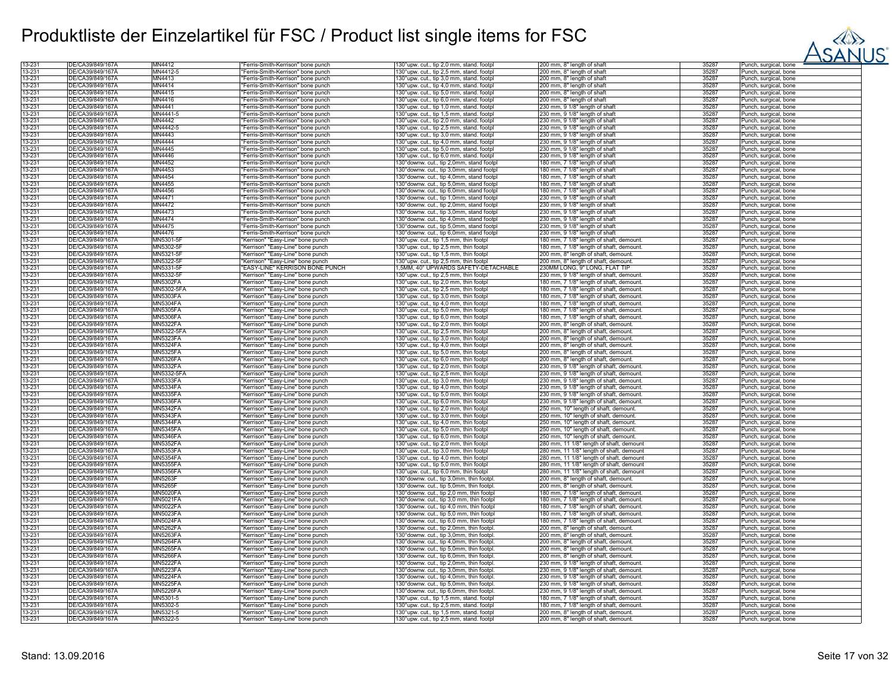

| 13-231           | DE/CA39/849/167A                     | MN4412               | "Ferris-Smith-Kerrison" bone punch                                     | 130°upw. cut., tip 2,0 mm, stand. footpl                                             | 200 mm, 8" length of shaft                                                   | 35287          | Punch, surgical, bone                          |
|------------------|--------------------------------------|----------------------|------------------------------------------------------------------------|--------------------------------------------------------------------------------------|------------------------------------------------------------------------------|----------------|------------------------------------------------|
| 13-231           | DE/CA39/849/167Ä                     | MN4412-5             | "Ferris-Smith-Kerrison" bone punch                                     | 130°upw. cut., tip 2,5 mm, stand. footpl                                             | 200 mm, 8" length of shaft                                                   | 35287          | Punch, surgical, bone                          |
| 13-231           | DE/CA39/849/167Ă                     | MN4413               | 'Ferris-Smith-Kerrison" bone punch                                     | 130°upw. cut., tip 3,0 mm, stand. footpl                                             | 200 mm, 8" length of shaft                                                   | 35287          | Punch, surgical, bone                          |
| 13-231           | DE/CA39/849/167A                     | MN4414               | 'Ferris-Smith-Kerrison" bone punch                                     | 130°upw. cut., tip 4,0 mm, stand. footpl                                             | 200 mm, 8" length of shaft                                                   | 35287          | Punch, surgical, bone                          |
| 13-231           | DE/CA39/849/167Ä                     | MN4415               | 'Ferris-Smith-Kerrison" bone punch                                     | 130°upw. cut., tip 5,0 mm, stand. footpl                                             | 200 mm, 8" length of shaft                                                   | 35287          | Punch, surgical, bone                          |
|                  |                                      | MN4416               |                                                                        |                                                                                      |                                                                              |                |                                                |
| 13-231           | DE/CA39/849/167Ä                     |                      | 'Ferris-Smith-Kerrison" bone punch                                     | 30°upw. cut., tip 6,0 mm, stand. footpl                                              | 200 mm, 8" length of shaft                                                   | 35287          | <sup>2</sup> unch, surgical, bone              |
| 13-231           | DE/CA39/849/167Ă                     | MN4441               | 'Ferris-Smith-Kerrison" bone punch                                     | 130°upw. cut., tip 1,0 mm, stand. footpl                                             | 230 mm, 9 1/8" length of shaft                                               | 35287          | Punch, surgical, bone                          |
| 13-231           | DE/CA39/849/167Ä                     | MN4441-5             | 'Ferris-Smith-Kerrison" bone punch                                     | 130°upw. cut., tip 1,5 mm, stand. footpl                                             | 230 mm, 9 1/8" length of shaft                                               | 35287          | Punch, surgical, bone                          |
| 13-231           | DE/CA39/849/167Ă                     | MN4442               | 'Ferris-Smith-Kerrison" bone punch                                     | 130°upw. cut., tip 2,0 mm, stand. footpl                                             | 230 mm, 9 1/8" length of shaft                                               | 35287          | Punch, surgical, bone                          |
| 13-231           | DE/CA39/849/167Ä                     | MN4442-5             | 'Ferris-Smith-Kerrison" bone punch                                     | 130°upw. cut., tip 2,5 mm, stand. footpl                                             | 230 mm, 9 1/8" length of shaft                                               | 35287          | Punch, surgical, bone                          |
| 13-231           | DE/CA39/849/167Ă                     | MN4443               | 'Ferris-Smith-Kerrison" bone punch                                     | 130°upw. cut., tip 3,0 mm, stand. footpl                                             | 230 mm, 9 1/8" length of shaft                                               | 35287          | Punch, surgical, bone                          |
| 13-231           | DE/CA39/849/167Ä                     | MN4444               | Ferris-Smith-Kerrison" bone punch                                      | 130°upw. cut., tip 4,0 mm, stand. footpl                                             | 230 mm, 9 1/8" length of shaft                                               | 35287          | Punch, surgical, bone                          |
| 13-231           | DE/CA39/849/167Ä                     | MN4445               | 'Ferris-Smith-Kerrison" bone punch                                     | 130°upw. cut., tip 5,0 mm, stand. footpl                                             | 230 mm, 9 1/8" length of shaft                                               | 35287          | Punch, surgical, bone                          |
| 13-231           | DE/CA39/849/167A                     | MN4446               |                                                                        |                                                                                      |                                                                              | 35287          |                                                |
|                  |                                      |                      | Ferris-Smith-Kerrison" bone punch                                      | 130°upw. cut., tip 6,0 mm, stand. footpl                                             | 230 mm, 9 1/8" length of shaft                                               |                | unch, surgical, bone                           |
| 13-231           | DE/CA39/849/167A                     | MN4452               | 'Ferris-Smith-Kerrison" bone punch                                     | 130° downw. cut., tip 2,0mm, stand footpl                                            | 180 mm, 7 1/8" length of shaft                                               | 35287          | Punch, surgical, bone                          |
| 13-231           | DE/CA39/849/167Ä                     | MN4453               | 'Ferris-Smith-Kerrison" bone punch                                     | 130° downw. cut., tip 3,0mm, stand footpl                                            | 180 mm, 7 1/8" length of shaft                                               | 35287          | Punch, surgical, bone                          |
| 13-231           | DE/CA39/849/167A                     | MN4454               | 'Ferris-Smith-Kerrison" bone punch                                     | 130° downw. cut., tip 4,0mm, stand footpl                                            | 180 mm, 7 1/8" length of shaft                                               | 35287          | Punch, surgical, bone                          |
| 13-231           | DE/CA39/849/167Ä                     | MN4455               | 'Ferris-Smith-Kerrison" bone punch                                     | 130° downw. cut., tip 5,0mm, stand footpl                                            | 180 mm, 7 1/8" length of shaft                                               | 35287          | Punch, surgical, bone                          |
| 13-231           | DE/CA39/849/167Ä                     | MN4456               | 'Ferris-Smith-Kerrison" bone punch                                     | 130° downw. cut., tip 6,0mm, stand footpl                                            | 180 mm, 7 1/8" length of shaft                                               | 35287          | Punch, surgical, bone                          |
| 13-231           | DE/CA39/849/167Ä                     | MN4471               | 'Ferris-Smith-Kerrison" bone punch                                     | 130°downw. cut., tip 1,0mm, stand footpl                                             | 230 mm, 9 1/8" length of shaft                                               | 35287          | Punch, surgical, bone                          |
| 13-231           | DE/CA39/849/167A                     | MN4472               |                                                                        |                                                                                      |                                                                              | 35287          |                                                |
|                  |                                      |                      | 'Ferris-Smith-Kerrison" bone punch                                     | 130° downw. cut., tip 2,0mm, stand footpl                                            | 230 mm, 9 1/8" length of shaft                                               |                | Punch, surgical, bone                          |
| 13-231           | DE/CA39/849/167A                     | MN4473               | 'Ferris-Smith-Kerrison" bone punch                                     | 130° downw. cut., tip 3,0mm, stand footpl                                            | 230 mm, 9 1/8" length of shaft                                               | 35287          | Punch, surgical, bone                          |
| 13-231           | DE/CA39/849/167Ă                     | MN4474               | 'Ferris-Smith-Kerrison" bone punch                                     | 130°downw. cut., tip 4,0mm, stand footpl                                             | 230 mm, 9 1/8" length of shaft                                               | 35287          | Punch, surgical, bone                          |
| 13-231           | DE/CA39/849/167Ä                     | MN4475               | 'Ferris-Smith-Kerrison" bone punch                                     | 130° downw. cut., tip 5,0mm, stand footpl                                            | 230 mm, 9 1/8" length of shaft                                               | 35287          | Punch, surgical, bone                          |
| 13-231           | DE/CA39/849/167Ä                     | MN4476               | 'Ferris-Smith-Kerrison" bone punch                                     | 130° downw. cut., tip 6,0mm, stand footpl                                            | 230 mm, 9 1/8" length of shaft                                               | 35287          | Punch, surgical, bone                          |
| 13-231           | DE/CA39/849/167Ä                     | MN5301-5             | 'Kerrison" "Easy-Line" bone punch                                      | 130°upw. cut., tip 1,5 mm, thin footpl                                               | 180 mm, 7 1/8" length of shaft, demount                                      | 35287          | Punch, surgical, bone                          |
| 13-231           | DE/CA39/849/167Ä                     | MN5302-5F            | 'Kerrison" "Easy-Line" bone punch                                      | 130°upw. cut., tip 2,5 mm, thin footpl                                               | 180 mm, 7 1/8" length of shaft, demount                                      | 35287          | Punch, surgical, bone                          |
| 13-231           | DE/CA39/849/167Ă                     | MN5321-5F            | 'Kerrison" "Easy-Line" bone punch                                      | 130°upw. cut., tip 1,5 mm, thin footpl                                               | 200 mm, 8" length of shaft, demount.                                         | 35287          | Punch, surgical, bone                          |
| 13-231           | DE/CA39/849/167A                     | MN5322-5F            |                                                                        |                                                                                      |                                                                              | 35287          |                                                |
|                  |                                      |                      | 'Kerrison" "Easy-Line" bone punch                                      | 130°upw. cut., tip 2,5 mm, thin footpl                                               | 200 mm, 8" length of shaft, demount.                                         |                | Punch, surgical, bone                          |
| 13-231           | DE/CA39/849/167Ä                     | MN5331-5F            | 'EASY-LINE" KERRISON BONE PUNCH                                        | ,5MM, 40° UPWARDS SAFETY-DETACHABLE                                                  | 230MM LONG, 9" LONG, FLAT TIP                                                | 35287          | Punch, surgical, bone                          |
| 13-231           | DE/CA39/849/167A                     | MN5332-5F            | 'Kerrison" "Easy-Line" bone punch                                      | 30°upw. cut., tip 2,5 mm, thin footpl                                                | 230 mm, 9 1/8" length of shaft, demount                                      | 35287          | Punch, surgical, bone                          |
| 13-231           | DE/CA39/849/167A                     | <b>MN5302FA</b>      | "Kerrison" "Easy-Line" bone punch                                      | 130°upw. cut., tip 2,0 mm, thin footpl                                               | 180 mm, 7 1/8" length of shaft, demount.                                     | 35287          | Punch, surgical, bone                          |
| 13-231           | DE/CA39/849/167Ä                     | MN5302-5FA           | 'Kerrison" "Easy-Line" bone punch                                      | 130°upw. cut., tip 2,5 mm, thin footpl                                               | 180 mm, 7 1/8" length of shaft, demount                                      | 35287          | Punch, surgical, bone                          |
| 13-231           | DE/CA39/849/167A                     | <b>MN5303FA</b>      | 'Kerrison" "Easy-Line" bone punch                                      | 130°upw. cut., tip 3,0 mm, thin footpl                                               | 180 mm, 7 1/8" length of shaft, demount                                      | 35287          | Punch, surgical, bone                          |
| 13-231           | DE/CA39/849/167Ä                     | <b>MN5304FA</b>      | 'Kerrison" "Easy-Line" bone punch                                      | 130°upw. cut., tip 4,0 mm, thin footpl                                               | 180 mm, 7 1/8" length of shaft, demount                                      | 35287          | Punch, surgical, bone                          |
|                  |                                      |                      |                                                                        |                                                                                      |                                                                              |                |                                                |
| 13-231           | DE/CA39/849/167Ă                     | <b>MN5305FA</b>      | 'Kerrison" "Easy-Line" bone punch                                      | 130°upw. cut., tip 5,0 mm, thin footpl                                               | 180 mm, 7 1/8" length of shaft, demount.                                     | 35287          | Punch, surgical, bone                          |
| 13-231           | DE/CA39/849/167Ä                     | <b>MN5306FA</b>      | 'Kerrison" "Easy-Line" bone punch                                      | 130°upw. cut., tip 6,0 mm, thin footpl                                               | 180 mm, 7 1/8" length of shaft, demount.                                     | 35287          | Punch, surgical, bone                          |
| 13-231           | DE/CA39/849/167Ä                     | <b>MN5322FA</b>      | 'Kerrison" "Easy-Line" bone punch                                      | 130°upw. cut., tip 2,0 mm, thin footpl                                               | 200 mm, 8" length of shaft, demount.                                         | 35287          | Punch, surgical, bone                          |
| 13-231           | DE/CA39/849/167Ä                     | MN5322-5FA           | 'Kerrison" "Easy-Line" bone punch                                      | 130°upw. cut., tip 2,5 mm, thin footpl                                               | 200 mm, 8" length of shaft, demount.                                         | 35287          | <sup>2</sup> unch, surgical, bone              |
| 13-231           | DE/CA39/849/167Ä                     | <b>MN5323FA</b>      | 'Kerrison" "Easy-Line" bone punch                                      | 130°upw. cut., tip 3,0 mm, thin footpl                                               | 200 mm, 8" length of shaft, demount.                                         | 35287          | Punch, surgical, bone                          |
| 13-231           | DE/CA39/849/167Ä                     | <b>MN5324FA</b>      | 'Kerrison" "Easy-Line" bone punch                                      | 130°upw. cut., tip 4,0 mm, thin footpl                                               | 200 mm, 8" length of shaft, demount.                                         | 35287          | Punch, surgical, bone                          |
| 13-231           | DE/CA39/849/167Ä                     | <b>MN5325FA</b>      | 'Kerrison" "Easy-Line" bone punch                                      | 130°upw. cut., tip 5,0 mm, thin footpl                                               | 200 mm, 8" length of shaft, demount.                                         | 35287          | Punch, surgical, bone                          |
| 13-231           | DE/CA39/849/167Ä                     | <b>MN5326FA</b>      | 'Kerrison" "Easy-Line" bone punch                                      | 130°upw. cut., tip 6,0 mm, thin footpl                                               | 200 mm, 8" length of shaft, demount.                                         | 35287          | Punch, surgical, bone                          |
|                  |                                      |                      |                                                                        |                                                                                      |                                                                              |                |                                                |
| 13-231           | DE/CA39/849/167Ä                     | <b>MN5332FA</b>      | "Kerrison" "Easy-Line" bone punch                                      | 130°upw. cut., tip 2,0 mm, thin footpl                                               | 230 mm, 9 1/8" length of shaft, demount                                      | 35287          | Punch, surgical, bone                          |
| 13-231           | DE/CA39/849/167Ă                     | MN5332-5FA           | 'Kerrison" "Easy-Line" bone punch                                      | 130°upw. cut., tip 2,5 mm, thin footpl                                               | 230 mm, 9 1/8" length of shaft, demount.                                     | 35287          | Punch, surgical, bone                          |
| 13-231           | DE/CA39/849/167A                     | <b>MN5333FA</b>      | 'Kerrison" "Easy-Line" bone punch                                      | 130°upw. cut., tip 3,0 mm, thin footpl                                               | 230 mm, 9 1/8" length of shaft, demount                                      | 35287          | Punch, surgical, bone                          |
| 13-231           | DE/CA39/849/167Ä                     | <b>MN5334FA</b>      | 'Kerrison" "Easy-Line" bone punch                                      | 130°upw. cut., tip 4,0 mm, thin footpl                                               | 230 mm, 9 1/8" length of shaft, demount                                      | 35287          | Punch, surgical, bone                          |
| 13-231           | DE/CA39/849/167A                     | <b>MN5335FA</b>      | 'Kerrison" "Easy-Line" bone punch                                      | 130°upw. cut., tip 5,0 mm, thin footpl                                               | 230 mm, 9 1/8" length of shaft, demount                                      | 35287          | Punch, surgical, bone                          |
| 13-231           | DE/CA39/849/167Ä                     | <b>MN5336FA</b>      | 'Kerrison" "Easy-Line" bone punch                                      | 130°upw. cut., tip 6,0 mm, thin footpl                                               | 230 mm, 9 1/8" length of shaft, demount                                      | 35287          | Punch, surgical, bone                          |
| 13-231           | DE/CA39/849/167Ä                     | <b>MN5342FA</b>      | 'Kerrison" "Easy-Line" bone punch                                      | 130°upw. cut., tip 2,0 mm, thin footpl                                               | 250 mm, 10" length of shaft, demount.                                        | 35287          | Punch, surgical, bone                          |
| 13-231           | DE/CA39/849/167Ä                     | <b>MN5343FA</b>      | 'Kerrison" "Easy-Line" bone punch                                      | 130°upw. cut., tip 3,0 mm, thin footpl                                               | 250 mm, 10" length of shaft, demount.                                        | 35287          | Punch, surgical, bone                          |
|                  |                                      |                      |                                                                        |                                                                                      |                                                                              |                |                                                |
| 13-231           | DE/CA39/849/167Ä                     | <b>MN5344FA</b>      | "Kerrison" "Easy-Line" bone punch                                      | 130°upw. cut., tip 4,0 mm, thin footpl                                               |                                                                              |                |                                                |
| 13-231           | DE/CA39/849/167Ă                     |                      |                                                                        |                                                                                      | 250 mm, 10" length of shaft, demount.                                        | 35287          | Punch, surgical, bone                          |
| 13-231           |                                      | <b>MN5345FA</b>      | 'Kerrison" "Easy-Line" bone punch                                      | 130°upw. cut., tip 5,0 mm, thin footpl                                               | 250 mm, 10" length of shaft, demount.                                        | 35287          | Punch, surgical, bone                          |
|                  | DE/CA39/849/167A                     | <b>MN5346FA</b>      | 'Kerrison" "Easy-Line" bone punch                                      | 130°upw. cut., tip 6,0 mm, thin footpl                                               | 250 mm, 10" length of shaft, demount.                                        | 35287          | Punch, surgical, bone                          |
| 13-231           | DE/CA39/849/167Ä                     | <b>MN5352FA</b>      | 'Kerrison" "Easy-Line" bone punch                                      | 130°upw. cut., tip 2,0 mm, thin footpl                                               | 280 mm, 11 1/8" length of shaft, demount                                     | 35287          | Punch, surgical, bone                          |
| 13-231           | DE/CA39/849/167Ă                     | <b>MN5353FA</b>      | 'Kerrison" "Easy-Line" bone punch                                      | 30°upw. cut., tip 3,0 mm, thin footpl                                                | 280 mm, 11 1/8" length of shaft, demount                                     | 35287          | Punch, surgical, bone                          |
|                  | DE/CA39/849/167Ä                     | <b>MN5354FA</b>      |                                                                        |                                                                                      |                                                                              | 35287          |                                                |
| 13-231           |                                      |                      | 'Kerrison" "Easy-Line" bone punch                                      | 130°upw. cut., tip 4,0 mm, thin footpl                                               | 280 mm, 11 1/8" length of shaft, demount                                     |                | Punch, surgical, bone                          |
| 13-231           | DE/CA39/849/167Ä                     | <b>MN5355FA</b>      | 'Kerrison" "Easy-Line" bone punch                                      | 130°upw. cut., tip 5,0 mm, thin footpl                                               | 280 mm, 11 1/8" length of shaft, demount                                     | 35287          | Punch, surgical, bone                          |
| 13-231           | DE/CA39/849/167Ä                     | <b>MN5356FA</b>      | 'Kerrison" "Easy-Line" bone punch                                      | 130°upw. cut., tip 6,0 mm, thin footpl                                               | 280 mm, 11 1/8" length of shaft, demount                                     | 35287          | Punch, surgical, bone                          |
| 13-231           | DE/CA39/849/167Ä                     | <b>MN5263F</b>       | "Kerrison" "Easy-Line" bone punch                                      | 130° downw. cut., tip 3,0mm, thin footpl                                             | 200 mm, 8" length of shaft, demount.                                         | 35287          | Punch, surgical, bone                          |
| 13-231           | DE/CA39/849/167Ă                     | <b>MN5265F</b>       | 'Kerrison" "Easy-Line" bone punch                                      | 130° downw. cut., tip 5,0mm, thin footpl                                             | 200 mm, 8" length of shaft, demount.                                         | 35287          | Punch, surgical, bone                          |
| 13-231           | DE/CA39/849/167Å                     | <b>MN5020FA</b>      | 'Kerrison" "Easy-Line" bone punch                                      | 130°downw. cut., tip 2,0 mm, thin footpl                                             | 180 mm, 7 1/8" length of shaft, demount                                      | 35287          | Punch, surgical, bone                          |
| 13-231           | DE/CA39/849/167Ä                     | <b>MN5021FA</b>      | 'Kerrison" "Easy-Line" bone punch                                      | 130° downw. cut., tip 3,0 mm, thin footpl                                            | 180 mm, 7 1/8" length of shaft, demount                                      | 35287          | Punch, surgical, bone                          |
| 13-231           | DE/CA39/849/167A                     | <b>MN5022FA</b>      | 'Kerrison" "Easy-Line" bone punch                                      | 130°downw. cut., tip 4,0 mm, thin footpl                                             | 180 mm, 7 1/8" length of shaft, demount                                      | 35287          | Punch, surgical, bone                          |
|                  | DE/CA39/849/167A                     |                      |                                                                        |                                                                                      |                                                                              |                |                                                |
| 13-231           |                                      | <b>MN5023FA</b>      | 'Kerrison" "Easy-Line" bone punch                                      | 130° downw. cut., tip 5,0 mm, thin footpl                                            | 180 mm, 7 1/8" length of shaft, demount                                      | 35287          | Punch, surgical, bone                          |
| 13-231           | DE/CA39/849/167Ä                     | MN5024FA             | 'Kerrison" "Easy-Line" bone punch                                      | 130° downw. cut., tip 6,0 mm, thin footpl                                            | 180 mm, 7 1/8" length of shaft, demount                                      | 35287          | Punch, surgical, bone                          |
| 13-231           | DE/CA39/849/167A                     | <b>MN5262FA</b>      | 'Kerrison" "Easy-Line" bone punch                                      | 130° downw. cut., tip 2,0mm, thin footpl.                                            | 200 mm, 8" length of shaft, demount.                                         | 35287          | Punch, surgical, bone                          |
| 13-231           | DE/CA39/849/167Ä                     | <b>MN5263FA</b>      | 'Kerrison" "Easy-Line" bone punch                                      | 130° downw. cut., tip 3,0mm, thin footpl                                             | 200 mm, 8" length of shaft, demount.                                         | 35287          | Punch, surgical, bone                          |
| 13-231           | DE/CA39/849/167Ä                     | <b>MN5264FA</b>      | 'Kerrison" "Easy-Line" bone punch                                      | 130° downw. cut., tip 4,0mm, thin footpl                                             | 200 mm, 8" length of shaft, demount.                                         | 35287          | Punch, surgical, bone                          |
| 13-231           | DE/CA39/849/167Ä                     | <b>MN5265FA</b>      | 'Kerrison" "Easy-Line" bone punch                                      | 130°downw. cut., tip 5,0mm, thin footpl                                              | 200 mm, 8" length of shaft, demount.                                         | 35287          | Punch, surgical, bone                          |
| 13-231           | DE/CA39/849/167Ä                     | <b>MN5266FA</b>      | 'Kerrison" "Easy-Line" bone punch                                      | 130° downw. cut., tip 6,0mm, thin footpl                                             | 200 mm, 8" length of shaft, demount.                                         | 35287          | Punch, surgical, bone                          |
| 13-231           | DE/CA39/849/167A                     | <b>MN5222FA</b>      | 'Kerrison" "Easy-Line" bone punch                                      | 130° downw. cut., tip 2,0mm, thin footpl                                             | 230 mm, 9 1/8" length of shaft, demount                                      | 35287          | Punch, surgical, bone                          |
| 13-231           | DE/CA39/849/167Ă                     | <b>MN5223FA</b>      | 'Kerrison" "Easy-Line" bone punch                                      | 130°downw. cut., tip 3,0mm, thin footpl                                              | 230 mm, 9 1/8" length of shaft, demount                                      | 35287          | Punch, surgical, bone                          |
|                  |                                      |                      |                                                                        |                                                                                      |                                                                              |                |                                                |
| 13-231           | DE/CA39/849/167Ä                     | <b>MN5224FA</b>      | 'Kerrison" "Easy-Line" bone punch                                      | 130° downw. cut., tip 4,0mm, thin footpl                                             | 230 mm, 9 1/8" length of shaft, demount                                      | 35287          | Punch, surgical, bone                          |
| 13-231           | DE/CA39/849/167Ä                     | <b>MN5225FA</b>      | 'Kerrison" "Easy-Line" bone punch                                      | 130° downw. cut., tip 5,0mm, thin footpl                                             | 230 mm, 9 1/8" length of shaft, demount                                      | 35287          | Punch, surgical, bone                          |
| 13-231           | DE/CA39/849/167Ă                     | <b>MN5226FA</b>      | 'Kerrison" "Easy-Line" bone punch                                      | 130°downw. cut., tip 6,0mm, thin footpl.                                             | 230 mm, 9 1/8" length of shaft, demount                                      | 35287          | Punch, surgical, bone                          |
| 13-231           | DE/CA39/849/167Ä                     | MN5301-5             | 'Kerrison" "Easy-Line" bone punch                                      | 130°upw. cut., tip 1,5 mm, stand. footpl                                             | 180 mm, 7 1/8" length of shaft, demount                                      | 35287          | Punch, surgical, bone                          |
| 13-231           | DE/CA39/849/167Ă                     | MN5302-5             | 'Kerrison" "Easy-Line" bone punch                                      | 130°upw. cut., tip 2,5 mm, stand. footpl                                             | 180 mm, 7 1/8" length of shaft, demount.                                     | 35287          | Punch, surgical, bone                          |
| 13-231<br>13-231 | DE/CA39/849/167A<br>DE/CA39/849/167Ä | MN5321-5<br>MN5322-5 | 'Kerrison" "Easy-Line" bone punch<br>'Kerrison" "Easy-Line" bone punch | 130°upw. cut., tip 1,5 mm, stand. footpl<br>130°upw. cut., tip 2,5 mm, stand. footpl | 200 mm, 8" length of shaft, demount.<br>200 mm, 8" length of shaft, demount. | 35287<br>35287 | Punch, surgical, bone<br>Punch, surgical, bone |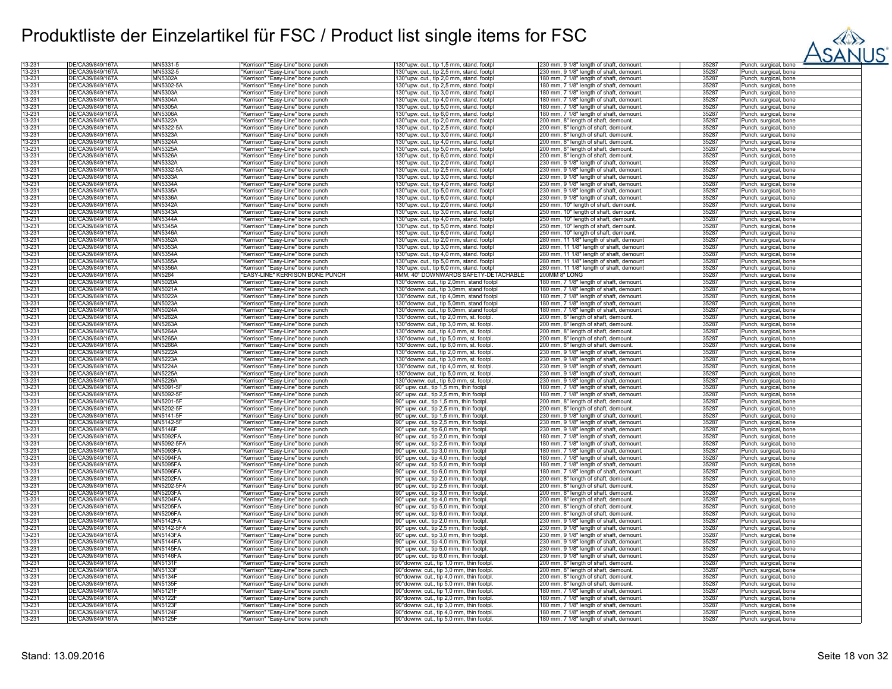

| 13-231 | DE/CA39/849/167A | MN5331-5        | "Kerrison" "Easy-Line" bone punch     | 130°upw. cut., tip 1,5 mm, stand. footpl  | 230 mm, 9 1/8" length of shaft, demount. | 35287 | Punch, surgical, bone             |
|--------|------------------|-----------------|---------------------------------------|-------------------------------------------|------------------------------------------|-------|-----------------------------------|
| 13-231 | DE/CA39/849/167Ä | MN5332-5        | "Kerrison" "Easy-Line" bone punch     | 130°upw. cut., tip 2,5 mm, stand. footpl  | 230 mm, 9 1/8" length of shaft, demount. | 35287 | Punch, surgical, bone             |
| 13-231 | DE/CA39/849/167Å | MN5302A         | "Kerrison" "Easy-Line" bone punch     | 130°upw. cut., tip 2,0 mm, stand. footpl  | 180 mm, 7 1/8" length of shaft, demount. | 35287 | Punch, surgical, bone             |
|        |                  |                 |                                       |                                           |                                          |       |                                   |
| 13-231 | DE/CA39/849/167Å | MN5302-5A       | "Kerrison" "Easy-Line" bone punch     | 130°upw. cut., tip 2,5 mm, stand. footpl  | 180 mm, 7 1/8" length of shaft, demount. | 35287 | Punch, surgical, bone             |
| 13-231 | DE/CA39/849/167A | MN5303A         | 'Kerrison" "Easy-Line" bone punch     | 130°upw. cut., tip 3,0 mm, stand. footpl  | 180 mm, 7 1/8" length of shaft, demount. | 35287 | Punch, surgical, bone             |
| 13-231 | DE/CA39/849/167Å | MN5304A         | Kerrison" "Easy-Line" bone punch      | 130°upw. cut., tip 4,0 mm, stand. footpl  | 180 mm, 7 1/8" length of shaft, demount. | 35287 | unch, surgical, bone              |
| 13-231 | DE/CA39/849/167Å | MN5305A         | "Kerrison" "Easy-Line" bone punch     | 130°upw. cut., tip 5,0 mm, stand. footpl  | 180 mm, 7 1/8" length of shaft, demount. | 35287 |                                   |
|        |                  |                 |                                       |                                           |                                          |       | Punch, surgical, bone             |
| 13-231 | DE/CA39/849/167Ä | <b>MN5306A</b>  | 'Kerrison" "Easy-Line" bone punch     | 130°upw. cut., tip 6,0 mm, stand. footpl  | 180 mm, 7 1/8" length of shaft, demount. | 35287 | unch, surgical, bone              |
| 13-231 | DE/CA39/849/167A | MN5322A         | Kerrison" "Easy-Line" bone punch      | 130°upw. cut., tip 2,0 mm, stand. footpl  | 200 mm, 8" length of shaft, demount.     | 35287 | Punch, surgical, bone             |
| 13-231 | DE/CA39/849/167A | MN5322-5A       | "Kerrison" "Easy-Line" bone punch     | 130°upw. cut., tip 2,5 mm, stand. footpl  | 200 mm, 8" length of shaft, demount.     | 35287 | Punch, surgical, bone             |
|        |                  |                 |                                       |                                           |                                          |       |                                   |
| 13-231 | DE/CA39/849/167Å | MN5323A         | "Kerrison" "Easy-Line" bone punch     | 130°upw. cut., tip 3,0 mm, stand. footpl  | 200 mm, 8" length of shaft, demount.     | 35287 | <sup>2</sup> unch, surgical, bone |
| 13-231 | DE/CA39/849/167A | <b>MN5324A</b>  | "Kerrison" "Easy-Line" bone punch     | 130°upw. cut., tip 4,0 mm, stand. footpl  | 200 mm, 8" length of shaft, demount.     | 35287 | <sup>o</sup> unch, surgical, bone |
| 13-231 | DE/CA39/849/167Ä | MN5325A         | "Kerrison" "Easy-Line" bone punch     | 130°upw. cut., tip 5,0 mm, stand. footpl  | 200 mm, 8" length of shaft, demount.     | 35287 | <sup>2</sup> unch, surgical, bone |
| 13-231 | DE/CA39/849/167A | MN5326A         | 'Kerrison" "Easy-Line" bone punch     | 130°upw. cut., tip 6,0 mm, stand. footpl  | 200 mm, 8" length of shaft, demount.     | 35287 | unch, surgical, bone              |
| 13-231 | DE/CA39/849/167A | <b>MN5332A</b>  | 'Kerrison" "Easy-Line" bone punch     | 130°upw. cut., tip 2,0 mm, stand. footpl  | 30 mm, 9 1/8" length of shaft, demount.  | 35287 | unch, surgical, bone              |
|        |                  |                 |                                       |                                           |                                          |       |                                   |
| 13-231 | DE/CA39/849/167Ä | MN5332-5A       | 'Kerrison" "Easy-Line" bone punch     | 130°upw. cut., tip 2,5 mm, stand. footpl  | 230 mm, 9 1/8" length of shaft, demount. | 35287 | unch, surgical, bone              |
| 13-231 | DE/CA39/849/167A | MN5333A         | Kerrison" "Easy-Line" bone punch      | 130°upw. cut., tip 3,0 mm, stand. footpl  | 230 mm, 9 1/8" length of shaft, demount. | 35287 | <sup>o</sup> unch, surgical, bone |
| 13-231 | DE/CA39/849/167A | MN5334A         | "Kerrison" "Easy-Line" bone punch     | 130°upw. cut., tip 4,0 mm, stand. footpl  | 230 mm, 9 1/8" length of shaft, demount. | 35287 | Punch, surgical, bone             |
|        |                  |                 |                                       |                                           |                                          |       |                                   |
| 13-231 | DE/CA39/849/167Ä | MN5335A         | "Kerrison" "Easy-Line" bone punch     | 130°upw. cut., tip 5,0 mm, stand. footpl  | 230 mm, 9 1/8" length of shaft, demount. | 35287 | <sup>2</sup> unch, surgical, bone |
| 13-231 | DE/CA39/849/167A | <b>MN5336A</b>  | 'Kerrison" "Easy-Line" bone punch     | 130°upw. cut., tip 6,0 mm, stand. footpl  | 230 mm, 9 1/8" length of shaft, demount. | 35287 | <sup>o</sup> unch, surgical, bone |
| 13-231 | DE/CA39/849/167Å | <b>MN5342A</b>  | "Kerrison" "Easy-Line" bone punch     | 130°upw. cut., tip 2,0 mm, stand. footpl  | 250 mm, 10" length of shaft, demount.    | 35287 | Punch, surgical, bone             |
| 13-231 | DE/CA39/849/167A | MN5343A         | "Kerrison" "Easy-Line" bone punch     | 130°upw. cut., tip 3,0 mm, stand. footpl  | 250 mm, 10" length of shaft, demount.    | 35287 | Punch, surgical, bone             |
|        |                  |                 |                                       |                                           |                                          |       |                                   |
| 13-231 | DE/CA39/849/167A | <b>MN5344A</b>  | Kerrison" "Easy-Line" bone punch      | 130°upw. cut., tip 4,0 mm, stand. footpl  | 250 mm, 10" length of shaft, demount.    | 35287 | unch, surgical, bone              |
| 13-231 | DE/CA39/849/167Ä | MN5345A         | 'Kerrison" "Easy-Line" bone punch     | 130°upw. cut., tip 5,0 mm, stand. footpl  | 250 mm, 10" length of shaft, demount.    | 35287 | 'unch, surgical, bone             |
| 13-231 | DE/CA39/849/167A | MN5346A         | 'Kerrison" "Easy-Line" bone punch     | 130°upw. cut., tip 6,0 mm, stand. footpl  | 250 mm, 10" length of shaft, demount.    | 35287 | Punch, surgical, bone             |
| 13-231 | DE/CA39/849/167A | MN5352A         | 'Kerrison" "Easy-Line" bone punch     | 130°upw. cut., tip 2,0 mm, stand. footpl  | 280 mm, 11 1/8" length of shaft, demount | 35287 | Punch, surgical, bone             |
|        |                  |                 |                                       |                                           |                                          |       |                                   |
| 13-231 | DE/CA39/849/167A | <b>MN5353A</b>  | "Kerrison" "Easy-Line" bone punch     | 130°upw. cut., tip 3,0 mm, stand. footpl  | 280 mm, 11 1/8" length of shaft, demount | 35287 | <sup>2</sup> unch, surgical, bone |
| 13-231 | DE/CA39/849/167A | <b>MN5354A</b>  | 'Kerrison" "Easy-Line" bone punch     | 130°upw. cut., tip 4,0 mm, stand. footpl  | 280 mm, 11 1/8" length of shaft, demount | 35287 | <sup>2</sup> unch, surgical, bone |
| 13-231 | DE/CA39/849/167Å | <b>MN5355A</b>  | "Kerrison" "Easy-Line" bone punch     | 130°upw. cut., tip 5,0 mm, stand. footpl  | 280 mm, 11 1/8" length of shaft, demount | 35287 | Punch, surgical, bone             |
| 13-231 | DE/CA39/849/167A | <b>MN5356A</b>  | "Kerrison" "Easy-Line" bone punch     | 130°upw. cut., tip 6,0 mm, stand. footpl  |                                          | 35287 |                                   |
|        |                  |                 |                                       |                                           | 280 mm, 11 1/8" length of shaft, demount |       | Punch, surgical, bone             |
| 13-231 | DE/CA39/849/167A | MN5264          | <b>EASY-LINE" KERRISON BONE PUNCH</b> | 4MM, 40° DOWNWARDS SAFETY-DETACHABLE      | 200MM 8" LONG                            | 35287 | <sup>2</sup> unch, surgical, bone |
| 13-231 | DE/CA39/849/167Ä | MN5020A         | "Kerrison" "Easy-Line" bone punch     | 130° downw. cut., tip 2,0mm, stand footpl | 180 mm, 7 1/8" length of shaft, demount. | 35287 | unch, surgical, bone              |
| 13-231 | DE/CA39/849/167A | MN5021A         | "Kerrison" "Easy-Line" bone punch     | 130° downw. cut., tip 3,0mm, stand footpl | 180 mm, 7 1/8" length of shaft, demount. | 35287 | <sup>2</sup> unch, surgical, bone |
| 13-231 | DE/CA39/849/167A |                 |                                       | 130° downw. cut., tip 4,0mm, stand footpl |                                          | 35287 |                                   |
|        |                  | <b>MN5022A</b>  | "Kerrison" "Easy-Line" bone punch     |                                           | 180 mm, 7 1/8" length of shaft, demount. |       | <sup>2</sup> unch, surgical, bone |
| 13-231 | DE/CA39/849/167A | MN5023A         | "Kerrison" "Easy-Line" bone punch     | 130° downw. cut., tip 5,0mm, stand footpl | 180 mm, 7 1/8" length of shaft, demount. | 35287 | unch, surgical, bone              |
| 13-231 | DE/CA39/849/167A | <b>MN5024A</b>  | 'Kerrison" "Easy-Line" bone punch     | 130°downw. cut., tip 6,0mm, stand footpl  | 180 mm, 7 1/8" length of shaft, demount. | 35287 | unch, surgical, bone              |
| 13-231 | DE/CA39/849/167A | <b>MN5262A</b>  | 'Kerrison" "Easy-Line" bone punch     | 130°downw. cut., tip 2,0 mm, st. footpl.  | 200 mm, 8" length of shaft, demount.     | 35287 | Punch, surgical, bone             |
| 13-231 | DE/CA39/849/167A | <b>MN5263A</b>  |                                       |                                           |                                          | 35287 |                                   |
|        |                  |                 | "Kerrison" "Easy-Line" bone punch     | 130° downw. cut., tip 3,0 mm, st. footpl. | 200 mm, 8" length of shaft, demount.     |       | Punch, surgical, bone             |
| 13-231 | DE/CA39/849/167A | <b>MN5264A</b>  | Kerrison" "Easy-Line" bone punch      | 130°downw. cut., tip 4,0 mm, st. footpl   | 200 mm, 8" length of shaft, demount.     | 35287 | <sup>2</sup> unch, surgical, bone |
| 13-231 | DE/CA39/849/167A | MN5265A         | Kerrison" "Easy-Line" bone punch      | 130° downw. cut., tip 5,0 mm, st. footpl  | 200 mm, 8" length of shaft, demount.     | 35287 | unch, surgical, bone              |
| 13-231 | DE/CA39/849/167A | <b>MN5266A</b>  | "Kerrison" "Easy-Line" bone punch     | 130° downw. cut., tip 6,0 mm, st. footpl  | 200 mm, 8" length of shaft, demount.     | 35287 | Punch, surgical, bone             |
|        |                  |                 |                                       |                                           |                                          |       |                                   |
| 13-231 | DE/CA39/849/167A | <b>MN5222A</b>  | 'Kerrison" "Easy-Line" bone punch     | 130° downw. cut., tip 2,0 mm, st. footpl. | 230 mm, 9 1/8" length of shaft, demount. | 35287 | Punch, surgical, bone             |
| 13-231 | DE/CA39/849/167Å | MN5223A         | "Kerrison" "Easy-Line" bone punch     | 130° downw. cut., tip 3,0 mm, st. footpl. | 230 mm, 9 1/8" length of shaft, demount. | 35287 | Punch, surgical, bone             |
| 13-231 | DE/CA39/849/167Ä | <b>MN5224A</b>  | "Kerrison" "Easy-Line" bone punch     | 130° downw. cut., tip 4,0 mm, st. footpl. | 230 mm, 9 1/8" length of shaft, demount. | 35287 | <sup>2</sup> unch, surgical, bone |
| 13-231 |                  |                 |                                       |                                           |                                          | 35287 |                                   |
|        | DE/CA39/849/167Å | MN5225A         | "Kerrison" "Easy-Line" bone punch     | 130° downw. cut., tip 5,0 mm, st. footpl. | 230 mm, 9 1/8" length of shaft, demount. |       | Punch, surgical, bone             |
| 13-231 | DE/CA39/849/167Å | <b>MN5226A</b>  | "Kerrison" "Easy-Line" bone punch     | 130° downw. cut., tip 6,0 mm, st. footpl. | 230 mm, 9 1/8" length of shaft, demount. | 35287 | Punch, surgical, bone             |
| 13-231 | DE/CA39/849/167A | MN5091-5F       | "Kerrison" "Easy-Line" bone punch     | 90° upw. cut., tip 1,5 mm, thin footpl    | 180 mm, 7 1/8" length of shaft, demount. | 35287 | Punch, surgical, bone             |
| 13-231 | DE/CA39/849/167A | MN5092-5F       | 'Kerrison" "Easy-Line" bone punch     | 90° upw. cut., tip 2,5 mm, thin footpl    | 180 mm, 7 1/8" length of shaft, demount. | 35287 | unch, surgical, bone              |
|        | DE/CA39/849/167Ä | MN5201-5F       |                                       |                                           |                                          | 35287 |                                   |
| 13-231 |                  |                 | "Kerrison" "Easy-Line" bone punch     | 90° upw. cut., tip 1,5 mm, thin footpl.   | 200 mm, 8" length of shaft, demount.     |       | <sup>2</sup> unch, surgical, bone |
| 13-231 | DE/CA39/849/167A | MN5202-5F       | 'Kerrison" "Easy-Line" bone punch     | 90° upw. cut., tip 2,5 mm, thin footpl.   | 200 mm, 8" length of shaft, demount.     | 35287 | Punch, surgical, bone             |
| 13-231 | DE/CA39/849/167A | MN5141-5F       | 'Kerrison" "Easy-Line" bone punch     | 90° upw. cut., tip 1,5 mm, thin footpl.   | 230 mm, 9 1/8" length of shaft, demount. | 35287 | Punch, surgical, bone             |
| 13-231 | DE/CA39/849/167Ä | MN5142-5F       | "Kerrison" "Easy-Line" bone punch     | 90° upw. cut., tip 2,5 mm, thin footpl.   | 230 mm, 9 1/8" length of shaft, demount. | 35287 | <sup>2</sup> unch, surgical, bone |
|        |                  |                 |                                       |                                           |                                          |       |                                   |
| 13-231 | DE/CA39/849/167A | <b>MN5146F</b>  | "Kerrison" "Easy-Line" bone punch     | 90° upw. cut., tip 6,0 mm, thin footpl.   | 230 mm, 9 1/8" length of shaft, demount. | 35287 | Punch, surgical, bone             |
| 13-231 | DE/CA39/849/167A | <b>MN5092FA</b> | 'Kerrison" "Easy-Line" bone punch     | 90° upw. cut., tip 2,0 mm, thin footpl    | 180 mm, 7 1/8" length of shaft, demount. | 35287 | Punch, surgical, bone             |
| 13-231 | DE/CA39/849/167A | MN5092-5FA      | "Kerrison" "Easy-Line" bone punch     | 90° upw. cut., tip 2,5 mm, thin footpl    | 180 mm, 7 1/8" length of shaft, demount. | 35287 | Punch, surgical, bone             |
| 13-231 | DE/CA39/849/167A | <b>MN5093FA</b> | Kerrison" "Easy-Line" bone punch      | 90° upw. cut., tip 3,0 mm, thin footpl    | 180 mm, 7 1/8" length of shaft, demount. | 35287 | unch, surgical, bone              |
|        |                  |                 |                                       |                                           |                                          |       |                                   |
| 13-231 | DE/CA39/849/167Å | MN5094FA        | 'Kerrison" "Easy-Line" bone punch     | 90° upw. cut., tip 4,0 mm, thin footpl    | 180 mm, 7 1/8" length of shaft, demount. | 35287 | unch, surgical, bone              |
| 13-231 | DE/CA39/849/167Ä | <b>MN5095FA</b> | 'Kerrison" "Easy-Line" bone punch     | 90° upw. cut., tip 5,0 mm, thin footpl    | 180 mm, 7 1/8" length of shaft, demount. | 35287 | Punch, surgical, bone             |
| 13-231 | DE/CA39/849/167A | <b>MN5096FA</b> | Kerrison" "Easy-Line" bone punch      | 90° upw. cut., tip 6,0 mm, thin footpl    | 180 mm, 7 1/8" length of shaft, demount. | 35287 | <sup>2</sup> unch, surgical, bone |
| 13-231 | DE/CA39/849/167Ä | <b>MN5202FA</b> | "Kerrison" "Easy-Line" bone punch     | 90° upw. cut., tip 2,0 mm, thin footpl.   | 200 mm, 8" length of shaft, demount.     | 35287 | Punch, surgical, bone             |
| 13-231 |                  |                 |                                       |                                           |                                          |       |                                   |
|        | DE/CA39/849/167A | MN5202-5FA      | 'Kerrison" "Easy-Line" bone punch     | 90° upw. cut., tip 2,5 mm, thin footpl.   | 200 mm, 8" length of shaft, demount.     | 35287 | <sup>2</sup> unch, surgical, bone |
| 13-231 | DE/CA39/849/167A | <b>MN5203FA</b> | Kerrison" "Easy-Line" bone punch      | 90° upw. cut., tip 3,0 mm, thin footpl.   | 200 mm, 8" length of shaft, demount.     | 35287 | <sup>2</sup> unch, surgical, bone |
| 13-231 | DE/CA39/849/167A | <b>MN5204FA</b> | "Kerrison" "Easy-Line" bone punch     | 90° upw. cut., tip 4,0 mm, thin footpl.   | 200 mm, 8" length of shaft, demount.     | 35287 | Punch, surgical, bone             |
| 13-231 | DE/CA39/849/167A | <b>MN5205FA</b> | Kerrison" "Easy-Line" bone punch      | 90° upw. cut., tip 5,0 mm, thin footpl.   | 200 mm, 8" length of shaft, demount.     | 35287 | unch, surgical, bone              |
|        |                  |                 |                                       |                                           |                                          |       |                                   |
| 13-231 | DE/CA39/849/167A | <b>MN5206FA</b> | 'Kerrison" "Easy-Line" bone punch     | 90° upw. cut., tip 6,0 mm, thin footpl.   | 200 mm, 8" length of shaft, demount.     | 35287 | <sup>2</sup> unch, surgical, bone |
| 13-231 | DE/CA39/849/167A | MN5142FA        | 'Kerrison" "Easy-Line" bone punch     | 90° upw. cut., tip 2,0 mm, thin footpl.   | 230 mm, 9 1/8" length of shaft, demount. | 35287 | Punch, surgical, bone             |
| 13-231 | DE/CA39/849/167A | MN5142-5FA      | Kerrison" "Easy-Line" bone punch      | 90° upw. cut., tip 2,5 mm, thin footpl.   | 230 mm, 9 1/8" length of shaft, demount. | 35287 | <sup>2</sup> unch, surgical, bone |
| 13-231 | DE/CA39/849/167Å | <b>MN5143FA</b> | "Kerrison" "Easy-Line" bone punch     | 90° upw. cut., tip 3,0 mm, thin footpl.   | 230 mm, 9 1/8" length of shaft, demount. | 35287 | <sup>2</sup> unch, surgical, bone |
|        |                  |                 |                                       |                                           |                                          |       |                                   |
| 13-231 | DE/CA39/849/167Ä | <b>MN5144FA</b> | "Kerrison" "Easy-Line" bone punch     | 90° upw. cut., tip 4,0 mm, thin footpl.   | 230 mm, 9 1/8" length of shaft, demount. | 35287 | <sup>2</sup> unch, surgical, bone |
| 13-231 | DE/CA39/849/167A | <b>MN5145FA</b> | Kerrison" "Easy-Line" bone punch      | 90° upw. cut., tip 5,0 mm, thin footpl.   | 230 mm, 9 1/8" length of shaft, demount. | 35287 | Punch, surgical, bone             |
| 13-231 | DE/CA39/849/167A | <b>MN5146FA</b> | "Kerrison" "Easy-Line" bone punch     | 90° upw. cut., tip 6,0 mm, thin footpl.   | 230 mm, 9 1/8" length of shaft, demount. | 35287 | Punch, surgical, bone             |
| 13-231 | DE/CA39/849/167A | <b>MN5131F</b>  | 'Kerrison" "Easy-Line" bone punch     | 90° downw. cut., tip 1,0 mm, thin footpl  | 200 mm, 8" length of shaft, demount.     | 35287 | Punch, surgical, bone             |
|        |                  |                 |                                       |                                           |                                          |       |                                   |
| 13-231 | DE/CA39/849/167A | <b>MN5133F</b>  | 'Kerrison" "Easy-Line" bone punch     | 90° downw. cut., tip 3,0 mm, thin footpl  | 200 mm, 8" length of shaft, demount.     | 35287 | unch, surgical, bone              |
| 13-231 | DE/CA39/849/167Ä | <b>MN5134F</b>  | 'Kerrison" "Easy-Line" bone punch     | 90° downw. cut., tip 4,0 mm, thin footpl. | 200 mm, 8" length of shaft, demount.     | 35287 | Punch, surgical, bone             |
| 13-231 | DE/CA39/849/167A | <b>MN5135F</b>  | Kerrison" "Easy-Line" bone punch      | 90° downw. cut., tip 5,0 mm, thin footpl. | 200 mm, 8" length of shaft, demount.     | 35287 | <sup>2</sup> unch, surgical, bone |
| 13-231 | DE/CA39/849/167A | <b>MN5121F</b>  | "Kerrison" "Easy-Line" bone punch     | 90° downw. cut., tip 1,0 mm, thin footpl. | 180 mm, 7 1/8" length of shaft, demount. | 35287 | Punch, surgical, bone             |
|        |                  |                 |                                       |                                           |                                          |       |                                   |
| 13-231 | DE/CA39/849/167Ä | <b>MN5122F</b>  | "Kerrison" "Easy-Line" bone punch     | 90° downw. cut., tip 2,0 mm, thin footpl. | 180 mm, 7 1/8" length of shaft, demount. | 35287 | <sup>2</sup> unch, surgical, bone |
| 13-231 | DE/CA39/849/167A | <b>MN5123F</b>  | 'Kerrison" "Easy-Line" bone punch     | 90° downw. cut., tip 3,0 mm, thin footpl. | 180 mm, 7 1/8" length of shaft, demount. | 35287 | Punch, surgical, bone             |
| 13-231 | DE/CA39/849/167A | MN5124F         | "Kerrison" "Easy-Line" bone punch     | 90° downw. cut., tip 4,0 mm, thin footpl  | 180 mm, 7 1/8" length of shaft, demount. | 35287 | Punch, surgical, bone             |
|        |                  |                 |                                       |                                           |                                          |       |                                   |
| 13-231 | DE/CA39/849/167A | MN5125F         | 'Kerrison" "Easy-Line" bone punch     | 90° downw. cut., tip 5,0 mm, thin footpl  | 180 mm, 7 1/8" length of shaft, demount. | 35287 | Punch, surgical, bone             |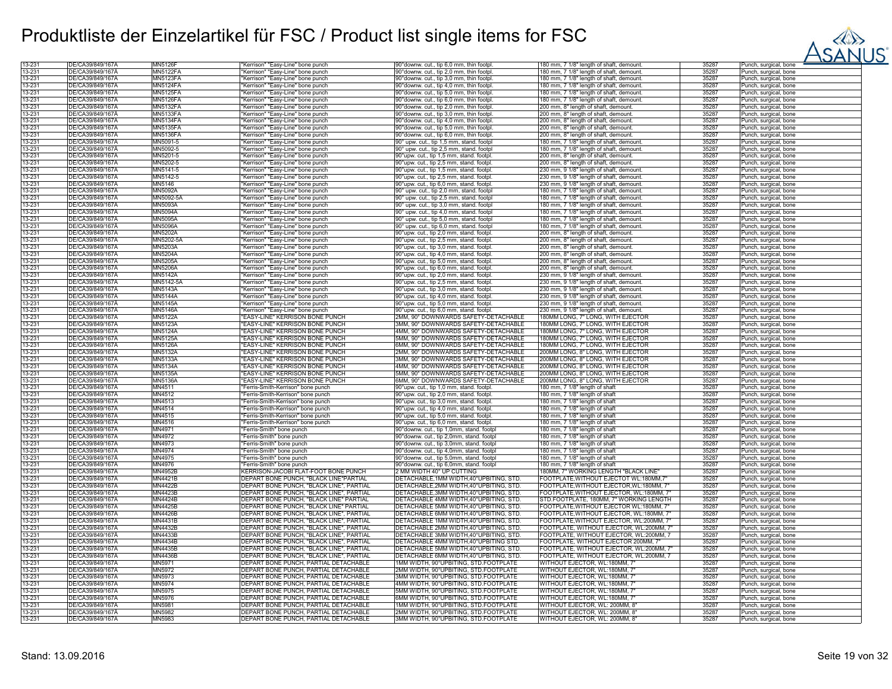

| 13-231           | DE/CA39/849/167A | MN5126          | 'Kerrison" "Easy-Line" bone punch                      | 90°downw. cut., tip 6,0 mm, thin footpl                                                | 180 mm, 7 1/8" length of shaft, demount  | 3528  | Punch, surgical, bone |
|------------------|------------------|-----------------|--------------------------------------------------------|----------------------------------------------------------------------------------------|------------------------------------------|-------|-----------------------|
| 13-231           | DE/CA39/849/167A | <b>MN5122FA</b> | "Kerrison" "Easy-Line" bone punch                      | 90° downw. cut., tip 2,0 mm, thin footpl                                               | 180 mm, 7 1/8" length of shaft, demount  | 35287 | Punch, surgical, bone |
| 13-231           | DE/CA39/849/167A | <b>MN5123FA</b> | "Kerrison" "Easy-Line" bone punch                      | 90° downw. cut., tip 3,0 mm, thin footpl                                               | 180 mm, 7 1/8" length of shaft, demount  | 35287 | Punch, surgical, bone |
| 13-231           | DE/CA39/849/167Ä | <b>MN5124FA</b> | "Kerrison" "Easy-Line" bone punch                      | 90° downw. cut., tip 4,0 mm, thin footpl                                               | 180 mm, 7 1/8" length of shaft, demount  | 35287 | Punch, surgical, bone |
| 13-231           | DE/CA39/849/167Ä | <b>MN5125FA</b> | "Kerrison" "Easy-Line" bone punch                      | 90° downw. cut., tip 5,0 mm, thin footpl                                               | 180 mm, 7 1/8" length of shaft, demount  | 35287 | Punch, surgical, bone |
| 13-231           | DE/CA39/849/167Ă | <b>MN5126FA</b> | "Kerrison" "Easy-Line" bone punch                      | 90° downw. cut., tip 6,0 mm, thin footpl                                               | 180 mm, 7 1/8" length of shaft, demount  | 35287 | Punch, surgical, bone |
| 13-231           | DE/CA39/849/167A | <b>MN5132FA</b> | "Kerrison" "Easy-Line" bone punch                      | 90° downw. cut., tip 2,0 mm, thin footpl                                               | 200 mm, 8" length of shaft, demount.     | 35287 | Punch, surgical, bone |
| 13-231           | DE/CA39/849/167A | <b>MN5133FA</b> | "Kerrison" "Easy-Line" bone punch                      | 90° downw. cut., tip 3,0 mm, thin footpl                                               | 200 mm, 8" length of shaft, demount.     | 35287 | Punch, surgical, bone |
| 13-231           | DE/CA39/849/167Å | <b>MN5134FA</b> | 'Kerrison" "Easy-Line" bone punch                      | 90°downw. cut., tip 4,0 mm, thin footpl                                                | 200 mm, 8" length of shaft, demount.     | 35287 | Punch, surgical, bone |
|                  | DE/CA39/849/167Ä | <b>MN5135FA</b> |                                                        |                                                                                        |                                          | 35287 |                       |
| 13-231<br>13-231 | DE/CA39/849/167A | <b>MN5136FA</b> | "Kerrison" "Easy-Line" bone punch                      | 90° downw. cut., tip 5,0 mm, thin footpl                                               | 200 mm, 8" length of shaft, demount.     | 35287 | Punch, surgical, bone |
|                  |                  |                 | "Kerrison" "Easy-Line" bone punch                      | 90° downw. cut., tip 6,0 mm, thin footpl                                               | 200 mm, 8" length of shaft, demount.     |       | Punch, surgical, bone |
| 13-231           | DE/CA39/849/167A | MN5091-5        | "Kerrison" "Easy-Line" bone punch                      | 90° upw. cut., tip 1,5 mm, stand. footp                                                | 180 mm, 7 1/8" length of shaft, demount  | 35287 | Punch, surgical, bone |
| 13-231           | DE/CA39/849/167Ä | MN5092-5        | "Kerrison" "Easy-Line" bone punch                      | 90° upw. cut., tip 2,5 mm, stand. footpl                                               | 180 mm, 7 1/8" length of shaft, demount  | 35287 | Punch, surgical, bone |
| 13-231           | DE/CA39/849/167Å | MN5201-5        | "Kerrison" "Easy-Line" bone punch                      | 90°upw. cut., tip 1,5 mm, stand. footpl                                                | 200 mm, 8" length of shaft, demount.     | 35287 | Punch, surgical, bone |
| 13-231           | DE/CA39/849/167A | MN5202-5        | "Kerrison" "Easy-Line" bone punch                      | 90°upw. cut., tip 2,5 mm, stand. footpl                                                | 200 mm, 8" length of shaft, demount.     | 35287 | Punch, surgical, bone |
| 13-231           | DE/CA39/849/167A | MN5141-5        | "Kerrison" "Easy-Line" bone punch                      | 90°upw. cut., tip 1,5 mm, stand. footpl                                                | 230 mm, 9 1/8" length of shaft, demount  | 35287 | Punch, surgical, bone |
| 13-231           | DE/CA39/849/167A | MN5142-5        | "Kerrison" "Easy-Line" bone punch                      | 90°upw. cut., tip 2,5 mm, stand. footpl                                                | 230 mm, 9 1/8" length of shaft, demount  | 35287 | Punch, surgical, bone |
| 13-231           | DE/CA39/849/167Å | MN5146          | "Kerrison" "Easy-Line" bone punch                      | 90°upw. cut., tip 6,0 mm, stand. footpl                                                | 230 mm, 9 1/8" length of shaft, demount  | 35287 | Punch, surgical, bone |
| 13-231           | DE/CA39/849/167Ä | <b>MN5092A</b>  | "Kerrison" "Easy-Line" bone punch                      | 90° upw. cut., tip 2,0 mm, stand. footpl                                               | 180 mm, 7 1/8" length of shaft, demount  | 35287 | Punch, surgical, bone |
| 13-231           | DE/CA39/849/167A | MN5092-5A       | "Kerrison" "Easy-Line" bone punch                      | 90° upw. cut., tip 2,5 mm, stand. footp                                                | 180 mm, 7 1/8" length of shaft, demount  | 35287 | Punch, surgical, bone |
| 13-231           | DE/CA39/849/167A | MN5093A         | "Kerrison" "Easy-Line" bone punch                      | 90° upw. cut., tip 3,0 mm, stand. footpl                                               | 180 mm, 7 1/8" length of shaft, demount  | 35287 | Punch, surgical, bone |
| 13-231           | DE/CA39/849/167Ä | MN5094A         | "Kerrison" "Easy-Line" bone punch                      | 90° upw. cut., tip 4,0 mm, stand. footpl                                               | 180 mm, 7 1/8" length of shaft, demount  | 35287 | Punch, surgical, bone |
| 13-231           | DE/CA39/849/167A | <b>MN5095A</b>  | "Kerrison" "Easy-Line" bone punch                      | 90° upw. cut., tip 5,0 mm, stand. footpl                                               | 180 mm, 7 1/8" length of shaft, demount  | 35287 | Punch, surgical, bone |
| 13-231           | DE/CA39/849/167Ä | <b>MN5096A</b>  | "Kerrison" "Easy-Line" bone punch                      | 90° upw. cut., tip 6,0 mm, stand. footpl                                               | 180 mm, 7 1/8" length of shaft, demount. | 35287 | Punch, surgical, bone |
| 13-231           | DE/CA39/849/167Å | <b>MN5202A</b>  |                                                        |                                                                                        |                                          | 35287 |                       |
|                  |                  |                 | 'Kerrison" "Easy-Line" bone punch                      | 90°upw. cut., tip 2,0 mm, stand. footpl                                                | 200 mm, 8" length of shaft, demount.     |       | Punch, surgical, bone |
| 13-231           | DE/CA39/849/167A | MN5202-5A       | "Kerrison" "Easy-Line" bone punch                      | 90°upw. cut., tip 2,5 mm, stand. footpl                                                | 200 mm, 8" length of shaft, demount.     | 35287 | Punch, surgical, bone |
| 13-231           | DE/CA39/849/167Ä | MN5203A         | "Kerrison" "Easy-Line" bone punch                      | 90°upw. cut., tip 3,0 mm, stand. footpl                                                | 200 mm, 8" length of shaft, demount.     | 35287 | Punch, surgical, bone |
| 13-231           | DE/CA39/849/167A | <b>MN5204A</b>  | "Kerrison" "Easy-Line" bone punch                      | 90°upw. cut., tip 4,0 mm, stand. footpl                                                | 200 mm, 8" length of shaft, demount.     | 35287 | Punch, surgical, bone |
| 13-231           | DE/CA39/849/167Ă | MN5205A         | "Kerrison" "Easy-Line" bone punch                      | 90°upw. cut., tip 5,0 mm, stand. footpl                                                | 200 mm, 8" length of shaft, demount      | 35287 | Punch, surgical, bone |
| 13-231           | DE/CA39/849/167Ä | MN5206A         | "Kerrison" "Easy-Line" bone punch                      | 90°upw. cut., tip 6,0 mm, stand. footpl                                                | 200 mm, 8" length of shaft, demount.     | 35287 | Punch, surgical, bone |
| 13-231           | DE/CA39/849/167A | <b>MN5142A</b>  | "Kerrison" "Easy-Line" bone punch                      | 90°upw. cut., tip 2,0 mm, stand. footpl                                                | 230 mm, 9 1/8" length of shaft, demount  | 35287 | Punch, surgical, bone |
| 13-231           | DE/CA39/849/167Å | MN5142-5A       | "Kerrison" "Easy-Line" bone punch                      | 90°upw. cut., tip 2,5 mm, stand. footpl                                                | 230 mm, 9 1/8" length of shaft, demount  | 35287 | Punch, surgical, bone |
| 13-231           | DE/CA39/849/167A | MN5143A         | "Kerrison" "Easy-Line" bone punch                      | 90°upw. cut., tip 3,0 mm, stand. footpl                                                | 230 mm, 9 1/8" length of shaft, demount  | 35287 | Punch, surgical, bone |
| 13-231           | DE/CA39/849/167A | <b>MN5144A</b>  | "Kerrison" "Easy-Line" bone punch                      | 90°upw. cut., tip 4,0 mm, stand. footpl                                                | 230 mm, 9 1/8" length of shaft, demount  | 35287 | Punch, surgical, bone |
| 13-231           | DE/CA39/849/167Ä | <b>MN5145A</b>  | "Kerrison" "Easy-Line" bone punch                      | 90°upw. cut., tip 5,0 mm, stand. footpl.                                               | 230 mm, 9 1/8" length of shaft, demount  | 35287 | Punch, surgical, bone |
| 13-231           | DE/CA39/849/167Å | <b>MN5146A</b>  | "Kerrison" "Easy-Line" bone punch                      | 90°upw. cut., tip 6,0 mm, stand. footpl                                                | 230 mm, 9 1/8" length of shaft, demount  | 35287 | Punch, surgical, bone |
| 13-231           | DE/CA39/849/167A | <b>MN5122A</b>  | "EASY-LINE" KERRISON BONE PUNCH                        | 2MM, 90° DOWNWARDS SAFETY-DETACHABLE                                                   | 180MM LONG, 7" LONG, WITH EJECTOF        | 35287 | Punch, surgical, bone |
| 13-231           | DE/CA39/849/167Ä | MN5123A         | 'EASY-LINE" KERRISON BONE PUNCH                        | 3MM, 90° DOWNWARDS SAFETY-DETACHABLE                                                   | 80MM LONG, 7" LONG, WITH EJECTOR         | 35287 | Punch, surgical, bone |
| 13-231           | DE/CA39/849/167A | <b>MN5124A</b>  | EASY-LINE" KERRISON BONE PUNCH                         | 1MM, 90° DOWNWARDS SAFETY-DETACHABLE                                                   | <b>80MM LONG, 7" LONG, WITH EJECTOR</b>  | 35287 | Punch, surgical, bone |
| 13-231           | DE/CA39/849/167A | MN5125A         | EASY-LINE" KERRISON BONE PUNCH                         | 5MM, 90° DOWNWARDS SAFETY-DETACHABLE                                                   | 180MM LONG, 7" LONG, WITH EJECTOR        | 35287 |                       |
|                  | DE/CA39/849/167Ä |                 | "EASY-LINE" KERRISON BONE PUNCH                        |                                                                                        |                                          | 35287 | Punch, surgical, bone |
| 13-231           |                  | <b>MN5126A</b>  |                                                        | 6MM, 90° DOWNWARDS SAFETY-DETACHABLE                                                   | 180MM LONG, 7" LONG, WITH EJECTOR        |       | Punch, surgical, bone |
| 13-231           | DE/CA39/849/167A | <b>MN5132A</b>  | 'EASY-LINE" KERRISON BONE PUNCH                        | 2MM, 90° DOWNWARDS SAFETY-DETACHABLE                                                   | 200MM LONG, 8" LONG, WITH EJECTOR        | 35287 | Punch, surgical, bone |
| 13-231           | DE/CA39/849/167Å | <b>MN5133A</b>  | "EASY-LINE" KERRISON BONE PUNCH                        | 3MM, 90° DOWNWARDS SAFETY-DETACHABLE                                                   | 200MM LONG, 8" LONG, WITH EJECTOR        | 35287 | Punch, surgical, bone |
| 13-231           | DE/CA39/849/167Ä | <b>MN5134A</b>  | "EASY-LINE" KERRISON BONE PUNCH                        | 4MM, 90° DOWNWARDS SAFETY-DETACHABLE                                                   | 200MM LONG, 8" LONG, WITH EJECTOR        | 35287 | Punch, surgical, bone |
| 13-231           | DE/CA39/849/167Å | MN5135A         | 'EASY-LINE" KERRISON BONE PUNCH                        | 5MM, 90° DOWNWARDS SAFETY-DETACHABLE                                                   | 200MM LONG, 8" LONG, WITH EJECTOR        | 35287 | Punch, surgical, bone |
| 13-231           | DE/CA39/849/167Ä | MN5136A         | 'EASY-LINE" KERRISON BONE PUNCH                        | 6MM, 90° DOWNWARDS SAFETY-DETACHABLE                                                   | 200MM LONG, 8" LONG, WITH EJECTOR        | 35287 | Punch, surgical, bone |
| 13-231           | DE/CA39/849/167Ä | MN4511          | 'Ferris-Smith-Kerrison" bone punch                     | 90°upw. cut., tip 1,0 mm, stand. footpl.                                               | 180 mm. 7 1/8" length of shaft           | 35287 | Punch, surgical, bone |
| 13-231           | DE/CA39/849/167Å | MN4512          | Ferris-Smith-Kerrison" bone punch                      | 90°upw. cut., tip 2,0 mm, stand. footpl                                                | 180 mm. 7 1/8" length of shaft           | 35287 | Punch, surgical, bone |
| 13-231           | DE/CA39/849/167Ä | MN4513          | "Ferris-Smith-Kerrison" bone punch                     | 90°upw. cut., tip 3,0 mm, stand. footpl                                                | 180 mm, 7 1/8" length of shaft           | 35287 | Punch, surgical, bone |
| 13-231           | DE/CA39/849/167A | MN4514          | 'Ferris-Smith-Kerrison" bone punch                     | 90°upw. cut., tip 4,0 mm, stand. footpl                                                | 180 mm, 7 1/8" length of shaft           | 35287 | Punch, surgical, bone |
| 13-231           | DE/CA39/849/167A | MN4515          | 'Ferris-Smith-Kerrison" bone punch                     | 90°upw. cut., tip 5,0 mm, stand. footpl.                                               | 180 mm, 7 1/8" length of shaft           | 35287 | Punch, surgical, bone |
| 13-231           | DE/CA39/849/167Ä | MN4516          | "Ferris-Smith-Kerrison" bone punch                     | 90°upw. cut., tip 6,0 mm, stand. footpl.                                               | 180 mm, 7 1/8" length of shaft           | 35287 | Punch, surgical, bone |
| 13-231           | DE/CA39/849/167Å | MN4971          | "Ferris-Smith" bone punch                              | 90° downw. cut., tip 1,0mm, stand. footpl                                              | 180 mm, 7 1/8" length of shaft           | 35287 | Punch, surgical, bone |
| 13-231           | DE/CA39/849/167Ä | MN4972          | "Ferris-Smith" bone punch                              | 90° downw. cut., tip 2,0mm, stand. footpl                                              | 180 mm, 7 1/8" length of shaft           | 35287 | Punch, surgical, bone |
|                  | DE/CA39/849/167Ä | MN4973          |                                                        |                                                                                        |                                          | 35287 |                       |
| 13-231<br>13-231 | DE/CA39/849/167A | MN4974          | "Ferris-Smith" bone punch<br>'Ferris-Smith" bone punch | 90° downw. cut., tip 3,0mm, stand. footpl<br>90° downw. cut., tip 4,0mm, stand. footpl | 180 mm, 7 1/8" length of shaft           | 35287 | Punch, surgical, bone |
|                  |                  |                 |                                                        |                                                                                        | 180 mm, 7 1/8" length of shaft           |       | Punch, surgical, bone |
| 13-231           | DE/CA39/849/167Ă | MN4975          | 'Ferris-Smith" bone punch                              | 90°downw. cut., tip 5,0mm, stand. footpl                                               | 180 mm, 7 1/8" length of shaft           | 35287 | Punch, surgical, bone |
| 13-231           | DE/CA39/849/167A | MN4976          | "Ferris-Smith" bone punch                              | 90°downw. cut., tip 6,0mm, stand. footpl                                               | 180 mm, 7 1/8" length of shaft           | 35287 | Punch, surgical, bone |
| 13-231           | DE/CA39/849/167A | <b>MN4952B</b>  | KERRISON-JACOBI FLAT-FOOT BONE PUNCH                   | 2 MM WIDTH 40° UP CUTTING                                                              | 180MM, 7" WORKING LENGTH "BLACK LINE"    | 35287 | Punch, surgical, bone |
| 13-231           | DE/CA39/849/167Ä | MN4421B         | DEPART BONE PUNCH, "BLACK LINE"PARTIAL                 | DETACHABLE, 1MM WIDTH, 40°UPBITING, STD.                                               | FOOTPLATE, WITHOUT EJECTOT WL:180MM, 7   | 35287 | Punch, surgical, bone |
| 13-231           | DE/CA39/849/167Å | MN4422B         | DEPART BONE PUNCH, "BLACK LINE", PARTIAL               | DETACHABLE,2MM WIDTH,40°UPBITING, STD.                                                 | FOOTPLATE, WITHOUT EJECTOR, WL:180MM, 7  | 35287 | Punch, surgical, bone |
| 13-231           | DE/CA39/849/167Å | MN4423B         | DEPART BONE PUNCH, "BLACK LINE", PARTIAL               | DETACHABLE,3MM WIDTH,40°UPBITING, STD.                                                 | FOOTPLATE,WITHOUT EJECTOR, WL:180MM, 7'  | 35287 | Punch, surgical, bone |
| 13-231           | DE/CA39/849/167Ä | <b>MN4424B</b>  | DEPART BONE PUNCH, "BLACK LINE" PARTIAL                | DETACHABLE 4MM WIDTH,40°UPBITING, STD.                                                 | STD FOOTPLATE, 180MM, 7" WORKING LENGTH  | 35287 | Punch, surgical, bone |
| 13-231           | DE/CA39/849/167A | MN4425B         | DEPART BONE PUNCH, "BLACK LINE" PARTIAL                | DETACHABLE 5MM WIDTH,40°UPBITING, STD.                                                 | FOOTPLATE, WITHOUT EJECTOR WL:180MM, 7'  | 35287 | Punch, surgical, bone |
| 13-231           | DE/CA39/849/167Å | <b>MN4426B</b>  | DEPART BONE PUNCH, "BLACK LINE", PARTIAL               | DETACHABLE 6MM WIDTH,40°UPBITING, STD.                                                 | FOOTPLATE, WITHOUT EJECTOR, WL:180MM, 7' | 35287 | Punch, surgical, bone |
| 13-231           | DE/CA39/849/167Ä | MN4431B         | DEPART BONE PUNCH, "BLACK LINE", PARTIAL               | DETACHABLE 1MM WIDTH,40°UPBITING, STD.                                                 | FOOTPLATE, WITHOUT EJECTOR, WL:200MM, 7" | 35287 | Punch, surgical, bone |
| 13-231           | DE/CA39/849/167A | <b>MN4432B</b>  | DEPART BONE PUNCH, "BLACK LINE", PARTIAL               | DETACHABLE 2MM WIDTH,40°UPBITING, STD.                                                 | FOOTPLATE, WITHOUT EJECTOR, WL:200MM, 7" | 35287 | Punch, surgical, bone |
| 13-231           | DE/CA39/849/167A | <b>MN4433B</b>  | DEPART BONE PUNCH, "BLACK LINE", PARTIAL               | DETACHABLE 3MM WIDTH,40°UPBITING, STD.                                                 | FOOTPLATE, WITHOUT EJECTOR, WL:200MM, 7  | 35287 | Punch, surgical, bone |
| 13-231           | DE/CA39/849/167Ä | MN4434B         | DEPART BONE PUNCH, "BLACK LINE", PARTIAL               | DETACHABLE 4MM WIDTH 40°UPBITING STD                                                   | FOOTPLATE, WITHOUT EJECTOR 200MM, 7"     | 35287 | Punch, surgical, bone |
| 13-231           | DE/CA39/849/167Ă | MN4435B         | DEPART BONE PUNCH, "BLACK LINE", PARTIAL               | DETACHABLE 5MM WIDTH,40°UPBITING, STD.                                                 | FOOTPLATE, WITHOUT EJECTOR, WL:200MM, 7' | 35287 | Punch, surgical, bone |
| 13-231           | DE/CA39/849/167Å | <b>MN4436B</b>  | DEPART BONE PUNCH, "BLACK LINE", PARTIAL               | DETACHABLE 6MM WIDTH,40°UPBITING, STD.                                                 | FOOTPLATE, WITHOUT EJECTOR, WL:200MM, 7  | 35287 |                       |
| 13-231           | DE/CA39/849/167A | MN5971          | DEPART BONE PUNCH, PARTIAL DETACHABLE                  | MM WIDTH, 90°UPBITING, STD, FOOTPLATE                                                  | WITHOUT EJECTOR, WL:180MM, 7"            | 35287 | Punch, surgical, bone |
|                  |                  |                 |                                                        |                                                                                        |                                          |       | Punch, surgical, bone |
| 13-231           | DE/CA39/849/167A | MN5972          | DEPART BONE PUNCH, PARTIAL DETACHABLE                  | 2MM WIDTH, 90°UPBITING, STD.FOOTPLATE                                                  | WITHOUT EJECTOR, WL:180MM, 7             | 35287 | Punch, surgical, bone |
| 13-231           | DE/CA39/849/167A | MN5973          | DEPART BONE PUNCH, PARTIAL DETACHABLE                  | 3MM WIDTH, 90°UPBITING, STD.FOOTPLATE                                                  | WITHOUT EJECTOR, WL:180MM, 7             | 35287 | Punch, surgical, bone |
| 13-231           | DE/CA39/849/167A | MN5974          | DEPART BONE PUNCH, PARTIAL DETACHABLE                  | 4MM WIDTH, 90°UPBITING, STD.FOOTPLATE                                                  | WITHOUT EJECTOR, WL:180MM, 7             | 35287 | Punch, surgical, bone |
| 13-231           | DE/CA39/849/167A | <b>MN5975</b>   | DEPART BONE PUNCH, PARTIAL DETACHABLE                  | 5MM WIDTH, 90°UPBITING, STD.FOOTPLATE                                                  | WITHOUT EJECTOR, WL:180MM, 7             | 35287 | Punch, surgical, bone |
| 13-231           | DE/CA39/849/167Ä | MN5976          | DEPART BONE PUNCH, PARTIAL DETACHABLE                  | 6MM WIDTH, 90°UPBITING, STD.FOOTPLATE                                                  | WITHOUT EJECTOR, WL:180MM, 7             | 35287 | Punch, surgical, bone |
| 13-231           | DE/CA39/849/167Å | MN5981          | DEPART BONE PUNCH, PARTIAL DETACHABLE                  | IMM WIDTH. 90°UPBITING. STD.FOOTPLATE                                                  | WITHOUT EJECTOR. WL: 200MM. 8            | 35287 | Punch, surgical, bone |
| 13-231           | DE/CA39/849/167A | MN5982          | DEPART BONE PUNCH, PARTIAL DETACHABLE                  | 2MM WIDTH, 90°UPBITING, STD.FOOTPLATE                                                  | WITHOUT EJECTOR, WL: 200MM, 8'           | 35287 | Punch, surgical, bone |
| 13-231           | DE/CA39/849/167A | MN5983          | DEPART BONE PUNCH, PARTIAL DETACHABLE                  | 3MM WIDTH, 90°UPBITING, STD.FOOTPLATE                                                  | WITHOUT EJECTOR, WL: 200MM, 8'           | 35287 |                       |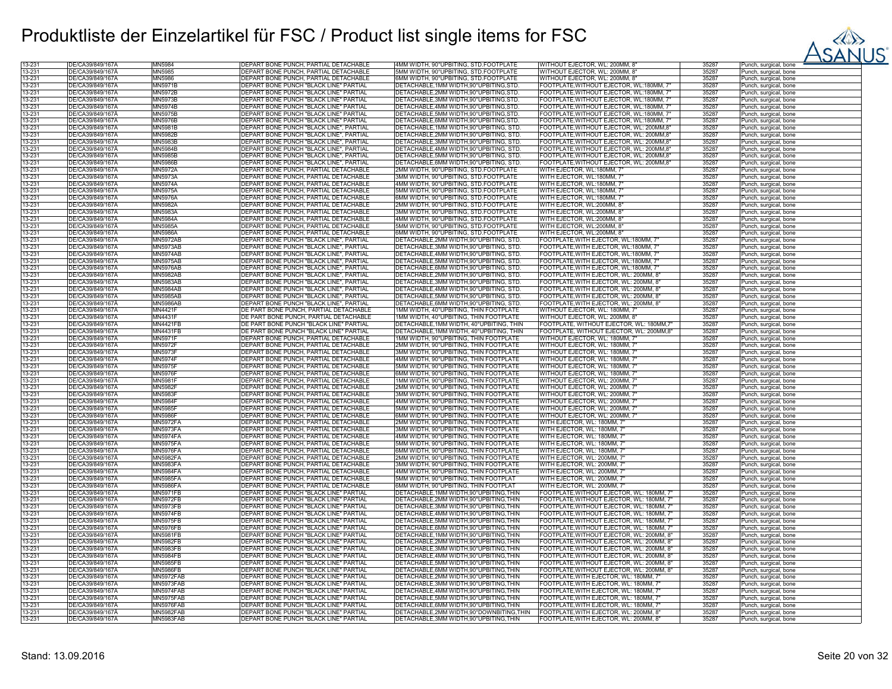

| 13-231           | DE/CA39/849/167A                     | <b>MN5984</b>    | DEPART BONE PUNCH, PARTIAL DETACHABLE   | 4MM WIDTH, 90°UPBITING, STD.FOOTPLATE      | WITHOUT EJECTOR, WL: 200MM, 8"            | 35287          | Punch, surgical, bone |
|------------------|--------------------------------------|------------------|-----------------------------------------|--------------------------------------------|-------------------------------------------|----------------|-----------------------|
| 13-231           | DE/CA39/849/167Ä                     | MN5985           | DEPART BONE PUNCH, PARTIAL DETACHABLE   | 5MM WIDTH, 90°UPBITING, STD.FOOTPLATE      | WITHOUT EJECTOR, WL: 200MM, 8"            | 35287          | Punch, surgical, bone |
| 13-231           | DE/CA39/849/167Å                     | <b>MN5986</b>    | DEPART BONE PUNCH, PARTIAL DETACHABLE   | 6MM WIDTH, 90°UPBITING, STD.FOOTPLATE      | WITHOUT EJECTOR, WL: 200MM, 8'            | 35287          | Punch, surgical, bone |
| 13-231           | DE/CA39/849/167Å                     | <b>MN5971B</b>   | DEPART BONE PUNCH "BLACK LINE" PARTIAL  | DETACHABLE, 1MM WIDTH, 90° UPBITING, STD.  | FOOTPLATE, WITHOUT EJECTOR, WL:180MM, 7"  | 35287          | Punch, surgical, bone |
| 13-231           |                                      |                  | DEPART BONE PUNCH "BLACK LINE" PARTIAL  | DETACHABLE, 2MM WIDTH, 90° UPBITING, STD.  |                                           |                |                       |
|                  | DE/CA39/849/167Ä                     | <b>MN5972B</b>   |                                         |                                            | FOOTPLATE, WITHOUT EJECTOR, WL:180MM, 7"  | 35287          | Punch, surgical, bone |
| 13-231           | DE/CA39/849/167A                     | <b>MN5973B</b>   | DEPART BONE PUNCH "BLACK LINE" PARTIAL  | DETACHABLE, 3MM WIDTH, 90°UPBITING, STD    | FOOTPLATE, WITHOUT EJECTOR, WL:180MM, 7"  | 35287          | Punch, surgical, bone |
| 13-231           | DE/CA39/849/167Ă                     | <b>MN5974B</b>   | DEPART BONE PUNCH "BLACK LINE" PARTIAL  | DETACHABLE, 4MM WIDTH, 90° UPBITING, STD   | FOOTPLATE, WITHOUT EJECTOR, WL:180MM, 7"  | 35287          | Punch, surgical, bone |
| 13-231           | DE/CA39/849/167Ä                     | MN5975B          | DEPART BONE PUNCH "BLACK LINE" PARTIAL  | DETACHABLE, 5MM WIDTH, 90°UPBITING, STD.   | FOOTPLATE, WITHOUT EJECTOR, WL:180MM, 7"  | 35287          | Punch, surgical, bone |
| 13-231           | DE/CA39/849/167A                     | <b>MN5976B</b>   | DEPART BONE PUNCH "BLACK LINE" PARTIAL  | DETACHABLE, 6MM WIDTH, 90° UPBITING, STD.  | FOOTPLATE, WITHOUT EJECTOR, WL:180MM, 7"  | 35287          | Punch, surgical, bone |
| 13-231           | DE/CA39/849/167Ä                     | MN5981B          | DEPART BONE PUNCH "BLACK LINE", PARTIAL | DETACHABLE, 1MM WIDTH, 90°UPBITING, STD    | FOOTPLATE, WITHOUT EJECTOR, WL: 200MM,8"  | 35287          | Punch, surgical, bone |
| 13-231           | DE/CA39/849/167Ä                     | <b>MN5982B</b>   | DEPART BONE PUNCH "BLACK LINE", PARTIAL | DETACHABLE, 2MM WIDTH, 90° UPBITING, STD   | FOOTPLATE, WITHOUT EJECTOR, WL: 200MM, 8' | 35287          | Punch, surgical, bone |
| 13-231           | DE/CA39/849/167A                     | <b>MN5983B</b>   | DEPART BONE PUNCH "BLACK LINE", PARTIAL | DETACHABLE, 3MM WIDTH, 90°UPBITING, STD.   | FOOTPLATE, WITHOUT EJECTOR, WL: 200MM,8"  | 35287          | Punch, surgical, bone |
| 13-231           | DE/CA39/849/167Ä                     | <b>MN5984B</b>   | DEPART BONE PUNCH "BLACK LINE", PARTIAL | DETACHABLE, 4MM WIDTH, 90° UPBITING, STD.  | FOOTPLATE, WITHOUT EJECTOR, WL: 200MM,8"  | 35287          | Punch, surgical, bone |
| 13-231           | DE/CA39/849/167Ä                     | <b>MN5985B</b>   | DEPART BONE PUNCH "BLACK LINE", PARTIAL | DETACHABLE, 5MM WIDTH, 90° UPBITING, STD   | FOOTPLATE, WITHOUT EJECTOR, WL: 200MM,8'  | 35287          | Punch, surgical, bone |
| 13-231           | DE/CA39/849/167Ă                     | <b>MN5986B</b>   | DEPART BONE PUNCH "BLACK LINE", PARTIAL | DETACHABLE, 6MM WIDTH, 90°UPBITING, STD    |                                           | 35287          |                       |
|                  |                                      |                  |                                         |                                            | FOOTPLATE, WITHOUT EJECTOR, WL: 200MM,8"  |                | Punch, surgical, bone |
| 13-231           | DE/CA39/849/167Ä                     | <b>MN5972A</b>   | DEPART BONE PUNCH, PARTIAL DETACHABLE   | 2MM WIDTH, 90°UPBITING, STD.FOOTPLATE      | WITH EJECTOR, WL:180MM, 7"                | 35287          | Punch, surgical, bone |
| 13-231           | DE/CA39/849/167A                     | <b>MN5973A</b>   | DEPART BONE PUNCH, PARTIAL DETACHABLE   | 3MM WIDTH, 90°UPBITING, STD.FOOTPLATE      | WITH EJECTOR, WL:180MM, 7'                | 35287          | Punch, surgical, bone |
| 13-231           | DE/CA39/849/167Ă                     | <b>MN5974A</b>   | DEPART BONE PUNCH, PARTIAL DETACHABLE   | 4MM WIDTH, 90°UPBITING, STD.FOOTPLATE      | WITH EJECTOR, WL:180MM, 7'                | 35287          | Punch, surgical, bone |
| 13-231           | DE/CA39/849/167Ä                     | <b>MN5975A</b>   | DEPART BONE PUNCH, PARTIAL DETACHABLE   | 5MM WIDTH, 90°UPBITING, STD.FOOTPLATE      | WITH EJECTOR, WL:180MM, 7                 | 35287          | Punch, surgical, bone |
| 13-231           | DE/CA39/849/167A                     | <b>MN5976A</b>   | DEPART BONE PUNCH, PARTIAL DETACHABLE   | 6MM WIDTH, 90°UPBITING, STD.FOOTPLATE      | WITH EJECTOR, WL:180MM, 7'                | 35287          | Punch, surgical, bone |
| 13-231           | DE/CA39/849/167Ă                     | <b>MN5982A</b>   | DEPART BONE PUNCH, PARTIAL DETACHABLE   | 2MM WIDTH, 90°UPBITING, STD.FOOTPLATE      | WITH EJECTOR, WL:200MM, 8'                | 35287          | Punch, surgical, bone |
| 13-231           | DE/CA39/849/167Ä                     | <b>MN5983A</b>   | DEPART BONE PUNCH, PARTIAL DETACHABLE   | 3MM WIDTH, 90°UPBITING, STD.FOOTPLATE      | WITH EJECTOR, WL:200MM, 8'                | 35287          | Punch, surgical, bone |
| 13-231           | DE/CA39/849/167Ä                     | MN5984A          | DEPART BONE PUNCH, PARTIAL DETACHABLE   | 4MM WIDTH, 90°UPBITING, STD.FOOTPLATE      | WITH EJECTOR, WL:200MM, 8'                | 35287          | Punch, surgical, bone |
| 13-231           | DE/CA39/849/167Ä                     | <b>MN5985A</b>   | DEPART BONE PUNCH, PARTIAL DETACHABLE   | 5MM WIDTH, 90°UPBITING, STD.FOOTPLATE      | WITH EJECTOR, WL:200MM, 8"                | 35287          |                       |
| 13-231           | DE/CA39/849/167A                     | <b>MN5986A</b>   | DEPART BONE PUNCH, PARTIAL DETACHABLE   | 6MM WIDTH, 90°UPBITING, STD.FOOTPLATE      | WITH EJECTOR, WL:200MM, 8'                | 35287          | Punch, surgical, bone |
|                  |                                      |                  |                                         |                                            |                                           |                | Punch, surgical, bone |
| 13-231           | DE/CA39/849/167Ä                     | <b>MN5972AB</b>  | DEPART BONE PUNCH "BLACK LINE", PARTIAL | DETACHABLE, 2MM WIDTH, 90° UPBITING, STD   | FOOTPLATE, WITH EJECTOR, WL:180MM, 7      | 35287          | Punch, surgical, bone |
| 13-231           | DE/CA39/849/167Ä                     | <b>MN5973AB</b>  | DEPART BONE PUNCH "BLACK LINE", PARTIAL | DETACHABLE, 3MM WIDTH, 90°UPBITING, STD.   | FOOTPLATE, WITH EJECTOR, WL:180MM, 7'     | 35287          | Punch, surgical, bone |
| 13-231           | DE/CA39/849/167A                     | <b>MN5974AB</b>  | DEPART BONE PUNCH "BLACK LINE", PARTIAL | DETACHABLE, 4MM WIDTH, 90° UPBITING, STD.  | FOOTPLATE, WITH EJECTOR, WL:180MM, 7      | 35287          | Punch, surgical, bone |
| 13-231           | DE/CA39/849/167Ă                     | <b>MN5975AB</b>  | DEPART BONE PUNCH "BLACK LINE", PARTIAL | DETACHABLE, 5MM WIDTH, 90°UPBITING, STD    | FOOTPLATE, WITH EJECTOR, WL:180MM, 7      | 35287          | Punch, surgical, bone |
| 13-231           | DE/CA39/849/167Ä                     | <b>MN5976AB</b>  | DEPART BONE PUNCH "BLACK LINE", PARTIAL | DETACHABLE, 6MM WIDTH, 90° UPBITING, STD.  | FOOTPLATE, WITH EJECTOR, WL:180MM, 7      | 35287          | Punch, surgical, bone |
| 13-231           | DE/CA39/849/167Ä                     | <b>MN5982AB</b>  | DEPART BONE PUNCH "BLACK LINE", PARTIAL | DETACHABLE, 2MM WIDTH, 90° UPBITING, STD   | FOOTPLATE, WITH EJECTOR, WL: 200MM, 8     | 35287          | Punch, surgical, bone |
| 13-231           | DE/CA39/849/167Ă                     | <b>MN5983AB</b>  | DEPART BONE PUNCH "BLACK LINE", PARTIAL | DETACHABLE, 3MM WIDTH, 90° UPBITING, STD   | FOOTPLATE, WITH EJECTOR, WL: 200MM, 8     | 35287          | Punch, surgical, bone |
| 13-231           | DE/CA39/849/167Ä                     | <b>MN5984AB</b>  | DEPART BONE PUNCH "BLACK LINE", PARTIAL | DETACHABLE.4MM WIDTH.90°UPBITING, STD      | FOOTPLATE, WITH EJECTOR, WL: 200MM, 8     | 35287          | Punch, surgical, bone |
| 13-231           | DE/CA39/849/167Ă                     | <b>MN5985AB</b>  | DEPART BONE PUNCH "BLACK LINE", PARTIAL | DETACHABLE,5MM WIDTH,90°UPBITING, STD.     | FOOTPLATE, WITH EJECTOR, WL: 200MM, 8     | 35287          | Punch, surgical, bone |
| 13-231           | DE/CA39/849/167Ä                     | <b>MN5986AB</b>  | DEPART BONE PUNCH "BLACK LINE", PARTIAL | DETACHABLE, 6MM WIDTH, 90° UPBITING, STD.  | FOOTPLATE, WITH EJECTOR, WL: 200MM, 8"    | 35287          |                       |
| 13-231           | DE/CA39/849/167A                     | <b>MN4421F</b>   | DE PART BONE PUNCH, PARTIAL DETACHABLI  | 1MM WIDTH, 40°UPBITING, THIN FOOTPLATE     | WITHOUT EJECTOR, WL: 180MM, 7"            | 35287          | Punch, surgical, bone |
|                  |                                      |                  |                                         |                                            |                                           |                | Punch, surgical, bone |
| 13-231           | DE/CA39/849/167Å                     | <b>MN4431F</b>   | DE PART BONE PUNCH, PARTIAL DETACHABLE  | 1MM WIDTH, 40°UPBITING, THIN FOOTPLATE     | WITHOUT EJECTOR, WL: 200MM, 8'            | 35287          | Punch, surgical, bone |
| 13-231           | DE/CA39/849/167Ä                     | <b>MN4421FB</b>  | DE PART BONE PUNCH "BLACK LINE" PARTIAL | DETACHABLE, 1MM WIDTH, 40°UPBITING, THIN   | FOOTPLATE, WITHOUT EJECTOR, WL: 180MM,7"  | 35287          | Punch, surgical, bone |
| 13-231           | DE/CA39/849/167Ă                     | <b>MN4431FB</b>  | DE PART BONE PUNCH "BLACK LINE" PARTIAL | DETACHABLE, 1MM WIDTH, 40°UPBITING, THIN   | FOOTPLATE, WITHOUT EJECTOR, WL: 200MM,8"  | 35287          | Punch, surgical, bone |
| 13-231           | DE/CA39/849/167A                     | <b>MN5971F</b>   | DEPART BONE PUNCH, PARTIAL DETACHABLE   | IMM WIDTH, 90°UPBITING, THIN FOOTPLATE     | WITHOUT EJECTOR, WL: 180MM, 7"            | 35287          | Punch, surgical, bone |
| 13-231           | DE/CA39/849/167Ä                     | <b>MN5972F</b>   | DEPART BONE PUNCH, PARTIAL DETACHABLE   | 2MM WIDTH, 90°UPBITING, THIN FOOTPLATE     | WITHOUT EJECTOR, WL: 180MM, 7"            | 35287          | Punch, surgical, bone |
| 13-231           | DE/CA39/849/167Ă                     | <b>MN5973F</b>   | DEPART BONE PUNCH, PARTIAL DETACHABLE   | 3MM WIDTH, 90°UPBITING, THIN FOOTPLATE     | WITHOUT EJECTOR, WL: 180MM, 7             | 35287          | Punch, surgical, bone |
| 13-231           | DE/CA39/849/167Ă                     | <b>MN5974F</b>   | DEPART BONE PUNCH, PARTIAL DETACHABLE   | 4MM WIDTH, 90°UPBITING, THIN FOOTPLATE     | WITHOUT EJECTOR, WL: 180MM, 7"            | 35287          | Punch, surgical, bone |
| 13-231           | DE/CA39/849/167Ä                     | <b>MN5975F</b>   | DEPART BONE PUNCH, PARTIAL DETACHABLE   | 5MM WIDTH, 90°UPBITING, THIN FOOTPLATE     | WITHOUT EJECTOR, WL: 180MM, 7"            | 35287          | Punch, surgical, bone |
| 13-231           | DE/CA39/849/167Å                     | <b>MN5976F</b>   | DEPART BONE PUNCH, PARTIAL DETACHABLE   | 6MM WIDTH, 90°UPBITING, THIN FOOTPLATE     | WITHOUT EJECTOR, WL: 180MM, 7             | 35287          | Punch, surgical, bone |
| 13-231           | DE/CA39/849/167Ă                     | MN5981F          | DEPART BONE PUNCH, PARTIAL DETACHABLE   | 1MM WIDTH, 90°UPBITING, THIN FOOTPLATE     | WITHOUT EJECTOR, WL: 200MM, 7"            | 35287          | Punch, surgical, bone |
|                  |                                      | MN5982F          |                                         |                                            |                                           |                |                       |
| 13-231<br>13-231 | DE/CA39/849/167Ä<br>DE/CA39/849/167A | <b>MN5983F</b>   | DEPART BONE PUNCH, PARTIAL DETACHABLE   | 2MM WIDTH, 90°UPBITING, THIN FOOTPLATE     | WITHOUT EJECTOR, WL: 200MM, 7'            | 35287<br>35287 | Punch, surgical, bone |
|                  |                                      |                  | DEPART BONE PUNCH, PARTIAL DETACHABLE   | MM WIDTH, 90°UPBITING, THIN FOOTPLATE      | WITHOUT EJECTOR, WL: 200MM, 7             |                | Punch, surgical, bone |
| 13-231           | DE/CA39/849/167Ä                     | <b>MN5984F</b>   | DEPART BONE PUNCH, PARTIAL DETACHABLE   | 1MM WIDTH, 90°UPBITING, THIN FOOTPLATE     | WITHOUT EJECTOR, WL: 200MM, 7'            | 35287          | Punch, surgical, bone |
| 13-231           | DE/CA39/849/167A                     | <b>MN5985F</b>   | DEPART BONE PUNCH, PARTIAL DETACHABLE   | 5MM WIDTH, 90°UPBITING, THIN FOOTPLATE     | WITHOUT EJECTOR, WL: 200MM, 7             | 35287          | Punch, surgical, bone |
| 13-231           | DE/CA39/849/167A                     | <b>MN5986F</b>   | DEPART BONE PUNCH, PARTIAL DETACHABLE   | 6MM WIDTH, 90°UPBITING, THIN FOOTPLATE     | WITHOUT EJECTOR, WL: 200MM, 7'            | 35287          | Punch, surgical, bone |
| 13-231           | DE/CA39/849/167Ä                     | <b>MN5972FA</b>  | DEPART BONE PUNCH, PARTIAL DETACHABLE   | 2MM WIDTH, 90°UPBITING, THIN FOOTPLATE     | WITH EJECTOR, WL: 180MM, 7'               | 35287          | Punch, surgical, bone |
| 13-231           | DE/CA39/849/167A                     | <b>MN5973FA</b>  | DEPART BONE PUNCH, PARTIAL DETACHABLE   | 3MM WIDTH, 90°UPBITING, THIN FOOTPLATE     | WITH EJECTOR, WL: 180MM, 7                | 35287          | Punch, surgical, bone |
| 13-231           | DE/CA39/849/167Ă                     | <b>MN5974FA</b>  | DEPART BONE PUNCH, PARTIAL DETACHABLE   | 4MM WIDTH, 90°UPBITING, THIN FOOTPLATE     | WITH EJECTOR, WL: 180MM, 7                | 35287          | Punch, surgical, bone |
| 13-231           | DE/CA39/849/167Ă                     | <b>MN5975FA</b>  | DEPART BONE PUNCH. PARTIAL DETACHABLE   | 5MM WIDTH, 90°UPBITING, THIN FOOTPLATE     | WITH EJECTOR, WL: 180MM, 7'               | 35287          | Punch, surgical, bone |
| 13-231           | DE/CA39/849/167Ă                     | <b>MN5976FA</b>  | DEPART BONE PUNCH, PARTIAL DETACHABLE   | MM WIDTH, 90°UPBITING, THIN FOOTPLATE      | WITH EJECTOR, WL: 180MM, 7                | 35287          | Punch, surgical, bone |
| 13-231           | DE/CA39/849/167Ă                     | <b>MN5982FA</b>  | DEPART BONE PUNCH, PARTIAL DETACHABLE   | 2MM WIDTH, 90°UPBITING, THIN FOOTPLATE     | WITH EJECTOR, WL: 200MM, 7                | 35287          | Punch, surgical, bone |
| 13-231           | DE/CA39/849/167Ä                     | <b>MN5983FA</b>  | DEPART BONE PUNCH, PARTIAL DETACHABLE   | 3MM WIDTH, 90°UPBITING, THIN FOOTPLATE     | WITH EJECTOR, WL: 200MM, 7                | 35287          | Punch, surgical, bone |
| 13-231           | DE/CA39/849/167A                     | <b>MN5984FA</b>  | DEPART BONE PUNCH, PARTIAL DETACHABLE   | 4MM WIDTH, 90°UPBITING, THIN FOOTPLATE     | WITH EJECTOR, WL: 200MM, 7                | 35287          | Punch, surgical, bone |
| 13-231           | DE/CA39/849/167Ä                     | <b>MN5985FA</b>  | DEPART BONE PUNCH, PARTIAL DETACHABLE   | 5MM WIDTH, 90°UPBITING, THIN FOOTPLAT      | WITH EJECTOR, WL: 200MM, 7                | 35287          |                       |
| 13-231           | DE/CA39/849/167A                     | <b>MN5986FA</b>  | DEPART BONE PUNCH, PARTIAL DETACHABLE   | 6MM WIDTH, 90°UPBITING, THIN FOOTPLAT      |                                           | 35287          | Punch, surgical, bone |
|                  |                                      |                  |                                         |                                            | WITH EJECTOR, WL: 200MM, 7                |                | Punch, surgical, bone |
| 13-231           | DE/CA39/849/167Å                     | <b>MN5971FB</b>  | DEPART BONE PUNCH "BLACK LINE" PARTIAL  | DETACHABLE, 1MM WIDTH, 90°UPBITING, THIN   | FOOTPLATE, WITHOUT EJECTOR, WL: 180MM, 7" | 35287          | Punch, surgical, bone |
| 13-231           | DE/CA39/849/167Ä                     | <b>MN5972FB</b>  | DEPART BONE PUNCH "BLACK LINE" PARTIAL  | DETACHABLE, 2MM WIDTH, 90° UPBITING, THIN  | FOOTPLATE, WITHOUT EJECTOR, WL: 180MM, 7" | 35287          | Punch, surgical, bone |
| 13-231           | DE/CA39/849/167A                     | <b>MN5973FB</b>  | DEPART BONE PUNCH "BLACK LINE" PARTIAL  | DETACHABLE, 3MM WIDTH, 90°UPBITING, THIN   | FOOTPLATE, WITHOUT EJECTOR, WL: 180MM, 7" | 35287          | Punch, surgical, bone |
| 13-231           | DE/CA39/849/167Ä                     | <b>MN5974FB</b>  | DEPART BONE PUNCH "BLACK LINE" PARTIAL  | DETACHABLE,4MM WIDTH,90°UPBITING,THIN      | FOOTPLATE, WITHOUT EJECTOR, WL: 180MM, 7" | 35287          | Punch, surgical, bone |
| 13-231           | DE/CA39/849/167Ä                     | <b>MN5975FB</b>  | DEPART BONE PUNCH "BLACK LINE" PARTIAL  | DETACHABLE,5MM WIDTH,90°UPBITING,THIN      | FOOTPLATE, WITHOUT EJECTOR, WL: 180MM, 7" | 35287          | Punch, surgical, bone |
| 13-231           | DE/CA39/849/167A                     | <b>MN5976FB</b>  | DEPART BONE PUNCH "BLACK LINE" PARTIAL  | DETACHABLE, 6MM WIDTH, 90° UPBITING, THIN  | FOOTPLATE, WITHOUT EJECTOR, WL: 180MM, 7" | 35287          | Punch, surgical, bone |
| 13-231           | DE/CA39/849/167Ă                     | <b>MN5981FB</b>  | DEPART BONE PUNCH "BLACK LINE" PARTIAL  | DETACHABLE.1MM WIDTH.90°UPBITING.THIN      | FOOTPLATE, WITHOUT EJECTOR, WL: 200MM, 8" | 35287          | Punch, surgical, bone |
| 13-231           | DE/CA39/849/167Ä                     | <b>MN5982FB</b>  | DEPART BONE PUNCH "BLACK LINE" PARTIAL  | DETACHABLE, 2MM WIDTH, 90° UPBITING, THIN  | FOOTPLATE, WITHOUT EJECTOR, WL: 200MM, 8" | 35287          | Punch, surgical, bone |
| 13-231           | DE/CA39/849/167Ä                     | MN5983FB         | DEPART BONE PUNCH "BLACK LINE" PARTIAL  | DETACHABLE,3MM WIDTH,90°UPBITING,THIN      | FOOTPLATE, WITHOUT EJECTOR, WL: 200MM, 8" | 35287          | Punch, surgical, bone |
| 13-231           | DE/CA39/849/167Å                     | <b>MN5984FB</b>  | DEPART BONE PUNCH "BLACK LINE" PARTIAL  | DETACHABLE, 4MM WIDTH, 90° UPBITING, THIN  | FOOTPLATE, WITHOUT EJECTOR, WL: 200MM, 8" | 35287          | Punch, surgical, bone |
| 13-231           | DE/CA39/849/167Ä                     | <b>MN5985FB</b>  | DEPART BONE PUNCH "BLACK LINE" PARTIAL  | DETACHABLE.5MM WIDTH.90°UPBITING.THIN      | FOOTPLATE, WITHOUT EJECTOR, WL: 200MM, 8" | 35287          |                       |
| 13-231           | DE/CA39/849/167Ä                     | <b>MN5986FB</b>  | DEPART BONE PUNCH "BLACK LINE" PARTIAL  | DETACHABLE, 6MM WIDTH, 90° UPBITING, THIN  | FOOTPLATE, WITHOUT EJECTOR, WL: 200MM, 8" | 35287          | Punch, surgical, bone |
|                  |                                      |                  |                                         |                                            |                                           |                | Punch, surgical, bone |
| 13-231           | DE/CA39/849/167Ä                     | MN5972FAB        | DEPART BONE PUNCH "BLACK LINE" PARTIAL  | DETACHABLE, 2MM WIDTH, 90° UPBITING, THIN  | FOOTPLATE, WITH EJECTOR, WL: 180MM, 7"    | 35287          | Punch, surgical, bone |
| 13-231           | DE/CA39/849/167A                     | MN5973FAB        | DEPART BONE PUNCH "BLACK LINE" PARTIAL  | DETACHABLE, 3MM WIDTH, 90° UPBITING, THIN  | FOOTPLATE, WITH EJECTOR, WL: 180MM, 7     | 35287          | Punch, surgical, bone |
| 13-231           | DE/CA39/849/167A                     | MN5974FAB        | DEPART BONE PUNCH "BLACK LINE" PARTIAL  | DETACHABLE, 4MM WIDTH, 90° UPBITING, THIN  | FOOTPLATE, WITH EJECTOR, WL: 180MM, 7     | 35287          | Punch, surgical, bone |
| 13-231           | DE/CA39/849/167Ä                     | MN5975FAB        | DEPART BONE PUNCH "BLACK LINE" PARTIAL  | DETACHABLE, 5MM WIDTH, 90° UPBITING, THIN  | FOOTPLATE, WITH EJECTOR, WL: 180MM, 7     | 35287          | Punch, surgical, bone |
| 13-231           | DE/CA39/849/167Ă                     | MN5976FAB        | DEPART BONE PUNCH "BLACK LINE" PARTIAL  | DETACHABLE, 6MM WIDTH, 90°UPBITING, THIN   | FOOTPLATE,WITH EJECTOR, WL: 180MM, 1      | 35287          | Punch, surgical, bone |
| 13-231           | DE/CA39/849/167A                     | <b>MN5982FAB</b> | DEPART BONE PUNCH "BLACK LINE" PARTIAL  | DETACHABLE, 2MM WIDTH, 90°DOWNBITING, THIN | FOOTPLATE, WITH EJECTOR, WL: 200MM, 8     | 35287          | Punch, surgical, bone |
| 13-231           | DE/CA39/849/167Ä                     | <b>MN5983FAB</b> | DEPART BONE PUNCH "BLACK LINE" PARTIAL  | DETACHABLE, 3MM WIDTH, 90°UPBITING, THIN   | FOOTPLATE, WITH EJECTOR, WL: 200MM, 8'    | 35287          | Punch, surgical, bone |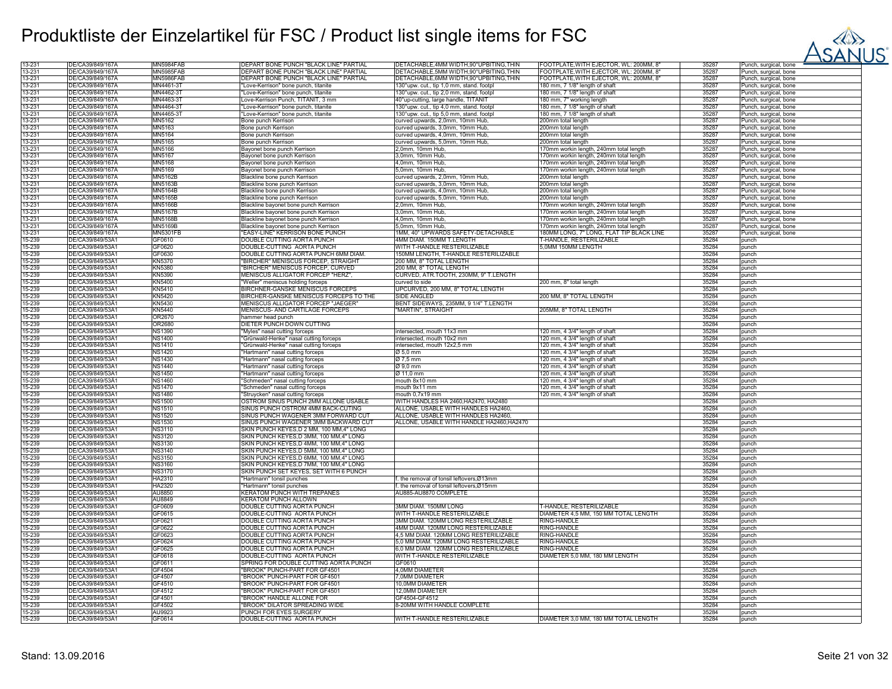

| 13-231           | DE/CA39/849/167A                     | <b>MN5984FAB</b> | DEPART BONE PUNCH "BLACK LINE" PARTIAL    | DETACHABLE,4MM WIDTH,90°UPBITING,THIN     | OOTPLATE, WITH EJECTOR, WL: 200MM, 8     | 35287          | Punch, surgical, bone             |
|------------------|--------------------------------------|------------------|-------------------------------------------|-------------------------------------------|------------------------------------------|----------------|-----------------------------------|
| 13-231           | DE/CA39/849/167A                     | <b>MN5985FAB</b> | DEPART BONE PUNCH "BLACK LINE" PARTIAL    | DETACHABLE, 5MM WIDTH, 90° UPBITING, THIN | FOOTPLATE, WITH EJECTOR, WL: 200MM, 8'   | 35287          | Punch, surgical, bone             |
| 13-231           | DE/CA39/849/167A                     | <b>MN5986FAB</b> | DEPART BONE PUNCH "BLACK LINE" PARTIAL    | DETACHABLE, 6MM WIDTH, 90° UPBITING, THIN | FOOTPLATE, WITH EJECTOR, WL: 200MM, 8"   | 35287          | Punch, surgical, bone             |
| 13-231           | DE/CA39/849/167A                     | MN4461-3T        | "Love-Kerrison" bone punch, titanite      | 130°upw. cut., tip 1,0 mm, stand. footpl  | 180 mm, 7 1/8" length of shaft           | 35287          | Punch, surgical, bone             |
| 13-231           | DE/CA39/849/167Ä                     | MN4462-3T        | "Love-Kerrison" bone punch, titanite      | 130°upw. cut., tip 2,0 mm, stand. footpl  | 180 mm, 7 1/8" length of shaft           | 35287          | Punch, surgical, bone             |
| 13-231           | DE/CA39/849/167A                     | MN4463-3T        | Love-Kerrison Punch, TITANIT, 3 mm        | 40°up-cutting, large handle, TITANIT      | 180 mm, 7" working length                | 35287          | Punch, surgical, bone             |
| 13-231           | DE/CA39/849/167Å                     | MN4464-3T        | "Love-Kerrison" bone punch, titanite      | 130°upw. cut., tip 4,0 mm, stand. footpl  | 180 mm, 7 1/8" length of shaft           | 35287          | Punch, surgical, bone             |
| 13-231           | DE/CA39/849/167Ä                     | MN4465-3T        | 'Love-Kerrison" bone punch, titanite      | 130°upw. cut., tip 5,0 mm, stand. footpl  | 180 mm, 7 1/8" length of shaft           | 35287          | Punch, surgical, bone             |
| 13-231           | DE/CA39/849/167A                     | MN5162           | Bone punch Kerrison                       | curved upwards, 2,0mm, 10mm Hub,          | 200mm total length                       | 35287          | unch, surgical, bone              |
|                  | DE/CA39/849/167Ä                     | MN5163           |                                           |                                           |                                          | 35287          |                                   |
| 13-231           |                                      |                  | Bone punch Kerrison                       | curved upwards, 3,0mm, 10mm Hub,          | 200mm total length                       |                | Punch, surgical, bone             |
| 13-231           | DE/CA39/849/167A                     | <b>MN5164</b>    | Bone punch Kerrison                       | curved upwards, 4,0mm, 10mm Hub.          | 200mm total length                       | 35287          | Punch, surgical, bone             |
| 13-231           | DE/CA39/849/167A                     | MN5165           | Bone punch Kerrison                       | curved upwards, 5,0mm, 10mm Hub.          | 200mm total length                       | 35287          | Punch, surgical, bone             |
| 13-231           | DE/CA39/849/167Ä                     | MN5166           | Bayonet bone punch Kerrison               | 2,0mm, 10mm Hub.                          | 170mm workin length, 240mm total length  | 35287          | Punch, surgical, bone             |
| 13-231           | DE/CA39/849/167A                     | MN5167           | Bavonet bone punch Kerrison               | 3.0mm. 10mm Hub                           | 170mm workin length, 240mm total length  | 35287          | Punch, surgical, bone             |
| 13-231           | DE/CA39/849/167A                     | MN5168           | Bavonet bone punch Kerrison               | 4,0mm, 10mm Hub,                          | 170mm workin length, 240mm total length  | 35287          | Punch, surgical, bone             |
| 13-231           | DE/CA39/849/167Ä                     | MN5169           | Bayonet bone punch Kerrison               | 5,0mm, 10mm Hub.                          | 70mm workin length, 240mm total length   | 35287          | Punch, surgical, bone             |
| 13-231           | DE/CA39/849/167A                     | <b>MN5162E</b>   | Blackline bone punch Kerrison             | curved upwards, 2,0mm, 10mm Hub,          | 200mm total length                       | 35287          | Punch, surgical, bone             |
| 13-231           | DE/CA39/849/167A                     | MN5163B          | Blackline bone punch Kerrison             | curved upwards, 3,0mm, 10mm Hub,          | 200mm total length                       | 35287          | Punch, surgical, bone             |
| 13-231           | DE/CA39/849/167A                     | <b>MN5164B</b>   | Blackline bone punch Kerrison             | curved upwards, 4,0mm, 10mm Hub,          | 200mm total length                       | 35287          | Punch, surgical, bone             |
| 13-231           | DE/CA39/849/167Å                     | <b>MN5165B</b>   | Blackline bone punch Kerrison             | curved upwards, 5,0mm, 10mm Hub,          | 200mm total length                       | 35287          | <sup>2</sup> unch, surgical, bone |
| 13-231           | DE/CA39/849/167Ă                     | MN5166B          | Blackline bayonet bone punch Kerrison     | 2,0mm, 10mm Hub,                          | 170mm workin length, 240mm total length  | 35287          | Punch, surgical, bone             |
| 13-231           | DE/CA39/849/167A                     | <b>MN5167B</b>   | Blackline bayonet bone punch Kerrison     | 3,0mm, 10mm Hub,                          | 170mm workin length, 240mm total length  | 35287          | Punch, surgical, bone             |
| 13-231           | DE/CA39/849/167A                     | MN5168B          | Blackline bayonet bone punch Kerrison     | .0mm, 10mm Hub,                           | 70mm workin length, 240mm total length   | 35287          | <sup>2</sup> unch, surgical, bone |
|                  |                                      |                  |                                           |                                           |                                          |                |                                   |
| 13-231           | DE/CA39/849/167A<br>DE/CA39/849/167Å | MN5169B          | Blackline bayonet bone punch Kerrison     | 5,0mm, 10mm Hub.                          | 170mm workin length, 240mm total length  | 35287          | Punch, surgical, bone             |
| 13-231           |                                      | <b>MN5301FB</b>  | "EASY-LINE" KERRISON BONE PUNCH           | 1MM, 40° UPWARDS SAFETY-DETACHABLE        | 180MM LONG, 7" LONG, FLAT TIP BLACK LINE | 35287          | Punch, surgical, bone             |
| 15-239           | DE/CA39/849/53A1                     | GF0610           | DOUBLE CUTTING AORTA PUNCH                | 4MM DIAM, 150MM T.LENGTH                  | T-HANDLE, RESTERILIZABLE                 | 35284          | punch                             |
| 15-239           | DE/CA39/849/53A1                     | GF0620           | DOUBLE-CUTTING AORTA PUNCH                | WITH T-HANDLE RESTERILIZABLE              | 5,0MM 150MM LENGTH                       | 35284          | punch                             |
| 15-239           | DE/CA39/849/53Å1                     | GF0630           | DOUBLE CUTTING AORTA PUNCH 6MM DIAM.      | 150MM LENGTH, T-HANDLE RESTERILIZABLE     |                                          | 35284          | punch                             |
| 15-239           | DE/CA39/849/53A1                     | KN5370           | "BIRCHER" MENISCUS FORCEP, STRAIGHT       | 200 MM, 8" TOTAL LENGTH                   |                                          | 35284          | punch                             |
| 15-239           | DE/CA39/849/53A1                     | KN5380           | "BIRCHER" MENISCUS FORCEP, CURVED         | 200 MM, 8" TOTAL LENGTH                   |                                          | 35284          | punch                             |
| 15-239           | DE/CA39/849/53A1                     | KN5390           | MENISCUS ALLIGATOR FORCEP "HERZ",         | CURVED, ATR.TOOTH, 230MM, 9" T.LENGTH     |                                          | 35284          | punch                             |
| 15-239           | DE/CA39/849/53A1                     | KN5400           | "Weller" meniscus holding forceps         | curved to side                            | 200 mm, 8" total length                  | 35284          | punch                             |
| 15-239           | DE/CA39/849/53A1                     | KN5410           | <b>BIRCHNER-GANSKE MENISCUS FORCEPS</b>   | JPCURVED, 200 MM, 8" TOTAL LENGTH         |                                          | 35284          | punch                             |
| 15-239           | DE/CA39/849/53A1                     | KN5420           | BIRCHER-GANSKE MENISCUS FORCEPS TO THE    | SIDE ANGLED                               | 200 MM, 8" TOTAL LENGTH                  | 35284          | punch                             |
| 15-239           | DE/CA39/849/53A1                     | KN5430           | MENISCUS ALLIGATOR FORCEP "JAEGER"        | BENT SIDEWAYS, 235MM, 9 1/4" T.LENGTH     |                                          | 35284          | punch                             |
| 15-239           | DE/CA39/849/53A1                     | KN5440           | MENISCUS- AND CARTILAGE FORCEPS           | 'MARTIN", STRAIGHT                        | 205MM, 8" TOTAL LENGTH                   | 35284          | punch                             |
| 15-239           | DE/CA39/849/53A1                     | OR2670           |                                           |                                           |                                          | 35284          | punch                             |
|                  |                                      |                  | hammer head punch                         |                                           |                                          |                |                                   |
| 15-239           | DE/CA39/849/53A1                     | OR2680           | DIETER PUNCH DOWN CUTTING                 |                                           |                                          | 35284          | punch                             |
| 15-239           | DE/CA39/849/53A1                     | <b>NS1390</b>    | "Myles" nasal cutting forceps             | ntersected, mouth 11x3 mm                 | 120 mm, 4 3/4" length of shaft           | 35284          | punch                             |
| 15-239           | DE/CA39/849/53A1                     | <b>NS1400</b>    | "Grünwald-Henke" nasal cutting forceps    | intersected, mouth 10x2 mm                | 120 mm, 4 3/4" length of shaft           | 35284          | punch                             |
| 15-239           | DE/CA39/849/53A1                     | <b>NS1410</b>    | "Grünwald-Henke" nasal cutting forceps    | intersected, mouth 12x2,5 mm              | 120 mm, 4 3/4" length of shaft           | 35284          | punch                             |
| 15-239           | DE/CA39/849/53A1                     | <b>NS1420</b>    | "Hartmann" nasal cutting forceps          | Ø 5,0 mm                                  | 120 mm, 4 3/4" length of shaft           | 35284          | punch                             |
| 15-239           | DE/CA39/849/53Å1                     | <b>NS1430</b>    | "Hartmann" nasal cutting forceps          | Ø 7,5 mm                                  | 120 mm, 4 3/4" length of shaft           | 35284          | punch                             |
| 15-239           | DE/CA39/849/53Ä1                     | <b>NS1440</b>    | "Hartmann" nasal cutting forceps          | Ø 9.0 mm                                  | 120 mm, 4 3/4" length of shaft           | 35284          | punch                             |
| 15-239           | DE/CA39/849/53A1                     | NS1450           | 'Hartmann" nasal cutting forceps          | Ø 11.0 mm                                 | 120 mm, 4 3/4" length of shaft           | 35284          | punch                             |
| 15-239           | DE/CA39/849/53Ä1                     | <b>NS1460</b>    | "Schmeden" nasal cutting forceps          | mouth 8x10 mm                             | 120 mm, 4 3/4" length of shaft           | 35284          | punch                             |
| 15-239           | DE/CA39/849/53A1                     | <b>NS1470</b>    | "Schmeden" nasal cutting forceps          | mouth 9x11 mm                             | 120 mm, 4 3/4" length of shaft           | 35284          | punch                             |
| 15-239           | DE/CA39/849/53A1                     | <b>NS1480</b>    | "Struycken" nasal cutting forceps         | mouth 0,7x19 mm                           | 120 mm, 4 3/4" length of shaft           | 35284          | punch                             |
| 15-239           | DE/CA39/849/53A1                     | <b>NS1500</b>    | OSTROM SINUS PUNCH 2MM ALLONE USABLE      | WITH HANDLES HA 2460.HA2470, HA2480       |                                          | 35284          | punch                             |
| 15-239           | DE/CA39/849/53A1                     | <b>NS1510</b>    | SINUS PUNCH OSTROM 4MM BACK-CUTING        | ALLONE, USABLE WITH HANDLES HA2460.       |                                          | 35284          |                                   |
|                  |                                      |                  |                                           |                                           |                                          | 35284          | punch                             |
| 15-239           | DE/CA39/849/53A1                     | <b>NS1520</b>    | SINUS PUNCH WAGENER 3MM FORWARD CUT       | ALLONE, USABLE WITH HANDLES HA2460.       |                                          |                | punch                             |
| 15-239           | DE/CA39/849/53A1                     | <b>NS1530</b>    | SINUS PUNCH WAGENER 3MM BACKWARD CUT      | ALLONE, USABLE WITH HANDLE HA2460, HA2470 |                                          | 35284          | punch                             |
| 15-239           | DE/CA39/849/53A1                     | NS3110           | SKIN PUNCH KEYES, D 2 MM, 100 MM, 4" LONG |                                           |                                          | 35284          | punch                             |
| 15-239           | DE/CA39/849/53A1                     | <b>NS3120</b>    | SKIN PUNCH KEYES, D 3MM, 100 MM, 4" LONG  |                                           |                                          | 35284          | punch                             |
| 15-239           | DE/CA39/849/53Ä1                     | <b>NS3130</b>    | SKIN PUNCH KEYES, D 4MM, 100 MM, 4" LONG  |                                           |                                          | 35284          | punch                             |
| 15-239           | DE/CA39/849/53A1                     | <b>NS3140</b>    | SKIN PUNCH KEYES, D 5MM, 100 MM, 4" LONG  |                                           |                                          | 35284          | punch                             |
| 15-239           | DE/CA39/849/53Å1                     | <b>NS3150</b>    | SKIN PUNCH KEYES, D 6MM, 100 MM, 4" LONG  |                                           |                                          | 35284          | punch                             |
| 15-239           | DE/CA39/849/53A1                     | <b>NS3160</b>    | SKIN PUNCH KEYES, D 7MM, 100 MM, 4" LONG  |                                           |                                          | 35284          | punch                             |
| 15-239           | DE/CA39/849/53A1                     | <b>NS3170</b>    | SKIN PUNCH SET KEYES, SET WITH 6 PUNCH    |                                           |                                          | 35284          | punch                             |
| 15-239           | DE/CA39/849/53A1                     | HA2310           | "Hartmann" tonsil punches                 | the removal of tonsil leftovers,Ø13mm     |                                          | 35284          | punch                             |
| 15-239           | DE/CA39/849/53A1                     | HA2320           | 'Hartmann" tonsil punches                 | the removal of tonsil leftovers,Ø15mm     |                                          | 35284          | punch                             |
| 15-239           | DE/CA39/849/53A1                     | AU8850           | <b>KERATOM PUNCH WITH TREPANES</b>        | AU885-AU8870 COMPLETE                     |                                          | 35284          | punch                             |
| 15-239           | DE/CA39/849/53A1                     | AU8849           | <b>KERATOM PUNCH ALLOWN</b>               |                                           |                                          | 35284          | punch                             |
| 15-239           | DE/CA39/849/53A1                     | GF0609           | DOUBLE CUTTING AORTA PUNCH                | 3MM DIAM. 150MM LONG                      | T-HANDLE, RESTERILIZABLE                 | 35284          | punch                             |
| 15-239           | DE/CA39/849/53A1                     | GF0615           | DOUBLE-CUTTING AORTA PUNCH                | WITH T-HANDLE RESTERILIZABLE              | DIAMETER 4,5 MM, 150 MM TOTAL LENGTH     | 35284          | punch                             |
|                  |                                      |                  |                                           |                                           |                                          |                |                                   |
| 15-239<br>15-239 | DE/CA39/849/53A1<br>DE/CA39/849/53A1 | GF0621<br>GF0622 | DOUBLE CUTTING AORTA PUNCH                | 3MM DIAM. 120MM LONG RESTERILIZABLE       | <b>RING-HANDLE</b><br>RING-HANDLE        | 35284<br>35284 | punch                             |
|                  |                                      |                  | DOUBLE CUTTING AORTA PUNCH                | 1MM DIAM. 120MM LONG RESTERILIZABLE       |                                          |                | punch                             |
| 15-239           | DE/CA39/849/53A1                     | GF0623           | DOUBLE CUTTING AORTA PUNCH                | 5 MM DIAM, 120MM LONG RESTERILIZABLE      | <b>RING-HANDLE</b>                       | 35284          | punch                             |
| 15-239           | DE/CA39/849/53A1                     | GF0624           | DOUBLE CUTTING AORTA PUNCH                | 6,0 MM DIAM. 120MM LONG RESTERILIZABLE    | <b>RING-HANDLE</b>                       | 35284          | punch                             |
| 15-239           | DE/CA39/849/53A1                     | GF0625           | DOUBLE CUTTING AORTA PUNCH                | 6,0 MM DIAM. 120MM LONG RESTERILIZABLE    | RING-HANDLE                              | 35284          | punch                             |
| 15-239           | DE/CA39/849/53A1                     | GF0618           | DOUBLE-CUTTING AORTA PUNCH                | WITH T-HANDLE RESTERILIZABLE              | DIAMETER 5,0 MM, 180 MM LENGTH           | 35284          | punch                             |
| 15-239           | DE/CA39/849/53A1                     | GF0611           | SPRING FOR DOUBLE CUTTING AORTA PUNCH     | GF0610                                    |                                          | 35284          | punch                             |
| 15-239           | DE/CA39/849/53A1                     | GF4504           | "BROOK" PUNCH-PART FOR GF4501             | 4,0MM DIAMETER                            |                                          | 35284          | punch                             |
| 15-239           | DE/CA39/849/53A1                     | GF4507           | "BROOK" PUNCH-PART FOR GF4501             | 7,0MM DIAMETER                            |                                          | 35284          | punch                             |
| 15-239           | DE/CA39/849/53A1                     | GF4510           | "BROOK" PUNCH-PART FOR GF4501             | 0.0MM DIAMETER                            |                                          | 35284          | punch                             |
| 15-239           | DE/CA39/849/53A1                     | GF4512           | "BROOK" PUNCH-PART FOR GF4501             | 2,0MM DIAMETER                            |                                          | 35284          | punch                             |
| 15-239           | DE/CA39/849/53A1                     | GF4501           | "BROOK" HANDLE ALLONE FOR                 | GF4504-GF4512                             |                                          | 35284          | punch                             |
| 15-239           | DE/CA39/849/53A1                     | GF4502           | "BROOK" DILATOR SPREADING WIDE            | 8-20MM WITH HANDLE COMPLETE               |                                          | 35284          | punch                             |
| 15-239           | DE/CA39/849/53A1                     | AU9923           | PUNCH FOR EYES SURGERY                    |                                           |                                          | 35284          | punch                             |
|                  | DE/CA39/849/53A1                     | GF0614           | DOUBLE-CUTTING AORTA PUNCH                | WITH T-HANDLE RESTERILIZABLE              | DIAMETER 3,0 MM, 180 MM TOTAL LENGTH     |                |                                   |
| 15-239           |                                      |                  |                                           |                                           |                                          | 35284          | punch                             |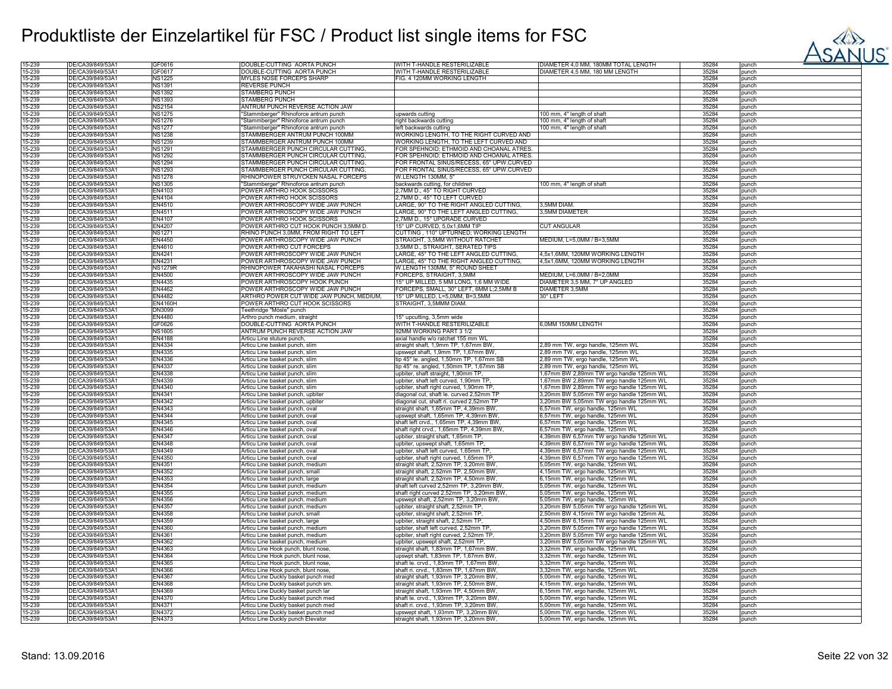

| 15-239           | DE/CA39/849/53A1                     | GF0616           | DOUBLE-CUTTING AORTA PUNCH                                               | WITH T-HANDLE RESTERILIZABLE                                                | DIAMETER 4,0 MM, 180MM TOTAL LENGTH                                  | 35284          | punch          |
|------------------|--------------------------------------|------------------|--------------------------------------------------------------------------|-----------------------------------------------------------------------------|----------------------------------------------------------------------|----------------|----------------|
| 15-239           | DE/CA39/849/53A1                     | GF0617           | DOUBLE-CUTTING AORTA PUNCH                                               | WITH T-HANDLE RESTERILIZABLE                                                | DIAMETER 4,5 MM, 180 MM LENGTH                                       | 35284          | punch          |
|                  |                                      |                  |                                                                          |                                                                             |                                                                      |                |                |
| 15-239           | DE/CA39/849/53A1                     | <b>NS1225</b>    | MYLES NOSE FORCEPS SHARP                                                 | FIG. 4 120MM WORKING LENGTH                                                 |                                                                      | 35284          | punch          |
| 15-239           | DE/CA39/849/53A1                     | <b>NS1391</b>    | <b>REVERSE PUNCH</b>                                                     |                                                                             |                                                                      | 35284          | punch          |
| 15-239           | DE/CA39/849/53A1                     | <b>NS1392</b>    | <b>STAMBERG PUNCH</b>                                                    |                                                                             |                                                                      | 35284          | punch          |
| 15-239           | DE/CA39/849/53A1                     | <b>NS1393</b>    | STAMBERG PUNCH                                                           |                                                                             |                                                                      | 35284          |                |
|                  |                                      |                  |                                                                          |                                                                             |                                                                      |                | punch          |
| 15-239           | DE/CA39/849/53A1                     | <b>NS2154</b>    | ANTRUM PUNCH REVERSE ACTION JAW                                          |                                                                             |                                                                      | 35284          | punch          |
| 15-239           | DE/CA39/849/53A1                     | <b>NS1275</b>    | 'Stammberger" Rhinoforce antrum punch                                    | upwards cutting                                                             | 100 mm, 4" length of shaft                                           | 35284          | punch          |
|                  | DE/CA39/849/53A1                     |                  |                                                                          |                                                                             |                                                                      | 35284          |                |
| 15-239           |                                      | <b>NS1276</b>    | 'Stammberger" Rhinoforce antrum punch                                    | right backwards cutting                                                     | 100 mm, 4" length of shaft                                           |                | punch          |
| 15-239           | DE/CA39/849/53A1                     | <b>NS1277</b>    | "Stammberger" Rhinoforce antrum punch                                    | left backwards cutting                                                      | 100 mm, 4" length of shaft                                           | 35284          | punch          |
| 15-239           | DE/CA39/849/53A1                     | <b>NS1238</b>    | STAMMBERGER ANTRUM PUNCH 100MM                                           | WORKING LENGTH, TO THE RIGHT CURVED AND                                     |                                                                      | 35284          | punch          |
|                  |                                      |                  |                                                                          |                                                                             |                                                                      |                |                |
| 15-239           | DE/CA39/849/53A1                     | <b>NS1239</b>    | STAMMBERGER ANTRUM PUNCH 100MM                                           | WORKING LENGTH, TO THE LEFT CURVED AND                                      |                                                                      | 35284          | punch          |
| 15-239           | DE/CA39/849/53A1                     | <b>NS1291</b>    | STAMMBERGER PUNCH CIRCULAR CUTTING,                                      | FOR SPEHNOID; ETHMOID AND CHOANAL ATRES                                     |                                                                      | 35284          | punch          |
| 15-239           | DE/CA39/849/53A1                     | <b>NS1292</b>    | STAMMBERGER PUNCH CIRCULAR CUTTING,                                      | FOR SPEHNOID; ETHMOID AND CHOANAL ATRES.                                    |                                                                      | 35284          | punch          |
| 15-239           | DE/CA39/849/53A1                     | <b>NS1294</b>    | STAMMBERGER PUNCH CIRCULAR CUTTING.                                      | FOR FRONTAL SINUS/RECESS, 65° UPW.CURVED                                    |                                                                      | 35284          | punch          |
|                  |                                      |                  |                                                                          |                                                                             |                                                                      |                |                |
| 15-239           | DE/CA39/849/53A1                     | <b>NS1293</b>    | STAMMBERGER PUNCH CIRCULAR CUTTING.                                      | FOR FRONTAL SINUS/RECESS, 65° UPW.CURVED                                    |                                                                      | 35284          | punch          |
| 15-239           | DE/CA39/849/53A1                     | <b>NS1278</b>    | RHINOPOWER STRUYCKEN NASAL FORCEPS                                       | W.LENGTH 130MM, 5"                                                          |                                                                      | 35284          | punch          |
| 15-239           | DE/CA39/849/53A1                     | <b>NS1305</b>    | "Stammberger" Rhinoforce antrum punch                                    | backwards cutting, for children                                             | 100 mm, 4" length of shaft                                           | 35284          | punch          |
|                  |                                      |                  |                                                                          |                                                                             |                                                                      |                |                |
| 15-239           | DE/CA39/849/53A1                     | EN4103           | POWER ARTHRO HOOK SCISSORS                                               | 2,7MM D., 45° TO RIGHT CURVED                                               |                                                                      | 35284          | punch          |
| 15-239           | DE/CA39/849/53A1                     | EN4104           | POWER ARTHRO HOOK SCISSORS                                               | ?,7MM D., 45° TO LEFT CURVED                                                |                                                                      | 35284          | punch          |
| 15-239           | DE/CA39/849/53A1                     | EN4510           | POWER ARTHROSCOPY WIDE JAW PUNCH                                         | LARGE, 90° TO THE RIGHT ANGLED CUTTING,                                     | 3.5MM DIAM.                                                          | 35284          | punch          |
|                  |                                      |                  |                                                                          |                                                                             |                                                                      |                |                |
| 15-239           | DE/CA39/849/53A1                     | EN4511           | POWER ARTHROSCOPY WIDE JAW PUNCH                                         | LARGE, 90° TO THE LEFT ANGLED CUTTING,                                      | 3,5MM DIAMETER                                                       | 35284          | punch          |
| 15-239           | DE/CA39/849/53A1                     | EN4107           | <b>POWER ARTHRO HOOK SCISSORS</b>                                        | 2,7MM D., 15° UPGRADE CURVED                                                |                                                                      | 35284          | punch          |
| 15-239           | DE/CA39/849/53Ä1                     | EN4207           | POWER ARTHRO CUT HOOK PUNCH 3,5MM D.                                     | 15° UP CURVED, 5,0x1,6MM TIP                                                | <b>CUT ANGULAR</b>                                                   | 35284          | punch          |
|                  |                                      |                  |                                                                          |                                                                             |                                                                      | 35284          |                |
| 15-239           | DE/CA39/849/53A1                     | <b>NS1271</b>    | RHINO PUNCH 3,0MM, FROM RIGHT TO LEFT                                    | CUTTING, 110° UPTURNED; WORKING LENGTH                                      |                                                                      |                | punch          |
| 15-239           | DE/CA39/849/53A1                     | EN4450           | POWER ARTHROSCOPY WIDE JAW PUNCH                                         | STRAIGHT, 3,5MM WITHOUT RATCHET                                             | MEDIUM, L=5,0MM / B=3,5MM                                            | 35284          | punch          |
| 15-239           | DE/CA39/849/53A1                     | EN4610           | POWER ARTHRO CUT FORCEPS                                                 | 3,5MM D., STRAIGHT, SERATED TIPS                                            |                                                                      | 35284          | punch          |
|                  |                                      |                  |                                                                          |                                                                             |                                                                      | 35284          |                |
| 15-239           | DE/CA39/849/53A1                     | EN4241           | POWER ARTHROSCOPY WIDE JAW PUNCH                                         | LARGE, 45° TO THE LEFT ANGLED CUTTING.                                      | 4,5x1,6MM, 120MM WORKING LENGTH                                      |                | punch          |
| 15-239           | DE/CA39/849/53A1                     | EN4231           | POWER ARTHROSCOPY WIDE JAW PUNCH                                         | LARGE, 45° TO THE RIGHT ANGLED CUTTING,                                     | 4,5x1,6MM, 120MM WORKING LENGTH                                      | 35284          | punch          |
| 15-239           | DE/CA39/849/53A1                     | <b>NS1279F</b>   | RHINOPOWER TAKAHASHI NASAL FORCEPS                                       | W.LENGTH 130MM, 5" ROUND SHEET                                              |                                                                      | 35284          | punch          |
|                  |                                      |                  |                                                                          |                                                                             |                                                                      |                |                |
| 15-239           | DE/CA39/849/53A1                     | EN4500           | OWER ARTHROSCOPY WIDE JAW PUNCH                                          | ORCEPS, STRAIGHT, 3,5MM                                                     | MEDIUM, L=6,0MM / B=2,0MM                                            | 35284          | punch          |
| 15-239           | DE/CA39/849/53A1                     | EN4435           | POWER ARTHROSCOPY HOOK PUNCH                                             | 15° UP MILLED, 5 MM LONG, 1,6 MM WIDE                                       | DIAMETER 3,5 MM, 7° UP ANGLED                                        | 35284          | punch          |
| 15-239           | DE/CA39/849/53A1                     | EN4462           | POWER ARTHROSCOPY WIDE JAW PUNCH                                         | FORCEPS, SMALL, 30° LEFT, 6MM L;2,5MM B                                     | DIAMETER 3,5MM                                                       | 35284          | punch          |
|                  |                                      |                  |                                                                          |                                                                             |                                                                      |                |                |
| 15-239           | DE/CA39/849/53A1                     | EN4482           | ARTHRO POWER CUT WIDE JAW PUNCH, MEDIUM,                                 | 15° UP MILLED, L=5,0MM, B=3,5MM                                             | 30° LEFT                                                             | 35284          | punch          |
| 15-239           | DE/CA39/849/53A1                     | <b>EN4160F</b>   | POWER ARTHRO CUT HOOK SCISSORS                                           | STRAIGHT, 3,5MMM DIAM.                                                      |                                                                      | 35284          | punch          |
| 15-239           | DE/CA39/849/53A1                     | <b>DN3099</b>    | Teethridge "Mösle" punch                                                 |                                                                             |                                                                      | 35284          | punch          |
|                  |                                      | EN4480           |                                                                          |                                                                             |                                                                      | 35284          |                |
| 15-239           | DE/CA39/849/53A1                     |                  | Arthro punch medium, straight                                            | 15° upcutting, 3,5mm wide                                                   |                                                                      |                | punch          |
| 15-239           | DE/CA39/849/53A1                     | GF0626           | DOUBLE-CUTTING AORTA PUNCH                                               | WITH T-HANDLE RESTERILIZABLE                                                | 6.0MM 150MM LENGTH                                                   | 35284          | punch          |
| 15-239           | DE/CA39/849/53A1                     | <b>NS1605</b>    | ANTRUM PUNCH REVERSE ACTION JAW                                          | 92MM WORKING PART 3 1/2                                                     |                                                                      | 35284          | punch          |
| 15-239           | DE/CA39/849/53A1                     | EN4188           | Articu Line stuture punch,                                               | axial handle w/o ratchet 155 mm WL                                          |                                                                      | 35284          |                |
|                  |                                      |                  |                                                                          |                                                                             |                                                                      |                | punch          |
| 15-239           | DE/CA39/849/53A1                     | EN4334           | Articu Line basket punch, slim                                           | straight shaft, 1,9mm TP, 1,67mm BW                                         | 2,89 mm TW, ergo handle, 125mm WL                                    | 35284          | punch          |
| 15-239           | DE/CA39/849/53A1                     | EN4335           | Articu Line basket punch, slim                                           | upswept shaft, 1,9mm TP, 1,67mm BW                                          | 2,89 mm TW, ergo handle, 125mm WL                                    | 35284          | punch          |
| 15-239           | DE/CA39/849/53A1                     | EN4336           | Articu Line basket punch, slim                                           | tip 45° le. angled, 1,50mm TP, 1,67mm SB                                    | 2,89 mm TW, ergo handle, 125mm WL                                    | 35284          | punch          |
|                  |                                      |                  |                                                                          |                                                                             |                                                                      |                |                |
| 15-239           | DE/CA39/849/53A1                     | EN4337           | Articu Line basket punch, slim                                           | tip 45° re. angled, 1,50mm TP, 1,67mm SB                                    | 2,89 mm TW, ergo handle, 125mm WL                                    | 35284          | punch          |
| 15-239           | DE/CA39/849/53A1                     | EN4338           | Articu Line basket punch, slim                                           | upbiter, shaft straight, 1,90mm TP,                                         | 1,67mm BW 2,89mm TW ergo handle 125mm WL                             | 35284          | punch          |
| 15-239           | DE/CA39/849/53A1                     | EN4339           | Articu Line basket punch, slim                                           |                                                                             |                                                                      | 35284          | punch          |
|                  |                                      |                  |                                                                          | upbiter, shaft left curved, 1,90mm TP,                                      | 1,67mm BW 2,89mm TW ergo handle 125mm WL                             |                |                |
| 15-239           | DE/CA39/849/53A1                     | EN4340           | Articu Line basket punch, slim                                           | upbiter, shaft right curved, 1,90mm TP,                                     | ,67mm BW 2,89mm TW ergo handle 125mm WL                              | 35284          | punch          |
| 15-239           | DE/CA39/849/53A1                     | EN4341           | Articu Line basket punch, upbiter                                        | diagonal cut, shaft le. curved 2,52mm TF                                    | 3,20mm BW 5,05mm TW ergo handle 125mm WL                             | 35284          | punch          |
| 15-239           | DE/CA39/849/53A1                     | EN4342           | Articu Line basket punch, upbiter                                        | diagonal cut, shaft ri. curved 2,52mm TP                                    | 3,20mm BW 5,05mm TW ergo handle 125mm WL                             | 35284          | punch          |
|                  |                                      |                  |                                                                          |                                                                             |                                                                      |                |                |
| 15-239           | DE/CA39/849/53A1                     | EN4343           | Articu Line basket punch, oval                                           | straight shaft, 1,65mm TP, 4,39mm BW                                        | 6,57mm TW, ergo handle, 125mm WL                                     | 35284          | punch          |
| 15-239           | DE/CA39/849/53A1                     | <b>EN4344</b>    | Articu Line basket punch, oval                                           | upswept shaft, 1,65mm TP, 4,39mm BW                                         | 6,57mm TW, ergo handle, 125mm WL                                     | 35284          | punch          |
| 15-239           | DE/CA39/849/53A1                     | EN4345           | Articu Line basket punch, oval                                           | shaft left crvd., 1,65mm TP, 4,39mm BW                                      | 6,57mm TW, ergo handle, 125mm WL                                     | 35284          | punch          |
|                  |                                      |                  |                                                                          |                                                                             |                                                                      |                |                |
| 15-239           | DE/CA39/849/53A1                     | EN4346           | Articu Line basket punch, oval                                           | shaft right crvd., 1,65mm TP, 4,39mm BW                                     | 6,57mm TW, ergo handle, 125mm WL                                     | 35284          | punch          |
| 15-239           | DE/CA39/849/53A1                     | <b>EN4347</b>    | Articu Line basket punch, oval                                           | upbiter, straight shaft, 1,65mm TP,                                         | 4,39mm BW 6,57mm TW ergo handle 125mm WL                             | 35284          | punch          |
| 15-239           | DE/CA39/849/53A1                     | <b>EN4348</b>    | Articu Line basket punch, oval                                           | upbiter, upswept shaft, 1,65mm TP,                                          | 4,39mm BW 6,57mm TW ergo handle 125mm WL                             | 35284          | punch          |
| 15-239           | DE/CA39/849/53Ä1                     | EN4349           | Articu Line basket punch, oval                                           | upbiter, shaft left curved, 1,65mm TP                                       |                                                                      | 35284          | punch          |
|                  |                                      |                  |                                                                          |                                                                             | ,39mm BW 6,57mm TW ergo handle 125mm WL                              |                |                |
| 15-239           | DE/CA39/849/53A1                     | EN4350           | Articu Line basket punch. oval                                           | upbiter, shaft right curved, 1,65mm TP                                      | 4,39mm BW 6,57mm TW ergo handle 125mm WL                             | 35284          | punch          |
| 15-239           | DE/CA39/849/53Ä1                     | EN4351           | Articu Line basket punch, medium                                         | straight shaft, 2,52mm TP, 3,20mm BW                                        | 5,05mm TW, ergo handle, 125mm WL                                     | 35284          | punch          |
| 15-239           | DE/CA39/849/53A1                     | <b>EN4352</b>    | Articu Line basket punch, small                                          | straight shaft, 2,52mm TP, 2,50mm BW                                        | 4,15mm TW, ergo handle, 125mm WL                                     | 35284          | punch          |
|                  |                                      |                  |                                                                          |                                                                             |                                                                      |                |                |
| 15-239           | DE/CA39/849/53A1                     | EN4353           | Articu Line basket punch, large                                          | straight shaft, 2,52mm TP, 4,50mm BW                                        | 6,15mm TW, ergo handle, 125mm WL                                     | 35284          | punch          |
| 15-239           | DE/CA39/849/53A1                     | EN4354           | Articu Line basket punch, medium                                         | shaft left curved 2,52mm TP, 3,20mm BW                                      | 5,05mm TW, ergo handle, 125mm WL                                     | 35284          | punch          |
| 15-239           | DE/CA39/849/53A1                     | <b>EN4355</b>    | Articu Line basket punch. medium                                         | shaft right curved 2,52mm TP, 3,20mm BW                                     | 5,05mm TW, ergo handle, 125mm WL                                     | 35284          | punch          |
| 15-239           | DE/CA39/849/53A1                     | EN4356           | Articu Line basket punch, medium                                         | upswept shaft, 2,52mm TP, 3,20mm BW,                                        | 5,05mm TW, ergo handle, 125mm WL                                     | 35284          | punch          |
|                  |                                      |                  |                                                                          |                                                                             |                                                                      |                |                |
| 15-239           | DE/CA39/849/53A1                     | EN4357           | Articu Line basket punch, medium                                         | upbiter, straight shaft, 2,52mm TP,                                         | ,20mm BW 5,05mm TW ergo handle 125mm WL                              | 35284          | punch          |
| 15-239           | DE/CA39/849/53A1                     | EN4358           | Articu Line basket punch, small                                          | upbiter, straight shaft, 2,52mm TP,                                         | 50mm BW 4,15mm TW ergo handle 125mm AL                               | 35284          | punch          |
| 15-239           | DE/CA39/849/53Å1                     | EN4359           | Articu Line basket punch, large                                          | upbiter, straight shaft, 2,52mm TP,                                         | 4,50mm BW 6,15mm TW ergo handle 125mm WL                             | 35284          | punch          |
| 15-239           | DE/CA39/849/53A1                     | EN4360           |                                                                          | upbiter, shaft left curved, 2,52mm TP.                                      |                                                                      | 35284          | punch          |
|                  |                                      |                  | Articu Line basket punch, medium                                         |                                                                             | 3,20mm BW 5,05mm TW ergo handle 125mm WL                             |                |                |
| 15-239           | DE/CA39/849/53A1                     | EN4361           | Articu Line basket punch, medium                                         | upbiter, shaft right curved, 2,52mm TP,                                     | 3,20mm BW 5,05mm TW ergo handle 125mm WL                             | 35284          | punch          |
| 15-239           | DE/CA39/849/53A1                     | EN4362           | Articu Line basket punch, medium                                         | upbiter, upswept shaft, 2,52mm TP,                                          | 3,20mm BW 5,05mm TW ergo handle 125mm WL                             | 35284          | punch          |
| 15-239           |                                      | EN4363           | Articu Line Hook punch, blunt nose,                                      | straight shaft, 1,83mm TP, 1,67mm BW                                        | 3,32mm TW, ergo handle, 125mm WL                                     | 35284          | punch          |
|                  |                                      |                  |                                                                          |                                                                             |                                                                      | 35284          |                |
|                  | DE/CA39/849/53A1                     |                  |                                                                          |                                                                             |                                                                      |                |                |
| 15-239           | DE/CA39/849/53A1                     | EN4364           | Articu Line Hook punch, blunt nose,                                      | upswpt shaft, 1,83mm TP, 1,67mm BW                                          | 3,32mm TW, ergo handle, 125mm WL                                     |                | punch          |
| 15-239           | DE/CA39/849/53A1                     | EN4365           | Articu Line Hook punch, blunt nose,                                      |                                                                             |                                                                      | 35284          | punch          |
|                  |                                      |                  |                                                                          | shaft le. crvd., 1,83mm TP, 1,67mm BW                                       | 3,32mm TW, ergo handle, 125mm WL                                     |                |                |
| 15-239           | DE/CA39/849/53A1                     | EN4366           | Articu Line Hook punch, blunt nose,                                      | shaft ri. crvd., 1,83mm TP, 1,67mm BW                                       | 3,32mm TW, ergo handle, 125mm WL                                     | 35284          | punch          |
| 15-239           | DE/CA39/849/53Ä1                     | <b>EN4367</b>    | Articu Line Duckly basket punch med                                      | straight shaft, 1,93mm TP, 3,20mm BW                                        | 5,00mm TW, ergo handle, 125mm WL                                     | 35284          | punch          |
| 15-239           | DE/CA39/849/53A1                     | EN4368           | Articu Line Duckly basket punch sm.                                      | straight shaft, 1,93mm TP, 2,50mm BW                                        | 4,15mm TW, ergo handle, 125mm WL                                     | 35284          | punch          |
|                  |                                      |                  |                                                                          |                                                                             |                                                                      |                |                |
| 15-239           | DE/CA39/849/53A1                     | EN4369           | Articu Line Duckly basket punch lar                                      | straight shaft, 1,93mm TP, 4,50mm BW                                        | 6,15mm TW, ergo handle, 125mm WL                                     | 35284          | punch          |
| 15-239           | DE/CA39/849/53Ä1                     | EN4370           | Articu Line Duckly basket punch med                                      | shaft le. crvd., 1,93mm TP, 3,20mm BW                                       | 5,00mm TW, ergo handle, 125mm WL                                     | 35284          | punch          |
| 15-239           | DE/CA39/849/53Ä1                     | EN4371           | Articu Line Duckly basket punch med                                      | shaft ri. crvd., 1.93mm TP, 3.20mm BW                                       | 5,00mm TW, ergo handle, 125mm WL                                     | 35284          | punch          |
|                  |                                      |                  |                                                                          |                                                                             |                                                                      |                |                |
| 15-239<br>15-239 | DE/CA39/849/53A1<br>DE/CA39/849/53A1 | EN4372<br>EN4373 | Articu Line Duckly basket punch med<br>Articu Line Duckly punch Elevator | upswept shaft, 1,93mm TP, 3,20mm BW<br>straight shaft, 1,93mm TP, 3,20mm BW | 5,00mm TW, ergo handle, 125mm WL<br>5,00mm TW, ergo handle, 125mm WL | 35284<br>35284 | punch<br>punch |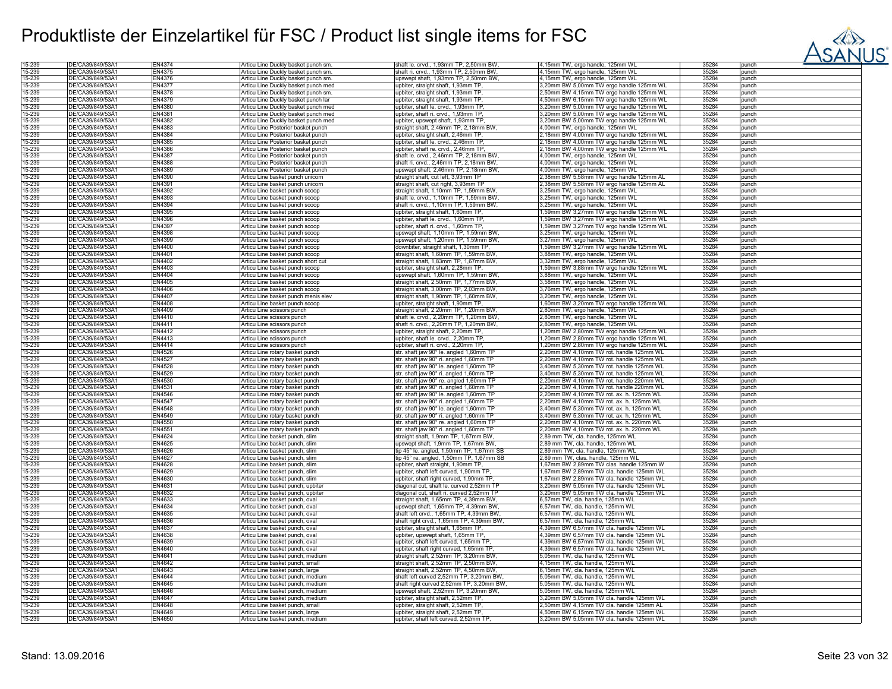

| 15-239 | DE/CA39/849/53A1 | EN4374        | Articu Line Duckly basket punch sm. | shaft le. crvd., 1,93mm TP, 2,50mm BW,   | 4,15mm TW, ergo handle, 125mm WL         | 35284 | punch |
|--------|------------------|---------------|-------------------------------------|------------------------------------------|------------------------------------------|-------|-------|
| 15-239 | DE/CA39/849/53A1 | <b>EN4375</b> | Articu Line Duckly basket punch sm. | shaft ri. crvd., 1,93mm TP, 2,50mm BW    | 4,15mm TW, ergo handle, 125mm WL         | 35284 | punch |
|        |                  |               |                                     |                                          |                                          |       |       |
| 15-239 | DE/CA39/849/53A1 | <b>EN4376</b> | Articu Line Duckly basket punch sm. | upswept shaft, 1,93mm TP, 2,50mm BW,     | 4,15mm TW, ergo handle, 125mm WL         | 35284 | punch |
| 15-239 | DE/CA39/849/53A1 | <b>EN4377</b> | Articu Line Duckly basket punch med | upbiter, straight shaft, 1,93mm TP,      | 3,20mm BW 5,00mm TW ergo handle 125mm WL | 35284 | punch |
| 15-239 | DE/CA39/849/53Ä1 | <b>EN4378</b> | Articu Line Duckly basket punch sm. | upbiter, straight shaft, 1,93mm TP.      | 2,50mm BW 4,15mm TW ergo handle 125mm WL | 35284 | punch |
| 15-239 | DE/CA39/849/53A1 | EN4379        | Articu Line Duckly basket punch lar | upbiter, straight shaft, 1,93mm TP,      | 4,50mm BW 6,15mm TW ergo handle 125mm WL | 35284 | punch |
|        |                  |               |                                     |                                          |                                          |       |       |
| 15-239 | DE/CA39/849/53A1 | EN4380        | Articu Line Duckly basket punch med | upbiter, shaft le. crvd., 1,93mm TP,     | 3,20mm BW 5,00mm TW ergo handle 125mm WL | 35284 | punch |
| 15-239 | DE/CA39/849/53A1 | EN4381        | Articu Line Duckly basket punch med | upbiter, shaft ri. crvd., 1,93mm TP      | 3,20mm BW 5,00mm TW ergo handle 125mm WL | 35284 | punch |
| 15-239 | DE/CA39/849/53A1 | <b>EN4382</b> | Articu Line Duckly basket punch med | upbiter, upswept shaft, 1,93mm TP,       | 3,20mm BW 5,00mm TW ergo handle 125mm WL | 35284 | punch |
| 15-239 | DE/CA39/849/53A1 | EN4383        | Articu Line Posterior basket punch  | straight shaft, 2,46mm TP, 2,18mm BW     | 4,00mm TW, ergo handle, 125mm WL         | 35284 | punch |
|        |                  |               |                                     |                                          |                                          |       |       |
| 15-239 | DE/CA39/849/53A1 | EN4384        | Articu Line Posterior basket punch  | upbiter, straight shaft, 2,46mm TP,      | 2,18mm BW 4,00mm TW ergo handle 125mm WL | 35284 | punch |
| 15-239 | DE/CA39/849/53A1 | <b>EN4385</b> | Articu Line Posterior basket punch  | upbiter, shaft le. crvd., 2,46mm TP      | 2,18mm BW 4,00mm TW ergo handle 125mm WL | 35284 | punch |
| 15-239 | DE/CA39/849/53A1 | <b>EN4386</b> | Articu Line Posterior basket punch  | upbiter, shaft re. crvd., 2,46mm TP.     | 2,18mm BW 4,00mm TW ergo handle 125mm WL | 35284 | punch |
| 15-239 | DE/CA39/849/53A1 | EN4387        | Articu Line Posterior basket punch  | shaft le. crvd., 2,46mm TP, 2,18mm BW,   | 4,00mm TW, ergo handle, 125mm WL         | 35284 | punch |
|        |                  |               |                                     |                                          |                                          |       |       |
| 15-239 | DE/CA39/849/53A1 | EN4388        | Articu Line Posterior basket punch  | shaft ri. crvd., 2,46mm TP, 2,18mm BW    | 4,00mm TW, ergo handle, 125mm WL         | 35284 | punch |
| 15-239 | DE/CA39/849/53A1 | EN4389        | Articu Line Posterior basket punch  | upswept shaft, 2,46mm TP, 2,18mm BW,     | 4,00mm TW, ergo handle, 125mm WL         | 35284 | punch |
| 15-239 | DE/CA39/849/53A1 | EN4390        | Articu Line basket punch unicorn    | straight shaft, cut left, 3,93mm TP      | 2,38mm BW 5,58mm TW ergo handle 125mm AL | 35284 | punch |
| 15-239 | DE/CA39/849/53A1 | EN4391        | Articu Line basket punch unicorn    | straight shaft, cut right, 3,93mm TP     | 2,38mm BW 5,58mm TW ergo handle 125mm AL | 35284 | punch |
|        |                  |               |                                     |                                          |                                          |       |       |
| 15-239 | DE/CA39/849/53Ä1 | EN4392        | Articu Line basket punch scoop      | straight shaft, 1,10mm TP, 1,59mm BW     | 3,25mm TW, ergo handle, 125mm WL         | 35284 | punch |
| 15-239 | DE/CA39/849/53A1 | EN4393        | Articu Line basket punch scoop      | shaft le. crvd., 1,10mm TP, 1,59mm BW    | 3,25mm TW, ergo handle, 125mm WL         | 35284 | punch |
| 15-239 | DE/CA39/849/53A1 | EN4394        | Articu Line basket punch scoop      | shaft ri. crvd., 1,10mm TP, 1,59mm BW,   | 3,25mm TW, ergo handle, 125mm WL         | 35284 | punch |
| 15-239 | DE/CA39/849/53A1 | EN4395        |                                     | upbiter, straight shaft, 1,60mm TP,      | 1,59mm BW 3,27mm TW ergo handle 125mm WL | 35284 |       |
|        |                  |               | Articu Line basket punch scoop      |                                          |                                          |       | punch |
| 15-239 | DE/CA39/849/53A1 | EN4396        | Articu Line basket punch scoop      | upbiter, shaft le. crvd., 1,60mm TP,     | ,59mm BW 3,27mm TW ergo handle 125mm WL  | 35284 | punch |
| 15-239 | DE/CA39/849/53Ä1 | EN4397        | Articu Line basket punch scoop      | upbiter, shaft ri. crvd., 1,60mm TP      | 1,59mm BW 3,27mm TW ergo handle 125mm WL | 35284 | punch |
| 15-239 | DE/CA39/849/53A1 | EN4398        | Articu Line basket punch scoop      | upswept shaft, 1,10mm TP, 1,59mm BW      | 3,25mm TW, ergo handle, 125mm WL         | 35284 | punch |
| 15-239 | DE/CA39/849/53A1 | EN4399        | Articu Line basket punch scoop      | upswept shaft, 1,20mm TP, 1,59mm BW.     | 3,27mm TW, ergo handle, 125mm WL         | 35284 | punch |
|        |                  |               |                                     |                                          |                                          |       |       |
| 15-239 | DE/CA39/849/53A1 | <b>EN4400</b> | Articu Line basket punch scoop      | downbiter, straight shaft, 1,30mm TP,    | 1,59mm BW 3,27mm TW ergo handle 125mm WL | 35284 | punch |
| 15-239 | DE/CA39/849/53Å1 | EN4401        | Articu Line basket punch scoop      | straight shaft, 1,60mm TP, 1,59mm BW     | 3,88mm TW, ergo handle, 125mm WL         | 35284 | punch |
| 15-239 | DE/CA39/849/53A1 | EN4402        | Articu Line basket punch short cut  | straight shaft, 1,83mm TP, 1,67mm BW,    | 3,32mm TW, ergo handle, 125mm WL         | 35284 | punch |
| 15-239 | DE/CA39/849/53A1 | <b>EN4403</b> |                                     | upbiter, straight shaft, 2,28mm TP,      | 1,59mm BW 3,88mm TW ergo handle 125mm WL | 35284 |       |
|        |                  |               | Articu Line basket punch scoop      |                                          |                                          |       | punch |
| 15-239 | DE/CA39/849/53A1 | EN4404        | Articu Line basket punch scoop      | upswept shaft, 1,60mm TP, 1,59mm BW,     | 3,88mm TW, ergo handle, 125mm WL         | 35284 | punch |
| 15-239 | DE/CA39/849/53A1 | EN4405        | Articu Line basket punch scoop      | straight shaft, 2,50mm TP, 1,77mm BW,    | 3,58mm TW, ergo handle, 125mm WL         | 35284 | punch |
| 15-239 | DE/CA39/849/53Å1 | <b>EN4406</b> | Articu Line basket punch scoop      | straight shaft, 3,00mm TP, 2,03mm BW     | 3,76mm TW, ergo handle, 125mm WL         | 35284 | punch |
| 15-239 | DE/CA39/849/53A1 | <b>EN4407</b> |                                     | straight shaft, 1,90mm TP, 1,60mm BW,    | 3,20mm TW, ergo handle, 125mm WL         | 35284 | punch |
|        |                  |               | Articu Line basket punch menis elev |                                          |                                          |       |       |
| 15-239 | DE/CA39/849/53A1 | <b>EN4408</b> | Articu Line basket punch scoop      | upbiter, straight shaft, 1,90mm TP,      | 1,60mm BW 3,20mm TW ergo handle 125mm WL | 35284 | punch |
| 15-239 | DE/CA39/849/53A1 | EN4409        | Articu Line scissors punch          | straight shaft, 2,20mm TP, 1,20mm BW     | 2,80mm TW, ergo handle, 125mm WL         | 35284 | punch |
| 15-239 | DE/CA39/849/53A1 | EN4410        | Articu Line scissors punch          | shaft le. crvd., 2,20mm TP, 1,20mm BW,   | 2,80mm TW, ergo handle, 125mm WL         | 35284 | punch |
| 15-239 | DE/CA39/849/53A1 | <b>FN4411</b> | Articu Line scissors punch          | shaft ri. crvd., 2,20mm TP, 1,20mm BW,   | 2,80mm TW, ergo handle, 125mm WL         | 35284 | punch |
|        |                  |               |                                     |                                          |                                          |       |       |
| 15-239 | DE/CA39/849/53A1 | EN4412        | Articu Line scissors punch          | upbiter, straight shaft, 2,20mm TP,      | ,20mm BW 2,80mm TW ergo handle 125mm WL  | 35284 | punch |
| 15-239 | DE/CA39/849/53A1 | EN4413        | Articu Line scissors punch          | upbiter, shaft le. crvd., 2,20mm TP      | 1,20mm BW 2,80mm TW ergo handle 125mm WL | 35284 | punch |
| 15-239 | DE/CA39/849/53A1 | EN4414        | Articu Line scissors punch          | upbiter, shaft ri. crvd., 2,20mm TP.     | 1,20mm BW 2,80mm TW ergo handle 125mm WL | 35284 | punch |
| 15-239 | DE/CA39/849/53A1 | <b>EN4526</b> | Articu Line rotary basket punch     | str. shaft jaw 90° le. angled 1,60mm TP  | 2,20mm BW 4,10mm TW rot. handle 125mm WL | 35284 | punch |
|        |                  |               |                                     |                                          |                                          |       | punch |
| 15-239 | DE/CA39/849/53A1 | <b>EN4527</b> | Articu Line rotary basket punch     | str. shaft jaw 90° ri. angled 1,60mm TP  | 2,20mm BW 4,10mm TW rot. handle 125mm WL | 35284 |       |
| 15-239 | DE/CA39/849/53Ä1 | <b>EN4528</b> | Articu Line rotary basket punch     | str. shaft jaw 90° le. angled 1,60mm TP  | 3,40mm BW 5,30mm TW rot. handle 125mm WL | 35284 | punch |
| 15-239 | DE/CA39/849/53A1 | EN4529        | Articu Line rotary basket punch     | str. shaft jaw 90° ri. angled 1,60mm TP  | 3,40mm BW 5,30mm TW rot. handle 125mm WL | 35284 | punch |
| 15-239 | DE/CA39/849/53A1 | EN4530        | Articu Line rotary basket punch     | str. shaft jaw 90° re. angled 1,60mm TP  | 2,20mm BW 4,10mm TW rot. handle 220mm WL | 35284 | punch |
|        | DE/CA39/849/53Ä1 | EN4531        |                                     |                                          |                                          |       |       |
| 15-239 |                  |               | Articu Line rotary basket punch     | str. shaft jaw 90° ri. angled 1,60mm TP  | 2,20mm BW 4,10mm TW rot. handle 220mm WL | 35284 | punch |
| 15-239 | DE/CA39/849/53A1 | EN4546        | Articu Line rotary basket punch     | str. shaft jaw 90° le. angled 1,60mm TP  | 2,20mm BW 4,10mm TW rot. ax. h. 125mm WL | 35284 | punch |
| 15-239 | DE/CA39/849/53A1 | <b>EN4547</b> | Articu Line rotary basket punch     | str. shaft jaw 90° ri. angled 1,60mm TP  | 2,20mm BW 4,10mm TW rot. ax. h. 125mm WL | 35284 | punch |
| 15-239 | DE/CA39/849/53A1 | EN4548        | Articu Line rotary basket punch     | str. shaft jaw 90° le. angled 1,60mm TP  | 3,40mm BW 5,30mm TW rot. ax. h. 125mm WL | 35284 | punch |
| 15-239 | DE/CA39/849/53A1 | <b>EN4549</b> | Articu Line rotary basket punch     | str. shaft jaw 90° ri. angled 1,60mm TP  | 3,40mm BW 5,30mm TW rot. ax. h. 125mm WL | 35284 | punch |
|        |                  |               |                                     |                                          |                                          |       |       |
| 15-239 | DE/CA39/849/53A1 | EN4550        | Articu Line rotary basket punch     | str. shaft jaw 90° re. angled 1,60mm TP  | 2,20mm BW 4,10mm TW rot. ax. h. 220mm WL | 35284 | punch |
| 15-239 | DE/CA39/849/53A1 | EN4551        | Articu Line rotary basket punch     | str. shaft jaw 90° ri. angled 1,60mm TP  | 2,20mm BW 4,10mm TW rot. ax. h. 220mm WL | 35284 | punch |
| 15-239 | DE/CA39/849/53Å1 | EN4624        | Articu Line basket punch, slim      | straight shaft, 1,9mm TP, 1,67mm BW,     | 2,89 mm TW, cla. handle, 125mm WL        | 35284 | punch |
| 15-239 | DE/CA39/849/53Ä1 | <b>EN4625</b> | Articu Line basket punch, slim      | upswept shaft, 1,9mm TP, 1,67mm BW,      | 2,89 mm TW, cla. handle, 125mm WL        | 35284 | punch |
|        |                  |               |                                     |                                          |                                          |       |       |
| 15-239 | DE/CA39/849/53Ä1 | EN4626        | Articu Line basket punch, slim      | tip 45° le. angled, 1,50mm TP, 1,67mm SB | 2,89 mm TW, cla. handle, 125mm WL        | 35284 | punch |
| 15-239 | DE/CA39/849/53A1 | EN4627        | Articu Line basket punch, slim      | tip 45° re. angled, 1,50mm TP, 1,67mm SB | 2,89 mm TW, clas. handle, 125mm WL       | 35284 | punch |
| 15-239 | DE/CA39/849/53Ä1 | EN4628        | Articu Line basket punch, slim      | upbiter, shaft straight, 1,90mm TP,      | 1,67mm BW 2,89mm TW clas. handle 125mm W | 35284 | punch |
| 15-239 | DE/CA39/849/53A1 | EN4629        | Articu Line basket punch, slim      | upbiter, shaft left curved, 1,90mm TP    | 1,67mm BW 2,89mm TW cla. handle 125mm WL | 35284 | punch |
| 15-239 | DE/CA39/849/53A1 | EN4630        |                                     | upbiter, shaft right curved, 1,90mm TP.  | 1,67mm BW 2,89mm TW cla. handle 125mm WL | 35284 |       |
|        |                  |               | Articu Line basket punch, slim      |                                          |                                          |       | punch |
| 15-239 | DE/CA39/849/53A1 | EN4631        | Articu Line basket punch, upbiter   | diagonal cut, shaft le. curved 2,52mm TP | 3,20mm BW 5,05mm TW cla. handle 125mm WL | 35284 | punch |
| 15-239 | DE/CA39/849/53A1 | EN4632        | Articu Line basket punch, upbiter   | diagonal cut, shaft ri. curved 2,52mm TP | 3,20mm BW 5,05mm TW cla. handle 125mm WL | 35284 | punch |
| 15-239 | DE/CA39/849/53A1 | EN4633        | Articu Line basket punch, oval      | straight shaft, 1,65mm TP, 4,39mm BW.    | 6,57mm TW, cla. handle, 125mm WL         | 35284 | punch |
| 15-239 | DE/CA39/849/53A1 | EN4634        | Articu Line basket punch, oval      | upswept shaft, 1,65mm TP, 4,39mm BW,     | 6,57mm TW, cla. handle, 125mm WL         | 35284 | punch |
|        |                  |               |                                     |                                          |                                          |       |       |
| 15-239 | DE/CA39/849/53A1 | EN4635        | Articu Line basket punch, oval      | shaft left crvd., 1,65mm TP, 4,39mm BW   | 6,57mm TW, cla. handle, 125mm WL         | 35284 | punch |
| 15-239 | DE/CA39/849/53Å1 | EN4636        | Articu Line basket punch, oval      | shaft right crvd., 1,65mm TP, 4,39mm BW, | 6,57mm TW, cla. handle, 125mm WL         | 35284 | punch |
| 15-239 | DE/CA39/849/53A1 | EN4637        | Articu Line basket punch, oval      | upbiter, straight shaft, 1,65mm TP,      | 4,39mm BW 6,57mm TW cla. handle 125mm WL | 35284 | punch |
| 15-239 | DE/CA39/849/53A1 | EN4638        | Articu Line basket punch, oval      | upbiter, upswept shaft, 1,65mm TP,       | 4,39mm BW 6,57mm TW cla. handle 125mm WL | 35284 | punch |
|        |                  |               |                                     |                                          |                                          |       |       |
| 15-239 | DE/CA39/849/53Ä1 | EN4639        | Articu Line basket punch, oval      | upbiter, shaft left curved, 1,65mm TP    | 4,39mm BW 6,57mm TW cla. handle 125mm WL | 35284 | punch |
| 15-239 | DE/CA39/849/53A1 | EN4640        | Articu Line basket punch, oval      | upbiter, shaft right curved, 1,65mm TP,  | 4,39mm BW 6,57mm TW cla. handle 125mm WL | 35284 | punch |
| 15-239 | DE/CA39/849/53A1 | EN4641        | Articu Line basket punch, medium    | straight shaft, 2,52mm TP, 3,20mm BW     | 5,05mm TW, cla. handle, 125mm WL         | 35284 | punch |
| 15-239 | DE/CA39/849/53A1 | <b>EN4642</b> | Articu Line basket punch, small     | straight shaft, 2,52mm TP, 2,50mm BW.    | 4.15mm TW, cla. handle, 125mm WL         | 35284 | punch |
|        |                  |               |                                     |                                          |                                          |       |       |
| 15-239 | DE/CA39/849/53A1 | EN4643        | Articu Line basket punch, large     | straight shaft, 2,52mm TP, 4,50mm BW     | 6,15mm TW, cla. handle, 125mm WL         | 35284 | punch |
| 15-239 | DE/CA39/849/53Ä1 | EN4644        | Articu Line basket punch, medium    | shaft left curved 2,52mm TP, 3,20mm BW   | 5,05mm TW, cla. handle, 125mm WL         | 35284 | punch |
| 15-239 | DE/CA39/849/53A1 | <b>EN4645</b> | Articu Line basket punch, medium    | shaft right curved 2,52mm TP, 3,20mm BW  | 5,05mm TW, cla. handle, 125mm WL         | 35284 | punch |
| 15-239 | DE/CA39/849/53A1 | EN4646        | Articu Line basket punch, medium    | upswept shaft, 2,52mm TP, 3,20mm BW.     | 5,05mm TW, cla. handle, 125mm WL         | 35284 | punch |
|        |                  |               |                                     |                                          |                                          |       |       |
| 15-239 | DE/CA39/849/53Ä1 | <b>EN4647</b> | Articu Line basket punch, medium    | upbiter, straight shaft, 2,52mm TP.      | 3,20mm BW 5,05mm TW cla. handle 125mm WL | 35284 | punch |
| 15-239 | DE/CA39/849/53A1 | EN4648        | Articu Line basket punch, small     | upbiter, straight shaft, 2,52mm TP.      | 2.50mm BW 4.15mm TW cla. handle 125mm AL | 35284 | punch |
| 15-239 | DE/CA39/849/53A1 | EN4649        | Articu Line basket punch, large     | upbiter, straight shaft, 2,52mm TP       | 4,50mm BW 6,15mm TW cla. handle 125mm WL | 35284 | punch |
| 15-239 | DE/CA39/849/53A1 | EN4650        | Articu Line basket punch, medium    | upbiter, shaft left curved, 2,52mm TP    | 3.20mm BW 5.05mm TW cla. handle 125mm WL | 35284 | punch |
|        |                  |               |                                     |                                          |                                          |       |       |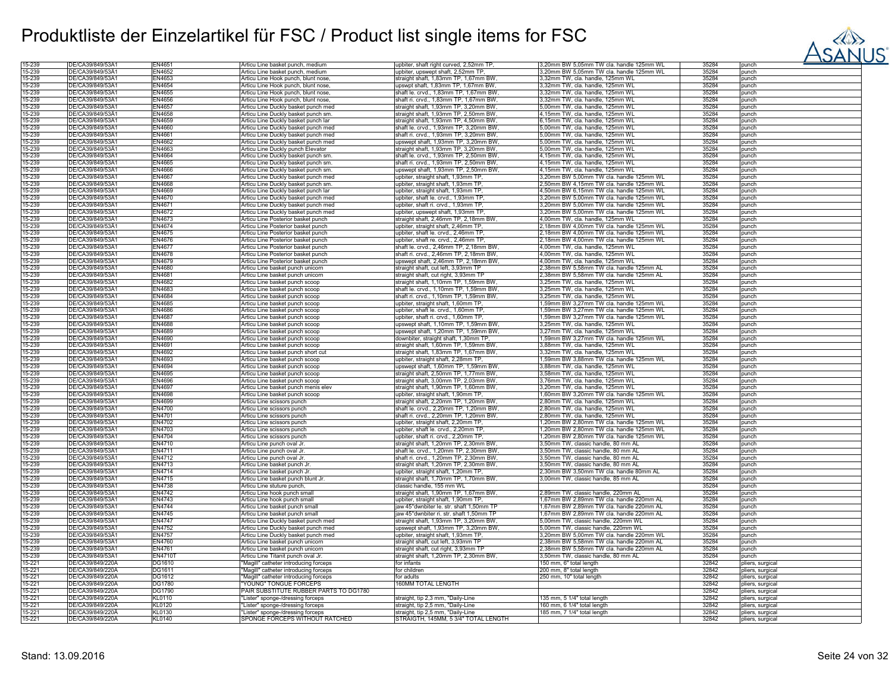

| 15-239           | DE/CA39/849/53A1                     | EN4651                  | Articu Line basket punch, medium                                    | upbiter, shaft right curved, 2,52mm TP,                                   | 3,20mm BW 5,05mm TW cla. handle 125mm WL | 35284          | punch                                |
|------------------|--------------------------------------|-------------------------|---------------------------------------------------------------------|---------------------------------------------------------------------------|------------------------------------------|----------------|--------------------------------------|
| 15-239           | DE/CA39/849/53A1                     | EN4652                  | Articu Line basket punch, medium                                    | upbiter, upswept shaft, 2,52mm TP,                                        | 3,20mm BW 5,05mm TW cla. handle 125mm WL | 35284          | punch                                |
| 15-239           | DE/CA39/849/53A1                     | EN4653                  | Articu Line Hook punch, blunt nose,                                 | straight shaft, 1,83mm TP, 1,67mm BW                                      | 3,32mm TW, cla. handle, 125mm WL         | 35284          | punch                                |
| 15-239           | DE/CA39/849/53A1                     | EN4654                  | Articu Line Hook punch, blunt nose,                                 | upswpt shaft, 1,83mm TP, 1,67mm BW,                                       | 3,32mm TW, cla. handle, 125mm WL         | 35284          | punch                                |
| 15-239           | DE/CA39/849/53A1                     | EN4655                  | Articu Line Hook punch, blunt nose,                                 | shaft le. crvd., 1,83mm TP, 1,67mm BW                                     | 3.32mm TW, cla, handle, 125mm WL         | 35284          | punch                                |
|                  |                                      | EN4656                  |                                                                     |                                                                           |                                          |                |                                      |
| 15-239           | DE/CA39/849/53A1                     |                         | Articu Line Hook punch, blunt nose,                                 | shaft ri. crvd., 1,83mm TP, 1,67mm BW                                     | ,32mm TW, cla. handle, 125mm WL          | 35284          | punch                                |
| 15-239           | DE/CA39/849/53A1                     | EN4657                  | Articu Line Duckly basket punch med                                 | straight shaft, 1,93mm TP, 3,20mm BW                                      | 5,00mm TW, cla. handle, 125mm WL         | 35284          | punch                                |
| 15-239           | DE/CA39/849/53Ä1                     | EN4658                  | Articu Line Duckly basket punch sm.                                 | straight shaft, 1,93mm TP, 2,50mm BW                                      | 4,15mm TW, cla. handle, 125mm WL         | 35284          | punch                                |
| 15-239           | DE/CA39/849/53A1                     | EN4659                  | Articu Line Duckly basket punch lar                                 | straight shaft, 1,93mm TP, 4,50mm BW                                      | 6.15mm TW, cla. handle, 125mm WL         | 35284          | punch                                |
| 15-239           | DE/CA39/849/53A1                     | EN4660                  | Articu Line Duckly basket punch med                                 | shaft le. crvd., 1,93mm TP, 3,20mm BW                                     | 5,00mm TW, cla. handle, 125mm WL         | 35284          | punch                                |
| 15-239           | DE/CA39/849/53A1                     | EN4661                  | Articu Line Duckly basket punch med                                 | shaft ri. crvd., 1,93mm TP, 3,20mm BW                                     | 5,00mm TW, cla. handle, 125mm WL         | 35284          | punch                                |
| 15-239           | DE/CA39/849/53A1                     | EN4662                  |                                                                     |                                                                           |                                          | 35284          |                                      |
|                  |                                      |                         | Articu Line Duckly basket punch med                                 | upswept shaft, 1,93mm TP, 3,20mm BW                                       | 5,00mm TW, cla. handle, 125mm WL         |                | punch                                |
| 15-239           | DE/CA39/849/53A1                     | EN4663                  | Articu Line Duckly punch Elevator                                   | straight shaft, 1,93mm TP, 3,20mm BW                                      | 5,00mm TW, cla. handle, 125mm WL         | 35284          | punch                                |
| 15-239           | DE/CA39/849/53A1                     | EN4664                  | Articu Line Duckly basket punch sm.                                 | shaft le. crvd., 1,93mm TP, 2,50mm BW.                                    | 1,15mm TW, cla. handle, 125mm WL         | 35284          | punch                                |
| 15-239           | DE/CA39/849/53A1                     | EN4665                  | Articu Line Duckly basket punch sm.                                 | shaft ri. crvd., 1,93mm TP, 2,50mm BW                                     | 4,15mm TW, cla. handle, 125mm WL         | 35284          | punch                                |
| 15-239           | DE/CA39/849/53A1                     | <b>EN4666</b>           | Articu Line Duckly basket punch sm.                                 | upswept shaft, 1,93mm TP, 2,50mm BW,                                      | 4,15mm TW, cla. handle, 125mm WL         | 35284          | punch                                |
| 15-239           | DE/CA39/849/53A1                     | EN4667                  | Articu Line Duckly basket punch med                                 | upbiter, straight shaft, 1,93mm TP,                                       | 3,20mm BW 5,00mm TW cla. handle 125mm WL | 35284          | punch                                |
|                  |                                      |                         |                                                                     |                                                                           |                                          |                |                                      |
| 15-239           | DE/CA39/849/53A1                     | EN4668                  | Articu Line Duckly basket punch sm.                                 | upbiter, straight shaft, 1,93mm TP,                                       | 2,50mm BW 4,15mm TW cla. handle 125mm WL | 35284          | punch                                |
| 15-239           | DE/CA39/849/53A1                     | EN4669                  | Articu Line Duckly basket punch lar                                 | upbiter, straight shaft, 1,93mm TP                                        | 4,50mm BW 6,15mm TW cla. handle 125mm WL | 35284          | punch                                |
| 15-239           | DE/CA39/849/53A1                     | EN4670                  | Articu Line Duckly basket punch med                                 | upbiter, shaft le. crvd., 1,93mm TP                                       | 3,20mm BW 5,00mm TW cla. handle 125mm WL | 35284          | punch                                |
| 15-239           | DE/CA39/849/53A1                     | EN4671                  | Articu Line Duckly basket punch med                                 | upbiter, shaft ri. crvd., 1,93mm TP                                       | 3,20mm BW 5,00mm TW cla. handle 125mm WL | 35284          | punch                                |
| 15-239           | DE/CA39/849/53A1                     | EN4672                  | Articu Line Duckly basket punch med                                 | upbiter, upswept shaft, 1,93mm TP,                                        | 3,20mm BW 5,00mm TW cla. handle 125mm WL | 35284          | punch                                |
| 15-239           | DE/CA39/849/53A1                     | EN4673                  | Articu Line Posterior basket punch                                  | straight shaft, 2,46mm TP, 2,18mm BW                                      | 4,00mm TW, cla. handle, 125mm WL         | 35284          | punch                                |
|                  |                                      |                         |                                                                     |                                                                           |                                          |                |                                      |
| 15-239           | DE/CA39/849/53A1                     | EN4674                  | Articu Line Posterior basket punch                                  | upbiter, straight shaft, 2,46mm TP,                                       | 2,18mm BW 4,00mm TW cla. handle 125mm WL | 35284          | punch                                |
| 15-239           | DE/CA39/849/53A1                     | EN4675                  | Articu Line Posterior basket punch                                  | upbiter, shaft le. crvd., 2,46mm TP                                       | 2,18mm BW 4,00mm TW cla. handle 125mm WL | 35284          | punch                                |
| 15-239           | DE/CA39/849/53A1                     | <b>EN4676</b>           | Articu Line Posterior basket punch                                  | upbiter, shaft re. crvd., 2,46mm TP.                                      | 2,18mm BW 4,00mm TW cla. handle 125mm WL | 35284          | punch                                |
| 15-239           | DE/CA39/849/53A1                     | <b>EN4677</b>           | Articu Line Posterior basket punch                                  | shaft le. crvd., 2,46mm TP, 2,18mm BW                                     | 4,00mm TW, cla. handle, 125mm WL         | 35284          | punch                                |
| 15-239           | DE/CA39/849/53A1                     | EN4678                  | Articu Line Posterior basket punch                                  | shaft ri. crvd., 2,46mm TP, 2,18mm BW                                     | 4,00mm TW, cla. handle, 125mm WL         | 35284          | punch                                |
| 15-239           | DE/CA39/849/53A1                     | EN4679                  | Articu Line Posterior basket punch                                  | upswept shaft, 2,46mm TP, 2,18mm BW,                                      | 4,00mm TW, cla. handle, 125mm WL         | 35284          | punch                                |
| 15-239           | DE/CA39/849/53A1                     | EN4680                  |                                                                     |                                                                           |                                          |                | punch                                |
|                  |                                      |                         | Articu Line basket punch unicorn                                    | straight shaft, cut left, 3,93mm TP                                       | .38mm BW 5,58mm TW cla. handle 125mm AL  | 35284          |                                      |
| 15-239           | DE/CA39/849/53A1                     | EN4681                  | Articu Line basket punch unicorn                                    | straight shaft, cut right, 3,93mm TP                                      | ,38mm BW 5,58mm TW cla. handle 125mm AL  | 35284          | punch                                |
| 15-239           | DE/CA39/849/53A1                     | EN4682                  | Articu Line basket punch scoop                                      | straight shaft, 1,10mm TP, 1,59mm BW                                      | 3,25mm TW, cla. handle, 125mm WL         | 35284          | punch                                |
| 15-239           | DE/CA39/849/53Ä1                     | EN4683                  | Articu Line basket punch scoop                                      | shaft le. crvd., 1,10mm TP, 1,59mm BW,                                    | 3,25mm TW, cla. handle, 125mm WL         | 35284          | punch                                |
| 15-239           | DE/CA39/849/53A1                     | <b>EN4684</b>           | Articu Line basket punch scoop                                      | shaft ri. crvd., 1,10mm TP, 1,59mm BW,                                    | 3,25mm TW, cla. handle, 125mm WL         | 35284          | punch                                |
| 15-239           | DE/CA39/849/53A1                     | EN4685                  | Articu Line basket punch scoop                                      | upbiter, straight shaft, 1,60mm TP,                                       | 1,59mm BW 3,27mm TW cla. handle 125mm WL | 35284          | punch                                |
| 15-239           |                                      | <b>EN4686</b>           |                                                                     |                                                                           |                                          | 35284          |                                      |
|                  | DE/CA39/849/53A1                     |                         | Articu Line basket punch scoop                                      | upbiter, shaft le. crvd., 1,60mm TP.                                      | ,59mm BW 3,27mm TW cla. handle 125mm WL  |                | punch                                |
| 15-239           | DE/CA39/849/53A1                     | <b>FN4687</b>           | Articu Line basket punch scoop                                      | upbiter, shaft ri. crvd., 1,60mm TP                                       | ,59mm BW 3,27mm TW cla. handle 125mm WL  | 35284          | punch                                |
| 15-239           | DE/CA39/849/53A1                     | <b>EN4688</b>           | Articu Line basket punch scoop                                      | upswept shaft, 1,10mm TP, 1,59mm BW                                       | 3,25mm TW, cla. handle, 125mm WL         | 35284          | punch                                |
| 15-239           | DE/CA39/849/53A1                     | EN4689                  | Articu Line basket punch scoop                                      | upswept shaft, 1,20mm TP, 1,59mm BW,                                      | 3,27mm TW, cla. handle, 125mm WL         | 35284          | punch                                |
| 15-239           | DE/CA39/849/53A1                     | EN4690                  | Articu Line basket punch scoop                                      | downbiter, straight shaft, 1,30mm TP,                                     | ,59mm BW 3,27mm TW cla. handle 125mm WL  | 35284          | punch                                |
| 15-239           | DE/CA39/849/53Ä1                     | EN4691                  | Articu Line basket punch scoop                                      | straight shaft, 1,60mm TP, 1,59mm BW                                      | 3,88mm TW, cla. handle, 125mm WL         | 35284          | punch                                |
| 15-239           | DE/CA39/849/53A1                     | EN4692                  | Articu Line basket punch short cut                                  | straight shaft, 1,83mm TP, 1,67mm BW,                                     | 3,32mm TW, cla. handle, 125mm WL         | 35284          | punch                                |
|                  |                                      |                         |                                                                     |                                                                           |                                          |                |                                      |
| 15-239           | DE/CA39/849/53A1                     | EN4693                  | Articu Line basket punch scoop                                      | upbiter, straight shaft, 2,28mm TP,                                       | 1,59mm BW 3,88mm TW cla. handle 125mm WL | 35284          | punch                                |
| 15-239           | DE/CA39/849/53A1                     | EN4694                  | Articu Line basket punch scoop                                      | upswept shaft, 1,60mm TP, 1,59mm BW                                       | 3,88mm TW, cla. handle, 125mm WL         | 35284          | punch                                |
| 15-239           | DE/CA39/849/53A1                     | EN4695                  | Articu Line basket punch scoop                                      | straight shaft, 2,50mm TP, 1,77mm BW,                                     | 3,58mm TW, cla. handle, 125mm WL         | 35284          | punch                                |
| 15-239           | DE/CA39/849/53A1                     | EN4696                  | Articu Line basket punch scoop                                      | straight shaft, 3,00mm TP, 2,03mm BW                                      | 3,76mm TW, cla. handle, 125mm WL         | 35284          | punch                                |
| 15-239           | DE/CA39/849/53A1                     | EN4697                  | Articu Line basket punch menis elev                                 | straight shaft, 1,90mm TP, 1,60mm BW,                                     | 3.20mm TW, cla, handle, 125mm WL         | 35284          | punch                                |
| 15-239           | DE/CA39/849/53A1                     | EN4698                  | Articu Line basket punch scoop                                      | upbiter, straight shaft, 1,90mm TP,                                       | ,60mm BW 3,20mm TW cla. handle 125mm WL  | 35284          | punch                                |
|                  |                                      |                         |                                                                     |                                                                           |                                          |                |                                      |
| 15-239           | DE/CA39/849/53Ä1                     | EN4699                  | Articu Line scissors punch                                          | straight shaft, 2,20mm TP, 1,20mm BW                                      | 2,80mm TW, cla. handle, 125mm WL         | 35284          | punch                                |
| 15-239           | DE/CA39/849/53A1                     | <b>EN4700</b>           | Articu Line scissors punch                                          | shaft le. crvd., 2,20mm TP, 1,20mm BW,                                    | 2,80mm TW, cla. handle, 125mm WL         | 35284          | punch                                |
| 15-239           | DE/CA39/849/53A1                     | EN4701                  | Articu Line scissors punch                                          | shaft ri. crvd., 2,20mm TP, 1,20mm BW,                                    | 2,80mm TW, cla. handle, 125mm WL         | 35284          | punch                                |
| 15-239           | DE/CA39/849/53A1                     | EN4702                  | Articu Line scissors punch                                          | upbiter, straight shaft, 2,20mm TP,                                       | 1,20mm BW 2,80mm TW cla. handle 125mm WL | 35284          | punch                                |
| 15-239           | DE/CA39/849/53A1                     | EN4703                  | Articu Line scissors punch                                          | upbiter, shaft le. crvd., 2,20mm TP.                                      | 1,20mm BW 2,80mm TW cla. handle 125mm WL | 35284          | punch                                |
| 15-239           | DE/CA39/849/53A1                     | <b>FN4704</b>           |                                                                     | upbiter, shaft ri. crvd., 2,20mm TP,                                      | 1,20mm BW 2,80mm TW cla. handle 125mm WL | 35284          |                                      |
|                  |                                      |                         | Articu Line scissors punch                                          |                                                                           |                                          |                | punch                                |
| 15-239           | DE/CA39/849/53A1                     | <b>EN4710</b>           | Articu Line punch oval Jr.                                          | straight shaft, 1,20mm TP, 2,30mm BW                                      | 3.50mm TW, classic handle, 80 mm AL      | 35284          | punch                                |
| 15-239           | DE/CA39/849/53A1                     | EN4711                  | Articu Line punch oval Jr.                                          | shaft le. crvd., 1,20mm TP, 2,30mm BW                                     | ,50mm TW, classic handle, 80 mm AL       | 35284          | punch                                |
| 15-239           | DE/CA39/849/53A1                     | EN4712                  | Articu Line punch oval Jr.                                          | shaft ri. crvd., 1,20mm TP, 2,30mm BW                                     | 3,50mm TW, classic handle, 80 mm AL      | 35284          | punch                                |
| 15-239           | DE/CA39/849/53A1                     | EN4713                  | Articu Line basket punch Jr                                         | straight shaft, 1,20mm TP, 2,30mm BW                                      | 3,50mm TW, classic handle, 80 mm AL      | 35284          | punch                                |
| 15-239           | DE/CA39/849/53A1                     | EN4714                  | Articu Line basket punch Jr.                                        | upbiter, straight shaft, 1,20mm TP,                                       | 2,30mm BW 3,50mm TW cla. handle 80mm AL  | 35284          | punch                                |
| 15-239           | DE/CA39/849/53A1                     | <b>EN4715</b>           | Articu Line basket punch blunt Jr.                                  | straight shaft, 1,70mm TP, 1,70mm BW                                      | 3,00mm TW, classic handle, 85 mm AL      | 35284          | punch                                |
|                  |                                      |                         |                                                                     |                                                                           |                                          | 35284          |                                      |
| 15-239           | DE/CA39/849/53Å1                     | <b>EN4738</b>           | Articu Line stuture punch,                                          | classic handle, 155 mm WL                                                 |                                          |                | punch                                |
| 15-239           | DE/CA39/849/53A1                     | <b>EN4742</b>           | Articu Line hook punch small                                        | straight shaft, 1,90mm TP, 1,67mm BW,                                     | 2,89mm TW, classic handle, 220mm AL      | 35284          | punch                                |
| 15-239           | DE/CA39/849/53A1                     | EN4743                  | Articu Line hook punch small                                        | upbiter, straight shaft, 1,90mm TP,                                       | ,67mm BW 2,89mm TW cla. handle 220mm AL  | 35284          | punch                                |
| 15-239           | DE/CA39/849/53A1                     | EN4744                  | Articu Line basket punch small                                      | aw 45°dwnbiter le. str. shaft 1,50mm TP                                   | ,67mm BW 2,89mm TW cla. handle 220mm AL  | 35284          | punch                                |
| 15-239           | DE/CA39/849/53A1                     | EN4745                  | Articu Line basket punch small                                      | jaw 45°dwnbiter ri. str. shaft 1,50mm TP                                  | 1,67mm BW 2,89mm TW cla. handle 220mm AL | 35284          | punch                                |
| 15-239           | DE/CA39/849/53Ä1                     | <b>EN4747</b>           | Articu Line Duckly basket punch med                                 | straight shaft, 1,93mm TP, 3,20mm BW                                      | 5,00mm TW, classic handle, 220mm WL      | 35284          | punch                                |
| 15-239           | DE/CA39/849/53A1                     | <b>EN4752</b>           | Articu Line Duckly basket punch med                                 | upswept shaft, 1,93mm TP, 3,20mm BW,                                      | 5,00mm TW, classic handle, 220mm WL      | 35284          | punch                                |
|                  |                                      |                         |                                                                     |                                                                           |                                          |                |                                      |
| 15-239           | DE/CA39/849/53A1                     | <b>EN4757</b>           | Articu Line Duckly basket punch med                                 | upbiter, straight shaft, 1,93mm TP,                                       | 3,20mm BW 5,00mm TW cla. handle 220mm WL | 35284          | punch                                |
| 15-239           | DE/CA39/849/53Ä1                     | EN4760                  | Articu Line basket punch unicorn                                    | straight shaft, cut left, 3,93mm TP                                       | 2,38mm BW 5,58mm TW cla. handle 220mm AL | 35284          | punch                                |
| 15-239           | DE/CA39/849/53A1                     | EN4761                  | Articu Line basket punch unicorn                                    | straight shaft, cut right, 3,93mm TP                                      | 38mm BW 5,58mm TW cla. handle 220mm AL   | 35284          | punch                                |
| 15-239           | DE/CA39/849/53A1                     | <b>EN4710T</b>          | Articu Line Titanit punch oval Jr.                                  | straight shaft, 1,20mm TP, 2,30mm BW,                                     | 3,50mm TW, classic handle, 80 mm AL      | 35284          | punch                                |
| 15-221           | DE/CA39/849/220A                     | DG1610                  | "Magill" catheter introducing forceps                               | for infants                                                               | 50 mm. 6" total length                   | 32842          | pliers, surgical                     |
|                  |                                      |                         |                                                                     |                                                                           |                                          |                |                                      |
| 15-221           | DE/CA39/849/220A                     | DG1611                  | "Magill" catheter introducing forceps                               | for children                                                              | 200 mm, 8" total length                  | 32842          | pliers, surgical                     |
| 15-221           | DE/CA39/849/220A                     | DG1612                  | "Magill" catheter introducing forceps                               | for adults                                                                | 250 mm, 10" total length                 | 32842          | pliers, surgical                     |
| 15-221           | DE/CA39/849/220A                     | <b>DG1780</b>           | <b>YOUNG" TONGUE FORCEPS</b>                                        | 160MM TOTAL LENGTH                                                        |                                          | 32842          | pliers, surgical                     |
| 15-221           | DE/CA39/849/220A                     | <b>DG1790</b>           | PAIR SUBSTITUTE RUBBER PARTS TO DG1780                              |                                                                           |                                          | 32842          | pliers, surgical                     |
| 15-221           | DE/CA39/849/220A                     | <b>KL0110</b>           | 'Lister" sponge-/dressing forceps                                   | straight, tip 2,3 mm, "Daily-Line                                         | 135 mm, 5 1/4" total length              | 32842          | pliers, surgical                     |
| 15-221           |                                      |                         |                                                                     |                                                                           |                                          |                |                                      |
|                  |                                      |                         |                                                                     |                                                                           |                                          |                |                                      |
|                  | DE/CA39/849/220A                     | KL0120                  | 'Lister" sponge-/dressing forceps                                   | straight, tip 2,5 mm, "Daily-Line                                         | 160 mm, 6 1/4" total length              | 32842          | pliers, surgical                     |
| 15-221<br>15-221 | DE/CA39/849/220A<br>DE/CA39/849/220A | KL0130<br><b>KL0140</b> | "Lister" sponge-/dressing forceps<br>SPONGE FORCEPS WITHOUT RATCHED | straight, tip 2,5 mm, "Daily-Line<br>STRAIGTH, 145MM, 5 3/4" TOTAL LENGTH | 185 mm, 7 1/4" total length              | 32842<br>32842 | pliers, surgical<br>pliers, surgical |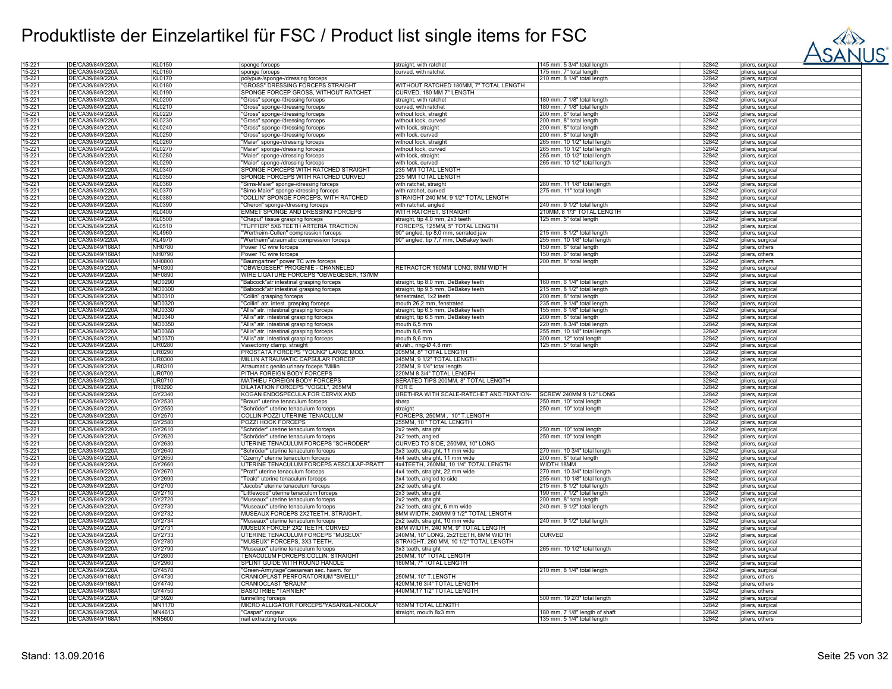

| 15-221           | DE/CA39/849/220A  | KL0150        | sponge forceps                           | straight, with ratchet                            | 145 mm, 5 3/4" total length    | 32842          | pliers, surgical |
|------------------|-------------------|---------------|------------------------------------------|---------------------------------------------------|--------------------------------|----------------|------------------|
| 15-221           | DE/CA39/849/220A  | KL0160        | sponge forceps                           | curved, with ratchet                              | 175 mm. 7" total length        | 32842          | pliers, surgical |
| 15-221           | DE/CA39/849/220Å  | <b>KL0170</b> | polypus-/sponge-/dressing forceps        |                                                   | 210 mm, 8 1/4" total length    | 32842          | pliers, surgical |
|                  | DE/CA39/849/220A  |               | "GROSS" DRESSING FORCEPS STRAIGHT        | WITHOUT RATCHED 180MM, 7" TOTAL LENGTH            |                                |                |                  |
| 15-221           |                   | KL0180        |                                          |                                                   |                                | 32842          | pliers, surgical |
| 15-221           | DE/CA39/849/220A  | KL0190        | SPONGE FORCEP GROSS, WITHOUT RATCHET     | CURVED, 180 MM 7" LENGTH                          |                                | 32842          | pliers, surgical |
| 15-221           | DE/CA39/849/220A  | KL0200        | 'Gross" sponge-/dressing forceps         | straight, with ratchet                            | 180 mm, 7 1/8" total length    | 32842          | pliers, surgical |
| 15-221           | DE/CA39/849/220A  | KL0210        | "Gross" sponge-/dressing forceps         | curved, with ratchet                              | 180 mm, 7 1/8" total length    | 32842          | pliers, surgical |
| 15-221           | DE/CA39/849/220A  | KL0220        | "Gross" sponge-/dressing forceps         | without lock, straight                            | 200 mm, 8" total length        | 32842          | pliers, surgical |
| 15-221           | DE/CA39/849/220A  | KL0230        | 'Gross" sponge-/dressing forceps         | without lock, curved                              | 200 mm, 8" total length        | 32842          | pliers, surgical |
| 15-221           | DE/CA39/849/220A  | KL0240        |                                          |                                                   |                                | 32842          |                  |
|                  |                   |               | "Gross" sponge-/dressing forceps         | with lock, straight                               | 200 mm, 8" total length        |                | pliers, surgical |
| 15-221           | DE/CA39/849/220A  | KL0250        | "Gross" sponge-/dressing forceps         | with lock, curved                                 | 200 mm, 8" total length        | 32842          | pliers, surgical |
| 15-221           | DE/CA39/849/220A  | KL0260        | "Maier" sponge-/dressing forceps         | without lock, straight                            | 265 mm, 10 1/2" total length   | 32842          | pliers, surgical |
| 15-221           | DE/CA39/849/220A  | KL0270        | "Maier" sponge-/dressing forceps         | without lock, curved                              | 265 mm, 10 1/2" total length   | 32842          | pliers, surgical |
| 15-221           | DE/CA39/849/220A  | KL0280        | "Maier" sponge-/dressing forceps         | with lock, straight                               | 265 mm, 10 1/2" total length   | 32842          | pliers, surgical |
| 15-221           | DE/CA39/849/220A  | KL0290        | "Maier" sponge-/dressing forceps         | with lock, curved                                 | 265 mm, 10 1/2" total length   | 32842          | pliers, surgical |
|                  | DE/CA39/849/220A  | KL0340        |                                          |                                                   |                                | 32842          |                  |
| 15-221           |                   |               | SPONGE FORCEPS WITH RATCHED STRAIGHT     | 235 MM TOTAL LENGTH                               |                                |                | pliers, surgical |
| 15-221           | DE/CA39/849/220A  | KL0350        | SPONGE FORCEPS WITH RATCHED CURVED       | 235 MM TOTAL LENGTH                               |                                | 32842          | pliers, surgical |
| 15-221           | DE/CA39/849/220A  | KL0360        | "Sims-Maier" sponge-/dressing forceps    | with ratchet, straight                            | 280 mm, 11 1/8" total length   | 32842          | pliers, surgical |
| 15-221           | DE/CA39/849/220A  | <b>KL0370</b> | "Sims-Maier" sponge-/dressing forceps    | with ratchet, curved                              | 275 mm, 11" total length       | 32842          | pliers, surgical |
| 15-221           | DE/CA39/849/220A  | KL0380        | 'COLLIN" SPONGE FORCEPS, WITH RATCHED    | STRAIGHT 240 MM, 9 1/2" TOTAL LENGTH              |                                | 32842          | pliers, surgical |
| 15-221           | DE/CA39/849/220A  | KL0390        | 'Cheron" sponge-/dressing forceps        | with ratchet, angled                              | 240 mm, 9 1/2" total length    | 32842          | pliers, surgical |
| 15-221           | DE/CA39/849/220A  | KL0400        | EMMET SPONGE AND DRESSING FORCEPS        | <b>NITH RATCHET, STRAIGHT</b>                     | 210MM, 8 1/3" TOTAL LENGTH     | 32842          | pliers, surgical |
| 15-221           |                   |               |                                          |                                                   |                                |                |                  |
|                  | DE/CA39/849/220A  | KL0500        | "Chaput" tissue grasping forceps         | straight, tip 4,0 mm, 2x3 teeth                   | 125 mm, 5" total length        | 32842          | pliers, surgical |
| 15-221           | DE/CA39/849/220A  | KL0510        | "TUFFIER" 5X6 TEETH ARTERIA TRACTION     | FORCEPS, 125MM, 5" TOTAL LENGTH                   |                                | 32842          | pliers, surgical |
| 15-221           | DE/CA39/849/220A  | KL4960        | "Wertheim-Cullen" compression forceps    | 90° angled, tip 8,0 mm, serrated jaw              | 215 mm, 8 1/2" total length    | 32842          | pliers, surgical |
| 15-221           | DE/CA39/849/220A  | KL4970        | "Wertheim"atraumatic compression forceps | 90° angled, tip 7,7 mm, DeBakey teeth             | 255 mm, 10 1/8" total length   | 32842          | pliers, surgical |
| 15-221           | DE/CA39/849/168Ä1 | NH0780        | Power TC wire forceps                    |                                                   | 150 mm, 6" total length        | 32842          | pliers, others   |
| 15-221           | DE/CA39/849/168A1 | NH0790        | Power TC wire forceps                    |                                                   | 150 mm, 6" total length        | 32842          | pliers, others   |
| 15-221           | DE/CA39/849/168A1 | NH0800        | "Baumgartner" power TC wire forceps      |                                                   | 200 mm, 8" total length        | 32842          | pliers, others   |
| 15-221           | DE/CA39/849/220A  | MF0300        | "OBWEGESER" PROGENIE - CHANNELED         | RETRACTOR 160MM LONG, 8MM WIDTH                   |                                | 32842          | pliers, surgical |
| 15-221           |                   |               |                                          |                                                   |                                |                |                  |
|                  | DE/CA39/849/220A  | MF0890        | WIRE LIGATURE FORCEPS "OBWEGESER, 137MM  |                                                   |                                | 32842          | pliers, surgical |
| 15-221           | DE/CA39/849/220A  | MD0290        | "Babcock"atr intestinal grasping forceps | straight, tip 8,0 mm, DeBakey teeth               | 160 mm, 6 1/4" total length    | 32842          | pliers, surgical |
| 15-221           | DE/CA39/849/220A  | MD0300        | "Babcock"atr intestinal grasping forceps | straight, tip 9,5 mm, DeBakey teeth               | 215 mm, 8 1/2" total length    | 32842          | pliers, surgical |
| 15-221           | DE/CA39/849/220A  | MD0310        | "Collin" grasping forceps                | fenestrated, 1x2 teeth                            | 200 mm, 8" total length        | 32842          | pliers, surgical |
| 15-221           | DE/CA39/849/220Ä  | MD0320        | "Collin" atr. intest. grasping forceps   | mouth 26,2 mm, fenstrated                         | 235 mm, 9 1/4" total length    | 32842          | pliers, surgical |
| 15-221           | DE/CA39/849/220A  | MD0330        | "Allis" atr. intestinal grasping forceps | straight, tip 6,5 mm, DeBakey teeth               | 155 mm, 6 1/8" total length    | 32842          | pliers, surgical |
| 15-221           | DE/CA39/849/220A  | MD0340        | "Allis" atr. intestinal grasping forceps | straight, tip 6,5 mm, DeBakey teeth               | 200 mm, 8" total length        | 32842          | pliers, surgical |
| 15-221           | DE/CA39/849/220A  | MD0350        | "Allis" atr. intestinal grasping forceps | nouth 6,5 mm                                      | 220 mm, 8 3/4" total length    | 32842          | pliers, surgical |
| 15-221           | DE/CA39/849/220A  | MD0360        |                                          | mouth 8.6 mm                                      |                                | 32842          |                  |
|                  |                   |               | "Allis" atr. intestinal grasping forceps |                                                   | 255 mm, 10 1/8" total length   |                | pliers, surgical |
| 15-221           | DE/CA39/849/220A  | MD0370        | "Allis" atr. intestinal grasping forceps | mouth 8,6 mm                                      | 300 mm, 12" total length       | 32842          | pliers, surgical |
| 15-221           | DE/CA39/849/220A  | <b>UR0280</b> | Vasectomy clamp, straight                | sh./sh., ring-Ø 4,8 mm                            | 125 mm, 5" total length        | 32842          | pliers, surgical |
| 15-221           | DE/CA39/849/220A  | UR0290        | PROSTATA FORCEPS "YOUNG" LARGE MOD.      | 205MM, 8" TOTAL LENGTH                            |                                | 32842          | pliers, surgical |
| 15-221           | DE/CA39/849/220Ä  | <b>UR0300</b> | MILLIN ATRAUMATIC CAPSULAR FORCEP        | 245MM, 9 1/2" TOTAL LENGTH                        |                                | 32842          | pliers, surgical |
| 15-221           | DE/CA39/849/220A  | <b>UR0310</b> | Atraumatic genito urinary foceps "Millin | 235MM, 9 1/4" total length                        |                                | 32842          | pliers, surgical |
| 15-221           | DE/CA39/849/220A  | <b>UR0700</b> | PITHA FOREIGN BODY FORCEPS               | 220MM 8 3/4" TOTAL LENGFH                         |                                | 32842          | pliers, surgical |
| 15-221           | DE/CA39/849/220A  | UR0710        | MATHIEU FOREIGN BODY FORCEPS             | SERATED TIPS 200MM, 8" TOTAL LENGTH               |                                | 32842          | pliers, surgical |
|                  |                   |               |                                          |                                                   |                                |                |                  |
| 15-221           | DE/CA39/849/220A  | TR0290        | DILATATION FORCEPS "VOGEL", 265MM        | FOR E                                             |                                | 32842          | pliers, surgical |
| 15-221           | DE/CA39/849/220A  | GY2340        | KOGAN ENDOSPECULA FOR CERVIX AND         | URETHRA WITH SCALE-RATCHET AND FIXATION-          | SCREW 240MM 9 1/2" LONG        | 32842          | pliers, surgical |
| 15-221           | DE/CA39/849/220A  | GY2530        | "Braun" uterine tenaculum forceps        | sharp                                             | 250 mm, 10" total length       | 32842          | pliers, surgical |
| 15-221           | DE/CA39/849/220A  | GY2550        | "Schröder" uterine tenaculum forceps     | straight                                          | 250 mm, 10" total length       | 32842          | pliers, surgical |
| 15-221           | DE/CA39/849/220A  | GY2570        | COLLIN-POZZI UTERINE TENACULUM           | FORCEPS, 250MM, 10" T.LENGTH                      |                                | 32842          | pliers, surgical |
| 15-221           | DE/CA39/849/220A  | GY2580        | POZZI HOOK FORCEPS                       | 255MM, 10" TOTAL LENGTH                           |                                | 32842          | pliers, surgical |
| 15-221           | DE/CA39/849/220A  | GY2610        | 'Schröder" uterine tenaculum forceps     | 2x2 teeth, straight                               | 250 mm, 10" total length       | 32842          | bliers, surgical |
| 15-221           | DE/CA39/849/220A  | GY2620        | "Schröder" uterine tenaculum forceps     | 2x2 teeth, angled                                 | 250 mm, 10" total length       | 32842          | bliers, surgical |
|                  |                   |               |                                          | CURVED TO SIDE, 250MM, 10" LONG                   |                                |                |                  |
| 15-221           | DE/CA39/849/220A  | GY2630        | UTERINE TENACULUM FORCEPS "SCHRÖDER"     |                                                   |                                | 32842          | pliers, surgical |
| 15-221           | DE/CA39/849/220A  | GY2640        | "Schröder" uterine tenaculum forceps     | 3x3 teeth, straight, 11 mm wide                   | 270 mm, 10 3/4" total length   | 32842          | pliers, surgical |
| 15-221           | DE/CA39/849/220A  | GY2650        | "Czerny" uterine tenaculum forceps       | 4x4 teeth, straight, 11 mm wide                   | 200 mm, 8" total length        | 32842          | pliers, surgical |
| 15-221           | DE/CA39/849/220Ä  | GY2660        | UTERINE TENACULUM FORCEPS AESCULAP-PRATT | 4x4TEETH, 260MM, 10 1/4" TOTAL LENGTH             | WIDTH 18MM                     | 32842          | pliers, surgical |
| 15-221           | DE/CA39/849/220A  | GY2670        | 'Pratt" uterine tenaculum forceps        | 4x4 teeth, straight, 22 mm wide                   | 270 mm, 10 3/4" total length   | 32842          | pliers, surgical |
| 15-221           | DE/CA39/849/220A  | GY2690        | "Teale" uterine tenaculum forceps        | 3x4 teeth, angled to side                         | 255 mm. 10 1/8" total length   | 32842          | pliers, surgical |
| 15-221           | DE/CA39/849/220A  | GY2700        | "Jacobs" uterine tenaculum forceps       | 2x2 teeth, straight                               | 215 mm, 8 1/2" total length    | 32842          | pliers, surgical |
| 15-221           | DE/CA39/849/220A  | GY2710        | "Littlewood" uterine tenaculum forceps   | 2x3 teeth, straight                               | 190 mm, 7 1/2" total length    | 32842          | pliers, surgical |
| 15-221           | DE/CA39/849/220A  | GY2720        | "Museaux" uterine tenaculum forceps      | 2x2 teeth, straight                               | 200 mm, 8" total length        | 32842          | pliers, surgical |
| 15-221           | DE/CA39/849/220A  | GY2730        | "Museaux" uterine tenaculum forceps      | 2x2 teeth, straight, 6 mm wide                    | 240 mm, 9 1/2" total length    | 32842          | pliers, surgical |
|                  |                   |               |                                          |                                                   |                                |                |                  |
| 15-221           | DE/CA39/849/220A  | GY2732        | MUSEAUX FORCEPS 2X2TEETH, STRAIGHT       | 8MM WIDTH, 240MM 9 1/2" TOTAL LENGTH              |                                | 32842          | pliers, surgical |
| 15-221           | DE/CA39/849/220A  | GY2734        | "Museaux" uterine tenaculum forceps      | 2x2 teeth, straight, 10 mm wide                   | 240 mm, 9 1/2" total length    | 32842          | pliers, surgical |
| 15-221           | DE/CA39/849/220A  | GY2731        | MUSEUX FORCEP 2X2 TEETH, CURVED          | SMM WIDTH, 240 MM, 9" TOTAL LENGTH                |                                | 32842          | pliers, surgical |
| 15-221           | DE/CA39/849/220A  | GY2733        | UTERINE TENACULUM FORCEPS "MUSEUX"       | 240MM, 10" LONG, 2x2TEETH, 8MM WIDTH              | <b>CURVED</b>                  | 32842          | pliers, surgical |
| 15-221           | DE/CA39/849/220A  | GY2780        | "MUSEUX" FORCEPS, 3X3 TEETH,             | STRAIGHT, 260 MM, 10 1/2" TOTAL LENGTH            |                                | 32842          | pliers, surgical |
| 15-221           | DE/CA39/849/220A  | GY2790        | "Museaux" uterine tenaculum forceps      | 3x3 teeth, straight                               | 265 mm, 10 1/2" total length   | 32842          | pliers, surgical |
| 15-221           | DE/CA39/849/220A  | GY2800        | TENACULUM FORCEPS.COLLIN, STRAIGHT       | 250MM, 10" TOTAL LENGTH                           |                                | 32842          | pliers, surgical |
| 15-221           | DE/CA39/849/220A  | GY2960        | SPLINT GUIDE WITH ROUND HANDLE           | 180MM, 7" TOTAL LENGTH                            |                                | 32842          | pliers, surgical |
| 15-221           | DE/CA39/849/220Å  | GY4570        | "Green-Armytage"caesarean sec. haem. for |                                                   | 210 mm, 8 1/4" total length    | 32842          | pliers, surgical |
|                  | DE/CA39/849/168A1 | GY4730        | CRANIOPLAST PERFORATORIUM "SMELLI"       |                                                   |                                |                |                  |
| 15-221<br>15-221 | DE/CA39/849/168A1 | GY4740        | <b>CRANIOCLAST "BRAUN"</b>               | 250MM, 10" T.LENGTH<br>420MM.16 3/4" TOTAL LENGTH |                                | 32842<br>32842 | pliers, others   |
|                  |                   |               |                                          |                                                   |                                |                | pliers, others   |
| 15-221           | DE/CA39/849/168A1 | GY4750        | <b>BASIOTRIBE "TARNIER"</b>              | 440MM,17 1/2" TOTAL LENGTH                        |                                | 32842          | pliers, others   |
| 15-221           |                   |               | tunnelling forceps                       |                                                   | 500 mm, 19 2/3" total length   | 32842          | pliers, surgical |
|                  | DE/CA39/849/220A  | GF3920        |                                          |                                                   |                                |                |                  |
| 15-221           | DE/CA39/849/220A  | <b>MN1170</b> | MICRO ALLIGATOR FORCEPS"YASARGIL-NICOLA" | <b>165MM TOTAL LENGTH</b>                         |                                | 32842          | pliers, surgica  |
| 15-221           | DE/CA39/849/220A  | MN4613        | "Caspar" rongeur                         | straight, mouth 8x3 mm                            | 180 mm, 7 1/8" length of shaft | 32842          | pliers, surgical |
| 15-221           | DE/CA39/849/168A1 | KN5600        | nail extracting forceps                  |                                                   | 135 mm, 5 1/4" total length    | 32842          | pliers, others   |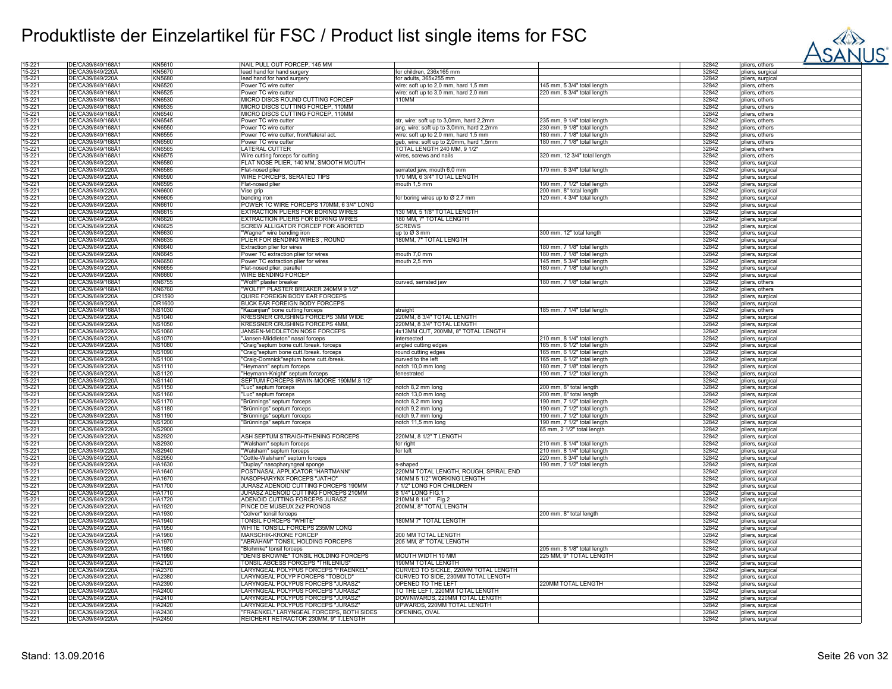

| 15-221           | DE/CA39/849/168A1                    | KN5610           | NAIL PULL OUT FORCEP, 145 MM                                                      |                                               |                              | 32842          | pliers, others                       |
|------------------|--------------------------------------|------------------|-----------------------------------------------------------------------------------|-----------------------------------------------|------------------------------|----------------|--------------------------------------|
| 15-221           | DE/CA39/849/220A                     | <b>KN5670</b>    | lead hand for hand surgery                                                        | for children, 236x165 mm                      |                              | 32842          | pliers, surgical                     |
| 15-221           | DE/CA39/849/220Å                     | <b>KN5680</b>    | lead hand for hand surgery                                                        | for adults, 365x255 mm                        |                              | 32842          | pliers, surgical                     |
| 15-221           | DE/CA39/849/168A1                    | KN6520           | Power TC wire cutter                                                              | wire: soft up to 2,0 mm, hard 1,5 mm          | 145 mm, 5 3/4" total length  | 32842          | pliers, others                       |
| 15-221           | DE/CA39/849/168Ä1                    | <b>KN6525</b>    | Power TC wire cutter                                                              |                                               |                              | 32842          | pliers, others                       |
|                  |                                      |                  |                                                                                   | wire: soft up to 3,0 mm, hard 2,0 mm<br>110MM | 220 mm, 8 3/4" total length  |                |                                      |
| 15-221           | DE/CA39/849/168Ä1                    | KN6530           | MICRO DISCS ROUND CUTTING FORCEP                                                  |                                               |                              | 32842          | pliers, others                       |
| 15-221           | DE/CA39/849/168Å1                    | KN6535           | MICRO DISCS CUTTING FORCEP, 110MM                                                 |                                               |                              | 32842          | pliers, others                       |
| 15-221           | DE/CA39/849/168A1                    | <b>KN6540</b>    | MICRO DISCS CUTTING FORCEP, 110MM                                                 |                                               |                              | 32842          | pliers, others                       |
| 15-221           | DE/CA39/849/168A1                    | <b>KN6545</b>    | Power TC wire cutter                                                              | str, wire: soft up to 3,0mm, hard 2,2mm       | 235 mm, 9 1/4" total length  | 32842          | pliers, others                       |
| 15-221           | DE/CA39/849/168Ä                     | <b>KN6550</b>    | Power TC wire cutter                                                              | ang, wire: soft up to 3,0mm, hard 2,2mm       | 230 mm, 9 1/8" total length  | 32842          | pliers, others                       |
| 15-221           | DE/CA39/849/168A1                    | <b>KN6555</b>    | Power TC wire cutter, front/lateral act.                                          | wire: soft up to 2,0 mm, hard 1,5 mm          | 180 mm, 7 1/8" total length  | 32842          | pliers, others                       |
| 15-221           | DE/CA39/849/168A1                    | <b>KN6560</b>    | Power TC wire cutter                                                              | geb, wire: soft up to 2,0mm, hard 1,5mm       | 180 mm, 7 1/8" total length  | 32842          | pliers, others                       |
| 15-221           | DE/CA39/849/168A1                    | <b>KN6565</b>    | LATERAL CUTTER                                                                    | TOTAL LENGTH 240 MM, 9 1/2"                   |                              | 32842          | pliers, others                       |
| 15-221           | DE/CA39/849/168A1                    | <b>KN6575</b>    |                                                                                   | wires, screws and nails                       | 320 mm, 12 3/4" total length | 32842          |                                      |
|                  |                                      |                  | Wire cutting forceps for cutting                                                  |                                               |                              |                | pliers, others                       |
| 15-221           | DE/CA39/849/220A                     | <b>KN6580</b>    | FLAT NOSE PLIER, 140 MM, SMOOTH MOUTH                                             |                                               |                              | 32842          | pliers, surgical                     |
| 15-221           | DE/CA39/849/220Ä                     | <b>KN6585</b>    | Flat-nosed plier                                                                  | serrated jaw, mouth 6,0 mm                    | 170 mm, 6 3/4" total length  | 32842          | pliers, surgical                     |
| 15-221           | DE/CA39/849/220A                     | <b>KN6590</b>    | WIRE FORCEPS, SERATED TIPS                                                        | 170 MM, 6 3/4" TOTAL LENGTH                   |                              | 32842          | pliers, surgical                     |
| 15-221           | DE/CA39/849/220A                     | <b>KN6595</b>    | Flat-nosed plier                                                                  | mouth 1,5 mm                                  | 190 mm, 7 1/2" total length  | 32842          | pliers, surgical                     |
| 15-221           | DE/CA39/849/220A                     | KN6600           | Vise grip                                                                         |                                               | 200 mm, 8" total length      | 32842          | pliers, surgical                     |
| 15-221           | DE/CA39/849/220A                     | <b>KN6605</b>    | bending iron                                                                      | for boring wires up to Ø 2,7 mm               | 120 mm, 4 3/4" total length  | 32842          | pliers, surgical                     |
| 15-221           | DE/CA39/849/220A                     | KN6610           | POWER TC WIRE FORCEPS 170MM, 6 3/4" LONG                                          |                                               |                              | 32842          |                                      |
|                  |                                      |                  |                                                                                   |                                               |                              |                | pliers, surgical                     |
| 15-221           | DE/CA39/849/220Ä                     | KN6615           | EXTRACTION PLIERS FOR BORING WIRES                                                | 130 MM, 5 1/8" TOTAL LENGTH                   |                              | 32842          | pliers, surgical                     |
| 15-221           | DE/CA39/849/220A                     | KN6620           | EXTRACTION PLIERS FOR BORING WIRES                                                | 180 MM, 7" TOTAL LENGTH                       |                              | 32842          | pliers, surgical                     |
| 15-221           | DE/CA39/849/220A                     | KN6625           | SCREW ALLIGATOR FORCEP FOR ABORTED                                                | <b>SCREWS</b>                                 |                              | 32842          | pliers, surgical                     |
| 15-221           | DE/CA39/849/220A                     | <b>KN6630</b>    | "Wagner" wire bending iron                                                        | up to Ø 3 mm                                  | 300 mm, 12" total length     | 32842          | pliers, surgical                     |
| 15-221           | DE/CA39/849/220Å                     | <b>KN6635</b>    | PLIER FOR BENDING WIRES, ROUND                                                    | 180MM, 7" TOTAL LENGTH                        |                              | 32842          | pliers, surgical                     |
| 15-221           | DE/CA39/849/220A                     | <b>KN6640</b>    | Extraction plier for wires                                                        |                                               | 180 mm, 7 1/8" total length  | 32842          | pliers, surgical                     |
| 15-221           | DE/CA39/849/220A                     | <b>KN6645</b>    | Power TC extraction plier for wires                                               | mouth 7.0 mm                                  | 180 mm. 7 1/8" total length  | 32842          | pliers, surgical                     |
| 15-221           | DE/CA39/849/220A                     | <b>KN6650</b>    | Power TC extraction plier for wires                                               | mouth 2,5 mm                                  |                              | 32842          |                                      |
|                  |                                      |                  |                                                                                   |                                               | 145 mm, 5 3/4" total length  |                | pliers, surgical                     |
| 15-221           | DE/CA39/849/220A                     | KN6655           | Flat-nosed plier, parallel                                                        |                                               | 180 mm, 7 1/8" total length  | 32842          | pliers, surgical                     |
| 15-221           | DE/CA39/849/220A                     | <b>KN6660</b>    | WIRE BENDING FORCEP                                                               |                                               |                              | 32842          | pliers, surgical                     |
| 15-221           | DE/CA39/849/168Ä                     | <b>KN6755</b>    | "Wolff" plaster breaker                                                           | curved, serrated jaw                          | 180 mm, 7 1/8" total length  | 32842          | pliers, others                       |
| 15-221           | DE/CA39/849/168Ä                     | <b>KN6760</b>    | "WOLFF" PLASTER BREAKER 240MM 9 1/2"                                              |                                               |                              | 32842          | pliers, others                       |
| 15-221           | DE/CA39/849/220Ä                     | OR1590           | QUIRE FOREIGN BODY EAR FORCEPS                                                    |                                               |                              | 32842          | pliers, surgical                     |
| 15-221           | DE/CA39/849/220Ä                     | OR1600           | BUCK EAR FOREIGN BODY FORCEPS                                                     |                                               |                              | 32842          | pliers, surgical                     |
| 15-221           | DE/CA39/849/168Ä1                    | <b>NS1030</b>    | "Kazanjian" bone cutting forceps                                                  | straight                                      | 185 mm, 7 1/4" total length  | 32842          | pliers, others                       |
|                  |                                      |                  |                                                                                   |                                               |                              |                |                                      |
| 15-221           | DE/CA39/849/220A                     | <b>NS1040</b>    | KRESSNER CRUSHING FORCEPS 3MM WIDE                                                | 220MM, 8 3/4" TOTAL LENGTH                    |                              | 32842          | pliers, surgical                     |
| 15-221           | DE/CA39/849/220A                     | <b>NS1050</b>    | KRESSNER CRUSHING FORCEPS 4MM,                                                    | 220MM, 8 3/4" TOTAL LENGTH                    |                              | 32842          | pliers, surgical                     |
| 15-221           | DE/CA39/849/220A                     | <b>NS1060</b>    | JANSEN-MIDDLETON NOSE FORCEPS                                                     | 4x13MM CUT, 200MM, 8" TOTAL LENGTH            |                              | 32842          | pliers, surgical                     |
| 15-221           | DE/CA39/849/220A                     | <b>NS1070</b>    | "Jansen-Middleton" nasal forceps                                                  | intersected                                   | 210 mm, 8 1/4" total length  | 32842          | pliers, surgical                     |
| 15-221           | DE/CA39/849/220Ä                     | <b>NS1080</b>    | "Craig"septum bone cutt./break. forceps                                           | angled cutting edges                          | 165 mm, 6 1/2" total length  | 32842          | pliers, surgical                     |
| 15-221           | DE/CA39/849/220Ä                     | <b>NS1090</b>    | "Craig"septum bone cutt./break. forceps                                           | round cutting edges                           | 165 mm, 6 1/2" total length  | 32842          | pliers, surgical                     |
| 15-221           | DE/CA39/849/220A                     | <b>NS1100</b>    | "Craig-Domnick"septum bone cutt./break.                                           | curved to the left                            | 165 mm, 6 1/2" total length  | 32842          | pliers, surgical                     |
| 15-221           | DE/CA39/849/220Ä                     | <b>NS1110</b>    | "Heymann" septum forceps                                                          | notch 10,0 mm long                            | 180 mm, 7 1/8" total length  | 32842          | pliers, surgical                     |
|                  |                                      |                  |                                                                                   |                                               |                              |                |                                      |
| 15-221           | DE/CA39/849/220Å                     | <b>NS1120</b>    | 'Heymann-Knight" septum forceps                                                   | fenestrated                                   | 190 mm, 7 1/2" total length  | 32842          | pliers, surgical                     |
| 15-221           | DE/CA39/849/220A                     | <b>NS1140</b>    | SEPTUM FORCEPS IRWIN-MOORE 190MM,8 1/2"                                           |                                               |                              | 32842          | pliers, surgical                     |
| 15-221           | DE/CA39/849/220A                     | <b>NS1150</b>    | "Luc" septum forceps                                                              | notch 8,2 mm long                             | 200 mm, 8" total length      | 32842          | pliers, surgical                     |
| 15-221           | DE/CA39/849/220A                     | <b>NS1160</b>    | "Luc" septum forceps                                                              | notch 13,0 mm long                            | 200 mm, 8" total length      | 32842          | pliers, surgical                     |
| 15-221           | DE/CA39/849/220A                     | <b>NS1170</b>    | "Brünnings" septum forceps                                                        | notch 8,2 mm long                             | 190 mm, 7 1/2" total length  | 32842          | pliers, surgical                     |
| 15-221           | DE/CA39/849/220A                     | <b>NS1180</b>    | "Brünnings" septum forceps                                                        | notch 9,2 mm long                             | 190 mm, 7 1/2" total length  | 32842          | pliers, surgical                     |
| 15-221           | DE/CA39/849/220A                     | <b>NS1190</b>    | "Brünnings" septum forceps                                                        | notch 9,7 mm long                             | 190 mm, 7 1/2" total length  | 32842          | pliers, surgical                     |
| 15-221           | DE/CA39/849/220Ä                     | <b>NS1200</b>    | "Brünnings" septum forceps                                                        | notch 11,5 mm long                            | 190 mm, 7 1/2" total length  | 32842          | bliers, surgical                     |
|                  |                                      |                  |                                                                                   |                                               |                              |                |                                      |
| 15-221           | DE/CA39/849/220Å                     | <b>NS2900</b>    |                                                                                   |                                               | 65 mm, 2 1/2" total length   | 32842          | pliers, surgical                     |
| 15-221           | DE/CA39/849/220A                     | <b>NS2920</b>    | ASH SEPTUM STRAIGHTHENING FORCEPS                                                 | 220MM, 8 1/2" T.LENGTH                        |                              | 32842          | pliers, surgical                     |
| 15-221           | DE/CA39/849/220A                     | <b>NS2930</b>    | "Walsham" septum forceps                                                          | for right                                     | 210 mm, 8 1/4" total length  | 32842          | pliers, surgical                     |
| 15-221           | DE/CA39/849/220Å                     | <b>NS2940</b>    | "Walsham" septum forceps                                                          | for left                                      | 210 mm, 8 1/4" total length  | 32842          | pliers, surgical                     |
| 15-221           | DE/CA39/849/220A                     | <b>NS2950</b>    | "Cottle-Walsham" septum forceps                                                   |                                               | 220 mm, 8 3/4" total length  | 32842          | pliers, surgical                     |
| 15-221           | DE/CA39/849/220A                     | HA1630           | "Duplay" nasopharyngeal sponge                                                    | s-shaped                                      | 190 mm, 7 1/2" total length  | 32842          | pliers, surgical                     |
| 15-221           | DE/CA39/849/220A                     | HA1640           | POSTNASAL APPLICATOR "HARTMANN'                                                   | 220MM TOTAL LENGTH, ROUGH, SPIRAL END         |                              | 32842          | pliers, surgical                     |
| 15-221           | DE/CA39/849/220A                     | <b>HA1670</b>    | NASOPHARYNX FORCEPS "JATHO"                                                       | 140MM 5 1/2" WORKING LENGTH                   |                              | 32842          | pliers, surgical                     |
| 15-221           | DE/CA39/849/220A                     | <b>HA1700</b>    | JURASZ ADENOID CUTTING FORCEPS 190MM                                              | 7 1/2" LONG FOR CHILDREN                      |                              | 32842          | pliers, surgical                     |
| 15-221           | DE/CA39/849/220A                     | <b>HA1710</b>    | JURASZ ADENOID CUTTING FORCEPS 210MM                                              | 8 1/4" LONG FIG.1                             |                              | 32842          |                                      |
|                  |                                      |                  |                                                                                   |                                               |                              |                | pliers, surgical                     |
| 15-221           | DE/CA39/849/220Ä                     | <b>HA1720</b>    | ADENOID CUTTING FORCEPS JURASZ                                                    | 210MM 8 1/4" Fig.2                            |                              | 32842          | pliers, surgical                     |
| 15-221           | DE/CA39/849/220A                     | HA1920           | PINCE DE MUSEUX 2x2 PRONGS                                                        | 200MM, 8" TOTAL LENGTH                        |                              | 32842          | pliers, surgical                     |
| 15-221           | DE/CA39/849/220Ä                     | <b>HA1930</b>    | "Colver" tonsil forceps                                                           |                                               | 200 mm, 8" total length      | 32842          | pliers, surgical                     |
| 15-221           | DE/CA39/849/220Ä                     | <b>HA1940</b>    | TONSIL FORCEPS "WHITE"                                                            | 180MM 7" TOTAL LENGTH                         |                              | 32842          | pliers, surgical                     |
| 15-221           | DE/CA39/849/220A                     | <b>HA1950</b>    | WHITE TONSILL FORCEPS 235MM LONG                                                  |                                               |                              | 32842          | liers, surgical                      |
| 15-221           | DE/CA39/849/220A                     | HA1960           | MARSCHIK-KRONE FORCEP                                                             | 200 MM TOTAL LENGTH                           |                              | 32842          | pliers, surgical                     |
| 15-221           | DE/CA39/849/220Ä                     | <b>HA1970</b>    | "ABRAHAM" TONSIL HOLDING FORCEPS                                                  | 205 MM, 8" TOTAL LENGTH                       |                              | 32842          | pliers, surgical                     |
| 15-221           | DE/CA39/849/220A                     | <b>HA1980</b>    | "Blohmke" tonsil forceps                                                          |                                               | 205 mm, 8 1/8" total length  | 32842          | pliers, surgical                     |
|                  |                                      |                  |                                                                                   |                                               |                              |                |                                      |
| 15-221           | DE/CA39/849/220A                     | HA1990           | "DENIS BROWNE" TONSIL HOLDING FORCEPS                                             | MOUTH WIDTH 10 MM                             | 225 MM, 9" TOTAL LENGTH      | 32842          | pliers, surgical                     |
| 15-221           | DE/CA39/849/220A                     | HA2120           | TONSIL ABCESS FORCEPS "THILENIUS'                                                 | 190MM TOTAL LENGTH                            |                              | 32842          | pliers, surgical                     |
| 15-221           | DE/CA39/849/220A                     | HA2370           | LARYNGEAL POLYPUS FORCEPS "FRAENKEL"                                              | CURVED TO SICKLE, 220MM TOTAL LENGTH          |                              | 32842          | pliers, surgical                     |
| 15-221           | DE/CA39/849/220A                     | HA2380           | LARYNGEAL POLYP FORCEPS "TOBOLD"                                                  | CURVED TO SIDE, 230MM TOTAL LENGTH            |                              | 32842          | pliers, surgical                     |
| 15-221           | DE/CA39/849/220Å                     | HA2390           | LARYNGEAL POLYPUS FORCEPS "JURASZ                                                 | OPENED TO THE LEFT                            | 220MM TOTAL LENGTH           | 32842          | pliers, surgical                     |
| 15-221           | DE/CA39/849/220A                     | HA2400           | LARYNGEAL POLYPUS FORCEPS "JURASZ                                                 | TO THE LEFT, 220MM TOTAL LENGTH               |                              | 32842          | pliers, surgical                     |
| 15-221           | DE/CA39/849/220A                     | HA2410           | LARYNGEAL POLYPUS FORCEPS "JURASZ                                                 | DOWNWARDS, 220MM TOTAL LENGTH                 |                              | 32842          | pliers, surgical                     |
|                  |                                      |                  |                                                                                   |                                               |                              |                |                                      |
|                  |                                      |                  |                                                                                   |                                               |                              |                |                                      |
| 15-221           | DE/CA39/849/220A                     | HA2420           | LARYNGEAL POLYPUS FORCEPS "JURASZ                                                 | UPWARDS, 220MM TOTAL LENGTH                   |                              | 32842          | pliers, surgica                      |
| 15-221<br>15-221 | DE/CA39/849/220Ä<br>DE/CA39/849/220Ä | HA2430<br>HA2450 | "FRAENKEL" LARYNGEAL FORCEPS, BOTH SIDES<br>REICHERT RETRACTOR 230MM, 9" T.LENGTH | OPENING, OVAL                                 |                              | 32842<br>32842 | pliers, surgical<br>pliers, surgical |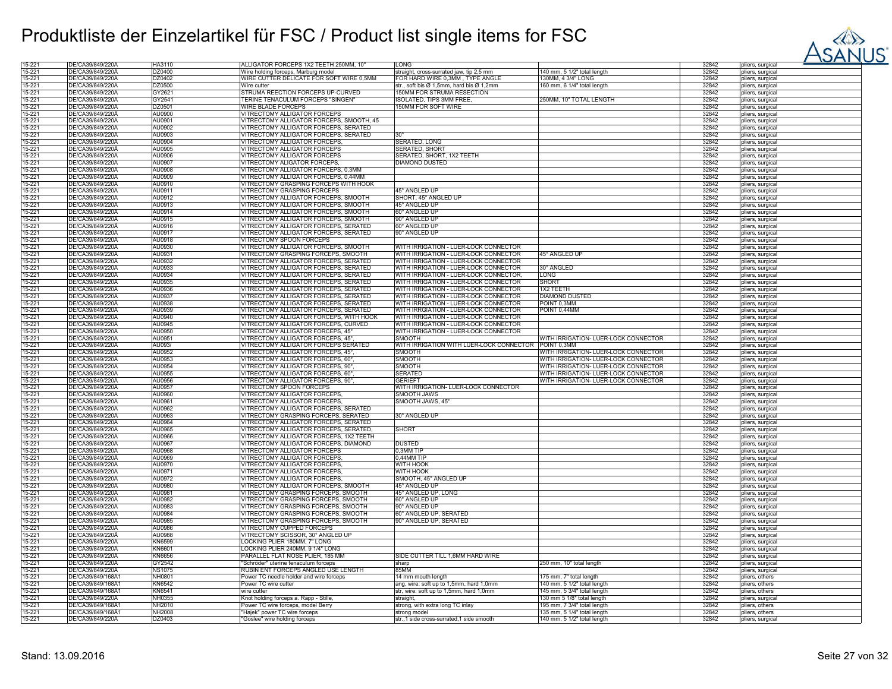

| 15-221           | DE/CA39/849/220A                      | HA3110           | ALLIGATOR FORCEPS 1X2 TEETH 250MM, 10'                         | LONG                                                     |                                                            | 32842          | pliers, surgical                   |
|------------------|---------------------------------------|------------------|----------------------------------------------------------------|----------------------------------------------------------|------------------------------------------------------------|----------------|------------------------------------|
| 15-221           | DE/CA39/849/220A                      | DZ0400           | Wire holding forceps, Marburg model                            | straight, cross-surrated jaw, tip 2,5 mm                 | 140 mm, 5 1/2" total length                                | 32842          | pliers, surgical                   |
| 15-221           | DE/CA39/849/220A                      | DZ0402           | WIRE CUTTER DELICATE FOR SOFT WIRE 0,5MM                       | FOR HARD WIRE 0,3MM, TYPE ANGLE                          | 30MM, 4 3/4" LONG                                          | 32842          | pliers, surgical                   |
|                  |                                       |                  |                                                                |                                                          |                                                            |                |                                    |
| 15-221           | DE/CA39/849/220A                      | DZ0500           | Wire cutter                                                    | str., soft bis Ø 1,5mm, hard bis Ø 1,2mm                 | 160 mm, 6 1/4" total length                                | 32842          | pliers, surgical                   |
| 15-221           | DE/CA39/849/220A                      | GY2621           | STRUMA REECTION FORCEPS UP-CURVED                              | 150MM FOR STRUMA RESECTION                               |                                                            | 32842          | pliers, surgical                   |
| 15-221           | DE/CA39/849/220A                      | GY2541           | TERINE TENACULUM FORCEPS "SINGEN"                              | SOLATED, TIPS 3MM FREE                                   | 250MM, 10" TOTAL LENGTH                                    | 32842          | pliers, surgical                   |
| 15-221           | DE/CA39/849/220A                      | DZ0501           | WIRE BLADE FORCEPS                                             | 150MM FOR SOFT WIRE                                      |                                                            | 32842          |                                    |
|                  |                                       |                  |                                                                |                                                          |                                                            |                | pliers, surgica                    |
| 15-221           | DE/CA39/849/220A                      | AU0900           | VITRECTOMY ALLIGATOR FORCEPS                                   |                                                          |                                                            | 32842          | pliers, surgical                   |
| 15-221           | DE/CA39/849/220A                      | AU0901           | VITRECTOMY ALLIGATOR FORCEPS, SMOOTH, 45                       |                                                          |                                                            | 32842          | pliers, surgical                   |
| 15-221           | DE/CA39/849/220A                      | AU0902           | VITRECTOMY ALLIGATOR FORCEPS, SERATED                          |                                                          |                                                            | 32842          | pliers, surgical                   |
| 15-221           | DE/CA39/849/220A                      | AU0903           | VITRECTOMY ALLIGATOR FORCEPS, SERATED                          |                                                          |                                                            | 32842          |                                    |
|                  |                                       |                  |                                                                |                                                          |                                                            |                | pliers, surgical                   |
| 15-221           | DE/CA39/849/220A                      | AU0904           | VITRECTOMY ALLIGATOR FORCEPS                                   | SERATED, LONG                                            |                                                            | 32842          | pliers, surgical                   |
| 15-221           | DE/CA39/849/220A                      | AU0905           | VITRECTOMY ALLIGATOR FORCEPS                                   | <b>SERATED, SHORT</b>                                    |                                                            | 32842          | pliers, surgical                   |
| 15-221           | DE/CA39/849/220A                      | AU0906           | VITRECTOMY ALLIGATOR FORCEPS                                   | SERATED, SHORT, 1X2 TEETH                                |                                                            | 32842          | pliers, surgical                   |
|                  |                                       |                  |                                                                |                                                          |                                                            |                |                                    |
| 15-221           | DE/CA39/849/220A                      | AU0907           | VITRECTOMY ALIGATOR FORCEPS,                                   | DIAMOND DUSTED                                           |                                                            | 32842          | pliers, surgical                   |
| 15-221           | DE/CA39/849/220A                      | AU0908           | VITRECTOMY ALLIGATOR FORCEPS, 0,3MM                            |                                                          |                                                            | 32842          | pliers, surgical                   |
| 15-221           | DE/CA39/849/220A                      | AU0909           | VITRECTOMY ALLIGATOR FORCEPS, 0,44MM                           |                                                          |                                                            | 32842          | pliers, surgical                   |
| 15-221           | DE/CA39/849/220A                      | AU0910           | VITRECTOMY GRASPING FORCEPS WITH HOOK                          |                                                          |                                                            | 32842          | pliers, surgical                   |
|                  |                                       |                  |                                                                |                                                          |                                                            |                |                                    |
| 15-221           | DE/CA39/849/220A                      | AU0911           | VITRECTOMY GRASPING FORCEPS                                    | 45° ANGLED UP                                            |                                                            | 32842          | pliers, surgical                   |
| 15-221           | DE/CA39/849/220A                      | AU0912           | VITRECTOMY ALLIGATOR FORCEPS, SMOOTH                           | SHORT, 45° ANGLED UP                                     |                                                            | 32842          | pliers, surgical                   |
| 15-221           | DE/CA39/849/220A                      | AU0913           | VITRECTOMY ALLIGATOR FORCEPS, SMOOTH                           | 45° ANGLED UP                                            |                                                            | 32842          | pliers, surgical                   |
|                  |                                       |                  |                                                                |                                                          |                                                            |                |                                    |
| 15-221           | DE/CA39/849/220A                      | AU0914           | VITRECTOMY ALLIGATOR FORCEPS, SMOOTH                           | 60° ANGLED UP                                            |                                                            | 32842          | pliers, surgical                   |
| 15-221           | DE/CA39/849/220A                      | AU0915           | VITRECTOMY ALLIGATOR FORCEPS, SMOOTH                           | 90° ANGLED UP                                            |                                                            | 32842          | pliers, surgical                   |
| 15-221           | DE/CA39/849/220A                      | AU0916           | VITRECTOMY ALLIGATOR FORCEPS, SERATED                          | 60° ANGLED UP                                            |                                                            | 32842          | pliers, surgical                   |
| 15-221           | DE/CA39/849/220A                      | AU0917           | VITRECTOMY ALLIGATOR FORCEPS, SERATED                          | 90° ANGLED UF                                            |                                                            | 32842          | pliers, surgical                   |
|                  |                                       |                  |                                                                |                                                          |                                                            |                |                                    |
| 15-221           | DE/CA39/849/220A                      | AU0918           | VITRECTOMY SPOON FORCEPS                                       |                                                          |                                                            | 32842          | pliers, surgical                   |
| 15-221           | DE/CA39/849/220A                      | AU0930           | VITRECTOMY ALLIGATOR FORCEPS, SMOOTH                           | WITH IRRIGATION - LUER-LOCK CONNECTOR                    |                                                            | 32842          | pliers, surgical                   |
| 15-221           | DE/CA39/849/220A                      | AU0931           | VITRECTOMY GRASPING FORCEPS, SMOOTH                            | WITH IRRIGATION - LUER-LOCK CONNECTOR                    | 45° ANGLED UP                                              | 32842          | pliers, surgical                   |
| 15-221           | DE/CA39/849/220A                      | AU0932           | VITRECTOMY ALLIGATOR FORCEPS, SERATED                          | WITH IRRIGATION - LUER-LOCK CONNECTOR                    |                                                            | 32842          |                                    |
|                  |                                       |                  |                                                                |                                                          |                                                            |                | pliers, surgical                   |
| 15-221           | DE/CA39/849/220A                      | AU0933           | VITRECTOMY ALLIGATOR FORCEPS, SERATED                          | WITH IRRIGATION - LUER-LOCK CONNECTOR                    | 30° ANGLED                                                 | 32842          | pliers, surgical                   |
| 15-221           | DE/CA39/849/220A                      | AU0934           | VITRECTOMY ALLIGATOR FORCEPS, SERATED                          | WITH IRRIGATION - LUER-LOCK CONNECTOR,                   | <b>LONG</b>                                                | 32842          | pliers, surgica                    |
| 15-221           | DE/CA39/849/220A                      | AU0935           | VITRECTOMY ALLIGATOR FORCEPS, SERATED                          | WITH IRRIGATION - LUER-LOCK CONNECTOR                    | <b>SHORT</b>                                               | 32842          |                                    |
|                  |                                       |                  |                                                                |                                                          |                                                            |                | pliers, surgical                   |
| 15-221           | DE/CA39/849/220A                      | AU0936           | VITRECTOMY ALLIGATOR FORCEPS, SERATED                          | WITH IRRIGATION - LUER-LOCK CONNECTOR                    | 1X2 TEETH                                                  | 32842          | pliers, surgical                   |
| 15-221           | DE/CA39/849/220A                      | AU0937           | VITRECTOMY ALLIGATOR FORCEPS, SERATED                          | WITH IRRIGATION - LUER-LOCK CONNECTOR                    | <b>DIAMOND DUSTED</b>                                      | 32842          | pliers, surgical                   |
| 15-221           | DE/CA39/849/220A                      | AU0938           | VITRECTOMY ALLIGATOR FORCEPS, SERATED                          | WITH IRRIGATION - LUER-LOCK CONNECTOR                    | POINT 0,3MM                                                | 32842          | pliers, surgical                   |
| 15-221           | DE/CA39/849/220A                      | AU0939           | VITRECTOMY ALLIGATOR FORCEPS, SERATED                          | WITH IRRGIATION - LUER-LOCK CONNECTOR                    | POINT 0,44MM                                               | 32842          |                                    |
|                  |                                       |                  |                                                                |                                                          |                                                            |                | pliers, surgical                   |
| 15-221           | DE/CA39/849/220A                      | AU0940           | VITRECTOMY ALLIGATOR FORCEPS, WITH HOOK                        | WITH IRRIGATION - LUER-LOCK CONNECTOR                    |                                                            | 32842          | pliers, surgical                   |
| 15-221           | DE/CA39/849/220A                      | AU0945           | VITRECTOMY ALLIGATOR FORCEPS, CURVED                           | WITH IRRIGATION - LUER-LOCK CONNECTOR                    |                                                            | 32842          | pliers, surgical                   |
| 15-221           | DE/CA39/849/220A                      | AU0950           | VITRECTOMY ALLIGATOR FORCEPS, 45°                              | WITH IRRIGATION - LUER-LOCK CONNECTOR                    |                                                            | 32842          | pliers, surgical                   |
|                  |                                       | AU0951           |                                                                | SMOOTH                                                   |                                                            |                |                                    |
| 15-221           | DE/CA39/849/220A                      |                  | VITRECTOMY ALLIGATOR FORCEPS, 45°                              |                                                          | WITH IRRIGATION- LUER-LOCK CONNECTOR                       | 32842          | pliers, surgical                   |
| 15-221           | DE/CA39/849/220A                      | AU093/           | VITRECTOMY ALLIGATOR FORCEPS SERATED                           | WITH IRRIGATION WITH LUER-LOCK CONNECTOR POINT 0,3MM     |                                                            | 32842          | pliers, surgical                   |
|                  |                                       |                  |                                                                |                                                          |                                                            |                |                                    |
|                  |                                       |                  |                                                                |                                                          |                                                            |                |                                    |
| 15-221           | DE/CA39/849/220A                      | AU0952           | VITRECTOMY ALLIGATOR FORCEPS, 45°,                             | SMOOTH                                                   | WITH IRRIGATION- LUER-LOCK CONNECTOR                       | 32842          | pliers, surgical                   |
| 15-221           | DE/CA39/849/220Ä                      | AU0953           | VITRECTOMY ALLIGATOR FORCEPS, 60°                              | SMOOTH                                                   | WITH IRRIGATION- LUER-LOCK CONNECTOR                       | 32842          | pliers, surgical                   |
| 15-221           | DE/CA39/849/220A                      | AU0954           | VITRECTOMY ALLIGATOR FORCEPS, 90°                              | SMOOTH                                                   | WITH IRRIGATION- LUER-LOCK CONNECTOR                       | 32842          | pliers, surgical                   |
| 15-221           | DE/CA39/849/220A                      | AU0955           |                                                                | SERATED                                                  |                                                            | 32842          |                                    |
|                  |                                       |                  | VITRECTOMY ALLIGATOR FORCEPS, 60°,                             |                                                          | WITH IRRIGATION- LUER-LOCK CONNECTOR                       |                | pliers, surgical                   |
| 15-221           | DE/CA39/849/220A                      | AU0956           | VITRECTOMY ALLIGATOR FORCEPS, 90°,                             | <b>GERIEFT</b>                                           | WITH IRRIGATION- LUER-LOCK CONNECTOR                       | 32842          | pliers, surgical                   |
| 15-221           | DE/CA39/849/220A                      | AU0957           | VITRECTOMY SPOON FORCEPS                                       | WITH IRRIGATION- LUER-LOCK CONNECTOR                     |                                                            | 32842          | pliers, surgical                   |
| 15-221           | DE/CA39/849/220A                      | AU0960           | VITRECTOMY ALLIGATOR FORCEPS                                   | SMOOTH JAWS                                              |                                                            | 32842          | pliers, surgical                   |
| 15-221           | DE/CA39/849/220A                      | AU0961           | VITRECTOMY ALLIGATOR FORCEPS                                   | SMOOTH JAWS, 45°                                         |                                                            | 32842          |                                    |
|                  |                                       |                  |                                                                |                                                          |                                                            |                | pliers, surgical                   |
| 15-221           | DE/CA39/849/220A                      | AU0962           | VITRECTOMY ALLIGATOR FORCEPS, SERATED                          |                                                          |                                                            | 32842          | pliers, surgical                   |
| 15-221           | DE/CA39/849/220A                      | AU0963           | VITRECTOMY GRASPING FORCEPS, SERATED                           | 30° ANGLED UP                                            |                                                            | 32842          | pliers, surgical                   |
| 15-221           | DE/CA39/849/220Ä                      | AU0964           | VITRECTOMY ALLIGATOR FORCEPS, SERATED                          |                                                          |                                                            | 32842          | pliers, surgical                   |
| 15-221           | DE/CA39/849/220A                      | AU0965           | VITRECTOMY ALLIGATOR FORCEPS, SERATED,                         | SHORT                                                    |                                                            | 32842          |                                    |
|                  |                                       |                  |                                                                |                                                          |                                                            |                | pliers, surgical                   |
| 15-221           | DE/CA39/849/220A                      | AU0966           | VITRECTOMY ALLIGATOR FORCEPS, 1X2 TEETH                        |                                                          |                                                            | 32842          | pliers, surgical                   |
| 15-221           | DE/CA39/849/220A                      | AU0967           | VITRECTOMY ALLIGATOR FORCEPS, DIAMOND                          | <b>DUSTED</b>                                            |                                                            | 32842          | pliers, surgical                   |
| 15-221           | DE/CA39/849/220A                      | AU0968           | VITRECTOMY ALLIGATOR FORCEPS                                   | 0.3MM TIP                                                |                                                            | 32842          | pliers, surgica                    |
|                  |                                       |                  |                                                                |                                                          |                                                            |                |                                    |
| 15-221           | DE/CA39/849/220A                      | AU0969           | VITRECTOMY ALLIGATOR FORCEPS                                   | $0.44$ MM TIF                                            |                                                            | 32842          | pliers, surgical                   |
| 15-221           | DE/CA39/849/220A                      | AU0970           | VITRECTOMY ALLIGATOR FORCEPS                                   | WITH HOOK                                                |                                                            | 32842          | pliers, surgical                   |
| 15-221           | DE/CA39/849/220A                      | AU0971           | VITRECTOMY ALLIGATOR FORCEPS                                   | WITH HOOK                                                |                                                            | 32842          | pliers, surgical                   |
|                  | DE/CA39/849/220A                      | AU0972           | VITRECTOMY ALLIGATOR FORCEPS                                   | SMOOTH, 45° ANGLED UP                                    |                                                            | 32842          |                                    |
| 15-221           |                                       |                  |                                                                |                                                          |                                                            |                | pliers, surgical                   |
| 15-221           | DE/CA39/849/220A                      | AU0980           | VITRECTOMY ALLIGATOR FORCEPS, SMOOTH                           | 45° ANGLED UP                                            |                                                            | 32842          | pliers, surgical                   |
| 15-221           | DE/CA39/849/220A                      | AU0981           | VITRECTOMY GRASPING FORCEPS, SMOOTH                            | 45° ANGLED UP, LONG                                      |                                                            | 32842          | pliers, surgical                   |
| 15-221           | DE/CA39/849/220A                      | AU0982           | VITRECTOMY GRASPING FORCEPS, SMOOTH                            | 60° ANGLED UP                                            |                                                            | 32842          | pliers, surgica                    |
|                  |                                       |                  |                                                                |                                                          |                                                            |                |                                    |
| 15-221           | DE/CA39/849/220A                      | AU0983           | VITRECTOMY GRASPING FORCEPS, SMOOTH                            | 90° ANGLED UF                                            |                                                            | 32842          | pliers, surgical                   |
| 15-221           | DE/CA39/849/220A                      | AU0984           | VITRECTOMY GRASPING FORCEPS, SMOOTH                            | 60° ANGLED UP. SERATED                                   |                                                            | 32842          | pliers, surgical                   |
| 15-221           | DE/CA39/849/220A                      | AU0985           | VITRECTOMY GRASPING FORCEPS, SMOOTH                            | 90° ANGLED UP, SERATED                                   |                                                            | 32842          | pliers, surgical                   |
| 15-221           | DE/CA39/849/220A                      | AU0986           | VITRECTOMY CUPPED FORCEPS                                      |                                                          |                                                            | 32842          |                                    |
|                  |                                       |                  |                                                                |                                                          |                                                            |                | pliers, surgical                   |
| 15-221           | DE/CA39/849/220A                      | AU0988           | VITRECTOMY SCISSOR, 30° ANGLED UP                              |                                                          |                                                            | 32842          | pliers, surgical                   |
| 15-221           | DE/CA39/849/220A                      | KN6599           | LOCKING PLIER 180MM, 7" LONG                                   |                                                          |                                                            | 32842          | pliers, surgical                   |
| 15-221           | DE/CA39/849/220A                      | KN6601           | LOCKING PLIER 240MM, 9 1/4" LONG                               |                                                          |                                                            | 32842          | pliers, surgica                    |
|                  |                                       |                  |                                                                |                                                          |                                                            |                |                                    |
| 15-221           | DE/CA39/849/220A                      | KN6656           | PARALLEL FLAT NOSE PLIER, 185 MM                               | SIDE CUTTER TILL 1,6MM HARD WIRE                         |                                                            | 32842          | pliers, surgical                   |
| 15-221           | DE/CA39/849/220A                      | GY2542           | "Schröder" uterine tenaculum forceps                           | sharp                                                    | 250 mm, 10" total length                                   | 32842          | pliers, surgical                   |
| 15-221           | DE/CA39/849/220A                      | <b>NS1075</b>    | RUBIN ENT FORCEPS ANGLED USE LENGTH                            | 85MM                                                     |                                                            | 32842          | pliers, surgical                   |
| 15-221           | DE/CA39/849/168Ä1                     | NH0801           | Power TC needle holder and wire forceps                        | 14 mm mouth length                                       | 175 mm, 7" total length                                    | 32842          | pliers, others                     |
|                  |                                       |                  |                                                                |                                                          |                                                            |                |                                    |
| 15-221           | DE/CA39/849/168Å1                     | KN6542           | Power TC wire cutter                                           | ang, wire: soft up to 1,5mm, hard 1,0mm                  | 140 mm, 5 1/2" total length                                | 32842          | pliers, others                     |
| 15-221           | DE/CA39/849/168A1                     | KN6541           | wire cutter                                                    | str, wire: soft up to 1,5mm, hard 1,0mm                  | 145 mm, 5 3/4" total length                                | 32842          | pliers, others                     |
| 15-221           | DE/CA39/849/220A                      | NH0355           | Knot holding forceps a. Rapp - Stille,                         | straight                                                 | 130 mm 5 1/8" total length                                 | 32842          | pliers, surgical                   |
|                  |                                       | NH2010           |                                                                |                                                          |                                                            |                |                                    |
| 15-221           | DE/CA39/849/168A1                     |                  | Power TC wire forceps, model Berry                             | strong, with extra long TC inlay                         | 195 mm, 7 3/4" total length                                | 32842          | pliers, others                     |
| 15-221<br>15-221 | DE/CA39/849/168A1<br>DE/CA39/849/220Ä | NH2008<br>DZ0403 | "Hajek" power TC wire forceps<br>"Goslee" wire holding forceps | strong model<br>str.,1 side cross-surrated,1 side smooth | 135 mm, 5 1/4" total length<br>140 mm, 5 1/2" total length | 32842<br>32842 | pliers, others<br>pliers, surgical |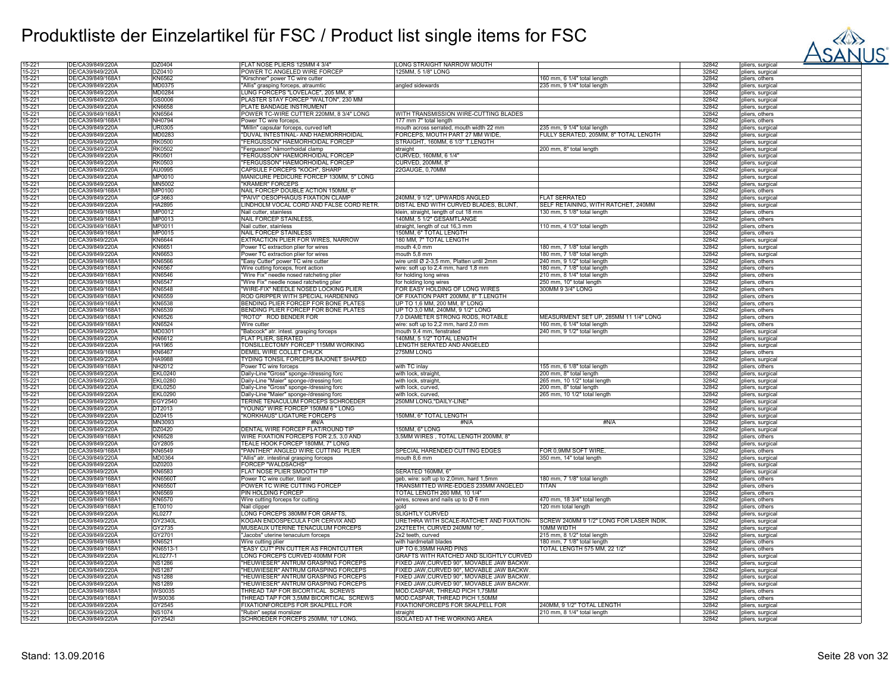

| 15-221           | DE/CA39/849/220A                     | DZ0404                   | FLAT NOSE PLIERS 125MM 4 3/4"                                  | LONG STRAIGHT NARROW MOUTH                                                            |                                         | 32842          | pliers, surgical                     |
|------------------|--------------------------------------|--------------------------|----------------------------------------------------------------|---------------------------------------------------------------------------------------|-----------------------------------------|----------------|--------------------------------------|
| 15-221           | DE/CA39/849/220A                     | DZ0410                   | POWER TC ANGELED WIRE FORCEP                                   | 125MM, 5 1/8" LONG                                                                    |                                         | 32842          | pliers, surgical                     |
| 15-221           | DE/CA39/849/168A                     | KN6562                   | "Kirschner" power TC wire cutter                               |                                                                                       | 160 mm, 6 1/4" total length             | 32842          | pliers, others                       |
| 15-221           | DE/CA39/849/220A                     | MD0375                   | "Allis" grasping forceps, atraumtic                            | angled sidewards                                                                      | 235 mm, 9 1/4" total length             | 32842          | pliers, surgical                     |
| 15-221           | DE/CA39/849/220A                     | MD0284                   | LUNG FORCEPS "LOVELACE", 205 MM, 8'                            |                                                                                       |                                         | 32842          | pliers, surgical                     |
|                  |                                      |                          |                                                                |                                                                                       |                                         |                |                                      |
| 15-221           | DE/CA39/849/220Å                     | GS0006                   | PLASTER STAY FORCEP "WALTON", 230 MM                           |                                                                                       |                                         | 32842          | pliers, surgical                     |
| 15-221           | DE/CA39/849/220A                     | KN6658                   | PLATE BANDAGE INSTRUMENT                                       |                                                                                       |                                         | 32842          | pliers, surgical                     |
| 15-221           | DE/CA39/849/168A1                    | <b>KN6564</b>            | POWER TC-WIRE CUTTER 220MM, 8 3/4" LONG                        | WITH TRANSMISSION WIRE-CUTTING BLADES                                                 |                                         | 32842          | pliers, others                       |
| 15-221           | DE/CA39/849/168A1                    | NH0794                   | Power TC wire forceps,                                         | 177 mm 7" total length                                                                |                                         | 32842          | pliers, others                       |
| 15-221           | DE/CA39/849/220Ä                     | <b>UR0305</b>            | "Millin" capsular forceps, curved left                         | mouth across serrated, mouth width 22 mm                                              | 235 mm, 9 1/4" total length             | 32842          | pliers, surgical                     |
|                  | DE/CA39/849/220A                     | MD0283                   |                                                                | FORCEPS, MOUTH PART 27 MM WIDE,                                                       | FULLY SERATED, 205MM, 8" TOTAL LENGTH   | 32842          |                                      |
| 15-221           |                                      |                          | 'DUVAL INTESTINAL- AND HAEMORRHOIDAL                           |                                                                                       |                                         |                | pliers, surgical                     |
| 15-221           | DE/CA39/849/220A                     | <b>RK0500</b>            | <b>FERGUSSON" HAEMORHOIDAL FORCEP</b>                          | STRAIGHT, 160MM, 6 1/3" T.LENGTH                                                      |                                         | 32842          | pliers, surgical                     |
| 15-221           | DE/CA39/849/220A                     | RK0502                   | "Fergusson" hämorrhoidal clamp                                 | straight                                                                              | 200 mm, 8" total length                 | 32842          | pliers, surgical                     |
| 15-221           | DE/CA39/849/220Å                     | <b>RK0501</b>            | <b>FERGUSSON" HAEMORHOIDAL FORCEP</b>                          | CURVED, 160MM, 6 1/4"                                                                 |                                         | 32842          | pliers, surgical                     |
| 15-221           | DE/CA39/849/220A                     | RK0503                   | "FERGUSSON" HAEMORHOIDAL FORCEP                                | CURVED, 200MM, 8"                                                                     |                                         | 32842          | pliers, surgical                     |
|                  |                                      |                          |                                                                |                                                                                       |                                         |                |                                      |
| 15-221           | DE/CA39/849/220A                     | AU0995                   | CAPSULE FORCEPS "KOCH", SHARP                                  | 22GAUGE, 0,70MM                                                                       |                                         | 32842          | pliers, surgical                     |
| 15-221           | DE/CA39/849/220A                     | MP0010                   | MANICURE PEDICURE FORCEP 130MM, 5" LONG                        |                                                                                       |                                         | 32842          | pliers, surgical                     |
| 15-221           | DE/CA39/849/220A                     | MN5002                   | "KRÄMER" FORCEPS                                               |                                                                                       |                                         | 32842          | pliers, surgical                     |
| 15-221           | DE/CA39/849/168Ä                     | MP0100                   | NAIL FORCEP DOUBLE ACTION 150MM, 6"                            |                                                                                       |                                         | 32842          | pliers, others                       |
| 15-221           | DE/CA39/849/220A                     | GF3663                   | "PĂIVI" OESOPHAGUS FIXATION CLAMP                              | 240MM, 9 1/2", UPWARDS ANGLED                                                         | <b>FLAT SERRATED</b>                    | 32842          |                                      |
|                  |                                      |                          |                                                                |                                                                                       |                                         |                | pliers, surgical                     |
| 15-221           | DE/CA39/849/220A                     | HA2895                   | LINDHOLM VOCAL CORD AND FALSE CORD RETR.                       | DISTAL END WITH CURVED BLADES, BLUNT.                                                 | SELF RETAINING, WITH RATCHET, 240MM     | 32842          | pliers, surgical                     |
| 15-221           | DE/CA39/849/168A1                    | MP0012                   | Nail cutter, stainless                                         | klein, straight, length of cut 18 mm                                                  | 130 mm, 5 1/8" total length             | 32842          | pliers, others                       |
| 15-221           | DE/CA39/849/168A1                    | MP0013                   | <b>NAIL FORCEP STAINLESS</b>                                   | 140MM, 5 1/2" GESAMTLÄNGE                                                             |                                         | 32842          | pliers, others                       |
| 15-221           | DE/CA39/849/168Ä1                    | MP0011                   | Nail cutter, stainless                                         | straight, length of cut 16,3 mm                                                       | 110 mm, 4 1/3" total length             | 32842          |                                      |
|                  |                                      |                          |                                                                |                                                                                       |                                         |                | pliers, others                       |
| 15-221           | DE/CA39/849/168A1                    | MP0015                   | <b>NAIL FORCEP STAINLESS</b>                                   | 150MM, 6" TOTAL LENGTH                                                                |                                         | 32842          | pliers, others                       |
| 15-221           | DE/CA39/849/220A                     | KN6644                   | EXTRACTION PLIER FOR WIRES, NARROW                             | 180 MM, 7" TOTAL LENGTH                                                               |                                         | 32842          | pliers, surgical                     |
| 15-221           | DE/CA39/849/220Ä                     | KN6651                   | Power TC extraction plier for wires                            | mouth 4,0 mm                                                                          | 180 mm, 7 1/8" total length             | 32842          | pliers, surgical                     |
| 15-221           | DE/CA39/849/220A                     | KN6653                   | Power TC extraction plier for wires                            | mouth 5,8 mm                                                                          | 180 mm, 7 1/8" total length             | 32842          | pliers, surgical                     |
| 15-221           | DE/CA39/849/168A1                    | KN6566                   |                                                                | wire until Ø 2-3.5 mm. Platten until 2mm                                              | 240 mm, 9 1/2" total length             | 32842          | pliers, others                       |
|                  |                                      |                          | "Easy Cutter" power TC wire cutter                             |                                                                                       |                                         |                |                                      |
| 15-221           | DE/CA39/849/168A1                    | <b>KN6567</b>            | Wire cutting forceps, front action                             | wire: soft up to 2,4 mm, hard 1,8 mm                                                  | 180 mm, 7 1/8" total length             | 32842          | pliers, others                       |
| 15-221           | DE/CA39/849/168A1                    | KN6546                   | "Wire Fix" needle nosed ratcheting plier                       | for holding long wires                                                                | 210 mm, 8 1/4" total length             | 32842          | pliers, others                       |
| 15-221           | DE/CA39/849/168A1                    | <b>KN6547</b>            | "Wire Fix" needle nosed ratcheting plier                       | for holding long wires                                                                | 250 mm, 10" total length                | 32842          | pliers, others                       |
| 15-221           | DE/CA39/849/168A1                    | <b>KN6548</b>            | "WIRE-FIX" NEEDLE NOSED LOCKING PLIER                          | FOR EASY HOLDING OF LONG WIRES                                                        | 300MM 9 3/4" LONG                       | 32842          | pliers, others                       |
|                  |                                      |                          |                                                                |                                                                                       |                                         |                |                                      |
| 15-221           | DE/CA39/849/168A1                    | KN6559                   | ROD GRIPPER WITH SPECIAL HARDENING                             | OF FIXATION PART 200MM, 8" T.LENGTH                                                   |                                         | 32842          | pliers, others                       |
| 15-221           | DE/CA39/849/168A1                    | KN6538                   | BENDING PLIER FORCEP FOR BONE PLATES                           | UP TO 1,6 MM, 200 MM, 8" LONG                                                         |                                         | 32842          | pliers, others                       |
| 15-221           | DE/CA39/849/168A1                    | KN6539                   | BENDING PLIER FORCEP FOR BONE PLATES                           | UP TO 3,0 MM, 240MM, 9 1/2" LONG                                                      |                                         | 32842          | pliers, others                       |
| 15-221           | DE/CA39/849/168A1                    | <b>KN6526</b>            | "ROTO" ROD BENDER FOR                                          | 0, DIAMETER STRONG RODS, ROTABLE                                                      | MEASURMENT SET UP, 285MM 11 1/4" LONG   | 32842          | pliers, others                       |
|                  |                                      |                          | Wire cutter                                                    |                                                                                       |                                         |                |                                      |
| 15-221           | DE/CA39/849/168Ä1                    | KN6524                   |                                                                | wire: soft up to 2,2 mm, hard 2,0 mm                                                  | 160 mm, 6 1/4" total length             | 32842          | pliers, others                       |
| 15-221           | DE/CA39/849/220A                     | MD0301                   | "Babcock" atr. intest. grasping forceps                        | mouth 9,4 mm, fenstrated                                                              | 240 mm, 9 1/2" total length             | 32842          | pliers, surgical                     |
| 15-221           | DE/CA39/849/220A                     | KN6612                   | FLAT PLIER, SERATED                                            | 140MM, 5 1/2" TOTAL LENGTH                                                            |                                         | 32842          | pliers, surgical                     |
| 15-221           | DE/CA39/849/220A                     | <b>HA1965</b>            | TONSILLECTOMY FORCEP 115MM WORKING                             | LENGTH SERATED AND ANGELED                                                            |                                         | 32842          | pliers, surgical                     |
| 15-221           | DE/CA39/849/168A1                    | KN6467                   | DEMEL WIRE COLLET CHUCK                                        | 275MM LONG                                                                            |                                         | 32842          | pliers, others                       |
|                  |                                      |                          |                                                                |                                                                                       |                                         |                |                                      |
| 15-221           | DE/CA39/849/220A                     | HA9988                   | TYDING TONSIL FORCEPS BAJONET SHAPED                           |                                                                                       |                                         | 32842          | pliers, surgical                     |
| 15-221           | DE/CA39/849/168A                     | NH2012                   | Power TC wire forceps                                          | with TC inlay                                                                         | 155 mm, 6 1/8" total length             | 32842          | pliers, others                       |
| 15-221           | DE/CA39/849/220A                     | <b>EKL0240</b>           | Daily-Line "Gross" sponge-/dressing forc                       | with lock, straight                                                                   | 200 mm, 8" total length                 | 32842          | pliers, surgical                     |
| 15-221           | DE/CA39/849/220A                     | <b>EKL0280</b>           | Daily-Line "Maier" sponge-/dressing forc                       | with lock, straight                                                                   | 265 mm, 10 1/2" total length            | 32842          | pliers, surgical                     |
|                  | DE/CA39/849/220A                     |                          |                                                                |                                                                                       |                                         | 32842          |                                      |
| 15-221           |                                      | <b>EKL0250</b>           | Daily-Line "Gross" sponge-/dressing forc                       | with lock, curved.                                                                    | 200 mm, 8" total length                 |                | pliers, surgical                     |
| 15-221           | DE/CA39/849/220A                     | <b>EKL0290</b>           | Daily-Line "Maier" sponge-/dressing forc                       | with lock, curved                                                                     | 265 mm, 10 1/2" total length            | 32842          | pliers, surgical                     |
| 15-221           | DE/CA39/849/220A                     | EGY2540                  | TERINE TENACULUM FORCEPS SCHROEDER                             | 250MM LONG."DAILY-LINE"                                                               |                                         | 32842          | pliers, surgical                     |
| 15-221           | DE/CA39/849/220A                     | DT2013                   | "YOUNG" WIRE FORCEP 150MM 6 " LONG                             |                                                                                       |                                         | 32842          | pliers, surgica                      |
| 15-221           | DE/CA39/849/220A                     | DZ0415                   | "KORKHAUS" LIGATURE FORCEPS                                    | 150MM, 6" TOTAL LENGTH                                                                |                                         | 32842          | pliers, surgical                     |
|                  |                                      |                          |                                                                |                                                                                       |                                         |                |                                      |
| 15-221           | DE/CA39/849/220A                     | MN3093                   | #N/A                                                           | #N/A                                                                                  | #N/A                                    | 32842          | pliers, surgical                     |
| 15-221           | DE/CA39/849/220A                     | DZ0420                   | DENTAL WIRE FORCEP FLAT/ROUND TIP                              | 50MM, 6" LONG                                                                         |                                         | 32842          | pliers, surgical                     |
| 15-221           | DE/CA39/849/168A1                    | <b>KN6528</b>            | WIRE FIXATION FORCEPS FOR 2,5, 3,0 AND                         | 3,5MM WIRES, TOTAL LENGTH 200MM, 8"                                                   |                                         | 32842          | pliers, others                       |
| 15-221           | DE/CA39/849/220Ä                     | GY2805                   | TEALE HOOK FORCEP 180MM, 7" LONG                               |                                                                                       |                                         | 32842          | pliers, surgical                     |
| 15-221           | DE/CA39/849/168A1                    | KN6549                   | "PANTHER" ANGLED WIRE CUTTING PLIER                            | SPECIAL HARENDED CUTTING EDGES                                                        | FOR 0,9MM SOFT WIRE                     | 32842          |                                      |
|                  |                                      |                          |                                                                |                                                                                       |                                         |                | pliers, others                       |
| 15-221           | DE/CA39/849/220A                     | MD0364                   | "Allis" atr. intestinal grasping forceps                       | mouth 8.6 mm                                                                          | 350 mm, 14" total length                | 32842          | pliers, surgical                     |
| 15-221           | DE/CA39/849/220A                     | DZ0203                   | FORCEP "WALDSACHS"                                             |                                                                                       |                                         | 32842          | pliers, surgical                     |
| 15-221           | DE/CA39/849/220A                     | KN6583                   | FLAT NOSE PLIER SMOOTH TIP                                     | SERATED 160MM, 6"                                                                     |                                         | 32842          | pliers, surgical                     |
| 15-221           | DE/CA39/849/168A1                    | KN65601                  | Power TC wire cutter, titanit                                  | geb, wire: soft up to 2,0mm, hard 1,5mm                                               | 180 mm, 7 1/8" total length             | 32842          | pliers, others                       |
| 15-221           | DE/CA39/849/168A1                    | KN65501                  | POWER TC WIRE CUTTING FORCEP                                   | TRANSMITTED WIRE-EDGES 235MM ANGELED                                                  | <b>TITAN</b>                            | 32842          | pliers, others                       |
|                  |                                      |                          |                                                                |                                                                                       |                                         |                |                                      |
| 15-221           | DE/CA39/849/168A1                    | KN6569                   | PIN HOLDING FORCEP                                             | TOTAL LENGTH 260 MM, 10 1/4"                                                          |                                         | 32842          | pliers, others                       |
| 15-221           | DE/CA39/849/168A1                    | KN6570                   | Wire cutting forceps for cutting                               | wires, screws and nails up to Ø 6 mm                                                  | 470 mm, 18 3/4" total length            | 32842          | pliers, others                       |
| 15-221           | DE/CA39/849/168A1                    | ET0010                   | Nail clipper                                                   | aold                                                                                  | 120 mm total length                     | 32842          | pliers, others                       |
| 15-221           |                                      | <b>KL0277</b>            | LONG FORCEPS 380MM FOR GRAFTS.                                 | <b>SLIGHTLY CURVED</b>                                                                |                                         | 32842          | pliers, surgical                     |
|                  |                                      |                          |                                                                |                                                                                       |                                         |                |                                      |
| 15-221           | DE/CA39/849/220A                     |                          |                                                                |                                                                                       |                                         |                |                                      |
| 15-221           | DE/CA39/849/220Ä                     | GY2340L                  | KOGAN ENDOSPECULA FOR CERVIX AND                               | URETHRA WITH SCALE-RATCHET AND FIXATION-                                              | SCREW 240MM 9 1/2" LONG FOR LASER INDIK | 32842          | pliers, surgical                     |
| 15-221           | DE/CA39/849/220A                     | GY2735                   | MUSEAUX UTERINE TENACULUM FORCEPS                              | 2X2TEETH, CURVED 240MM 10",                                                           | HTGIW MM01                              | 32842          | pliers, surgical                     |
|                  | DE/CA39/849/220A                     | GY2701                   | "Jacobs" uterine tenaculum forceps                             |                                                                                       | 215 mm, 8 1/2" total length             | 32842          |                                      |
|                  |                                      |                          |                                                                | 2x2 teeth, curved                                                                     |                                         |                | pliers, surgical                     |
| 15-221           | DE/CA39/849/168A1                    | KN6521                   | Wire cutting plier                                             | with hardmetall blades                                                                | 180 mm, 7 1/8" total length             | 32842          | pliers, others                       |
| 15-221           | DE/CA39/849/168A1                    | KN6513-1                 | EASY CUT" PIN CUTTER AS FRONTCUTTER                            | UP TO 6,35MM HARD PINS                                                                | TOTAL LENGTH 575 MM, 22 1/2             | 32842          | pliers, others                       |
| 15-221           | DE/CA39/849/220A                     | KL0277-1                 | LONG FORCEPS CURVED 400MM FOR                                  | GRAFTS WITH RATCHED AND SLIGHTLY CURVED                                               |                                         | 32842          | pliers, surgica                      |
| 15-221           | DE/CA39/849/220A                     | <b>NS1286</b>            | "HEUWIESER" ANTRUM GRASPING FORCEPS                            |                                                                                       |                                         | 32842          | pliers, surgical                     |
| 15-221           | DE/CA39/849/220A                     | <b>NS1287</b>            | "HEUWIESER" ANTRUM GRASPING FORCEPS                            | FIXED JAW, CURVED 90°, MOVABLE JAW BACKW.<br>FIXED JAW.CURVED 90°. MOVABLE JAW BACKW. |                                         | 32842          |                                      |
|                  |                                      |                          |                                                                |                                                                                       |                                         |                | pliers, surgical                     |
| 15-221           | DE/CA39/849/220Ä                     | <b>NS1288</b>            | "HEUWIESER" ANTRUM GRASPING FORCEPS                            | FIXED JAW, CURVED 90°, MOVABLE JAW BACKW.                                             |                                         | 32842          | pliers, surgical                     |
| 15-221           | DE/CA39/849/220Å                     | <b>NS1289</b>            | "HEUWIESER" ANTRUM GRASPING FORCEPS                            | FIXED JAW, CURVED 90°, MOVABLE JAW BACKW.                                             |                                         | 32842          | pliers, surgical                     |
| 15-221           | DE/CA39/849/168A1                    | <b>WS0035</b>            | THREAD TAP FOR BICORTICAL SCREWS                               | MOD.CASPAR. THREAD PICH 1.75MM                                                        |                                         | 32842          | pliers, others                       |
| 15-221           | DE/CA39/849/168A1                    | WS0036                   | THREAD TAP FOR 3.5MM BICORTICAL SCREWS                         | MOD.CASPAR. THREAD PICH 1.50MM                                                        |                                         | 32842          | pliers, others                       |
|                  |                                      |                          |                                                                |                                                                                       |                                         |                |                                      |
| 15-221           | DE/CA39/849/220A                     | GY2545                   | FIXATIONFORCEPS FOR SKALPELL FOR                               | FIXATIONFORCEPS FOR SKALPELL FOR                                                      | 240MM, 9 1/2" TOTAL LENGTH              | 32842          | pliers, surgical                     |
| 15-221<br>15-221 | DE/CA39/849/220A<br>DE/CA39/849/220Ä | <b>NS1074</b><br>GY2542I | "Rubin" septal morslizer<br>SCHROEDER FORCEPS 250MM, 10" LONG, | straight<br>ISOLATED AT THE WORKING AREA                                              | 210 mm, 8 1/4" total length             | 32842<br>32842 | pliers, surgical<br>pliers, surgical |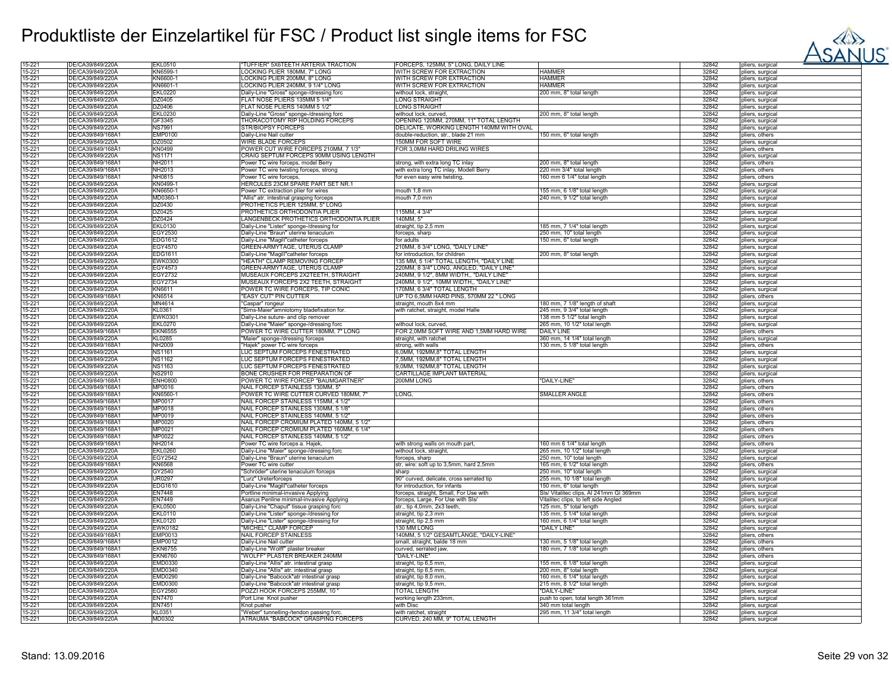

| 15-221 | DE/CA39/849/220A  | EKL0510        | "TUFFIER" 5X6TEETH ARTERIA TRACTION      | FORCEPS, 125MM, 5" LONG, DAILY LINE      |                                         | 32842 | pliers, surgical |
|--------|-------------------|----------------|------------------------------------------|------------------------------------------|-----------------------------------------|-------|------------------|
| 15-221 | DE/CA39/849/220A  | KN6599-1       | LOCKING PLIER 180MM, 7" LONG             | WITH SCREW FOR EXTRACTION                | <b>HAMMER</b>                           | 32842 | pliers, surgical |
|        |                   |                |                                          |                                          |                                         |       |                  |
| 15-221 | DE/CA39/849/220A  | KN6600-1       | LOCKING PLIER 200MM, 8" LONG             | WITH SCREW FOR EXTRACTION                | <b>HAMMER</b>                           | 32842 | pliers, surgical |
| 15-221 | DE/CA39/849/220A  | KN6601-1       | LOCKING PLIER 240MM, 9 1/4" LONG         | WITH SCREW FOR EXTRACTION                | HAMMER                                  | 32842 | pliers, surgical |
| 15-221 | DE/CA39/849/220A  | <b>EKL0220</b> | Daily-Line "Gross" sponge-/dressing forc | without lock, straight,                  | 200 mm, 8" total length                 | 32842 | pliers, surgical |
| 15-221 | DE/CA39/849/220A  | DZ0405         | FLAT NOSE PLIERS 135MM 5 1/4"            | ONG STRAIGHT                             |                                         | 32842 | pliers, surgical |
|        |                   |                |                                          |                                          |                                         |       |                  |
| 15-221 | DE/CA39/849/220A  | DZ0406         | FLAT NOSE PLIERS 140MM 5 1/2"            | ONG STRAIGHT                             |                                         | 32842 | pliers, surgical |
| 15-221 | DE/CA39/849/220A  | <b>EKL0230</b> | Daily-Line "Gross" sponge-/dressing forc | without lock, curved                     | 200 mm, 8" total length                 | 32842 | pliers, surgical |
| 15-221 | DE/CA39/849/220A  | GF3345         | <b>THORACOTOMY RIP HOLDING FORCEPS</b>   | OPENING 120MM, 270MM, 11" TOTAL LENGTH   |                                         | 32842 | pliers, surgical |
|        | DE/CA39/849/220A  |                |                                          | DELICATE. WORKING LENGTH 140MM WITH OVAL |                                         |       |                  |
| 15-221 |                   | <b>NS7991</b>  | <b>STR/BIOPSY FORCEPS</b>                |                                          |                                         | 32842 | pliers, surgical |
| 15-221 | DE/CA39/849/168Å1 | <b>EMP0100</b> | Daily-Line Nail cutter                   | double-reduction, str., blade 21 mm      | 150 mm, 6" total length                 | 32842 | pliers, others   |
| 15-221 | DE/CA39/849/220A  | DZ0502         | <b>WIRE BLADE FORCEPS</b>                | 150MM FOR SOFT WIRE                      |                                         | 32842 | pliers, surgical |
| 15-221 | DE/CA39/849/168A1 | KN0499         | POWER CUT WIRE FORCEPS 210MM, 7 1/3"     | FOR 3,0MM HARD DRILING WIRES             |                                         | 32842 | pliers, others   |
|        |                   |                |                                          |                                          |                                         |       |                  |
| 15-221 | DE/CA39/849/220A  | NS1171         | CRAIG SEPTUM FORCEPS 90MM USING LENGTH   |                                          |                                         | 32842 | pliers, surgical |
| 15-221 | DE/CA39/849/168A1 | NH2011         | Power TC wire forceps, model Berry       | strong, with extra long TC inlay         | 200 mm, 8" total length                 | 32842 | pliers, others   |
| 15-221 | DE/CA39/849/168Ä1 | NH2013         | Power TC wire twisting forceps, strong   | with extra long TC inlay, Modell Berry   | 220 mm 3/4" total length                | 32842 | pliers, others   |
| 15-221 | DE/CA39/849/168A1 | NH0815         |                                          |                                          | 160 mm 6 1/4" total length              | 32842 |                  |
|        |                   |                | Power TC wire forceps,                   | for even easy wire twisting,             |                                         |       | pliers, others   |
| 15-221 | DE/CA39/849/220A  | KN0499-1       | HERCULES 23CM SPARE PART SET NR.1        |                                          |                                         | 32842 | pliers, surgical |
| 15-221 | DE/CA39/849/220A  | KN6650-1       | Power TC extraction plier for wires      | mouth 1,8 mm                             | 155 mm, 6 1/8" total length             | 32842 | pliers, surgical |
| 15-221 | DE/CA39/849/220A  | MD0360-1       | "Allis" atr. intestinal grasping forceps | mouth 7,0 mm                             | 240 mm, 9 1/2" total length             | 32842 | pliers, surgical |
|        |                   |                |                                          |                                          |                                         |       |                  |
| 15-221 | DE/CA39/849/220A  | DZ0430         | PROTHETICS PLIER 125MM, 5" LONG          |                                          |                                         | 32842 | pliers, surgical |
| 15-221 | DE/CA39/849/220A  | DZ0425         | PROTHETICS ORTHODONTIA PLIER             | 115MM, 43/4"                             |                                         | 32842 | pliers, surgical |
| 15-221 | DE/CA39/849/220A  | DZ0424         | LANGENBECK PROTHETICS ORTHODONTIA PLIER  | 140MM. 5"                                |                                         | 32842 | pliers, surgical |
|        | DE/CA39/849/220A  |                |                                          |                                          |                                         |       |                  |
| 15-221 |                   | <b>EKL0130</b> | Daily-Line "Lister" sponge-/dressing for | straight, tip 2,5 mm                     | 185 mm, 7 1/4" total length             | 32842 | pliers, surgical |
| 15-221 | DE/CA39/849/220A  | EGY2530        | Daily-Line "Braun" uterine tenaculum     | forceps, sharp                           | 250 mm, 10" total length                | 32842 | pliers, surgical |
| 15-221 | DE/CA39/849/220A  | EDG1612        | Daily-Line "Magill"catheter forceps      | for adults                               | 150 mm, 6" total length                 | 32842 | pliers, surgical |
| 15-221 | DE/CA39/849/220A  | <b>EGY4570</b> | GREEN-ARMYTAGE, UTERUS CLAMP             | 210MM, 8 3/4" LONG, "DAILY LINE"         |                                         | 32842 | pliers, surgical |
|        |                   |                |                                          |                                          |                                         |       |                  |
| 15-221 | DE/CA39/849/220A  | EDG1611        | Daily-Line "Magill"catheter forceps      | for introduction, for children           | 200 mm, 8" total length                 | 32842 | pliers, surgical |
| 15-221 | DE/CA39/849/220A  | EWK0300        | "HEATH" CLAMP REMOVING FORCEP            | 135 MM, 5 1/4" TOTAL LENGTH, "DAILY LINE |                                         | 32842 | pliers, surgical |
| 15-221 | DE/CA39/849/220A  | EGY4573        | GREEN-ARMYTAGE, UTERUS CLAMP             | 220MM, 8 3/4" LONG, ANGLED, "DAILY LINE" |                                         | 32842 | pliers, surgical |
| 15-221 | DE/CA39/849/220A  | EGY2732        | MUSEAUX FORCEPS 2X2TEETH, STRAIGHT       | 240MM, 9 1/2", 8MM WIDTH,, "DAILY LINE"  |                                         | 32842 |                  |
|        |                   |                |                                          |                                          |                                         |       | pliers, surgical |
| 15-221 | DE/CA39/849/220A  | <b>EGY2734</b> | MUSEAUX FORCEPS 2X2 TEETH, STRAIGHT      | 240MM, 9 1/2", 10MM WIDTH,, "DAILY LINE" |                                         | 32842 | pliers, surgical |
| 15-221 | DE/CA39/849/220A  | KN6611         | POWER TC WIRE FORCEPS, TIP CONIC         | 170MM, 63/4" TOTAL LENGTH                |                                         | 32842 | pliers, surgical |
| 15-221 | DE/CA39/849/168A1 | <b>KN6514</b>  | "EASY CUT" PIN CUTTER                    | UP TO 6.5MM HARD PINS, 570MM 22 " LONG   |                                         | 32842 | pliers, others   |
|        |                   |                |                                          |                                          |                                         |       |                  |
| 15-221 | DE/CA39/849/220A  | MN4614         | "Caspar" rongeur                         | straight, mouth 8x4 mm                   | 180 mm, 7 1/8" length of shaft          | 32842 | pliers, surgical |
| 15-221 | DE/CA39/849/220A  | KL0361         | "Sims-Maier"amniotomy bladefixation for. | with ratchet, straight, model Halle      | 245 mm, 9 3/4" total length             | 32842 | pliers, surgical |
| 15-221 | DE/CA39/849/220A  | EWK0301        | Daily-Line suture- and clip remover      |                                          | 138 mm 5 1/2" total length              | 32842 | pliers, surgical |
| 15-221 | DE/CA39/849/220A  | <b>EKL0270</b> | Daily-Line "Maier" sponge-/dressing forc | without lock, curved,                    | 265 mm, 10 1/2" total length            | 32842 |                  |
|        |                   |                |                                          |                                          |                                         |       | pliers, surgical |
| 15-221 | DE/CA39/849/168A1 | <b>EKN6555</b> | POWER TC WIRE CUTTER 180MM, 7" LONG      | FOR 2,0MM SOFT WIRE AND 1,5MM HARD WIRE  | <b>DAILY LINE</b>                       | 32842 | pliers, others   |
| 15-221 | DE/CA39/849/220A  | KL0285         | "Maier" sponge-/dressing forceps         | straight, with ratchet                   | 360 mm, 14 1/4" total length            | 32842 | pliers, surgical |
| 15-221 | DE/CA39/849/168A1 | NH2009         | "Hajek" power TC wire forceps            | strong, with walls                       | 130 mm, 5 1/8" total length             | 32842 | pliers, others   |
| 15-221 | DE/CA39/849/220A  | <b>NS1161</b>  | LUC SEPTUM FORCEPS FENESTRATED           | 6,0MM, 192MM,8" TOTAL LENGTH             |                                         | 32842 |                  |
|        |                   |                |                                          |                                          |                                         |       | pliers, surgical |
| 15-221 | DE/CA39/849/220A  | <b>NS1162</b>  | LUC SEPTUM FORCEPS FENESTRATED           | 5MM, 192MM,8" TOTAL LENGTH               |                                         | 32842 | pliers, surgical |
| 15-221 | DE/CA39/849/220A  | <b>NS1163</b>  | LUC SEPTUM FORCEPS FENESTRATED           | 9,0MM, 192MM,8" TOTAL LENGTH             |                                         | 32842 | pliers, surgical |
| 15-221 | DE/CA39/849/220A  | NS2910         | BONE CRUSHER FOR PREPARATION OI          | CARTILLAGE IMPLANT MATERIAL              |                                         | 32842 | pliers, surgical |
|        |                   |                |                                          |                                          |                                         |       |                  |
| 15-221 | DE/CA39/849/168A1 | <b>ENH0800</b> | POWER TC WIRE FORCEP "BAUMGARTNER"       | 200MM LONG                               | "DAILY-LINE"                            | 32842 | pliers, others   |
| 15-221 | DE/CA39/849/168A1 | MP0016         | NAIL FORCEP STAINLESS 130MM, 5"          |                                          |                                         | 32842 | pliers, others   |
| 15-221 | DE/CA39/849/168A1 | KN6560-1       | POWER TC WIRE CUTTER CURVED 180MM, 7"    | _ONG,                                    | <b>SMALLER ANGLE</b>                    | 32842 | pliers, others   |
| 15-221 | DE/CA39/849/168A1 | MP0017         | NAIL FORCEP STAINLESS 115MM, 4 1/2"      |                                          |                                         | 32842 |                  |
|        |                   |                |                                          |                                          |                                         |       | pliers, others   |
| 15-221 | DE/CA39/849/168A1 | MP0018         | NAIL FORCEP STAINLESS 130MM, 5 1/8'      |                                          |                                         | 32842 | pliers, others   |
| 15-221 | DE/CA39/849/168A1 | MP0019         | NAIL FORCEP STAINLESS 140MM, 5 1/2       |                                          |                                         | 32842 | pliers, others   |
| 15-221 | DE/CA39/849/168Ä1 | MP0020         | NAIL FORCEP CROMIUM PLATED 140MM, 5 1/2" |                                          |                                         | 32842 | pliers, others   |
|        |                   |                |                                          |                                          |                                         |       |                  |
| 15-221 | DE/CA39/849/168A1 | MP0021         | NAIL FORCEP CROMIUM PLATED 160MM, 6 1/4" |                                          |                                         | 32842 | pliers, others   |
| 15-221 | DE/CA39/849/168A1 | MP0022         | NAIL FORCEP STAINLESS 140MM, 5 1/2"      |                                          |                                         | 32842 | pliers, others   |
| 15-221 | DE/CA39/849/168A1 | NH2014         | Power TC wire forceps a. Hajek.          | with strong walls on mouth part,         | 160 mm 6 1/4" total length              | 32842 | pliers, others   |
| 15-221 | DE/CA39/849/220A  | <b>EKL0260</b> | Daily-Line "Maier" sponge-/dressing forc | without lock, straight,                  | 265 mm, 10 1/2" total length            | 32842 |                  |
|        |                   |                |                                          |                                          |                                         |       | pliers, surgical |
| 15-221 | DE/CA39/849/220A  | <b>EGY2542</b> | Daily-Line "Braun" uterine tenaculum     | forceps, sharp                           | 250 mm, 10" total length                | 32842 | pliers, surgical |
| 15-221 | DE/CA39/849/168Ä1 | KN6568         | Power TC wire cutter                     | str, wire: soft up to 3,5mm, hard 2,5mm  | 165 mm, 6 1/2" total length             | 32842 | pliers, others   |
| 15-221 | DE/CA39/849/220A  | GY2540         | "Schröder" uterine tenaculum forceps     | sharp                                    | 250 mm, 10" total length                | 32842 | pliers, surgical |
|        |                   |                |                                          |                                          |                                         |       |                  |
| 15-221 | DE/CA39/849/220A  | <b>UR0297</b>  | "Lurz" Ureterforceps                     | 90° curved, delicate, cross serrated tip | 255 mm, 10 1/8" total length            | 32842 | pliers, surgical |
| 15-221 | DE/CA39/849/220A  | EDG1610        | Daily-Line "Magill"catheter forceps      | for introduction, for infants            | 150 mm. 6" total length                 | 32842 | pliers, surgical |
| 15-221 | DE/CA39/849/220A  | EN7448         | Portline minimal-invasive Applying       | orceps, straight, Small, For Use with    | Sls/ Vitalitec clips, Al 241mm GI 369mm | 32842 | pliers, surgical |
| 15-221 | DE/CA39/849/220A  | EN7449         | Asanus Penline minimal-invasive Applying | forceps, Large, For Use with SIs/        | Vitalitec clips, to left side Angled    | 32842 | pliers, surgical |
|        |                   |                |                                          |                                          |                                         |       |                  |
| 15-221 | DE/CA39/849/220A  | <b>EKL0500</b> | Daily-Line "Chaput" tissue grasping forc | str., tip 4,0mm, 2x3 teeth,              | 125 mm, 5" total length                 | 32842 | pliers, surgical |
| 15-221 | DE/CA39/849/220A  | <b>EKL0110</b> | Daily-Line "Lister" sponge-/dressing for | straight, tip 2,3 mm                     | 135 mm, 5 1/4" total length             | 32842 | pliers, surgical |
| 15-221 | DE/CA39/849/220A  | <b>EKL0120</b> | Daily-Line "Lister" sponge-/dressing for | straight, tip 2,5 mm                     | 160 mm, 6 1/4" total length             | 32842 | pliers, surgical |
|        |                   |                |                                          |                                          |                                         |       |                  |
| 15-221 | DE/CA39/849/220A  | EWK0182        | "MICHEL" CLAMP FORCEP                    | <b>130 MM LONG</b>                       | "DAILY LINE"                            | 32842 | pliers, surgical |
| 15-221 | DE/CA39/849/168Ä1 | EMP0013        | NAIL FORCEP STAINLESS                    | 140MM, 5 1/2" GESAMTLÄNGE, "DAILY-LINE"  |                                         | 32842 | pliers, others   |
| 15-221 | DE/CA39/849/168Ä1 | <b>EMP0012</b> | Daily-Line Nail cutter                   | small, straight, balde 18 mm             | 130 mm, 5 1/8" total length             | 32842 | pliers, others   |
| 15-221 | DE/CA39/849/168A1 | <b>EKN6755</b> | Daily-Line "Wolff" plaster breaker       | curved, serrated jaw,                    | 180 mm, 7 1/8" total length             | 32842 | pliers, others   |
|        |                   |                |                                          |                                          |                                         |       |                  |
| 15-221 | DE/CA39/849/168A1 | <b>EKN6760</b> | "WOLFF" PLASTER BREAKER 240MM            | 'DAILY-LINE'                             |                                         | 32842 | pliers, others   |
| 15-221 | DE/CA39/849/220A  | <b>EMD0330</b> | Daily-Line "Allis" atr. intestinal grasp | straight, tip 6,5 mm,                    | 155 mm, 6 1/8" total length             | 32842 | pliers, surgical |
| 15-221 | DE/CA39/849/220A  | <b>EMD0340</b> | Daily-Line "Allis" atr. intestinal grasp | straight, tip 6,5 mm,                    | 200 mm, 8" total length                 | 32842 | pliers, surgical |
| 15-221 | DE/CA39/849/220A  | <b>EMD0290</b> |                                          |                                          |                                         | 32842 |                  |
|        |                   |                | Daily-Line "Babcock"atr intestinal grasp | straight, tip 8,0 mm,                    | 160 mm, 6 1/4" total length             |       | pliers, surgical |
| 15-221 | DE/CA39/849/220A  | <b>EMD0300</b> | Daily-Line "Babcock"atr intestinal grasp | straight, tip 9,5 mm,                    | 215 mm, 8 1/2" total length             | 32842 | pliers, surgical |
| 15-221 | DE/CA39/849/220A  | <b>EGY2580</b> | POZZI HOOK FORCEPS 255MM, 10"            | <b>TOTAL LENGTH</b>                      | "DAILY-LINE"                            | 32842 | pliers, surgical |
| 15-221 | DE/CA39/849/220A  | <b>EN7470</b>  | Port Line Knot pusher                    | working length 233mm.                    | push to open, total length 361mm        | 32842 | pliers, surgical |
|        |                   |                |                                          |                                          |                                         |       |                  |
| 15-221 | DE/CA39/849/220A  | EN7451         | Knot pusher                              | with Disc                                | 340 mm total length                     | 32842 | pliers, surgical |
| 15-221 | DE/CA39/849/220A  | KL0351         | "Weber" tunnelling-/tendon passing forc. | with ratchet, straight                   | 295 mm, 11 3/4" total length            | 32842 | pliers, surgical |
| 15-221 | DE/CA39/849/220Ä  | MD0302         | ATRAUMA "BABCOCK" GRASPING FORCEPS       | CURVED, 240 MM, 9" TOTAL LENGTH          |                                         | 32842 | pliers, surgical |
|        |                   |                |                                          |                                          |                                         |       |                  |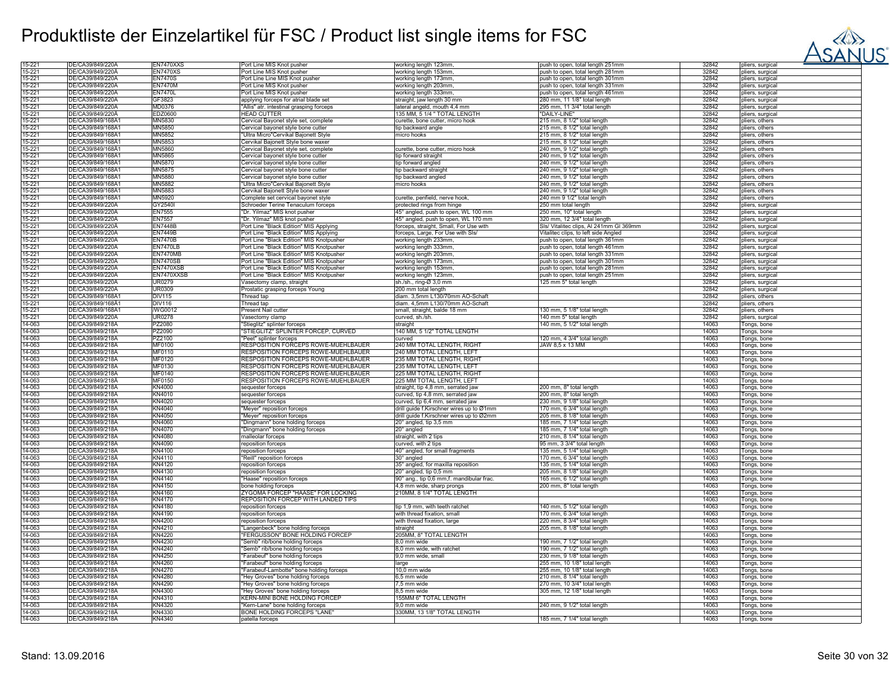

| 15-221           | DE/CA39/849/220A                     | EN7470XXS               | Port Line MIS Knot pusher                                                          | working length 123mm,                    | push to open, total length 251mm        | 32842          | pliers, surgical           |
|------------------|--------------------------------------|-------------------------|------------------------------------------------------------------------------------|------------------------------------------|-----------------------------------------|----------------|----------------------------|
| $15 - 221$       | DE/CA39/849/220Ä                     | <b>EN7470XS</b>         | Port Line MIS Knot pusher                                                          | working length 153mm,                    | push to open, total length 281mm        | 32842          | pliers, surgical           |
| 15-221           | DE/CA39/849/220A                     | <b>EN7470S</b>          | Port Line Line MIS Knot pusher                                                     | working length 173mm,                    | push to open, total length 301mm        | 32842          | pliers, surgical           |
| 15-221           | DE/CA39/849/220A                     | <b>EN7470M</b>          | Port Line MIS Knot pusher                                                          | working length 203mm,                    | push to open, total length 331mm        | 32842          | pliers, surgical           |
| 15-221           | DE/CA39/849/220Ä                     | <b>EN7470L</b>          | Port Line MIS Knot pusher                                                          | working length 333mm,                    | push to open, total length 461mm        | 32842          | pliers, surgical           |
| 15-221           | DE/CA39/849/220A                     | GF3823                  | applying forceps for atrial blade set                                              | straight, jaw length 30 mm               | 280 mm, 11 1/8" total length            | 32842          | pliers, surgical           |
| 15-221           | DE/CA39/849/220A                     | MD0376                  | "Allis" atr. intestinal grasping forceps                                           | lateral angeld, mouth 4,4 mm             | 295 mm, 11 3/4" total length            | 32842          | pliers, surgical           |
| 15-221           | DE/CA39/849/220A                     | EDZ0600                 |                                                                                    | 135 MM, 5 1/4 " TOTAL LENGTH             |                                         |                |                            |
| 15-221           |                                      |                         | <b>HEAD CUTTER</b>                                                                 |                                          | "DAILY-LINE"                            | 32842          | pliers, surgical           |
|                  | DE/CA39/849/168A1                    | MN5830                  | Cervical Bayonet style set, complete                                               | curette, bone cutter, micro hook         | 215 mm, 8 1/2" total length             | 32842          | pliers, others             |
| 15-221           | DE/CA39/849/168Ä1                    | MN5850                  | Cervical bayonet style bone cutter                                                 | tip backward angle                       | 215 mm, 8 1/2" total length             | 32842          | pliers, others             |
| 15-221           | DE/CA39/849/168A                     | <b>MN5852</b>           | 'Ultra Micro"Cervikal Bajonett Style                                               | micro hooks                              | 215 mm, 8 1/2" total length             | 32842          | pliers, others             |
| 15-221           | DE/CA39/849/168A                     | MN5853                  | Cervikal Bajonett Style bone waxer                                                 |                                          | 215 mm, 8 1/2" total length             | 32842          | pliers, others             |
| 15-221           | DE/CA39/849/168A1                    | MN5860                  | Cervical Bayonet style set, complete                                               | curette, bone cutter, micro hook         | 240 mm, 9 1/2" total length             | 32842          | pliers, others             |
| 15-221           | DE/CA39/849/168A1                    | MN5865                  | Cervical bayonet style bone cutter                                                 | tip forward straight                     | 240 mm, 9 1/2" total length             | 32842          | pliers, others             |
| 15-221           | DE/CA39/849/168A1                    | <b>MN5870</b>           | Cervical bayonet style bone cutter                                                 | tip forward angled                       | 240 mm. 9 1/2" total length             | 32842          | pliers, others             |
| 15-221           | DE/CA39/849/168Ä1                    | MN5875                  | Cervical bayonet style bone cutter                                                 | tip backward straight                    | 240 mm, 9 1/2" total length             | 32842          | pliers, others             |
| 15-221           | DE/CA39/849/168A1                    | MN5880                  | Cervical bayonet style bone cutter                                                 | tip backward angled                      | 240 mm, 9 1/2" total length             | 32842          | pliers, others             |
| 15-221           | DE/CA39/849/168Ä1                    | MN5882                  | "Ultra Micro"Cervikal Bajonett Style                                               | micro hooks                              | 240 mm, 9 1/2" total length             | 32842          | pliers, others             |
| 15-221           | DE/CA39/849/168A                     | MN5883                  | Cervikal Bajonett Style bone waxer                                                 |                                          | 240 mm. 9 1/2" total length             | 32842          | pliers, others             |
| 15-221           | DE/CA39/849/168A1                    | MN5920                  | Complete set cervical bayonet style                                                | curette, penfield, nerve hook,           | 240 mm 9 1/2" total length              | 32842          | pliers, others             |
| 15-221           | DE/CA39/849/220A                     | GY2540I                 | Schroeder Terine Tenaculum forceps                                                 | protected rings from hinge               | 250 mm total length                     | 32842          | pliers, surgical           |
| 15-221           | DE/CA39/849/220A                     | <b>EN7555</b>           | "Dr. Yilmaz" MIS knot pusher                                                       | 45° angled, push to open, WL 100 mm      | 250 mm, 10" total length                | 32842          | pliers, surgical           |
| 15-221           | DE/CA39/849/220A                     | <b>EN7557</b>           | 'Dr. Yilmaz" MIS knot pusher                                                       | 45° angled, push to open, WL 170 mm      | 320 mm, 12 3/4" total length            | 32842          | pliers, surgical           |
|                  | DE/CA39/849/220Ä                     | <b>EN7448B</b>          |                                                                                    |                                          |                                         |                |                            |
| 15-221<br>15-221 | DE/CA39/849/220A                     | <b>EN7449B</b>          | Port Line "Black Edition" MIS Applying                                             | forceps, straight, Small, For Use with   | Sls/ Vitalitec clips, Al 241mm GI 369mm | 32842<br>32842 | pliers, surgical           |
| 15-221           | DE/CA39/849/220A                     | <b>EN7470B</b>          | Port Line "Black Edition" MIS Applying<br>Port Line "Black Edition" MIS Knotpusher | forceps, Large, For Use with SIs/        | Vitalitec clips, to left side Angled    | 32842          | pliers, surgical           |
|                  |                                      |                         |                                                                                    | working length 233mm,                    | push to open, total length 361mm        |                | pliers, surgical           |
| 15-221           | DE/CA39/849/220A                     | <b>EN7470LB</b>         | Port Line "Black Edition" MIS Knotpusher                                           | working length 333mm,                    | push to open, total length 461mm        | 32842          | pliers, surgical           |
| 15-221           | DE/CA39/849/220A                     | <b>EN7470MB</b>         | Port Line "Black Edition" MIS Knotpusher                                           | working length 203mm,                    | push to open, total length 331mm        | 32842          | pliers, surgical           |
| 15-221           | DE/CA39/849/220A                     | <b>EN7470SB</b>         | Port Line "Black Edition" MIS Knotpusher                                           | working length 173mm,                    | push to open, total length 301mm        | 32842          | pliers, surgical           |
| 15-221           | DE/CA39/849/220A                     | EN7470XSB               | Port Line "Black Edition" MIS Knotpusher                                           | working length 153mm,                    | push to open, total length 281mm        | 32842          | pliers, surgical           |
| 15-221           | DE/CA39/849/220A                     | EN7470XXSB              | Port Line "Black Edition" MIS Knotpusher                                           | working length 123mm.                    | push to open, total length 251mm        | 32842          | pliers, surgical           |
| 15-221           | DE/CA39/849/220A                     | <b>UR0279</b>           | Vasectomy clamp, straight                                                          | sh./sh., ring-Ø 3,0 mm                   | 125 mm 5" total length                  | 32842          | pliers, surgical           |
| 15-221           | DE/CA39/849/220A                     | <b>UR0309</b>           | Prostatic grasping forceps Young                                                   | 200 mm total length                      |                                         | 32842          | pliers, surgical           |
| 15-221           | DE/CA39/849/168A                     | <b>DIV115</b>           | Thread tap                                                                         | diam. 3,5mm L130/70mm AO-Schaft          |                                         | 32842          | pliers, others             |
| 15-221           | DE/CA39/849/168Ä                     | <b>DIV116</b>           | Thread tap                                                                         | diam. 4,5mm L130/70mm AO-Schaft          |                                         | 32842          | pliers, others             |
| 15-221           | DE/CA39/849/168A1                    | /WG0012                 | Present Nail cutter                                                                | small, straight, balde 18 mm             | 130 mm, 5 1/8" total length             | 32842          | pliers, others             |
| 15-221           | DE/CA39/849/220A                     | <b>UR0278</b>           | Vasectomy clamp                                                                    | curved, sh./sh.                          | 140 mm 5" total length                  | 32842          | pliers, surgical           |
| 14-063           | DE/CA39/849/218A                     | PZ2080                  | 'Stieglitz" splinter forceps                                                       | straight                                 | 140 mm, 5 1/2" total length             | 14063          | Tongs, bone                |
| 14-063           | DE/CA39/849/218Å                     | PZ2090                  | STIEGLITZ" SPLINTER FORCEP, CURVED                                                 | 140 MM, 5 1/2" TOTAL LENGTH              |                                         | 14063          | Tongs, bone                |
| 14-063           | DE/CA39/849/218A                     | PZ2100                  | 'Peet" splinter forceps                                                            | curved                                   | 120 mm, 4 3/4" total length             | 14063          | Tongs, bone                |
| 14-063           | DE/CA39/849/218A                     | MF0100                  | RESPOSITION FORCEPS ROWE-MUEHLBAUER                                                | 240 MM TOTAL LENGTH, RIGHT               | JAW 8,5 x 13 MM                         | 14063          | Tongs, bone                |
| 14-063           | DE/CA39/849/218A                     | MF0110                  | RESPOSITION FORCEPS ROWE-MUEHLBAUER                                                | 240 MM TOTAL LENGTH, LEFT                |                                         | 14063          | Tongs, bone                |
| 14-063           | DE/CA39/849/218Ä                     | MF0120                  | RESPOSITION FORCEPS ROWE-MUEHLBAUER                                                | 235 MM TOTAL LENGTH, RIGHT               |                                         | 14063          | Tongs, bone                |
| 14-063           | DE/CA39/849/218Ä                     | MF0130                  | RESPOSITION FORCEPS ROWE-MUEHLBAUER                                                | 235 MM TOTAL LENGTH, LEFT                |                                         | 14063          | Tongs, bone                |
| 14-063           | DE/CA39/849/218A                     | MF0140                  | RESPOSITION FORCEPS ROWE-MUEHLBAUER                                                | 225 MM TOTAL LENGTH, RIGHT               |                                         | 14063          | Tongs, bone                |
| 14-063           | DE/CA39/849/218Ä                     | MF0150                  | RESPOSITION FORCEPS ROWE-MUEHLBAUER                                                | 225 MM TOTAL LENGTH, LEFT                |                                         | 14063          | Tongs, bone                |
| 14-063           | DE/CA39/849/218Ä                     | <b>KN4000</b>           | sequester forceps                                                                  | straight, tip 4,8 mm, serrated jaw       | 200 mm, 8" total length                 | 14063          | Tongs, bone                |
| 14-063           | DE/CA39/849/218A                     | KN4010                  | sequester forceps                                                                  | curved, tip 4,8 mm, serrated jaw         | 200 mm, 8" total length                 | 14063          | Tongs, bone                |
| 14-063           | DE/CA39/849/218A                     | KN4020                  | sequester forceps                                                                  | curved, tip 6,4 mm, serrated jaw         | 230 mm, 9 1/8" total length             | 14063          | Tongs, bone                |
| 14-063           | DE/CA39/849/218A                     | KN4040                  | "Meyer" reposition forceps                                                         | drill guide f.Kirschner wires up to Ø1mm | 170 mm, 6 3/4" total length             | 14063          | Tongs, bone                |
| 14-063           | DE/CA39/849/218A                     | KN4050                  | "Meyer" reposition forceps                                                         | drill guide f.Kirschner wires up to Ø2mm | 205 mm, 8 1/8" total length             | 14063          | Tongs, bone                |
| 14-063           | DE/CA39/849/218A                     | KN4060                  | "Dingmann" bone holding forceps                                                    | 20° angled, tip 3,5 mm                   | 185 mm, 7 1/4" total length             | 14063          |                            |
| 14-063           | DE/CA39/849/218A                     | <b>KN4070</b>           | "Dingmann" bone holding forceps                                                    | 20° angled                               | 185 mm, 7 1/4" total length             | 14063          | Tongs, bone<br>Tongs, bone |
|                  |                                      |                         |                                                                                    |                                          |                                         |                |                            |
| 14-063           | DE/CA39/849/218Ä                     | <b>KN4080</b>           | nalleolar forceps                                                                  | straight, with 2 tips                    | 210 mm, 8 1/4" total length             | 14063          | Tongs, bone                |
| 14-063<br>14-063 | DE/CA39/849/218Ä<br>DE/CA39/849/218A | KN4090<br><b>KN4100</b> | reposition forceps                                                                 | curved, with 2 tips                      | 95 mm, 3 3/4" total length              | 14063<br>14063 | Tongs, bone                |
|                  |                                      |                         | reposition forceps                                                                 | 40° angled, for small fragments          | 135 mm, 5 1/4" total length             |                | Tongs, bone                |
| 14-063           | DE/CA39/849/218A                     | KN4110                  | "Reill" reposition forceps                                                         | 30° angled                               | 170 mm, 6 3/4" total length             | 14063          | Tongs, bone                |
| 14-063           | DE/CA39/849/218Ä                     | KN4120                  | reposition forceps                                                                 | 35° angled, for maxilla reposition       | 135 mm, 5 1/4" total length             | 14063          | Tongs, bone                |
| 14-063           | DE/CA39/849/218A                     | KN4130                  | reposition forceps                                                                 | 20° angled, tip 0,5 mm                   | 205 mm, 8 1/8" total length             | 14063          | Tongs, bone                |
| 14-063           | DE/CA39/849/218Ä                     | KN4140                  | "Haase" reposition forceps                                                         | 90° ang., tip 0,6 mm,f. mandibular frac. | 165 mm, 6 1/2" total length             | 14063          | Tongs, bone                |
| 14-063           | DE/CA39/849/218A                     | KN4150                  | bone holding forceps                                                               | 4,8 mm wide, sharp prongs                | 200 mm, 8" total length                 | 14063          | Tongs, bone                |
| 14-063           | DE/CA39/849/218A                     | KN4160                  | ZYGOMA FORCEP "HAASE" FOR LOCKING                                                  | 210MM, 8 1/4" TOTAL LENGTH               |                                         | 14063          | Tongs, bone                |
| 14-063           | DE/CA39/849/218Ä                     | <b>KN4170</b>           | REPOSITION FORCEP WITH LANDED TIPS                                                 |                                          |                                         | 14063          | Tongs, bone                |
| 14-063           | DE/CA39/849/218A                     | <b>KN4180</b>           | reposition forceps                                                                 | tip 1,9 mm, with teeth ratchet           | 140 mm, 5 1/2" total length             | 14063          | Tongs, bone                |
| 14-063           | DE/CA39/849/218A                     | KN4190                  | reposition forceps                                                                 | with thread fixation, small              | 170 mm, 6 3/4" total length             | 14063          | Tongs, bone                |
| 14-063           | DE/CA39/849/218Ä                     | <b>KN4200</b>           | reposition forceps                                                                 | with thread fixation, large              | 220 mm, 8 3/4" total length             | 14063          | Tongs, bone                |
| 14-063           | DE/CA39/849/218A                     | KN4210                  | 'Langenbeck" bone holding forceps                                                  | straight                                 | 205 mm, 8 1/8" total length             | 14063          | Tongs, bone                |
| 14-063           | DE/CA39/849/218A                     | <b>KN4220</b>           | "FERGUSSON" BONE HOLDING FORCEP                                                    | 205MM, 8" TOTAL LENGTH                   |                                         | 14063          | Tongs, bone                |
| 14-063           | DE/CA39/849/218A                     | KN4230                  | 'Semb" rib/bone holding forceps                                                    | 3.0 mm wide                              | 190 mm, 7 1/2" total length             | 14063          | Tongs, bone                |
| 14-063           | DE/CA39/849/218A                     | KN4240                  | 'Semb" rib/bone holding forceps                                                    | 3,0 mm wide, with ratchet                | 190 mm, 7 1/2" total length             | 14063          | Tongs, bone                |
| 14-063           | DE/CA39/849/218Ä                     | KN4250                  | "Farabeuf" bone holding forceps                                                    | 9,0 mm wide, small                       | 230 mm, 9 1/8" total length             | 14063          | Tongs, bone                |
| 14-063           | DE/CA39/849/218A                     | KN4260                  | "Farabeuf" bone holding forceps                                                    | large                                    | 255 mm, 10 1/8" total length            | 14063          | Tongs, bone                |
| 14-063           | DE/CA39/849/218A                     | <b>KN4270</b>           | "Farabeuf-Lambotte" bone holding forceps                                           | 10,0 mm wide                             | 255 mm, 10 1/8" total length            | 14063          | Tongs, bone                |
| 14-063           | DE/CA39/849/218Ä                     | KN4280                  | "Hey Groves" bone holding forceps                                                  | 6,5 mm wide                              | 210 mm, 8 1/4" total length             | 14063          | Tongs, bone                |
| 14-063           | DE/CA39/849/218A                     | <b>KN4290</b>           | "Hey Groves" bone holding forceps                                                  | 7.5 mm wide                              | 270 mm, 10 3/4" total length            | 14063          | Tongs, bone                |
| 14-063           | DE/CA39/849/218A                     | <b>KN4300</b>           | "Hey Groves" bone holding forceps                                                  | 8.5 mm wide                              | 305 mm, 12 1/8" total length            | 14063          | Tongs, bone                |
| 14-063           | DE/CA39/849/218Ä                     | KN4310                  | KERN-MINI BONE HOLDING FORCEP                                                      | 155MM 6" TOTAL LENGTH                    |                                         | 14063          | Tongs, bone                |
| 14-063           | DE/CA39/849/218A                     | KN4320                  | 'Kern-Lane" bone holding forceps                                                   | 9,0 mm wide                              | 240 mm, 9 1/2" total length             | 14063          | Tongs, bone                |
| 14-063           | DE/CA39/849/218A                     | KN4330                  | <b>BONE HOLDING FORCEPS "LANE</b>                                                  | 330MM, 13 1/8" TOTAL LENGTH              |                                         | 14063          | Tongs, bone                |
|                  |                                      |                         |                                                                                    |                                          | 185 mm, 7 1/4" total length             | 14063          |                            |
| 14-063           | DE/CA39/849/218Ä                     | KN4340                  | patella forceps                                                                    |                                          |                                         |                | Tongs, bone                |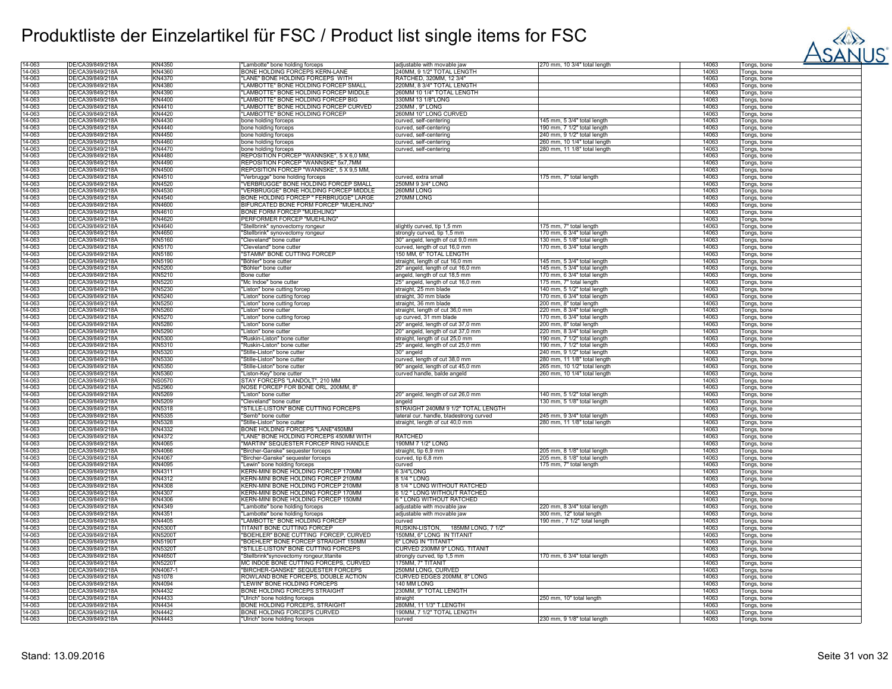

| 14-063 | DE/CA39/849/218A | KN4350         | "Lambotte" bone holding forceps          | adjustable with movable jaw             | 270 mm, 10 3/4" total length | 14063 | Tongs, bone |
|--------|------------------|----------------|------------------------------------------|-----------------------------------------|------------------------------|-------|-------------|
| 14-063 | DE/CA39/849/218A | KN4360         | BONE HOLDING FORCEPS KERN-LANE           | 240MM. 9 1/2" TOTAL LENGTH              |                              | 14063 | Tongs, bone |
| 14-063 | DE/CA39/849/218A | KN4370         | "LANE" BONE HOLDING FORCEPS WITH         | RATCHED, 320MM, 12 3/4'                 |                              | 14063 | Tongs, bone |
|        |                  |                |                                          |                                         |                              |       |             |
| 14-063 | DE/CA39/849/218Ä | KN4380         | "LAMBOTTE" BONE HOLDING FORCEP SMALL     | 220MM, 8 3/4" TOTAL LENGTH              |                              | 14063 | Tongs, bone |
| 14-063 | DE/CA39/849/218A | KN4390         | 'LAMBOTTE" BONE HOLDING FORCEP MIDDLE    | 260MM 10 1/4" TOTAL LENGTH              |                              | 14063 | Tongs, bone |
| 14-063 | DE/CA39/849/218A | KN4400         | 'LAMBOTTE" BONE HOLDING FORCEP BIG       | 330MM 13 1/8"LONG                       |                              | 14063 | Tongs, bone |
| 14-063 | DE/CA39/849/218A | KN4410         | LAMBOTTE" BONE HOLDING FORCEP CURVED     | 230MM, 9" LONG                          |                              | 14063 | Tongs, bone |
| 14-063 | DE/CA39/849/218A | KN4420         | 'LAMBOTTE" BONE HOLDING FORCEP           | 260MM 10" LONG CURVED                   |                              | 14063 | Tongs, bone |
|        | DE/CA39/849/218A | KN4430         |                                          |                                         |                              | 14063 |             |
| 14-063 |                  |                | bone holding forceps                     | curved, self-centering                  | 145 mm, 5 3/4" total length  |       | Tongs, bone |
| 14-063 | DE/CA39/849/218A | KN4440         | bone holding forceps                     | curved, self-centering                  | 190 mm, 7 1/2" total length  | 14063 | Tongs, bone |
| 14-063 | DE/CA39/849/218A | KN4450         | bone holding forceps                     | curved, self-centering                  | 240 mm, 9 1/2" total length  | 14063 | Tongs, bone |
| 14-063 | DE/CA39/849/218A | KN4460         | bone holding forceps                     | curved. self-centerinc                  | 260 mm, 10 1/4" total length | 14063 | Tongs, bone |
| 14-063 | DE/CA39/849/218A | KN4470         | bone holding forceps                     | curved, self-centering                  | 280 mm, 11 1/8" total length | 14063 | Tongs, bone |
| 14-063 | DE/CA39/849/218A | KN4480         | REPOSITION FORCEP "WANNSKE", 5 X 6.0 MM. |                                         |                              | 14063 | Tongs, bone |
|        |                  |                |                                          |                                         |                              |       |             |
| 14-063 | DE/CA39/849/218A | KN4490         | REPOSITION FORCEP "WANNSKE" 5x7,7MM      |                                         |                              | 14063 | Tongs, bone |
| 14-063 | DE/CA39/849/218Ä | KN4500         | REPOSITION FORCEP "WANNSKE", 5 X 9,5 MM  |                                         |                              | 14063 | Tongs, bone |
| 14-063 | DE/CA39/849/218A | KN4510         | "Verbrugge" bone holding forceps         | curved, extra smal                      | 175 mm, 7" total length      | 14063 | Tongs, bone |
| 14-063 | DE/CA39/849/218Ä | KN4520         | "VERBRUGGE" BONE HOLDING FORCEP SMALL    | 250MM 9 3/4" LONG                       |                              | 14063 | Tongs, bone |
| 14-063 | DE/CA39/849/218A | KN4530         | "VERBRUGGE" BONE HOLDING FORCEP MIDDLE   | 260MM LONG                              |                              | 14063 | Tongs, bone |
| 14-063 | DE/CA39/849/218A | KN4540         | BONE HOLDING FORCEP " FERBRUGGE" LARGE   | 270MM LONG                              |                              | 14063 | Tongs, bone |
| 14-063 | DE/CA39/849/218A | KN4600         | BIFURCATED BONE FORM FORCEP "MUEHLING"   |                                         |                              | 14063 |             |
|        |                  |                |                                          |                                         |                              |       | Tongs, bone |
| 14-063 | DE/CA39/849/218A | KN4610         | <b>BONE FORM FORCEP "MUEHLING"</b>       |                                         |                              | 14063 | Tongs, bone |
| 14-063 | DE/CA39/849/218A | KN4620         | PERFORMER FORCEP "MUEHLING"              |                                         |                              | 14063 | Tongs, bone |
| 14-063 | DE/CA39/849/218Ä | KN4640         | "Stellbrink" synovectomy rongeur         | slightly curved, tip 1,5 mm             | 175 mm, 7" total length      | 14063 | Tongs, bone |
| 14-063 | DE/CA39/849/218A | KN4650         | "Stellbrink" synovectomy rongeur         | strongly curved, tip 1,5 mm             | 170 mm, 6 3/4" total length  | 14063 | Tongs, bone |
| 14-063 | DE/CA39/849/218A | KN5160         | "Cleveland" bone cutter                  | 30° angeld, length of cut 9,0 mm        | 130 mm. 5 1/8" total length  | 14063 | Tongs, bone |
| 14-063 | DE/CA39/849/218Ä | KN5170         | "Cleveland" bone cutter                  | curved, length of cut 16,0 mm           | 170 mm, 6 3/4" total length  | 14063 |             |
|        |                  |                |                                          |                                         |                              |       | Tongs, bone |
| 14-063 | DE/CA39/849/218A | KN5180         | 'STAMM" BONE CUTTING FORCEP              | 150 MM, 6" TOTAL LENGTH                 |                              | 14063 | Tongs, bone |
| 14-063 | DE/CA39/849/218A | KN5190         | "Böhler" bone cutter                     | straight, length of cut 16,0 mm         | 145 mm, 5 3/4" total length  | 14063 | Tongs, bone |
| 14-063 | DE/CA39/849/218A | KN5200         | "Böhler" bone cutter                     | 20° angeld, length of cut 16,0 mm       | 145 mm, 5 3/4" total length  | 14063 | Tongs, bone |
| 14-063 | DE/CA39/849/218A | KN5210         | <b>Bone cutter</b>                       | angeld, length of cut 18,5 mm           | 170 mm, 6 3/4" total length  | 14063 | Tongs, bone |
| 14-063 | DE/CA39/849/218Ä | <b>KN5220</b>  | "Mc Indoe" bone cutter                   | 25° angeld, length of cut 16,0 mm       | 175 mm, 7" total length      | 14063 | Tongs, bone |
| 14-063 | DE/CA39/849/218A | KN5230         |                                          | straight, 25 mm blade                   | 140 mm, 5 1/2" total length  | 14063 |             |
| 14-063 | DE/CA39/849/218A | KN5240         | "Liston" bone cutting forcep             | straight, 30 mm blade                   | 170 mm, 6 3/4" total length  | 14063 | Tongs, bone |
|        |                  |                | "Liston" bone cutting forcep             |                                         |                              |       | Tongs, bone |
| 14-063 | DE/CA39/849/218Ä | KN5250         | "Liston" bone cutting forcep             | straight, 36 mm blade                   | 200 mm, 8" total length      | 14063 | Tongs, bone |
| 14-063 | DE/CA39/849/218A | KN5260         | 'Liston" bone cutter                     | straight, length of cut 36,0 mm         | 220 mm, 8 3/4" total length  | 14063 | Tongs, bone |
| 14-063 | DE/CA39/849/218A | KN5270         | "Liston" bone cutting forcep             | up curved, 31 mm blade                  | 170 mm, 6 3/4" total length  | 14063 | Tongs, bone |
| 14-063 | DE/CA39/849/218A | KN5280         | "Liston" bone cutter                     | 20° angeld, length of cut 37.0 mm       | 200 mm. 8" total length      | 14063 | Tongs, bone |
| 14-063 | DE/CA39/849/218A | KN5290         | Liston" bone cutte                       | 20° angeld, length of cut 37,0 mm       | 220 mm, 8 3/4" total length  | 14063 | Tongs, bone |
| 14-063 | DE/CA39/849/218A | KN5300         | "Ruskin-Liston" bone cutter              | straight, length of cut 25,0 mm         | 190 mm, 7 1/2" total length  | 14063 | Tongs, bone |
| 14-063 | DE/CA39/849/218A | KN5310         | "Ruskin-Liston" bone cutter              | 25° angeld, length of cut 25,0 mm       | 190 mm, 7 1/2" total length  | 14063 | Tongs, bone |
| 14-063 | DE/CA39/849/218A | KN5320         | "Stille-Liston" bone cutter              | 30° angeld                              | 240 mm, 9 1/2" total length  | 14063 | Tongs, bone |
|        |                  |                |                                          |                                         |                              |       |             |
| 14-063 | DE/CA39/849/218Ä | KN5330         | "Stille-Liston" bone cutter              | curved, length of cut 38,0 mm           | 280 mm, 11 1/8" total length | 14063 | Tongs, bone |
| 14-063 | DE/CA39/849/218Ä | KN5350         | "Stille-Liston" bone cutter              | 90° angeld, length of cut 45,0 mm       | 265 mm, 10 1/2" total length | 14063 | Tongs, bone |
| 14-063 | DE/CA39/849/218A | KN5360         | "Liston-Key" bone cutter                 | curved handle, balde angeld             | 260 mm, 10 1/4" total length | 14063 | Tongs, bone |
| 14-063 | DE/CA39/849/218A | <b>NS0570</b>  | STAY FORCEPS "LANDOLT", 210 MM           |                                         |                              | 14063 | Tongs, bone |
| 14-063 | DE/CA39/849/218Ä | <b>NS2960</b>  | NOSE FORCEP FOR BONE ORL. 200MM, 8"      |                                         |                              | 14063 | Tongs, bone |
| 14-063 | DE/CA39/849/218A | KN5269         | "Liston" bone cutter                     | 20° angeld, length of cut 26,0 mm       | 140 mm, 5 1/2" total length  | 14063 | Tongs, bone |
| 14-063 | DE/CA39/849/218A | <b>KN5209</b>  | "Cleveland" bone cutter                  | angeld                                  | 130 mm, 5 1/8" total length  | 14063 | Tongs, bone |
| 14-063 | DE/CA39/849/218A | KN5318         | "STILLE-LISTON" BONE CUTTING FORCEPS     | STRAIGHT 240MM 9 1/2" TOTAL LENGTH      |                              | 14063 | Tongs, bone |
| 14-063 | DE/CA39/849/218A | KN5335         | "Semb" bone cutter                       | lateral cur. handle, bladestrong curved | 245 mm, 9 3/4" total length  | 14063 |             |
|        |                  |                |                                          |                                         |                              |       | Tongs, bone |
| 14-063 | DE/CA39/849/218Ä | KN5328         | "Stille-Liston" bone cutter              | straight, length of cut 40,0 mm         | 280 mm, 11 1/8" total length | 14063 | Tongs, bone |
| 14-063 | DE/CA39/849/218A | KN4332         | BONE HOLDING FORCEPS "LANE"450MM         |                                         |                              | 14063 | Tongs, bone |
| 14-063 | DE/CA39/849/218Ä | KN4372         | 'LANE" BONE HOLDING FORCEPS 450MM WITH   | RATCHED                                 |                              | 14063 | Tongs, bone |
| 14-063 | DE/CA39/849/218A | KN4065         | "MARTIN" SEQUESTER FORCEP RING HANDLE    | 190MM 7 1/2" LONG                       |                              | 14063 | Tongs, bone |
| 14-063 | DE/CA39/849/218A | <b>KN4066</b>  | "Bircher-Ganske" sequester forceps       | straight, tip 6,9 mm                    | 205 mm, 8 1/8" total length  | 14063 | Tongs, bone |
| 14-063 | DE/CA39/849/218A | <b>KN4067</b>  | "Bircher-Ganske" sequester forceps       | curved, tip 6,8 mm                      | 205 mm, 8 1/8" total length  | 14063 | Tongs, bone |
| 14-063 | DE/CA39/849/218A | KN4095         | "Lewin" bone holding forceps             | curved                                  | 175 mm. 7" total length      | 14063 | Tongs, bone |
| 14-063 | DE/CA39/849/218A | KN4311         | KERN-MINI BONE HOLDING FORCEP 170MM      | 6 3/4"LONG                              |                              | 14063 | Tongs, bone |
| 14-063 | DE/CA39/849/218A | KN4312         | KERN-MINI BONE HOLDING FORCEP 210MM      | 8 1/4 " LONG                            |                              | 14063 |             |
| 14-063 | DE/CA39/849/218A | KN4308         | KERN-MINI BONE HOLDING FORCEP 210MM      | 3 1/4 " LONG WITHOUT RATCHED            |                              | 14063 | Tongs, bone |
|        |                  |                |                                          |                                         |                              |       | Tongs, bone |
| 14-063 | DE/CA39/849/218A | KN4307         | KERN-MINI BONE HOLDING FORCEP 170MM      | <b>6 1/2 " LONG WITHOUT RATCHED</b>     |                              | 14063 | Tongs, bone |
| 14-063 | DE/CA39/849/218Ä | KN4306         | KERN-MINI BONE HOLDING FORCEP 150MM      | 6 " LONG WITHOUT RATCHED                |                              | 14063 | Tongs, bone |
| 14-063 | DE/CA39/849/218A | KN4349         | "Lambotte" bone holding forceps          | adjustable with movable jaw             | 220 mm, 8 3/4" total length  | 14063 | Tongs, bone |
| 14-063 | DE/CA39/849/218A | KN4351         | "Lambotte" bone holding forceps          | adjustable with movable jaw             | 300 mm, 12" total length     | 14063 | Tongs, bone |
| 14-063 | DE/CA39/849/218A | KN4405         | "LAMBOTTE" BONE HOLDING FORCEP           | curved                                  | 190 mm, 7 1/2" total length  | 14063 | Tongs, bone |
| 14-063 | DE/CA39/849/218A | <b>KN5300T</b> | TITANIT BONE CUTTING FORCEP              | RUSKIN-LISTON, 185MM LONG, 7 1/2"       |                              | 14063 | Tongs, bone |
| 14-063 | DE/CA39/849/218A | <b>KN5200T</b> | "BOEHLER" BONE CUTTING FORCEP, CURVED    | 150MM, 6" LONG IN TITANIT               |                              | 14063 | Tongs, bone |
| 14-063 | DE/CA39/849/218A | KN5190T        | "BOEHLER" BONE FORCEP STRAIGHT 150MM     | 6" LONG IN "TITANIT"                    |                              | 14063 | Tongs, bone |
| 14-063 | DE/CA39/849/218A | KN5320T        | STILLE-LISTON" BONE CUTTING FORCEPS      | CURVED 230MM 9" LONG, TITANIT           |                              | 14063 | Tongs, bone |
|        |                  |                |                                          |                                         |                              |       |             |
| 14-063 | DE/CA39/849/218Ä | KN4650T        | "Stellbrink"synovectomy rongeur,titanite | strongly curved, tip 1,5 mm             | 170 mm, 6 3/4" total length  | 14063 | Tongs, bone |
| 14-063 | DE/CA39/849/218A | <b>KN5220T</b> | MC INDOE BONE CUTTING FORCEPS, CURVED    | <b>175MM, 7" TITANIT</b>                |                              | 14063 | Tongs, bone |
| 14-063 | DE/CA39/849/218A | KN4067-1       | "BIRCHER-GANSKE" SEQUESTER FORCEPS       | 250MM LONG, CURVED                      |                              | 14063 | Tongs, bone |
| 14-063 | DE/CA39/849/218Ä | <b>NS1078</b>  | ROWLAND BONE FORCEPS, DOUBLE ACTION      | CURVED EDGES 200MM, 8" LONG             |                              | 14063 | Tongs, bone |
| 14-063 | DE/CA39/849/218Å | KN4094         | "LEWIN" BONE HOLDING FORCEPS             | 140 MM LONG                             |                              | 14063 | Tongs, bone |
| 14-063 | DE/CA39/849/218A | KN4432         | BONE HOLDING FORCEPS STRAIGHT            | 230MM, 9" TOTAL LENGTH                  |                              | 14063 | Tongs, bone |
| 14-063 | DE/CA39/849/218A | KN4433         | "Ulrich" bone holding forceps            | straight                                | 250 mm, 10" total length     | 14063 | Tongs, bone |
| 14-063 | DE/CA39/849/218A | KN4434         | BONE HOLDING FORCEPS, STRAIGHT           | 280MM, 11 1/3" T.LENGTH                 |                              | 14063 | Tongs, bone |
|        | DE/CA39/849/218Ä | KN4442         | BONE HOLDING FORCEPS CURVED              | 190MM, 7 1/2" TOTAL LENGTH              |                              |       |             |
| 14-063 |                  |                |                                          |                                         |                              | 14063 | Tongs, bone |
| 14-063 | DE/CA39/849/218Ä | KN4443         | "Ulrich" bone holding forceps            | curved                                  | 230 mm, 9 1/8" total length  | 14063 | Tongs, bone |